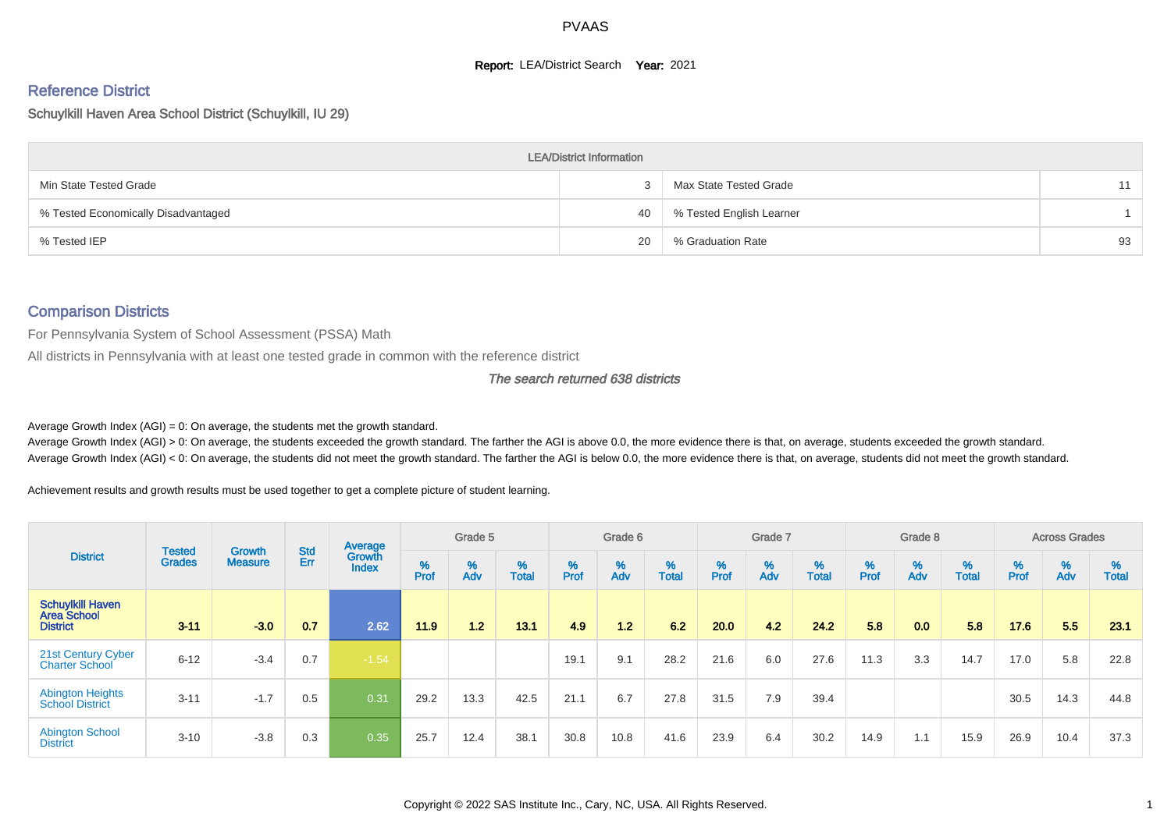#### **Report: LEA/District Search Year: 2021**

# Reference District

#### Schuylkill Haven Area School District (Schuylkill, IU 29)

|                                     | <b>LEA/District Information</b> |                          |    |
|-------------------------------------|---------------------------------|--------------------------|----|
| Min State Tested Grade              |                                 | Max State Tested Grade   | 11 |
| % Tested Economically Disadvantaged | 40                              | % Tested English Learner |    |
| % Tested IEP                        | 20                              | % Graduation Rate        | 93 |

#### Comparison Districts

For Pennsylvania System of School Assessment (PSSA) Math

All districts in Pennsylvania with at least one tested grade in common with the reference district

#### The search returned 638 districts

Average Growth Index  $(AGI) = 0$ : On average, the students met the growth standard.

Average Growth Index (AGI) > 0: On average, the students exceeded the growth standard. The farther the AGI is above 0.0, the more evidence there is that, on average, students exceeded the growth standard. Average Growth Index (AGI) < 0: On average, the students did not meet the growth standard. The farther the AGI is below 0.0, the more evidence there is that, on average, students did not meet the growth standard.

Achievement results and growth results must be used together to get a complete picture of student learning.

|                                                                  |                                |                                 |                   | Average                |           | Grade 5  |                   |           | Grade 6  |                   |          | Grade 7  |                   |           | Grade 8  |                   |           | <b>Across Grades</b> |                   |
|------------------------------------------------------------------|--------------------------------|---------------------------------|-------------------|------------------------|-----------|----------|-------------------|-----------|----------|-------------------|----------|----------|-------------------|-----------|----------|-------------------|-----------|----------------------|-------------------|
| <b>District</b>                                                  | <b>Tested</b><br><b>Grades</b> | <b>Growth</b><br><b>Measure</b> | <b>Std</b><br>Err | Growth<br><b>Index</b> | %<br>Prof | %<br>Adv | %<br><b>Total</b> | %<br>Prof | %<br>Adv | %<br><b>Total</b> | $%$ Prof | %<br>Adv | %<br><b>Total</b> | %<br>Prof | %<br>Adv | %<br><b>Total</b> | %<br>Prof | %<br>Adv             | %<br><b>Total</b> |
| <b>Schuylkill Haven</b><br><b>Area School</b><br><b>District</b> | $3 - 11$                       | $-3.0$                          | 0.7               | 2.62                   | 11.9      | 1.2      | 13.1              | 4.9       | 1.2      | 62                | 20.0     | 4.2      | 24.2              | 5.8       | 0.0      | 5.8               | 17.6      | 5.5                  | 23.1              |
| 21st Century Cyber<br>Charter School                             | $6 - 12$                       | $-3.4$                          | 0.7               | $-1.54$                |           |          |                   | 19.1      | 9.1      | 28.2              | 21.6     | 6.0      | 27.6              | 11.3      | 3.3      | 14.7              | 17.0      | 5.8                  | 22.8              |
| <b>Abington Heights</b><br><b>School District</b>                | $3 - 11$                       | $-1.7$                          | 0.5               | 0.31                   | 29.2      | 13.3     | 42.5              | 21.1      | 6.7      | 27.8              | 31.5     | 7.9      | 39.4              |           |          |                   | 30.5      | 14.3                 | 44.8              |
| <b>Abington School</b><br><b>District</b>                        | $3 - 10$                       | $-3.8$                          | 0.3               | 0.35                   | 25.7      | 12.4     | 38.1              | 30.8      | 10.8     | 41.6              | 23.9     | 6.4      | 30.2              | 14.9      | 1.1      | 15.9              | 26.9      | 10.4                 | 37.3              |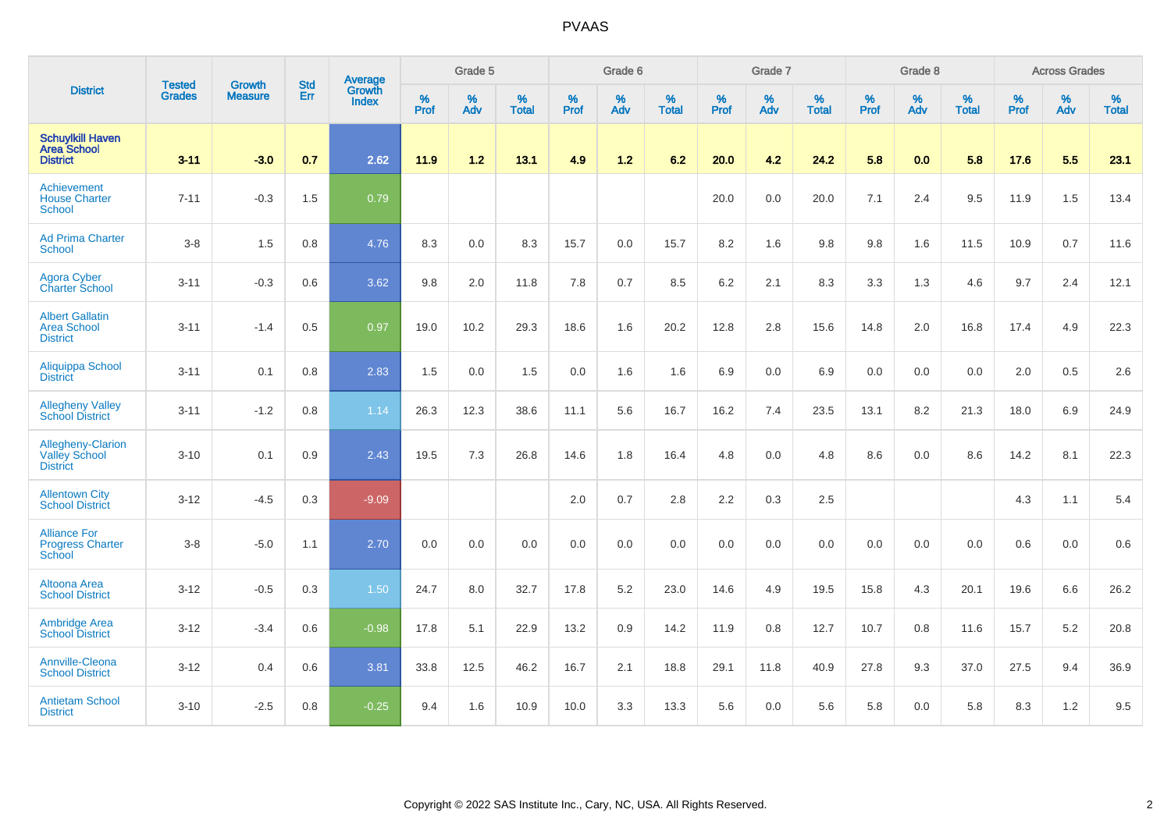|                                                                  | <b>Tested</b> | <b>Growth</b>  | <b>Std</b> | Average                |              | Grade 5  |                   |              | Grade 6  |                   |           | Grade 7  |                   |              | Grade 8  |                   |           | <b>Across Grades</b> |                   |
|------------------------------------------------------------------|---------------|----------------|------------|------------------------|--------------|----------|-------------------|--------------|----------|-------------------|-----------|----------|-------------------|--------------|----------|-------------------|-----------|----------------------|-------------------|
| <b>District</b>                                                  | <b>Grades</b> | <b>Measure</b> | Err        | Growth<br><b>Index</b> | $\%$<br>Prof | %<br>Adv | %<br><b>Total</b> | $\%$<br>Prof | %<br>Adv | %<br><b>Total</b> | %<br>Prof | %<br>Adv | %<br><b>Total</b> | $\%$<br>Prof | %<br>Adv | %<br><b>Total</b> | %<br>Prof | %<br>Adv             | %<br><b>Total</b> |
| <b>Schuylkill Haven</b><br><b>Area School</b><br><b>District</b> | $3 - 11$      | $-3.0$         | 0.7        | 2.62                   | 11.9         | 1.2      | 13.1              | 4.9          | 1.2      | 6.2               | 20.0      | 4.2      | 24.2              | 5.8          | 0.0      | 5.8               | 17.6      | 5.5                  | 23.1              |
| Achievement<br><b>House Charter</b><br><b>School</b>             | $7 - 11$      | $-0.3$         | 1.5        | 0.79                   |              |          |                   |              |          |                   | 20.0      | 0.0      | 20.0              | 7.1          | 2.4      | 9.5               | 11.9      | 1.5                  | 13.4              |
| <b>Ad Prima Charter</b><br><b>School</b>                         | $3 - 8$       | 1.5            | 0.8        | 4.76                   | 8.3          | 0.0      | 8.3               | 15.7         | 0.0      | 15.7              | 8.2       | 1.6      | 9.8               | 9.8          | 1.6      | 11.5              | 10.9      | 0.7                  | 11.6              |
| Agora Cyber<br><b>Charter School</b>                             | $3 - 11$      | $-0.3$         | 0.6        | 3.62                   | 9.8          | 2.0      | 11.8              | 7.8          | 0.7      | 8.5               | 6.2       | 2.1      | 8.3               | 3.3          | 1.3      | 4.6               | 9.7       | 2.4                  | 12.1              |
| <b>Albert Gallatin</b><br><b>Area School</b><br><b>District</b>  | $3 - 11$      | $-1.4$         | 0.5        | 0.97                   | 19.0         | 10.2     | 29.3              | 18.6         | 1.6      | 20.2              | 12.8      | 2.8      | 15.6              | 14.8         | 2.0      | 16.8              | 17.4      | 4.9                  | 22.3              |
| Aliquippa School<br><b>District</b>                              | $3 - 11$      | 0.1            | 0.8        | 2.83                   | 1.5          | 0.0      | 1.5               | 0.0          | 1.6      | 1.6               | 6.9       | 0.0      | 6.9               | 0.0          | 0.0      | 0.0               | 2.0       | 0.5                  | 2.6               |
| <b>Allegheny Valley</b><br><b>School District</b>                | $3 - 11$      | $-1.2$         | 0.8        | 1.14                   | 26.3         | 12.3     | 38.6              | 11.1         | 5.6      | 16.7              | 16.2      | 7.4      | 23.5              | 13.1         | 8.2      | 21.3              | 18.0      | 6.9                  | 24.9              |
| Allegheny-Clarion<br><b>Valley School</b><br><b>District</b>     | $3 - 10$      | 0.1            | 0.9        | 2.43                   | 19.5         | 7.3      | 26.8              | 14.6         | 1.8      | 16.4              | 4.8       | 0.0      | 4.8               | 8.6          | 0.0      | 8.6               | 14.2      | 8.1                  | 22.3              |
| <b>Allentown City</b><br><b>School District</b>                  | $3 - 12$      | $-4.5$         | 0.3        | $-9.09$                |              |          |                   | 2.0          | 0.7      | 2.8               | 2.2       | 0.3      | 2.5               |              |          |                   | 4.3       | 1.1                  | 5.4               |
| <b>Alliance For</b><br><b>Progress Charter</b><br>School         | $3-8$         | $-5.0$         | 1.1        | 2.70                   | 0.0          | 0.0      | 0.0               | 0.0          | 0.0      | 0.0               | 0.0       | 0.0      | 0.0               | 0.0          | 0.0      | 0.0               | 0.6       | 0.0                  | 0.6               |
| Altoona Area<br><b>School District</b>                           | $3 - 12$      | $-0.5$         | 0.3        | 1.50                   | 24.7         | 8.0      | 32.7              | 17.8         | $5.2\,$  | 23.0              | 14.6      | 4.9      | 19.5              | 15.8         | 4.3      | 20.1              | 19.6      | 6.6                  | 26.2              |
| <b>Ambridge Area</b><br><b>School District</b>                   | $3 - 12$      | $-3.4$         | 0.6        | $-0.98$                | 17.8         | 5.1      | 22.9              | 13.2         | 0.9      | 14.2              | 11.9      | 0.8      | 12.7              | 10.7         | 0.8      | 11.6              | 15.7      | 5.2                  | 20.8              |
| Annville-Cleona<br><b>School District</b>                        | $3 - 12$      | 0.4            | 0.6        | 3.81                   | 33.8         | 12.5     | 46.2              | 16.7         | 2.1      | 18.8              | 29.1      | 11.8     | 40.9              | 27.8         | 9.3      | 37.0              | 27.5      | 9.4                  | 36.9              |
| <b>Antietam School</b><br><b>District</b>                        | $3 - 10$      | $-2.5$         | 0.8        | $-0.25$                | 9.4          | 1.6      | 10.9              | 10.0         | 3.3      | 13.3              | 5.6       | 0.0      | 5.6               | 5.8          | 0.0      | 5.8               | 8.3       | 1.2                  | 9.5               |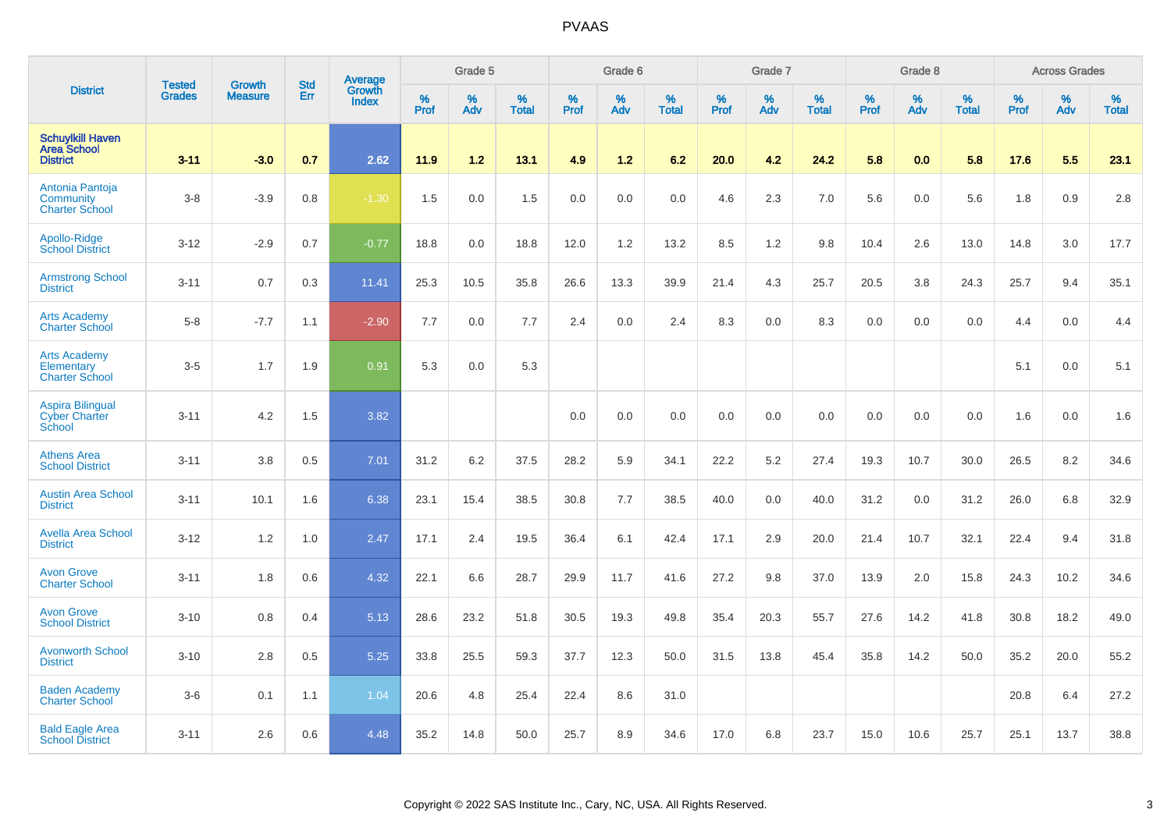|                                                                  |                                |                                 | <b>Std</b> | Average         |              | Grade 5  |                   |           | Grade 6  |                   |           | Grade 7  |                   |           | Grade 8  |                   |           | <b>Across Grades</b> |                   |
|------------------------------------------------------------------|--------------------------------|---------------------------------|------------|-----------------|--------------|----------|-------------------|-----------|----------|-------------------|-----------|----------|-------------------|-----------|----------|-------------------|-----------|----------------------|-------------------|
| <b>District</b>                                                  | <b>Tested</b><br><b>Grades</b> | <b>Growth</b><br><b>Measure</b> | Err        | Growth<br>Index | $\%$<br>Prof | %<br>Adv | %<br><b>Total</b> | %<br>Prof | %<br>Adv | %<br><b>Total</b> | %<br>Prof | %<br>Adv | %<br><b>Total</b> | %<br>Prof | %<br>Adv | %<br><b>Total</b> | %<br>Prof | %<br>Adv             | %<br><b>Total</b> |
| <b>Schuylkill Haven</b><br><b>Area School</b><br><b>District</b> | $3 - 11$                       | $-3.0$                          | 0.7        | 2.62            | 11.9         | 1.2      | 13.1              | 4.9       | 1.2      | 6.2               | 20.0      | 4.2      | 24.2              | 5.8       | 0.0      | 5.8               | 17.6      | 5.5                  | 23.1              |
| Antonia Pantoja<br>Community<br><b>Charter School</b>            | $3-8$                          | $-3.9$                          | 0.8        | $-1.30$         | 1.5          | 0.0      | 1.5               | 0.0       | 0.0      | 0.0               | 4.6       | 2.3      | 7.0               | 5.6       | 0.0      | 5.6               | 1.8       | 0.9                  | 2.8               |
| Apollo-Ridge<br><b>School District</b>                           | $3 - 12$                       | $-2.9$                          | 0.7        | $-0.77$         | 18.8         | 0.0      | 18.8              | 12.0      | 1.2      | 13.2              | 8.5       | 1.2      | 9.8               | 10.4      | 2.6      | 13.0              | 14.8      | 3.0                  | 17.7              |
| <b>Armstrong School</b><br><b>District</b>                       | $3 - 11$                       | 0.7                             | 0.3        | 11.41           | 25.3         | 10.5     | 35.8              | 26.6      | 13.3     | 39.9              | 21.4      | 4.3      | 25.7              | 20.5      | 3.8      | 24.3              | 25.7      | 9.4                  | 35.1              |
| <b>Arts Academy</b><br><b>Charter School</b>                     | $5-8$                          | $-7.7$                          | 1.1        | $-2.90$         | 7.7          | 0.0      | 7.7               | 2.4       | 0.0      | 2.4               | 8.3       | 0.0      | 8.3               | 0.0       | 0.0      | 0.0               | 4.4       | 0.0                  | 4.4               |
| <b>Arts Academy</b><br>Elementary<br><b>Charter School</b>       | $3-5$                          | 1.7                             | 1.9        | 0.91            | 5.3          | 0.0      | 5.3               |           |          |                   |           |          |                   |           |          |                   | 5.1       | 0.0                  | 5.1               |
| <b>Aspira Bilingual</b><br><b>Cyber Charter</b><br>School        | $3 - 11$                       | 4.2                             | 1.5        | 3.82            |              |          |                   | 0.0       | 0.0      | 0.0               | 0.0       | 0.0      | 0.0               | 0.0       | 0.0      | 0.0               | 1.6       | 0.0                  | 1.6               |
| <b>Athens Area</b><br><b>School District</b>                     | $3 - 11$                       | 3.8                             | 0.5        | 7.01            | 31.2         | 6.2      | 37.5              | 28.2      | 5.9      | 34.1              | 22.2      | 5.2      | 27.4              | 19.3      | 10.7     | 30.0              | 26.5      | 8.2                  | 34.6              |
| <b>Austin Area School</b><br><b>District</b>                     | $3 - 11$                       | 10.1                            | 1.6        | 6.38            | 23.1         | 15.4     | 38.5              | 30.8      | 7.7      | 38.5              | 40.0      | 0.0      | 40.0              | 31.2      | 0.0      | 31.2              | 26.0      | 6.8                  | 32.9              |
| <b>Avella Area School</b><br><b>District</b>                     | $3 - 12$                       | 1.2                             | 1.0        | 2.47            | 17.1         | 2.4      | 19.5              | 36.4      | 6.1      | 42.4              | 17.1      | 2.9      | 20.0              | 21.4      | 10.7     | 32.1              | 22.4      | 9.4                  | 31.8              |
| <b>Avon Grove</b><br><b>Charter School</b>                       | $3 - 11$                       | 1.8                             | 0.6        | 4.32            | 22.1         | 6.6      | 28.7              | 29.9      | 11.7     | 41.6              | 27.2      | 9.8      | 37.0              | 13.9      | 2.0      | 15.8              | 24.3      | 10.2                 | 34.6              |
| <b>Avon Grove</b><br><b>School District</b>                      | $3 - 10$                       | 0.8                             | 0.4        | 5.13            | 28.6         | 23.2     | 51.8              | 30.5      | 19.3     | 49.8              | 35.4      | 20.3     | 55.7              | 27.6      | 14.2     | 41.8              | 30.8      | 18.2                 | 49.0              |
| <b>Avonworth School</b><br><b>District</b>                       | $3 - 10$                       | 2.8                             | 0.5        | 5.25            | 33.8         | 25.5     | 59.3              | 37.7      | 12.3     | 50.0              | 31.5      | 13.8     | 45.4              | 35.8      | 14.2     | 50.0              | 35.2      | 20.0                 | 55.2              |
| <b>Baden Academy</b><br><b>Charter School</b>                    | $3-6$                          | 0.1                             | 1.1        | 1.04            | 20.6         | 4.8      | 25.4              | 22.4      | 8.6      | 31.0              |           |          |                   |           |          |                   | 20.8      | 6.4                  | 27.2              |
| <b>Bald Eagle Area</b><br><b>School District</b>                 | $3 - 11$                       | 2.6                             | 0.6        | 4.48            | 35.2         | 14.8     | 50.0              | 25.7      | 8.9      | 34.6              | 17.0      | 6.8      | 23.7              | 15.0      | 10.6     | 25.7              | 25.1      | 13.7                 | 38.8              |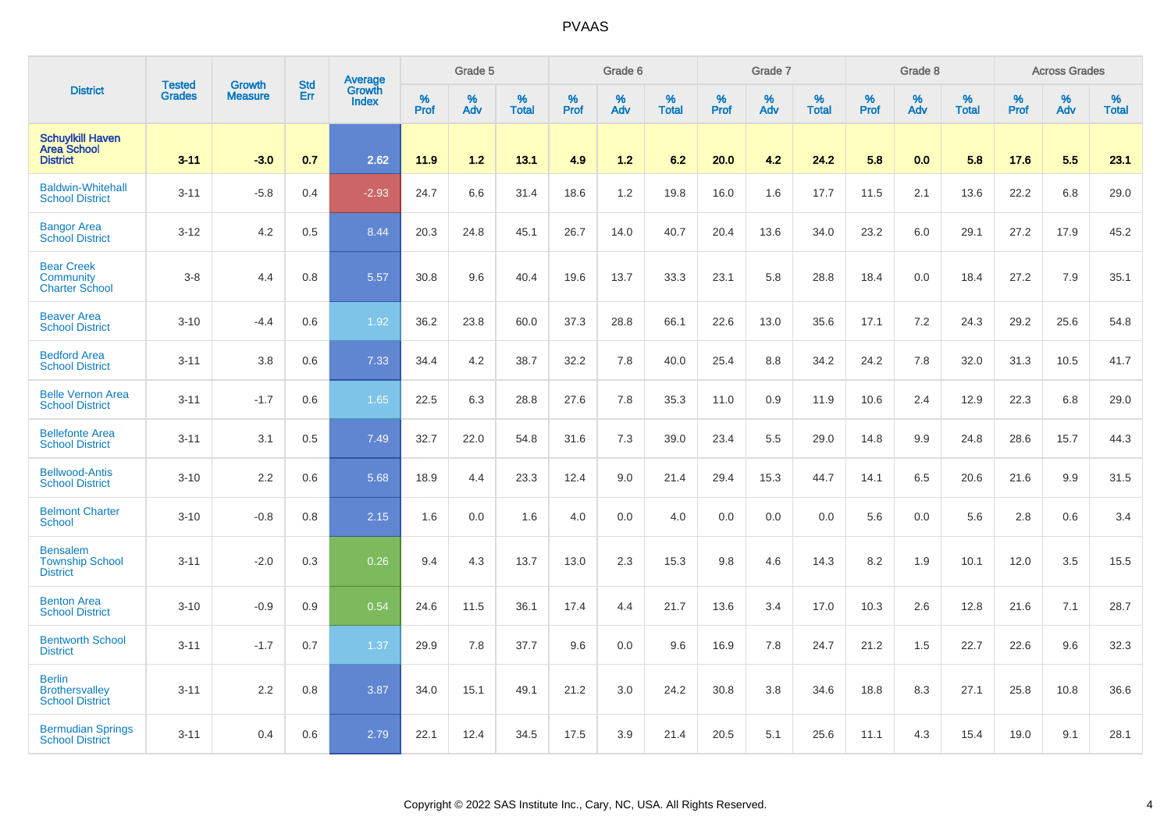|                                                                  |                                |                                 | <b>Std</b> | Average                |              | Grade 5  |                   |           | Grade 6  |                   |           | Grade 7  |                   |           | Grade 8  |                   |           | <b>Across Grades</b> |                   |
|------------------------------------------------------------------|--------------------------------|---------------------------------|------------|------------------------|--------------|----------|-------------------|-----------|----------|-------------------|-----------|----------|-------------------|-----------|----------|-------------------|-----------|----------------------|-------------------|
| <b>District</b>                                                  | <b>Tested</b><br><b>Grades</b> | <b>Growth</b><br><b>Measure</b> | Err        | Growth<br><b>Index</b> | $\%$<br>Prof | %<br>Adv | %<br><b>Total</b> | %<br>Prof | %<br>Adv | %<br><b>Total</b> | %<br>Prof | %<br>Adv | %<br><b>Total</b> | %<br>Prof | %<br>Adv | %<br><b>Total</b> | %<br>Prof | %<br>Adv             | %<br><b>Total</b> |
| <b>Schuylkill Haven</b><br><b>Area School</b><br><b>District</b> | $3 - 11$                       | $-3.0$                          | 0.7        | 2.62                   | 11.9         | 1.2      | 13.1              | 4.9       | 1.2      | 6.2               | 20.0      | 4.2      | 24.2              | 5.8       | 0.0      | 5.8               | 17.6      | 5.5                  | 23.1              |
| <b>Baldwin-Whitehall</b><br><b>School District</b>               | $3 - 11$                       | $-5.8$                          | 0.4        | $-2.93$                | 24.7         | 6.6      | 31.4              | 18.6      | 1.2      | 19.8              | 16.0      | 1.6      | 17.7              | 11.5      | 2.1      | 13.6              | 22.2      | 6.8                  | 29.0              |
| <b>Bangor Area</b><br><b>School District</b>                     | $3 - 12$                       | 4.2                             | 0.5        | 8.44                   | 20.3         | 24.8     | 45.1              | 26.7      | 14.0     | 40.7              | 20.4      | 13.6     | 34.0              | 23.2      | 6.0      | 29.1              | 27.2      | 17.9                 | 45.2              |
| <b>Bear Creek</b><br>Community<br><b>Charter School</b>          | $3-8$                          | 4.4                             | 0.8        | 5.57                   | 30.8         | 9.6      | 40.4              | 19.6      | 13.7     | 33.3              | 23.1      | 5.8      | 28.8              | 18.4      | 0.0      | 18.4              | 27.2      | 7.9                  | 35.1              |
| <b>Beaver Area</b><br><b>School District</b>                     | $3 - 10$                       | $-4.4$                          | 0.6        | 1.92                   | 36.2         | 23.8     | 60.0              | 37.3      | 28.8     | 66.1              | 22.6      | 13.0     | 35.6              | 17.1      | 7.2      | 24.3              | 29.2      | 25.6                 | 54.8              |
| <b>Bedford Area</b><br><b>School District</b>                    | $3 - 11$                       | 3.8                             | 0.6        | 7.33                   | 34.4         | 4.2      | 38.7              | 32.2      | 7.8      | 40.0              | 25.4      | 8.8      | 34.2              | 24.2      | 7.8      | 32.0              | 31.3      | 10.5                 | 41.7              |
| <b>Belle Vernon Area</b><br><b>School District</b>               | $3 - 11$                       | $-1.7$                          | 0.6        | 1.65                   | 22.5         | 6.3      | 28.8              | 27.6      | 7.8      | 35.3              | 11.0      | 0.9      | 11.9              | 10.6      | 2.4      | 12.9              | 22.3      | 6.8                  | 29.0              |
| <b>Bellefonte Area</b><br><b>School District</b>                 | $3 - 11$                       | 3.1                             | 0.5        | 7.49                   | 32.7         | 22.0     | 54.8              | 31.6      | 7.3      | 39.0              | 23.4      | 5.5      | 29.0              | 14.8      | 9.9      | 24.8              | 28.6      | 15.7                 | 44.3              |
| <b>Bellwood-Antis</b><br><b>School District</b>                  | $3 - 10$                       | 2.2                             | 0.6        | 5.68                   | 18.9         | 4.4      | 23.3              | 12.4      | 9.0      | 21.4              | 29.4      | 15.3     | 44.7              | 14.1      | 6.5      | 20.6              | 21.6      | 9.9                  | 31.5              |
| <b>Belmont Charter</b><br>School                                 | $3 - 10$                       | $-0.8$                          | 0.8        | 2.15                   | 1.6          | 0.0      | 1.6               | 4.0       | 0.0      | 4.0               | 0.0       | 0.0      | 0.0               | 5.6       | 0.0      | 5.6               | 2.8       | 0.6                  | 3.4               |
| <b>Bensalem</b><br><b>Township School</b><br><b>District</b>     | $3 - 11$                       | $-2.0$                          | 0.3        | 0.26                   | 9.4          | 4.3      | 13.7              | 13.0      | 2.3      | 15.3              | 9.8       | 4.6      | 14.3              | 8.2       | 1.9      | 10.1              | 12.0      | 3.5                  | 15.5              |
| <b>Benton Area</b><br><b>School District</b>                     | $3 - 10$                       | $-0.9$                          | 0.9        | 0.54                   | 24.6         | 11.5     | 36.1              | 17.4      | 4.4      | 21.7              | 13.6      | 3.4      | 17.0              | 10.3      | 2.6      | 12.8              | 21.6      | 7.1                  | 28.7              |
| <b>Bentworth School</b><br><b>District</b>                       | $3 - 11$                       | $-1.7$                          | 0.7        | 1.37                   | 29.9         | 7.8      | 37.7              | 9.6       | 0.0      | 9.6               | 16.9      | 7.8      | 24.7              | 21.2      | 1.5      | 22.7              | 22.6      | 9.6                  | 32.3              |
| <b>Berlin</b><br><b>Brothersvalley</b><br><b>School District</b> | $3 - 11$                       | 2.2                             | 0.8        | 3.87                   | 34.0         | 15.1     | 49.1              | 21.2      | 3.0      | 24.2              | 30.8      | 3.8      | 34.6              | 18.8      | 8.3      | 27.1              | 25.8      | 10.8                 | 36.6              |
| <b>Bermudian Springs</b><br><b>School District</b>               | $3 - 11$                       | 0.4                             | 0.6        | 2.79                   | 22.1         | 12.4     | 34.5              | 17.5      | 3.9      | 21.4              | 20.5      | 5.1      | 25.6              | 11.1      | 4.3      | 15.4              | 19.0      | 9.1                  | 28.1              |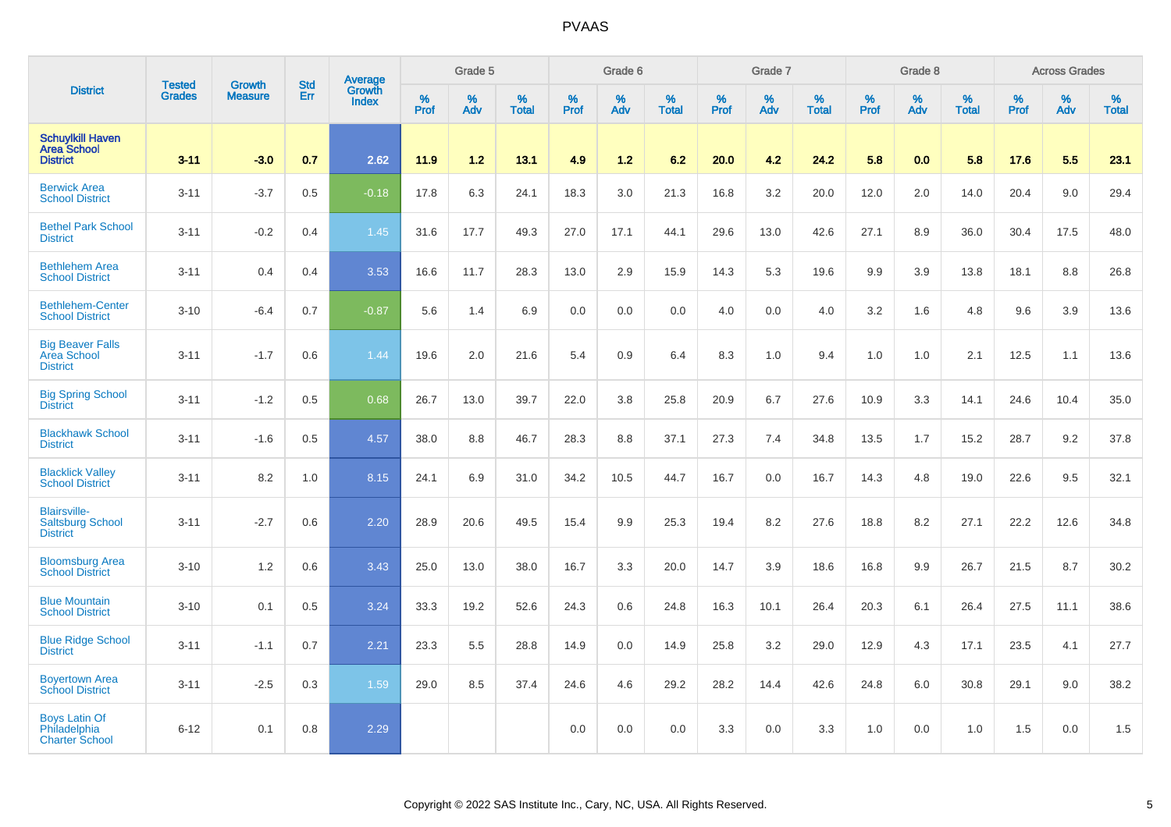|                                                                   |                                |                                 | <b>Std</b> | Average                |                     | Grade 5  |                   |                  | Grade 6  |                   |                  | Grade 7  |                   |           | Grade 8  |                   |           | <b>Across Grades</b> |                   |
|-------------------------------------------------------------------|--------------------------------|---------------------------------|------------|------------------------|---------------------|----------|-------------------|------------------|----------|-------------------|------------------|----------|-------------------|-----------|----------|-------------------|-----------|----------------------|-------------------|
| <b>District</b>                                                   | <b>Tested</b><br><b>Grades</b> | <b>Growth</b><br><b>Measure</b> | Err        | Growth<br><b>Index</b> | $\%$<br><b>Prof</b> | %<br>Adv | %<br><b>Total</b> | %<br><b>Prof</b> | %<br>Adv | %<br><b>Total</b> | %<br><b>Prof</b> | %<br>Adv | %<br><b>Total</b> | %<br>Prof | %<br>Adv | %<br><b>Total</b> | %<br>Prof | %<br>Adv             | %<br><b>Total</b> |
| <b>Schuylkill Haven</b><br><b>Area School</b><br><b>District</b>  | $3 - 11$                       | $-3.0$                          | 0.7        | 2.62                   | 11.9                | 1.2      | 13.1              | 4.9              | $1.2$    | 6.2               | 20.0             | 4.2      | 24.2              | 5.8       | 0.0      | 5.8               | 17.6      | 5.5                  | 23.1              |
| <b>Berwick Area</b><br><b>School District</b>                     | $3 - 11$                       | $-3.7$                          | 0.5        | $-0.18$                | 17.8                | 6.3      | 24.1              | 18.3             | 3.0      | 21.3              | 16.8             | 3.2      | 20.0              | 12.0      | 2.0      | 14.0              | 20.4      | 9.0                  | 29.4              |
| <b>Bethel Park School</b><br><b>District</b>                      | $3 - 11$                       | $-0.2$                          | 0.4        | 1.45                   | 31.6                | 17.7     | 49.3              | 27.0             | 17.1     | 44.1              | 29.6             | 13.0     | 42.6              | 27.1      | 8.9      | 36.0              | 30.4      | 17.5                 | 48.0              |
| <b>Bethlehem Area</b><br><b>School District</b>                   | $3 - 11$                       | 0.4                             | 0.4        | 3.53                   | 16.6                | 11.7     | 28.3              | 13.0             | 2.9      | 15.9              | 14.3             | 5.3      | 19.6              | 9.9       | 3.9      | 13.8              | 18.1      | 8.8                  | 26.8              |
| <b>Bethlehem-Center</b><br><b>School District</b>                 | $3 - 10$                       | $-6.4$                          | 0.7        | $-0.87$                | 5.6                 | 1.4      | 6.9               | 0.0              | 0.0      | 0.0               | 4.0              | 0.0      | 4.0               | 3.2       | 1.6      | 4.8               | 9.6       | 3.9                  | 13.6              |
| <b>Big Beaver Falls</b><br><b>Area School</b><br><b>District</b>  | $3 - 11$                       | $-1.7$                          | 0.6        | 1.44                   | 19.6                | 2.0      | 21.6              | 5.4              | 0.9      | 6.4               | 8.3              | 1.0      | 9.4               | 1.0       | 1.0      | 2.1               | 12.5      | 1.1                  | 13.6              |
| <b>Big Spring School</b><br><b>District</b>                       | $3 - 11$                       | $-1.2$                          | 0.5        | 0.68                   | 26.7                | 13.0     | 39.7              | 22.0             | 3.8      | 25.8              | 20.9             | 6.7      | 27.6              | 10.9      | 3.3      | 14.1              | 24.6      | 10.4                 | 35.0              |
| <b>Blackhawk School</b><br><b>District</b>                        | $3 - 11$                       | $-1.6$                          | 0.5        | 4.57                   | 38.0                | 8.8      | 46.7              | 28.3             | 8.8      | 37.1              | 27.3             | 7.4      | 34.8              | 13.5      | 1.7      | 15.2              | 28.7      | 9.2                  | 37.8              |
| <b>Blacklick Valley</b><br><b>School District</b>                 | $3 - 11$                       | 8.2                             | 1.0        | 8.15                   | 24.1                | 6.9      | 31.0              | 34.2             | 10.5     | 44.7              | 16.7             | 0.0      | 16.7              | 14.3      | 4.8      | 19.0              | 22.6      | 9.5                  | 32.1              |
| <b>Blairsville-</b><br><b>Saltsburg School</b><br><b>District</b> | $3 - 11$                       | $-2.7$                          | 0.6        | 2.20                   | 28.9                | 20.6     | 49.5              | 15.4             | 9.9      | 25.3              | 19.4             | 8.2      | 27.6              | 18.8      | 8.2      | 27.1              | 22.2      | 12.6                 | 34.8              |
| <b>Bloomsburg Area</b><br><b>School District</b>                  | $3 - 10$                       | 1.2                             | 0.6        | 3.43                   | 25.0                | 13.0     | 38.0              | 16.7             | 3.3      | 20.0              | 14.7             | 3.9      | 18.6              | 16.8      | 9.9      | 26.7              | 21.5      | 8.7                  | 30.2              |
| <b>Blue Mountain</b><br><b>School District</b>                    | $3 - 10$                       | 0.1                             | 0.5        | 3.24                   | 33.3                | 19.2     | 52.6              | 24.3             | 0.6      | 24.8              | 16.3             | 10.1     | 26.4              | 20.3      | 6.1      | 26.4              | 27.5      | 11.1                 | 38.6              |
| <b>Blue Ridge School</b><br><b>District</b>                       | $3 - 11$                       | $-1.1$                          | 0.7        | 2.21                   | 23.3                | 5.5      | 28.8              | 14.9             | 0.0      | 14.9              | 25.8             | 3.2      | 29.0              | 12.9      | 4.3      | 17.1              | 23.5      | 4.1                  | 27.7              |
| <b>Boyertown Area</b><br><b>School District</b>                   | $3 - 11$                       | $-2.5$                          | 0.3        | 1.59                   | 29.0                | 8.5      | 37.4              | 24.6             | 4.6      | 29.2              | 28.2             | 14.4     | 42.6              | 24.8      | 6.0      | 30.8              | 29.1      | 9.0                  | 38.2              |
| <b>Boys Latin Of</b><br>Philadelphia<br><b>Charter School</b>     | $6 - 12$                       | 0.1                             | 0.8        | 2.29                   |                     |          |                   | 0.0              | 0.0      | 0.0               | 3.3              | 0.0      | 3.3               | 1.0       | 0.0      | 1.0               | 1.5       | 0.0                  | 1.5               |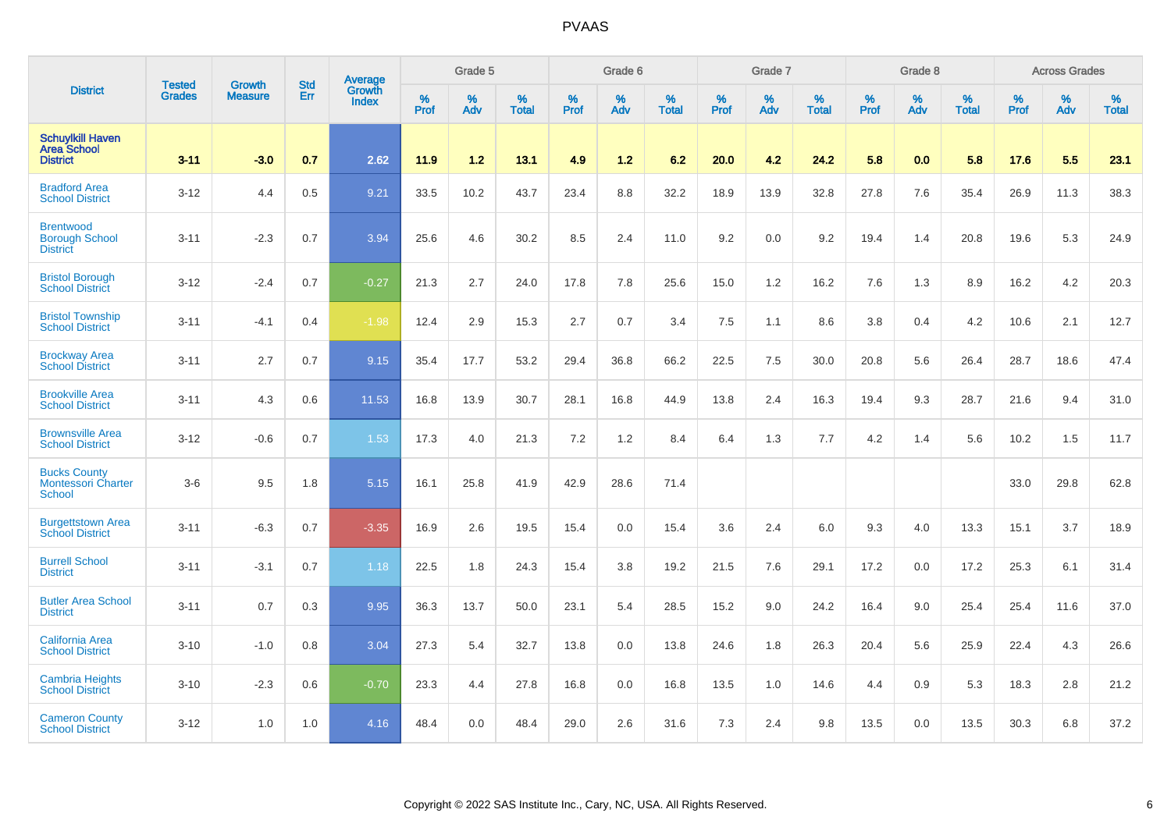|                                                                   | <b>Tested</b> | <b>Growth</b>  | <b>Std</b> | Average                       |           | Grade 5  |                   |           | Grade 6  |                   |           | Grade 7  |                   |           | Grade 8  |                   |           | <b>Across Grades</b> |                   |
|-------------------------------------------------------------------|---------------|----------------|------------|-------------------------------|-----------|----------|-------------------|-----------|----------|-------------------|-----------|----------|-------------------|-----------|----------|-------------------|-----------|----------------------|-------------------|
| <b>District</b>                                                   | <b>Grades</b> | <b>Measure</b> | Err        | <b>Growth</b><br><b>Index</b> | %<br>Prof | %<br>Adv | %<br><b>Total</b> | %<br>Prof | %<br>Adv | %<br><b>Total</b> | %<br>Prof | %<br>Adv | %<br><b>Total</b> | %<br>Prof | %<br>Adv | %<br><b>Total</b> | %<br>Prof | %<br>Adv             | %<br><b>Total</b> |
| <b>Schuylkill Haven</b><br><b>Area School</b><br><b>District</b>  | $3 - 11$      | $-3.0$         | 0.7        | 2.62                          | 11.9      | 1.2      | 13.1              | 4.9       | $1.2$    | 6.2               | 20.0      | 4.2      | 24.2              | 5.8       | 0.0      | 5.8               | 17.6      | 5.5                  | 23.1              |
| <b>Bradford Area</b><br><b>School District</b>                    | $3 - 12$      | 4.4            | 0.5        | 9.21                          | 33.5      | 10.2     | 43.7              | 23.4      | 8.8      | 32.2              | 18.9      | 13.9     | 32.8              | 27.8      | 7.6      | 35.4              | 26.9      | 11.3                 | 38.3              |
| <b>Brentwood</b><br><b>Borough School</b><br><b>District</b>      | $3 - 11$      | $-2.3$         | 0.7        | 3.94                          | 25.6      | 4.6      | 30.2              | 8.5       | 2.4      | 11.0              | 9.2       | 0.0      | 9.2               | 19.4      | 1.4      | 20.8              | 19.6      | 5.3                  | 24.9              |
| <b>Bristol Borough</b><br><b>School District</b>                  | $3 - 12$      | $-2.4$         | 0.7        | $-0.27$                       | 21.3      | 2.7      | 24.0              | 17.8      | 7.8      | 25.6              | 15.0      | 1.2      | 16.2              | 7.6       | 1.3      | 8.9               | 16.2      | 4.2                  | 20.3              |
| <b>Bristol Township</b><br><b>School District</b>                 | $3 - 11$      | $-4.1$         | 0.4        | $-1.98$                       | 12.4      | 2.9      | 15.3              | 2.7       | 0.7      | 3.4               | 7.5       | 1.1      | 8.6               | 3.8       | 0.4      | 4.2               | 10.6      | 2.1                  | 12.7              |
| <b>Brockway Area</b><br><b>School District</b>                    | $3 - 11$      | 2.7            | 0.7        | 9.15                          | 35.4      | 17.7     | 53.2              | 29.4      | 36.8     | 66.2              | 22.5      | 7.5      | 30.0              | 20.8      | 5.6      | 26.4              | 28.7      | 18.6                 | 47.4              |
| <b>Brookville Area</b><br><b>School District</b>                  | $3 - 11$      | 4.3            | 0.6        | 11.53                         | 16.8      | 13.9     | 30.7              | 28.1      | 16.8     | 44.9              | 13.8      | 2.4      | 16.3              | 19.4      | 9.3      | 28.7              | 21.6      | 9.4                  | 31.0              |
| <b>Brownsville Area</b><br><b>School District</b>                 | $3 - 12$      | $-0.6$         | 0.7        | 1.53                          | 17.3      | 4.0      | 21.3              | 7.2       | 1.2      | 8.4               | 6.4       | 1.3      | 7.7               | 4.2       | 1.4      | 5.6               | 10.2      | 1.5                  | 11.7              |
| <b>Bucks County</b><br><b>Montessori Charter</b><br><b>School</b> | $3-6$         | 9.5            | 1.8        | 5.15                          | 16.1      | 25.8     | 41.9              | 42.9      | 28.6     | 71.4              |           |          |                   |           |          |                   | 33.0      | 29.8                 | 62.8              |
| <b>Burgettstown Area</b><br><b>School District</b>                | $3 - 11$      | $-6.3$         | 0.7        | $-3.35$                       | 16.9      | 2.6      | 19.5              | 15.4      | 0.0      | 15.4              | 3.6       | 2.4      | 6.0               | 9.3       | 4.0      | 13.3              | 15.1      | 3.7                  | 18.9              |
| <b>Burrell School</b><br><b>District</b>                          | $3 - 11$      | $-3.1$         | 0.7        | 1.18                          | 22.5      | 1.8      | 24.3              | 15.4      | 3.8      | 19.2              | 21.5      | 7.6      | 29.1              | 17.2      | 0.0      | 17.2              | 25.3      | 6.1                  | 31.4              |
| <b>Butler Area School</b><br><b>District</b>                      | $3 - 11$      | 0.7            | 0.3        | 9.95                          | 36.3      | 13.7     | 50.0              | 23.1      | 5.4      | 28.5              | 15.2      | 9.0      | 24.2              | 16.4      | 9.0      | 25.4              | 25.4      | 11.6                 | 37.0              |
| California Area<br><b>School District</b>                         | $3 - 10$      | $-1.0$         | 0.8        | 3.04                          | 27.3      | 5.4      | 32.7              | 13.8      | 0.0      | 13.8              | 24.6      | 1.8      | 26.3              | 20.4      | 5.6      | 25.9              | 22.4      | 4.3                  | 26.6              |
| <b>Cambria Heights</b><br><b>School District</b>                  | $3 - 10$      | $-2.3$         | 0.6        | $-0.70$                       | 23.3      | 4.4      | 27.8              | 16.8      | 0.0      | 16.8              | 13.5      | 1.0      | 14.6              | 4.4       | 0.9      | 5.3               | 18.3      | 2.8                  | 21.2              |
| <b>Cameron County</b><br><b>School District</b>                   | $3 - 12$      | 1.0            | 1.0        | 4.16                          | 48.4      | 0.0      | 48.4              | 29.0      | 2.6      | 31.6              | 7.3       | 2.4      | 9.8               | 13.5      | 0.0      | 13.5              | 30.3      | 6.8                  | 37.2              |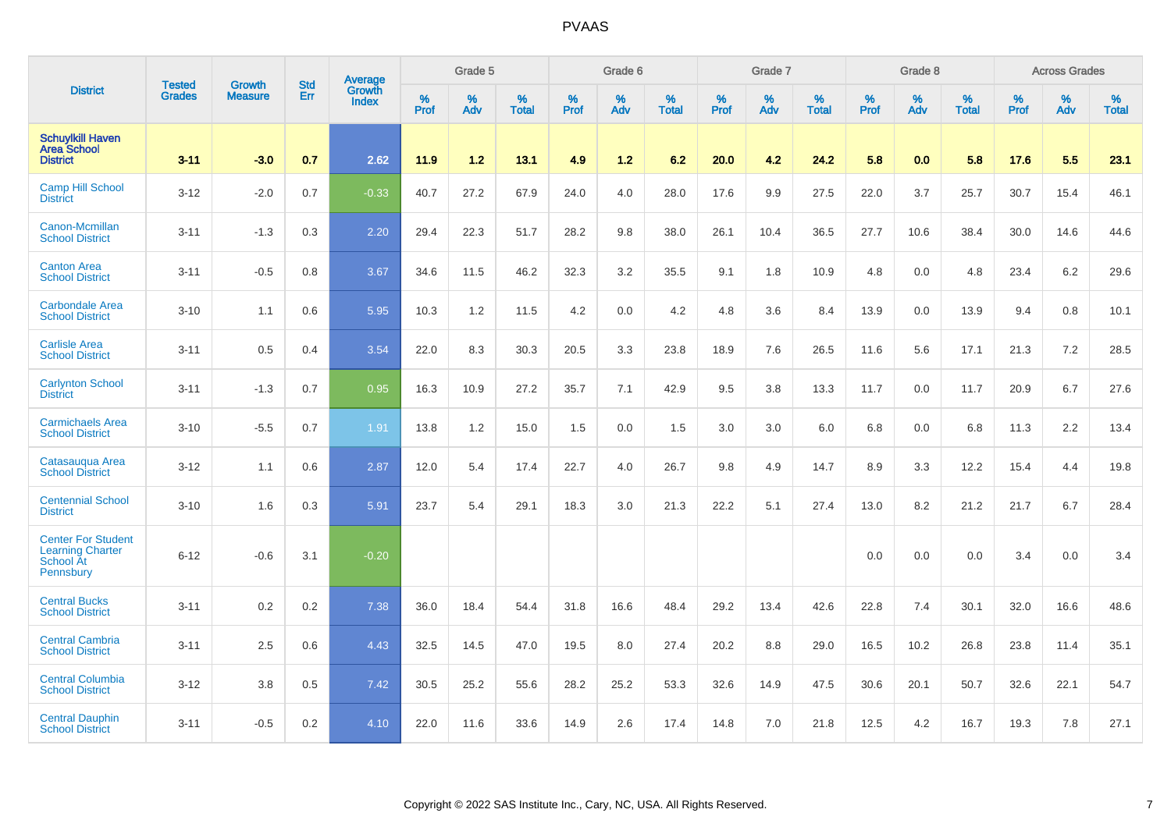|                                                                                |                                | <b>Growth</b>  | <b>Std</b> | Average                       |           | Grade 5  |                   |           | Grade 6  |                   |           | Grade 7  |                   |           | Grade 8  |                   |           | <b>Across Grades</b> |                   |
|--------------------------------------------------------------------------------|--------------------------------|----------------|------------|-------------------------------|-----------|----------|-------------------|-----------|----------|-------------------|-----------|----------|-------------------|-----------|----------|-------------------|-----------|----------------------|-------------------|
| <b>District</b>                                                                | <b>Tested</b><br><b>Grades</b> | <b>Measure</b> | Err        | <b>Growth</b><br><b>Index</b> | %<br>Prof | %<br>Adv | %<br><b>Total</b> | %<br>Prof | %<br>Adv | %<br><b>Total</b> | %<br>Prof | %<br>Adv | %<br><b>Total</b> | %<br>Prof | %<br>Adv | %<br><b>Total</b> | %<br>Prof | %<br>Adv             | %<br><b>Total</b> |
| <b>Schuylkill Haven</b><br><b>Area School</b><br><b>District</b>               | $3 - 11$                       | $-3.0$         | 0.7        | 2.62                          | 11.9      | 1.2      | 13.1              | 4.9       | 1.2      | 6.2               | 20.0      | 4.2      | 24.2              | 5.8       | 0.0      | 5.8               | 17.6      | 5.5                  | 23.1              |
| <b>Camp Hill School</b><br><b>District</b>                                     | $3 - 12$                       | $-2.0$         | 0.7        | $-0.33$                       | 40.7      | 27.2     | 67.9              | 24.0      | 4.0      | 28.0              | 17.6      | 9.9      | 27.5              | 22.0      | 3.7      | 25.7              | 30.7      | 15.4                 | 46.1              |
| Canon-Mcmillan<br><b>School District</b>                                       | $3 - 11$                       | $-1.3$         | 0.3        | 2.20                          | 29.4      | 22.3     | 51.7              | 28.2      | 9.8      | 38.0              | 26.1      | 10.4     | 36.5              | 27.7      | 10.6     | 38.4              | 30.0      | 14.6                 | 44.6              |
| <b>Canton Area</b><br><b>School District</b>                                   | $3 - 11$                       | $-0.5$         | 0.8        | 3.67                          | 34.6      | 11.5     | 46.2              | 32.3      | 3.2      | 35.5              | 9.1       | 1.8      | 10.9              | 4.8       | 0.0      | 4.8               | 23.4      | 6.2                  | 29.6              |
| <b>Carbondale Area</b><br><b>School District</b>                               | $3 - 10$                       | 1.1            | 0.6        | 5.95                          | 10.3      | 1.2      | 11.5              | 4.2       | 0.0      | 4.2               | 4.8       | 3.6      | 8.4               | 13.9      | 0.0      | 13.9              | 9.4       | 0.8                  | 10.1              |
| <b>Carlisle Area</b><br><b>School District</b>                                 | $3 - 11$                       | 0.5            | 0.4        | 3.54                          | 22.0      | 8.3      | 30.3              | 20.5      | 3.3      | 23.8              | 18.9      | 7.6      | 26.5              | 11.6      | 5.6      | 17.1              | 21.3      | 7.2                  | 28.5              |
| <b>Carlynton School</b><br><b>District</b>                                     | $3 - 11$                       | $-1.3$         | 0.7        | 0.95                          | 16.3      | 10.9     | 27.2              | 35.7      | 7.1      | 42.9              | 9.5       | 3.8      | 13.3              | 11.7      | 0.0      | 11.7              | 20.9      | 6.7                  | 27.6              |
| <b>Carmichaels Area</b><br><b>School District</b>                              | $3 - 10$                       | $-5.5$         | 0.7        | 1.91                          | 13.8      | 1.2      | 15.0              | 1.5       | 0.0      | 1.5               | 3.0       | 3.0      | 6.0               | 6.8       | 0.0      | 6.8               | 11.3      | $2.2\,$              | 13.4              |
| Catasaugua Area<br><b>School District</b>                                      | $3 - 12$                       | 1.1            | 0.6        | 2.87                          | 12.0      | 5.4      | 17.4              | 22.7      | 4.0      | 26.7              | 9.8       | 4.9      | 14.7              | 8.9       | 3.3      | 12.2              | 15.4      | 4.4                  | 19.8              |
| <b>Centennial School</b><br><b>District</b>                                    | $3 - 10$                       | 1.6            | 0.3        | 5.91                          | 23.7      | 5.4      | 29.1              | 18.3      | 3.0      | 21.3              | 22.2      | 5.1      | 27.4              | 13.0      | 8.2      | 21.2              | 21.7      | 6.7                  | 28.4              |
| <b>Center For Student</b><br><b>Learning Charter</b><br>School At<br>Pennsbury | $6 - 12$                       | $-0.6$         | 3.1        | $-0.20$                       |           |          |                   |           |          |                   |           |          |                   | 0.0       | 0.0      | 0.0               | 3.4       | 0.0                  | 3.4               |
| <b>Central Bucks</b><br><b>School District</b>                                 | $3 - 11$                       | 0.2            | 0.2        | 7.38                          | 36.0      | 18.4     | 54.4              | 31.8      | 16.6     | 48.4              | 29.2      | 13.4     | 42.6              | 22.8      | 7.4      | 30.1              | 32.0      | 16.6                 | 48.6              |
| <b>Central Cambria</b><br><b>School District</b>                               | $3 - 11$                       | 2.5            | 0.6        | 4.43                          | 32.5      | 14.5     | 47.0              | 19.5      | 8.0      | 27.4              | 20.2      | 8.8      | 29.0              | 16.5      | 10.2     | 26.8              | 23.8      | 11.4                 | 35.1              |
| <b>Central Columbia</b><br><b>School District</b>                              | $3 - 12$                       | 3.8            | 0.5        | 7.42                          | 30.5      | 25.2     | 55.6              | 28.2      | 25.2     | 53.3              | 32.6      | 14.9     | 47.5              | 30.6      | 20.1     | 50.7              | 32.6      | 22.1                 | 54.7              |
| <b>Central Dauphin</b><br><b>School District</b>                               | $3 - 11$                       | $-0.5$         | 0.2        | 4.10                          | 22.0      | 11.6     | 33.6              | 14.9      | 2.6      | 17.4              | 14.8      | 7.0      | 21.8              | 12.5      | 4.2      | 16.7              | 19.3      | 7.8                  | 27.1              |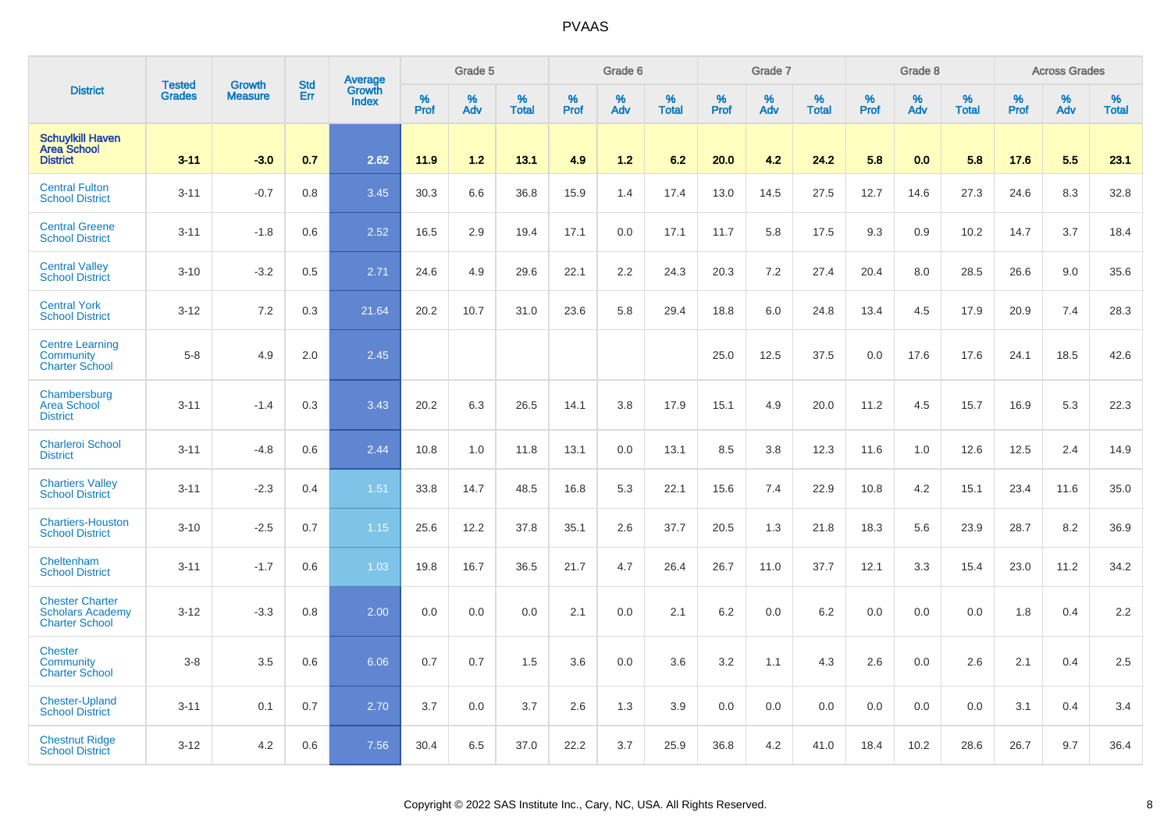|                                                                            |                                | <b>Growth</b>  | <b>Std</b> | Average                |                     | Grade 5     |                   |                  | Grade 6  |                   |           | Grade 7  |                   |              | Grade 8  |                   |              | <b>Across Grades</b> |                   |
|----------------------------------------------------------------------------|--------------------------------|----------------|------------|------------------------|---------------------|-------------|-------------------|------------------|----------|-------------------|-----------|----------|-------------------|--------------|----------|-------------------|--------------|----------------------|-------------------|
| <b>District</b>                                                            | <b>Tested</b><br><b>Grades</b> | <b>Measure</b> | Err        | Growth<br><b>Index</b> | $\%$<br><b>Prof</b> | $\%$<br>Adv | %<br><b>Total</b> | %<br><b>Prof</b> | %<br>Adv | %<br><b>Total</b> | %<br>Prof | %<br>Adv | %<br><b>Total</b> | $\%$<br>Prof | %<br>Adv | %<br><b>Total</b> | $\%$<br>Prof | $\%$<br>Adv          | %<br><b>Total</b> |
| <b>Schuylkill Haven</b><br><b>Area School</b><br><b>District</b>           | $3 - 11$                       | $-3.0$         | 0.7        | 2.62                   | 11.9                | 1.2         | 13.1              | 4.9              | $1.2$    | 6.2               | 20.0      | 4.2      | 24.2              | 5.8          | 0.0      | 5.8               | 17.6         | 5.5                  | 23.1              |
| <b>Central Fulton</b><br><b>School District</b>                            | $3 - 11$                       | $-0.7$         | 0.8        | 3.45                   | 30.3                | 6.6         | 36.8              | 15.9             | 1.4      | 17.4              | 13.0      | 14.5     | 27.5              | 12.7         | 14.6     | 27.3              | 24.6         | 8.3                  | 32.8              |
| <b>Central Greene</b><br><b>School District</b>                            | $3 - 11$                       | $-1.8$         | 0.6        | 2.52                   | 16.5                | 2.9         | 19.4              | 17.1             | 0.0      | 17.1              | 11.7      | 5.8      | 17.5              | 9.3          | 0.9      | 10.2              | 14.7         | 3.7                  | 18.4              |
| <b>Central Valley</b><br><b>School District</b>                            | $3 - 10$                       | $-3.2$         | 0.5        | 2.71                   | 24.6                | 4.9         | 29.6              | 22.1             | 2.2      | 24.3              | 20.3      | 7.2      | 27.4              | 20.4         | 8.0      | 28.5              | 26.6         | 9.0                  | 35.6              |
| <b>Central York</b><br><b>School District</b>                              | $3 - 12$                       | 7.2            | 0.3        | 21.64                  | 20.2                | 10.7        | 31.0              | 23.6             | 5.8      | 29.4              | 18.8      | 6.0      | 24.8              | 13.4         | 4.5      | 17.9              | 20.9         | 7.4                  | 28.3              |
| <b>Centre Learning</b><br><b>Community</b><br><b>Charter School</b>        | $5 - 8$                        | 4.9            | 2.0        | 2.45                   |                     |             |                   |                  |          |                   | 25.0      | 12.5     | 37.5              | 0.0          | 17.6     | 17.6              | 24.1         | 18.5                 | 42.6              |
| Chambersburg<br><b>Area School</b><br><b>District</b>                      | $3 - 11$                       | $-1.4$         | 0.3        | 3.43                   | 20.2                | 6.3         | 26.5              | 14.1             | 3.8      | 17.9              | 15.1      | 4.9      | 20.0              | 11.2         | 4.5      | 15.7              | 16.9         | 5.3                  | 22.3              |
| <b>Charleroi School</b><br><b>District</b>                                 | $3 - 11$                       | $-4.8$         | 0.6        | 2.44                   | 10.8                | 1.0         | 11.8              | 13.1             | 0.0      | 13.1              | 8.5       | 3.8      | 12.3              | 11.6         | 1.0      | 12.6              | 12.5         | 2.4                  | 14.9              |
| <b>Chartiers Valley</b><br><b>School District</b>                          | $3 - 11$                       | $-2.3$         | 0.4        | 1.51                   | 33.8                | 14.7        | 48.5              | 16.8             | 5.3      | 22.1              | 15.6      | 7.4      | 22.9              | 10.8         | 4.2      | 15.1              | 23.4         | 11.6                 | 35.0              |
| <b>Chartiers-Houston</b><br><b>School District</b>                         | $3 - 10$                       | $-2.5$         | 0.7        | 1.15                   | 25.6                | 12.2        | 37.8              | 35.1             | 2.6      | 37.7              | 20.5      | 1.3      | 21.8              | 18.3         | 5.6      | 23.9              | 28.7         | 8.2                  | 36.9              |
| Cheltenham<br><b>School District</b>                                       | $3 - 11$                       | $-1.7$         | 0.6        | 1.03                   | 19.8                | 16.7        | 36.5              | 21.7             | 4.7      | 26.4              | 26.7      | 11.0     | 37.7              | 12.1         | 3.3      | 15.4              | 23.0         | 11.2                 | 34.2              |
| <b>Chester Charter</b><br><b>Scholars Academy</b><br><b>Charter School</b> | $3 - 12$                       | $-3.3$         | 0.8        | 2.00                   | 0.0                 | 0.0         | 0.0               | 2.1              | 0.0      | 2.1               | 6.2       | 0.0      | 6.2               | 0.0          | 0.0      | 0.0               | 1.8          | 0.4                  | 2.2               |
| <b>Chester</b><br><b>Community</b><br><b>Charter School</b>                | $3 - 8$                        | 3.5            | 0.6        | 6.06                   | 0.7                 | 0.7         | 1.5               | 3.6              | 0.0      | 3.6               | 3.2       | 1.1      | 4.3               | 2.6          | 0.0      | 2.6               | 2.1          | 0.4                  | 2.5               |
| <b>Chester-Upland</b><br><b>School District</b>                            | $3 - 11$                       | 0.1            | 0.7        | 2.70                   | 3.7                 | 0.0         | 3.7               | 2.6              | 1.3      | 3.9               | 0.0       | 0.0      | 0.0               | 0.0          | 0.0      | 0.0               | 3.1          | 0.4                  | 3.4               |
| <b>Chestnut Ridge</b><br><b>School District</b>                            | $3 - 12$                       | 4.2            | 0.6        | 7.56                   | 30.4                | 6.5         | 37.0              | 22.2             | 3.7      | 25.9              | 36.8      | 4.2      | 41.0              | 18.4         | 10.2     | 28.6              | 26.7         | 9.7                  | 36.4              |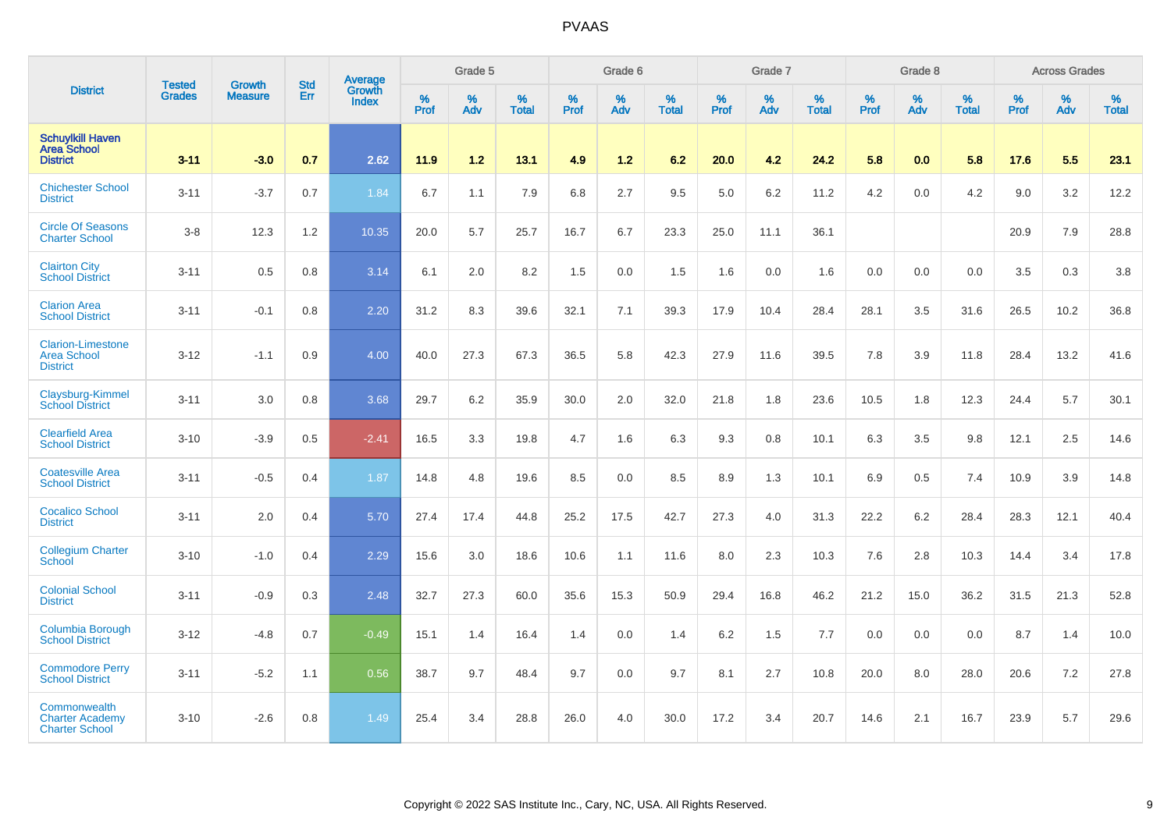|                                                                   |                                |                                 | <b>Std</b> | Average                |           | Grade 5  |                   |           | Grade 6  |                   |           | Grade 7  |                   |           | Grade 8  |                   |           | <b>Across Grades</b> |                   |
|-------------------------------------------------------------------|--------------------------------|---------------------------------|------------|------------------------|-----------|----------|-------------------|-----------|----------|-------------------|-----------|----------|-------------------|-----------|----------|-------------------|-----------|----------------------|-------------------|
| <b>District</b>                                                   | <b>Tested</b><br><b>Grades</b> | <b>Growth</b><br><b>Measure</b> | Err        | Growth<br><b>Index</b> | %<br>Prof | %<br>Adv | %<br><b>Total</b> | %<br>Prof | %<br>Adv | %<br><b>Total</b> | %<br>Prof | %<br>Adv | %<br><b>Total</b> | %<br>Prof | %<br>Adv | %<br><b>Total</b> | %<br>Prof | %<br>Adv             | %<br><b>Total</b> |
| <b>Schuylkill Haven</b><br><b>Area School</b><br><b>District</b>  | $3 - 11$                       | $-3.0$                          | 0.7        | 2.62                   | 11.9      | $1.2$    | 13.1              | 4.9       | $1.2$    | 6.2               | 20.0      | 4.2      | 24.2              | 5.8       | 0.0      | 5.8               | 17.6      | 5.5                  | 23.1              |
| <b>Chichester School</b><br><b>District</b>                       | $3 - 11$                       | $-3.7$                          | 0.7        | 1.84                   | 6.7       | 1.1      | 7.9               | 6.8       | 2.7      | 9.5               | 5.0       | 6.2      | 11.2              | 4.2       | 0.0      | 4.2               | 9.0       | 3.2                  | 12.2              |
| <b>Circle Of Seasons</b><br><b>Charter School</b>                 | $3-8$                          | 12.3                            | 1.2        | 10.35                  | 20.0      | 5.7      | 25.7              | 16.7      | 6.7      | 23.3              | 25.0      | 11.1     | 36.1              |           |          |                   | 20.9      | 7.9                  | 28.8              |
| <b>Clairton City</b><br><b>School District</b>                    | $3 - 11$                       | 0.5                             | 0.8        | 3.14                   | 6.1       | 2.0      | 8.2               | 1.5       | 0.0      | 1.5               | 1.6       | 0.0      | 1.6               | 0.0       | 0.0      | 0.0               | 3.5       | 0.3                  | 3.8               |
| <b>Clarion Area</b><br><b>School District</b>                     | $3 - 11$                       | $-0.1$                          | 0.8        | 2.20                   | 31.2      | 8.3      | 39.6              | 32.1      | 7.1      | 39.3              | 17.9      | 10.4     | 28.4              | 28.1      | 3.5      | 31.6              | 26.5      | 10.2                 | 36.8              |
| <b>Clarion-Limestone</b><br><b>Area School</b><br><b>District</b> | $3 - 12$                       | $-1.1$                          | 0.9        | 4.00                   | 40.0      | 27.3     | 67.3              | 36.5      | 5.8      | 42.3              | 27.9      | 11.6     | 39.5              | 7.8       | 3.9      | 11.8              | 28.4      | 13.2                 | 41.6              |
| Claysburg-Kimmel<br><b>School District</b>                        | $3 - 11$                       | 3.0                             | 0.8        | 3.68                   | 29.7      | 6.2      | 35.9              | 30.0      | 2.0      | 32.0              | 21.8      | 1.8      | 23.6              | 10.5      | 1.8      | 12.3              | 24.4      | 5.7                  | 30.1              |
| <b>Clearfield Area</b><br><b>School District</b>                  | $3 - 10$                       | $-3.9$                          | 0.5        | $-2.41$                | 16.5      | 3.3      | 19.8              | 4.7       | 1.6      | 6.3               | 9.3       | 0.8      | 10.1              | 6.3       | 3.5      | 9.8               | 12.1      | 2.5                  | 14.6              |
| <b>Coatesville Area</b><br><b>School District</b>                 | $3 - 11$                       | $-0.5$                          | 0.4        | 1.87                   | 14.8      | 4.8      | 19.6              | 8.5       | 0.0      | 8.5               | 8.9       | 1.3      | 10.1              | 6.9       | $0.5\,$  | 7.4               | 10.9      | 3.9                  | 14.8              |
| <b>Cocalico School</b><br><b>District</b>                         | $3 - 11$                       | 2.0                             | 0.4        | 5.70                   | 27.4      | 17.4     | 44.8              | 25.2      | 17.5     | 42.7              | 27.3      | 4.0      | 31.3              | 22.2      | 6.2      | 28.4              | 28.3      | 12.1                 | 40.4              |
| <b>Collegium Charter</b><br>School                                | $3 - 10$                       | $-1.0$                          | 0.4        | 2.29                   | 15.6      | 3.0      | 18.6              | 10.6      | 1.1      | 11.6              | 8.0       | 2.3      | 10.3              | 7.6       | 2.8      | 10.3              | 14.4      | 3.4                  | 17.8              |
| <b>Colonial School</b><br><b>District</b>                         | $3 - 11$                       | $-0.9$                          | 0.3        | 2.48                   | 32.7      | 27.3     | 60.0              | 35.6      | 15.3     | 50.9              | 29.4      | 16.8     | 46.2              | 21.2      | 15.0     | 36.2              | 31.5      | 21.3                 | 52.8              |
| Columbia Borough<br><b>School District</b>                        | $3 - 12$                       | $-4.8$                          | 0.7        | $-0.49$                | 15.1      | 1.4      | 16.4              | 1.4       | 0.0      | 1.4               | 6.2       | 1.5      | 7.7               | 0.0       | 0.0      | 0.0               | 8.7       | 1.4                  | 10.0              |
| <b>Commodore Perry</b><br><b>School District</b>                  | $3 - 11$                       | $-5.2$                          | 1.1        | 0.56                   | 38.7      | 9.7      | 48.4              | 9.7       | 0.0      | 9.7               | 8.1       | 2.7      | 10.8              | 20.0      | 8.0      | 28.0              | 20.6      | 7.2                  | 27.8              |
| Commonwealth<br><b>Charter Academy</b><br><b>Charter School</b>   | $3 - 10$                       | $-2.6$                          | 0.8        | 1.49                   | 25.4      | 3.4      | 28.8              | 26.0      | 4.0      | 30.0              | 17.2      | 3.4      | 20.7              | 14.6      | 2.1      | 16.7              | 23.9      | 5.7                  | 29.6              |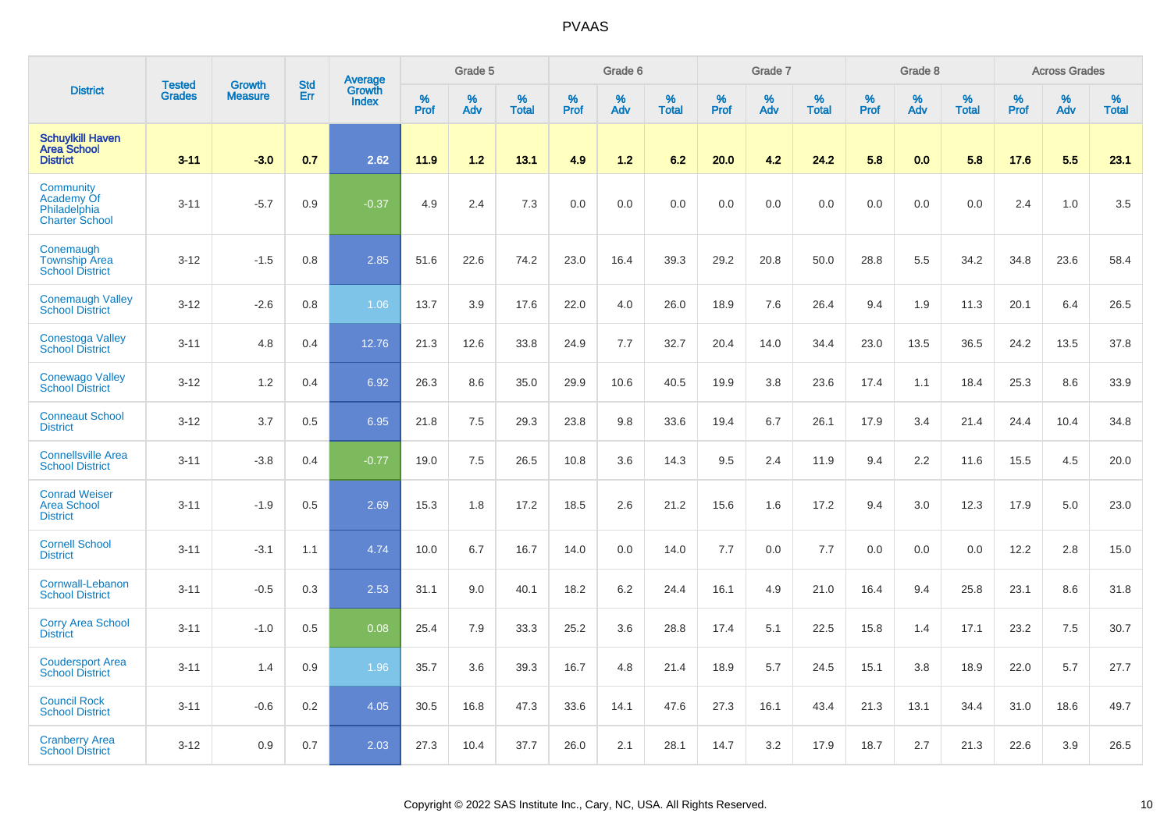|                                                                  | <b>Tested</b> | <b>Growth</b>  | <b>Std</b> | <b>Average</b><br>Growth |           | Grade 5  |                   |           | Grade 6  |                   |           | Grade 7  |                   |           | Grade 8  |                   |           | <b>Across Grades</b> |                   |
|------------------------------------------------------------------|---------------|----------------|------------|--------------------------|-----------|----------|-------------------|-----------|----------|-------------------|-----------|----------|-------------------|-----------|----------|-------------------|-----------|----------------------|-------------------|
| <b>District</b>                                                  | <b>Grades</b> | <b>Measure</b> | Err        | <b>Index</b>             | %<br>Prof | %<br>Adv | %<br><b>Total</b> | %<br>Prof | %<br>Adv | %<br><b>Total</b> | %<br>Prof | %<br>Adv | %<br><b>Total</b> | %<br>Prof | %<br>Adv | %<br><b>Total</b> | %<br>Prof | %<br>Adv             | %<br><b>Total</b> |
| <b>Schuylkill Haven</b><br><b>Area School</b><br><b>District</b> | $3 - 11$      | $-3.0$         | 0.7        | 2.62                     | 11.9      | 1.2      | 13.1              | 4.9       | 1.2      | 6.2               | 20.0      | 4.2      | 24.2              | 5.8       | 0.0      | 5.8               | 17.6      | 5.5                  | 23.1              |
| Community<br>Academy Of<br>Philadelphia<br><b>Charter School</b> | $3 - 11$      | $-5.7$         | 0.9        | $-0.37$                  | 4.9       | 2.4      | 7.3               | 0.0       | 0.0      | 0.0               | 0.0       | 0.0      | 0.0               | 0.0       | 0.0      | 0.0               | 2.4       | 1.0                  | 3.5               |
| Conemaugh<br><b>Township Area</b><br><b>School District</b>      | $3 - 12$      | $-1.5$         | 0.8        | 2.85                     | 51.6      | 22.6     | 74.2              | 23.0      | 16.4     | 39.3              | 29.2      | 20.8     | 50.0              | 28.8      | 5.5      | 34.2              | 34.8      | 23.6                 | 58.4              |
| <b>Conemaugh Valley</b><br><b>School District</b>                | $3 - 12$      | $-2.6$         | 0.8        | 1.06                     | 13.7      | 3.9      | 17.6              | 22.0      | 4.0      | 26.0              | 18.9      | 7.6      | 26.4              | 9.4       | 1.9      | 11.3              | 20.1      | 6.4                  | 26.5              |
| <b>Conestoga Valley</b><br><b>School District</b>                | $3 - 11$      | 4.8            | 0.4        | 12.76                    | 21.3      | 12.6     | 33.8              | 24.9      | 7.7      | 32.7              | 20.4      | 14.0     | 34.4              | 23.0      | 13.5     | 36.5              | 24.2      | 13.5                 | 37.8              |
| <b>Conewago Valley</b><br><b>School District</b>                 | $3 - 12$      | 1.2            | 0.4        | 6.92                     | 26.3      | 8.6      | 35.0              | 29.9      | 10.6     | 40.5              | 19.9      | 3.8      | 23.6              | 17.4      | 1.1      | 18.4              | 25.3      | 8.6                  | 33.9              |
| <b>Conneaut School</b><br><b>District</b>                        | $3 - 12$      | 3.7            | 0.5        | 6.95                     | 21.8      | 7.5      | 29.3              | 23.8      | 9.8      | 33.6              | 19.4      | 6.7      | 26.1              | 17.9      | 3.4      | 21.4              | 24.4      | 10.4                 | 34.8              |
| <b>Connellsville Area</b><br><b>School District</b>              | $3 - 11$      | $-3.8$         | 0.4        | $-0.77$                  | 19.0      | 7.5      | 26.5              | 10.8      | 3.6      | 14.3              | 9.5       | 2.4      | 11.9              | 9.4       | 2.2      | 11.6              | 15.5      | 4.5                  | 20.0              |
| <b>Conrad Weiser</b><br><b>Area School</b><br><b>District</b>    | $3 - 11$      | $-1.9$         | 0.5        | 2.69                     | 15.3      | 1.8      | 17.2              | 18.5      | 2.6      | 21.2              | 15.6      | 1.6      | 17.2              | 9.4       | 3.0      | 12.3              | 17.9      | 5.0                  | 23.0              |
| <b>Cornell School</b><br><b>District</b>                         | $3 - 11$      | $-3.1$         | 1.1        | 4.74                     | 10.0      | 6.7      | 16.7              | 14.0      | 0.0      | 14.0              | 7.7       | 0.0      | 7.7               | 0.0       | 0.0      | 0.0               | 12.2      | 2.8                  | 15.0              |
| Cornwall-Lebanon<br><b>School District</b>                       | $3 - 11$      | $-0.5$         | 0.3        | 2.53                     | 31.1      | 9.0      | 40.1              | 18.2      | 6.2      | 24.4              | 16.1      | 4.9      | 21.0              | 16.4      | 9.4      | 25.8              | 23.1      | 8.6                  | 31.8              |
| <b>Corry Area School</b><br><b>District</b>                      | $3 - 11$      | $-1.0$         | 0.5        | 0.08                     | 25.4      | 7.9      | 33.3              | 25.2      | 3.6      | 28.8              | 17.4      | 5.1      | 22.5              | 15.8      | 1.4      | 17.1              | 23.2      | 7.5                  | 30.7              |
| <b>Coudersport Area</b><br><b>School District</b>                | $3 - 11$      | 1.4            | 0.9        | 1.96                     | 35.7      | 3.6      | 39.3              | 16.7      | 4.8      | 21.4              | 18.9      | 5.7      | 24.5              | 15.1      | 3.8      | 18.9              | 22.0      | 5.7                  | 27.7              |
| <b>Council Rock</b><br><b>School District</b>                    | $3 - 11$      | $-0.6$         | 0.2        | 4.05                     | 30.5      | 16.8     | 47.3              | 33.6      | 14.1     | 47.6              | 27.3      | 16.1     | 43.4              | 21.3      | 13.1     | 34.4              | 31.0      | 18.6                 | 49.7              |
| <b>Cranberry Area</b><br><b>School District</b>                  | $3 - 12$      | 0.9            | 0.7        | 2.03                     | 27.3      | 10.4     | 37.7              | 26.0      | 2.1      | 28.1              | 14.7      | 3.2      | 17.9              | 18.7      | 2.7      | 21.3              | 22.6      | 3.9                  | 26.5              |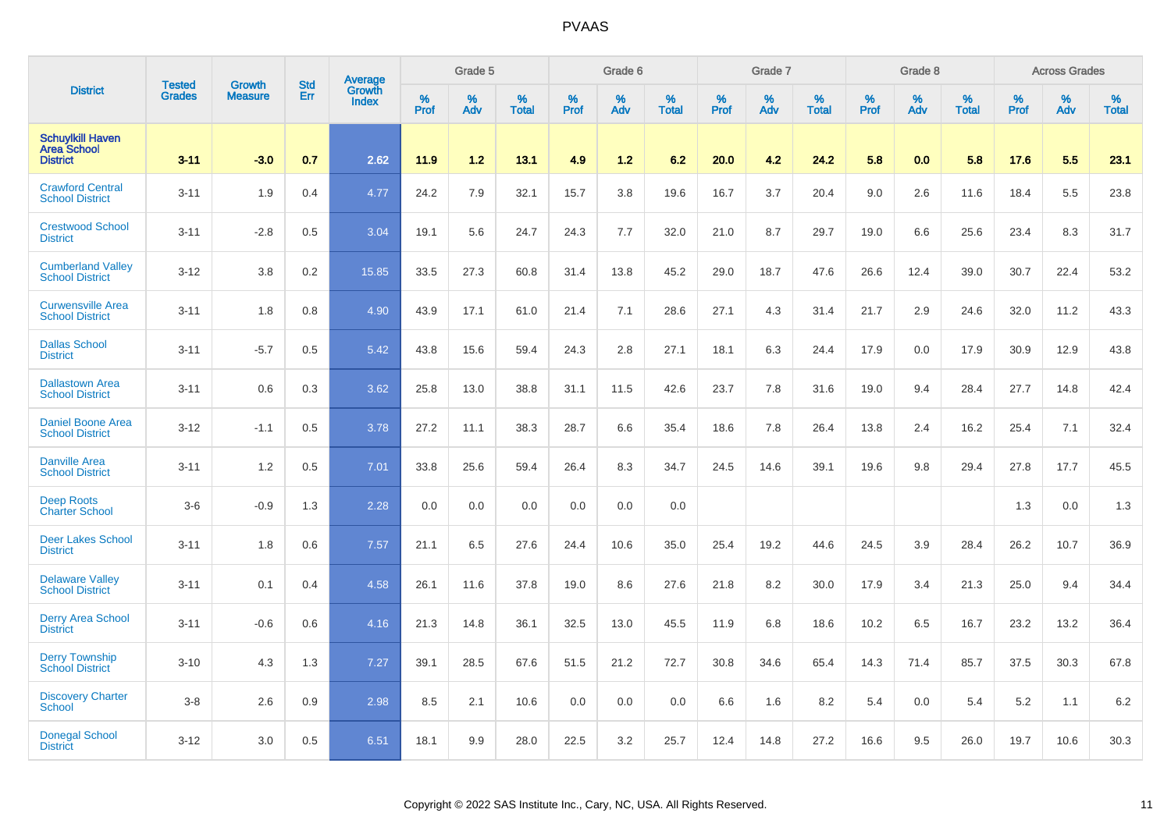|                                                                  |                         | <b>Growth</b>  | <b>Std</b> | Average                |                     | Grade 5  |                      |                     | Grade 6  |                      |                     | Grade 7     |                      |                     | Grade 8     |                      |                     | <b>Across Grades</b> |                   |
|------------------------------------------------------------------|-------------------------|----------------|------------|------------------------|---------------------|----------|----------------------|---------------------|----------|----------------------|---------------------|-------------|----------------------|---------------------|-------------|----------------------|---------------------|----------------------|-------------------|
| <b>District</b>                                                  | <b>Tested</b><br>Grades | <b>Measure</b> | Err        | Growth<br><b>Index</b> | $\%$<br><b>Prof</b> | %<br>Adv | $\%$<br><b>Total</b> | $\%$<br><b>Prof</b> | %<br>Adv | $\%$<br><b>Total</b> | $\%$<br><b>Prof</b> | $\%$<br>Adv | $\%$<br><b>Total</b> | $\%$<br><b>Prof</b> | $\%$<br>Adv | $\%$<br><b>Total</b> | $\%$<br><b>Prof</b> | %<br>Adv             | %<br><b>Total</b> |
| <b>Schuylkill Haven</b><br><b>Area School</b><br><b>District</b> | $3 - 11$                | $-3.0$         | 0.7        | 2.62                   | 11.9                | 1.2      | 13.1                 | 4.9                 | 1.2      | 6.2                  | 20.0                | 4.2         | 24.2                 | 5.8                 | 0.0         | 5.8                  | 17.6                | 5.5                  | 23.1              |
| <b>Crawford Central</b><br><b>School District</b>                | $3 - 11$                | 1.9            | 0.4        | 4.77                   | 24.2                | 7.9      | 32.1                 | 15.7                | 3.8      | 19.6                 | 16.7                | 3.7         | 20.4                 | 9.0                 | 2.6         | 11.6                 | 18.4                | 5.5                  | 23.8              |
| <b>Crestwood School</b><br><b>District</b>                       | $3 - 11$                | $-2.8$         | 0.5        | 3.04                   | 19.1                | 5.6      | 24.7                 | 24.3                | 7.7      | 32.0                 | 21.0                | 8.7         | 29.7                 | 19.0                | 6.6         | 25.6                 | 23.4                | 8.3                  | 31.7              |
| <b>Cumberland Valley</b><br><b>School District</b>               | $3 - 12$                | 3.8            | 0.2        | 15.85                  | 33.5                | 27.3     | 60.8                 | 31.4                | 13.8     | 45.2                 | 29.0                | 18.7        | 47.6                 | 26.6                | 12.4        | 39.0                 | 30.7                | 22.4                 | 53.2              |
| <b>Curwensville Area</b><br><b>School District</b>               | $3 - 11$                | 1.8            | 0.8        | 4.90                   | 43.9                | 17.1     | 61.0                 | 21.4                | 7.1      | 28.6                 | 27.1                | 4.3         | 31.4                 | 21.7                | 2.9         | 24.6                 | 32.0                | 11.2                 | 43.3              |
| <b>Dallas School</b><br><b>District</b>                          | $3 - 11$                | $-5.7$         | 0.5        | 5.42                   | 43.8                | 15.6     | 59.4                 | 24.3                | 2.8      | 27.1                 | 18.1                | 6.3         | 24.4                 | 17.9                | 0.0         | 17.9                 | 30.9                | 12.9                 | 43.8              |
| <b>Dallastown Area</b><br><b>School District</b>                 | $3 - 11$                | 0.6            | 0.3        | 3.62                   | 25.8                | 13.0     | 38.8                 | 31.1                | 11.5     | 42.6                 | 23.7                | 7.8         | 31.6                 | 19.0                | 9.4         | 28.4                 | 27.7                | 14.8                 | 42.4              |
| <b>Daniel Boone Area</b><br><b>School District</b>               | $3 - 12$                | $-1.1$         | 0.5        | 3.78                   | 27.2                | 11.1     | 38.3                 | 28.7                | 6.6      | 35.4                 | 18.6                | 7.8         | 26.4                 | 13.8                | 2.4         | 16.2                 | 25.4                | 7.1                  | 32.4              |
| <b>Danville Area</b><br><b>School District</b>                   | $3 - 11$                | 1.2            | 0.5        | 7.01                   | 33.8                | 25.6     | 59.4                 | 26.4                | 8.3      | 34.7                 | 24.5                | 14.6        | 39.1                 | 19.6                | 9.8         | 29.4                 | 27.8                | 17.7                 | 45.5              |
| <b>Deep Roots</b><br><b>Charter School</b>                       | $3-6$                   | $-0.9$         | 1.3        | 2.28                   | 0.0                 | 0.0      | 0.0                  | 0.0                 | 0.0      | 0.0                  |                     |             |                      |                     |             |                      | 1.3                 | 0.0                  | 1.3               |
| Deer Lakes School<br><b>District</b>                             | $3 - 11$                | 1.8            | 0.6        | 7.57                   | 21.1                | 6.5      | 27.6                 | 24.4                | 10.6     | 35.0                 | 25.4                | 19.2        | 44.6                 | 24.5                | 3.9         | 28.4                 | 26.2                | 10.7                 | 36.9              |
| <b>Delaware Valley</b><br><b>School District</b>                 | $3 - 11$                | 0.1            | 0.4        | 4.58                   | 26.1                | 11.6     | 37.8                 | 19.0                | 8.6      | 27.6                 | 21.8                | 8.2         | 30.0                 | 17.9                | 3.4         | 21.3                 | 25.0                | 9.4                  | 34.4              |
| <b>Derry Area School</b><br><b>District</b>                      | $3 - 11$                | $-0.6$         | 0.6        | 4.16                   | 21.3                | 14.8     | 36.1                 | 32.5                | 13.0     | 45.5                 | 11.9                | 6.8         | 18.6                 | 10.2                | 6.5         | 16.7                 | 23.2                | 13.2                 | 36.4              |
| <b>Derry Township</b><br><b>School District</b>                  | $3 - 10$                | 4.3            | 1.3        | 7.27                   | 39.1                | 28.5     | 67.6                 | 51.5                | 21.2     | 72.7                 | 30.8                | 34.6        | 65.4                 | 14.3                | 71.4        | 85.7                 | 37.5                | 30.3                 | 67.8              |
| <b>Discovery Charter</b><br><b>School</b>                        | $3-8$                   | 2.6            | 0.9        | 2.98                   | 8.5                 | 2.1      | 10.6                 | 0.0                 | 0.0      | 0.0                  | 6.6                 | 1.6         | 8.2                  | 5.4                 | 0.0         | 5.4                  | 5.2                 | 1.1                  | 6.2               |
| <b>Donegal School</b><br><b>District</b>                         | $3 - 12$                | 3.0            | 0.5        | 6.51                   | 18.1                | 9.9      | 28.0                 | 22.5                | 3.2      | 25.7                 | 12.4                | 14.8        | 27.2                 | 16.6                | 9.5         | 26.0                 | 19.7                | 10.6                 | 30.3              |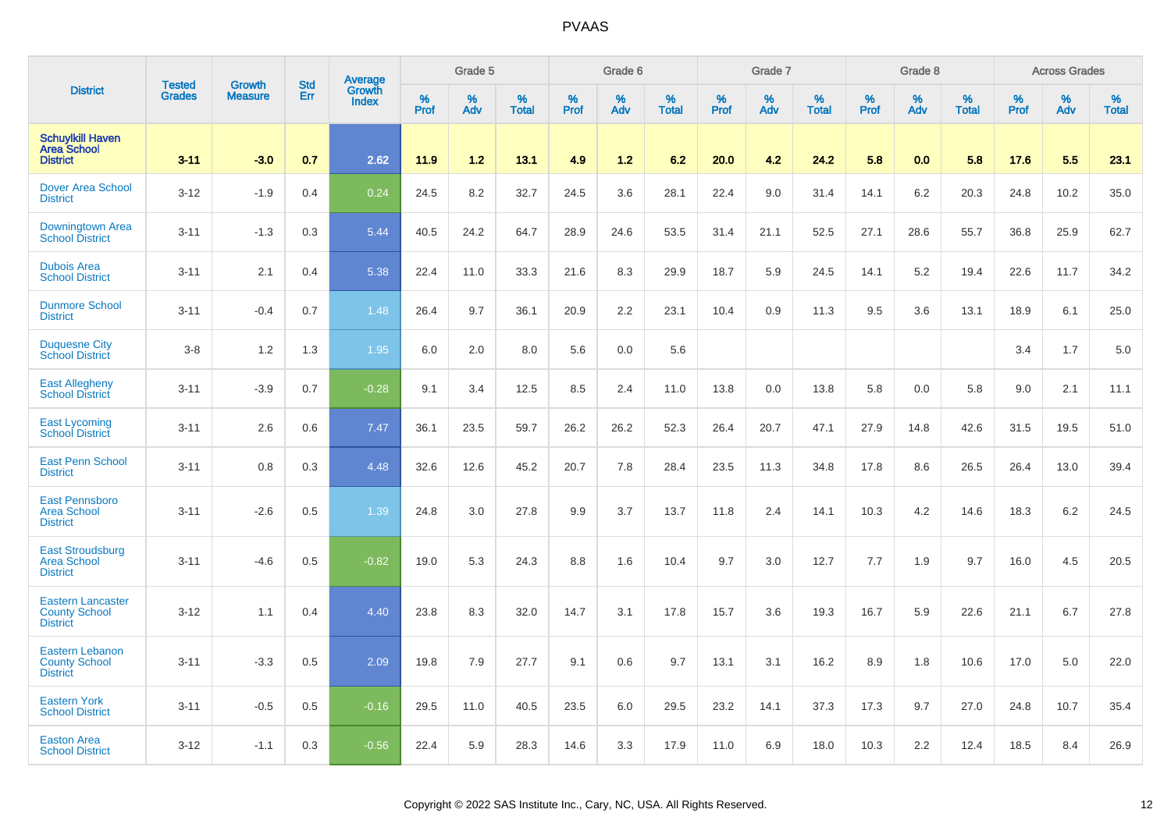|                                                                     | <b>Tested</b> | <b>Growth</b>  | <b>Std</b> |                                          |              | Grade 5  |                   |           | Grade 6  |                   |           | Grade 7  |                   |           | Grade 8  |                   |           | <b>Across Grades</b> |                   |
|---------------------------------------------------------------------|---------------|----------------|------------|------------------------------------------|--------------|----------|-------------------|-----------|----------|-------------------|-----------|----------|-------------------|-----------|----------|-------------------|-----------|----------------------|-------------------|
| <b>District</b>                                                     | <b>Grades</b> | <b>Measure</b> | Err        | <b>Average</b><br>Growth<br><b>Index</b> | $\%$<br>Prof | %<br>Adv | %<br><b>Total</b> | %<br>Prof | %<br>Adv | %<br><b>Total</b> | %<br>Prof | %<br>Adv | %<br><b>Total</b> | %<br>Prof | %<br>Adv | %<br><b>Total</b> | %<br>Prof | %<br>Adv             | %<br><b>Total</b> |
| <b>Schuylkill Haven</b><br><b>Area School</b><br><b>District</b>    | $3 - 11$      | $-3.0$         | 0.7        | 2.62                                     | 11.9         | 1.2      | 13.1              | 4.9       | 1.2      | 6.2               | 20.0      | 4.2      | 24.2              | 5.8       | 0.0      | 5.8               | 17.6      | 5.5                  | 23.1              |
| <b>Dover Area School</b><br><b>District</b>                         | $3-12$        | $-1.9$         | 0.4        | 0.24                                     | 24.5         | 8.2      | 32.7              | 24.5      | 3.6      | 28.1              | 22.4      | 9.0      | 31.4              | 14.1      | 6.2      | 20.3              | 24.8      | 10.2                 | 35.0              |
| Downingtown Area<br><b>School District</b>                          | $3 - 11$      | $-1.3$         | 0.3        | 5.44                                     | 40.5         | 24.2     | 64.7              | 28.9      | 24.6     | 53.5              | 31.4      | 21.1     | 52.5              | 27.1      | 28.6     | 55.7              | 36.8      | 25.9                 | 62.7              |
| <b>Dubois Area</b><br><b>School District</b>                        | $3 - 11$      | 2.1            | 0.4        | 5.38                                     | 22.4         | 11.0     | 33.3              | 21.6      | 8.3      | 29.9              | 18.7      | 5.9      | 24.5              | 14.1      | 5.2      | 19.4              | 22.6      | 11.7                 | 34.2              |
| <b>Dunmore School</b><br><b>District</b>                            | $3 - 11$      | $-0.4$         | 0.7        | 1.48                                     | 26.4         | 9.7      | 36.1              | 20.9      | 2.2      | 23.1              | 10.4      | 0.9      | 11.3              | 9.5       | 3.6      | 13.1              | 18.9      | 6.1                  | 25.0              |
| <b>Duquesne City</b><br><b>School District</b>                      | $3 - 8$       | 1.2            | 1.3        | 1.95                                     | 6.0          | 2.0      | 8.0               | 5.6       | 0.0      | 5.6               |           |          |                   |           |          |                   | 3.4       | 1.7                  | 5.0               |
| <b>East Allegheny</b><br><b>School District</b>                     | $3 - 11$      | $-3.9$         | 0.7        | $-0.28$                                  | 9.1          | 3.4      | 12.5              | 8.5       | 2.4      | 11.0              | 13.8      | 0.0      | 13.8              | 5.8       | 0.0      | 5.8               | 9.0       | 2.1                  | 11.1              |
| <b>East Lycoming</b><br><b>School District</b>                      | $3 - 11$      | 2.6            | 0.6        | 7.47                                     | 36.1         | 23.5     | 59.7              | 26.2      | 26.2     | 52.3              | 26.4      | 20.7     | 47.1              | 27.9      | 14.8     | 42.6              | 31.5      | 19.5                 | 51.0              |
| <b>East Penn School</b><br><b>District</b>                          | $3 - 11$      | 0.8            | 0.3        | 4.48                                     | 32.6         | 12.6     | 45.2              | 20.7      | 7.8      | 28.4              | 23.5      | 11.3     | 34.8              | 17.8      | 8.6      | 26.5              | 26.4      | 13.0                 | 39.4              |
| <b>East Pennsboro</b><br><b>Area School</b><br><b>District</b>      | $3 - 11$      | $-2.6$         | 0.5        | 1.39                                     | 24.8         | 3.0      | 27.8              | 9.9       | 3.7      | 13.7              | 11.8      | 2.4      | 14.1              | 10.3      | 4.2      | 14.6              | 18.3      | 6.2                  | 24.5              |
| <b>East Stroudsburg</b><br><b>Area School</b><br><b>District</b>    | $3 - 11$      | $-4.6$         | 0.5        | $-0.82$                                  | 19.0         | 5.3      | 24.3              | 8.8       | 1.6      | 10.4              | 9.7       | 3.0      | 12.7              | 7.7       | 1.9      | 9.7               | 16.0      | 4.5                  | 20.5              |
| <b>Eastern Lancaster</b><br><b>County School</b><br><b>District</b> | $3 - 12$      | 1.1            | 0.4        | 4.40                                     | 23.8         | 8.3      | 32.0              | 14.7      | 3.1      | 17.8              | 15.7      | 3.6      | 19.3              | 16.7      | 5.9      | 22.6              | 21.1      | 6.7                  | 27.8              |
| <b>Eastern Lebanon</b><br><b>County School</b><br><b>District</b>   | $3 - 11$      | $-3.3$         | 0.5        | 2.09                                     | 19.8         | 7.9      | 27.7              | 9.1       | 0.6      | 9.7               | 13.1      | 3.1      | 16.2              | 8.9       | 1.8      | 10.6              | 17.0      | 5.0                  | 22.0              |
| <b>Eastern York</b><br><b>School District</b>                       | $3 - 11$      | $-0.5$         | 0.5        | $-0.16$                                  | 29.5         | 11.0     | 40.5              | 23.5      | 6.0      | 29.5              | 23.2      | 14.1     | 37.3              | 17.3      | 9.7      | 27.0              | 24.8      | 10.7                 | 35.4              |
| <b>Easton Area</b><br><b>School District</b>                        | $3 - 12$      | $-1.1$         | 0.3        | $-0.56$                                  | 22.4         | 5.9      | 28.3              | 14.6      | 3.3      | 17.9              | 11.0      | 6.9      | 18.0              | 10.3      | 2.2      | 12.4              | 18.5      | 8.4                  | 26.9              |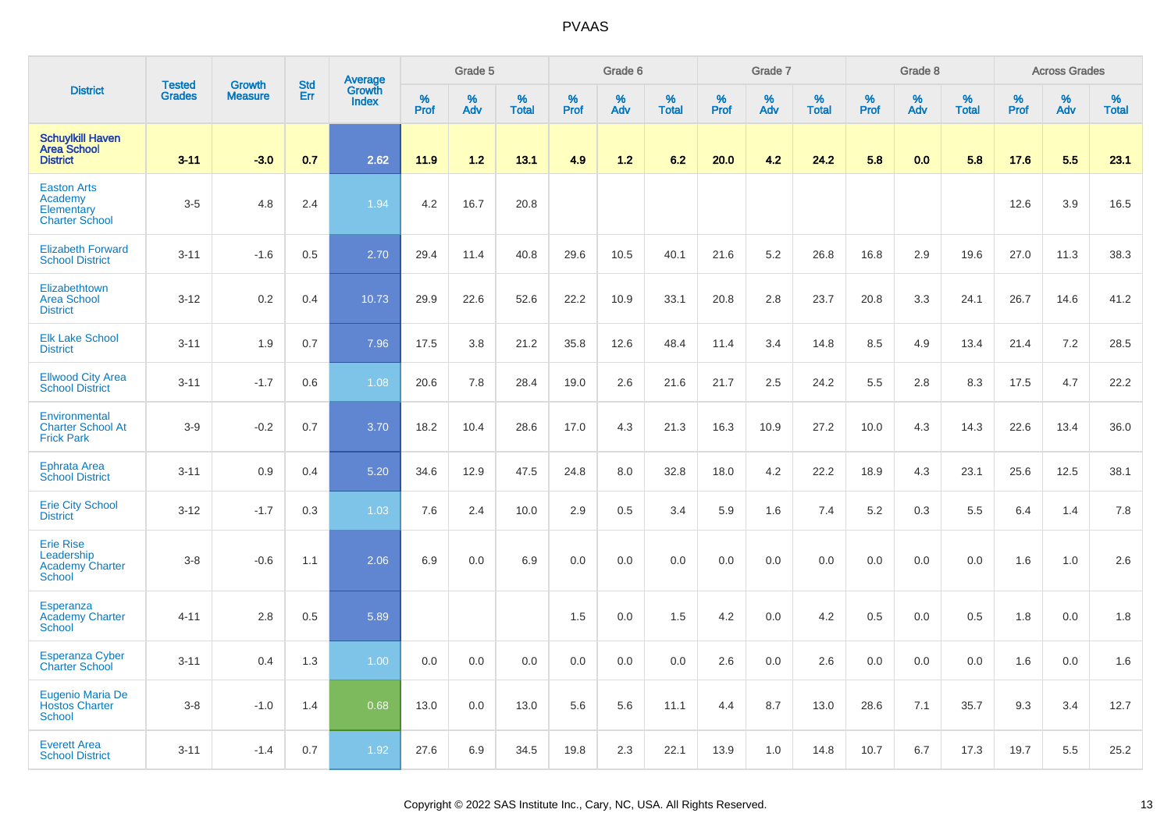|                                                                           |                                |                                 | <b>Std</b> | <b>Average</b>         |                     | Grade 5     |                   |              | Grade 6  |                   |              | Grade 7  |                   |              | Grade 8  |                   |              | <b>Across Grades</b> |                   |
|---------------------------------------------------------------------------|--------------------------------|---------------------------------|------------|------------------------|---------------------|-------------|-------------------|--------------|----------|-------------------|--------------|----------|-------------------|--------------|----------|-------------------|--------------|----------------------|-------------------|
| <b>District</b>                                                           | <b>Tested</b><br><b>Grades</b> | <b>Growth</b><br><b>Measure</b> | Err        | Growth<br><b>Index</b> | $\%$<br><b>Prof</b> | $\%$<br>Adv | %<br><b>Total</b> | $\%$<br>Prof | %<br>Adv | %<br><b>Total</b> | $\%$<br>Prof | %<br>Adv | %<br><b>Total</b> | $\%$<br>Prof | %<br>Adv | %<br><b>Total</b> | $\%$<br>Prof | %<br>Adv             | %<br><b>Total</b> |
| <b>Schuylkill Haven</b><br><b>Area School</b><br><b>District</b>          | $3 - 11$                       | $-3.0$                          | 0.7        | 2.62                   | 11.9                | 1.2         | 13.1              | 4.9          | 1.2      | 6.2               | 20.0         | 4.2      | 24.2              | 5.8          | 0.0      | 5.8               | 17.6         | 5.5                  | 23.1              |
| <b>Easton Arts</b><br>Academy<br>Elementary<br><b>Charter School</b>      | $3-5$                          | 4.8                             | 2.4        | 1.94                   | 4.2                 | 16.7        | 20.8              |              |          |                   |              |          |                   |              |          |                   | 12.6         | 3.9                  | 16.5              |
| <b>Elizabeth Forward</b><br><b>School District</b>                        | $3 - 11$                       | $-1.6$                          | 0.5        | 2.70                   | 29.4                | 11.4        | 40.8              | 29.6         | 10.5     | 40.1              | 21.6         | 5.2      | 26.8              | 16.8         | 2.9      | 19.6              | 27.0         | 11.3                 | 38.3              |
| Elizabethtown<br>Area School<br><b>District</b>                           | $3 - 12$                       | 0.2                             | 0.4        | 10.73                  | 29.9                | 22.6        | 52.6              | 22.2         | 10.9     | 33.1              | 20.8         | 2.8      | 23.7              | 20.8         | 3.3      | 24.1              | 26.7         | 14.6                 | 41.2              |
| <b>Elk Lake School</b><br><b>District</b>                                 | $3 - 11$                       | 1.9                             | 0.7        | 7.96                   | 17.5                | 3.8         | 21.2              | 35.8         | 12.6     | 48.4              | 11.4         | 3.4      | 14.8              | 8.5          | 4.9      | 13.4              | 21.4         | 7.2                  | 28.5              |
| <b>Ellwood City Area</b><br><b>School District</b>                        | $3 - 11$                       | $-1.7$                          | 0.6        | 1.08                   | 20.6                | 7.8         | 28.4              | 19.0         | 2.6      | 21.6              | 21.7         | 2.5      | 24.2              | 5.5          | 2.8      | 8.3               | 17.5         | 4.7                  | 22.2              |
| Environmental<br><b>Charter School At</b><br><b>Frick Park</b>            | $3-9$                          | $-0.2$                          | 0.7        | 3.70                   | 18.2                | 10.4        | 28.6              | 17.0         | 4.3      | 21.3              | 16.3         | 10.9     | 27.2              | 10.0         | 4.3      | 14.3              | 22.6         | 13.4                 | 36.0              |
| <b>Ephrata Area</b><br><b>School District</b>                             | $3 - 11$                       | 0.9                             | 0.4        | 5.20                   | 34.6                | 12.9        | 47.5              | 24.8         | 8.0      | 32.8              | 18.0         | 4.2      | 22.2              | 18.9         | 4.3      | 23.1              | 25.6         | 12.5                 | 38.1              |
| <b>Erie City School</b><br><b>District</b>                                | $3-12$                         | $-1.7$                          | 0.3        | 1.03                   | 7.6                 | 2.4         | 10.0              | 2.9          | 0.5      | 3.4               | 5.9          | 1.6      | 7.4               | 5.2          | 0.3      | 5.5               | 6.4          | 1.4                  | 7.8               |
| <b>Erie Rise</b><br>Leadership<br><b>Academy Charter</b><br><b>School</b> | $3 - 8$                        | $-0.6$                          | 1.1        | 2.06                   | 6.9                 | 0.0         | 6.9               | 0.0          | 0.0      | 0.0               | 0.0          | 0.0      | 0.0               | 0.0          | 0.0      | 0.0               | 1.6          | 1.0                  | 2.6               |
| <b>Esperanza</b><br><b>Academy Charter</b><br><b>School</b>               | $4 - 11$                       | 2.8                             | 0.5        | 5.89                   |                     |             |                   | 1.5          | 0.0      | 1.5               | 4.2          | 0.0      | 4.2               | 0.5          | 0.0      | 0.5               | 1.8          | 0.0                  | 1.8               |
| <b>Esperanza Cyber</b><br>Charter School                                  | $3 - 11$                       | 0.4                             | 1.3        | 1.00                   | 0.0                 | 0.0         | 0.0               | 0.0          | $0.0\,$  | 0.0               | 2.6          | $0.0\,$  | 2.6               | 0.0          | $0.0\,$  | 0.0               | 1.6          | 0.0                  | $1.6\,$           |
| Eugenio Maria De<br><b>Hostos Charter</b><br>School                       | $3-8$                          | $-1.0$                          | 1.4        | 0.68                   | 13.0                | 0.0         | 13.0              | 5.6          | 5.6      | 11.1              | 4.4          | 8.7      | 13.0              | 28.6         | 7.1      | 35.7              | 9.3          | 3.4                  | 12.7              |
| <b>Everett Area</b><br><b>School District</b>                             | $3 - 11$                       | $-1.4$                          | 0.7        | 1.92                   | 27.6                | 6.9         | 34.5              | 19.8         | 2.3      | 22.1              | 13.9         | 1.0      | 14.8              | 10.7         | 6.7      | 17.3              | 19.7         | 5.5                  | 25.2              |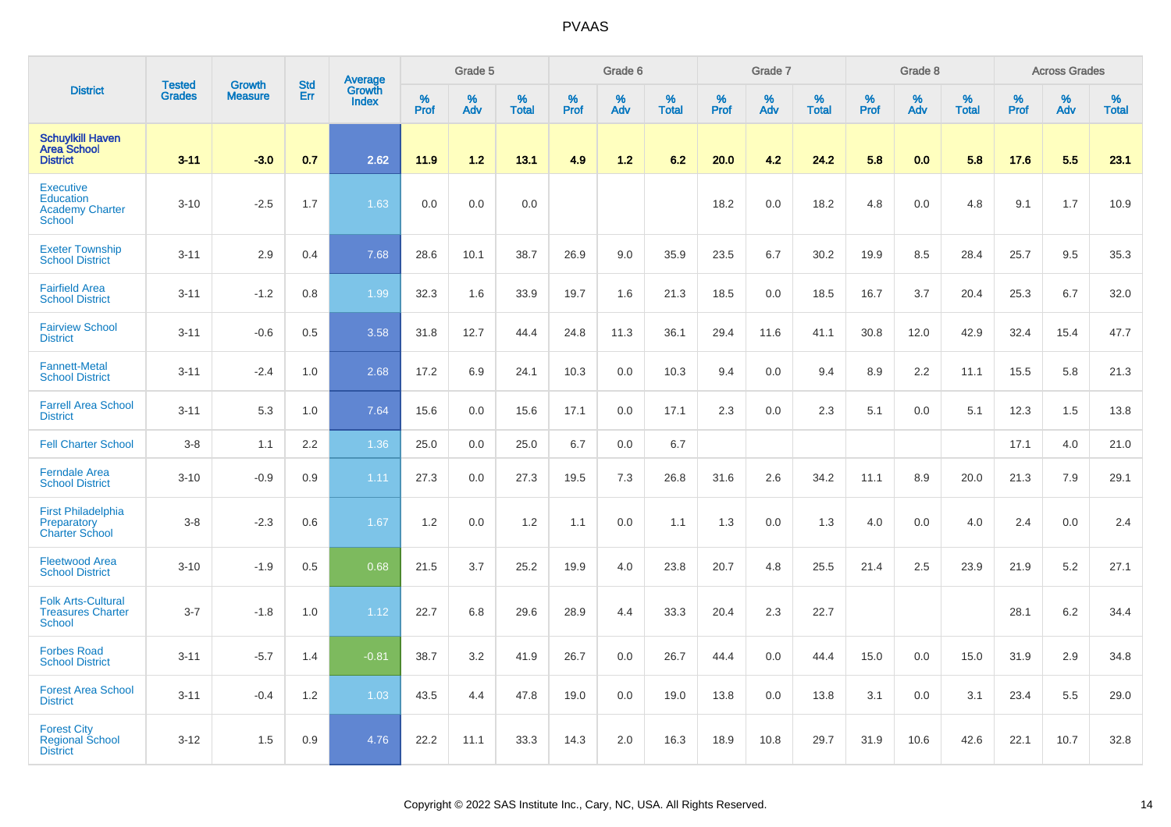|                                                                          |                         |                                 | <b>Std</b> | Average                |                     | Grade 5     |                   |           | Grade 6  |                   |           | Grade 7  |                   |           | Grade 8  |                   |           | <b>Across Grades</b> |                   |
|--------------------------------------------------------------------------|-------------------------|---------------------------------|------------|------------------------|---------------------|-------------|-------------------|-----------|----------|-------------------|-----------|----------|-------------------|-----------|----------|-------------------|-----------|----------------------|-------------------|
| <b>District</b>                                                          | <b>Tested</b><br>Grades | <b>Growth</b><br><b>Measure</b> | Err        | Growth<br><b>Index</b> | $\%$<br><b>Prof</b> | $\%$<br>Adv | %<br><b>Total</b> | %<br>Prof | %<br>Adv | %<br><b>Total</b> | %<br>Prof | %<br>Adv | %<br><b>Total</b> | %<br>Prof | %<br>Adv | %<br><b>Total</b> | %<br>Prof | %<br>Adv             | %<br><b>Total</b> |
| <b>Schuylkill Haven</b><br><b>Area School</b><br><b>District</b>         | $3 - 11$                | $-3.0$                          | 0.7        | 2.62                   | 11.9                | 1.2         | 13.1              | 4.9       | 1.2      | 6.2               | 20.0      | 4.2      | 24.2              | 5.8       | 0.0      | 5.8               | 17.6      | 5.5                  | 23.1              |
| <b>Executive</b><br>Education<br><b>Academy Charter</b><br><b>School</b> | $3 - 10$                | $-2.5$                          | 1.7        | 1.63                   | 0.0                 | 0.0         | 0.0               |           |          |                   | 18.2      | 0.0      | 18.2              | 4.8       | 0.0      | 4.8               | 9.1       | 1.7                  | 10.9              |
| <b>Exeter Township</b><br><b>School District</b>                         | $3 - 11$                | 2.9                             | 0.4        | 7.68                   | 28.6                | 10.1        | 38.7              | 26.9      | 9.0      | 35.9              | 23.5      | 6.7      | 30.2              | 19.9      | 8.5      | 28.4              | 25.7      | 9.5                  | 35.3              |
| <b>Fairfield Area</b><br><b>School District</b>                          | $3 - 11$                | $-1.2$                          | 0.8        | 1.99                   | 32.3                | 1.6         | 33.9              | 19.7      | 1.6      | 21.3              | 18.5      | 0.0      | 18.5              | 16.7      | 3.7      | 20.4              | 25.3      | 6.7                  | 32.0              |
| <b>Fairview School</b><br><b>District</b>                                | $3 - 11$                | $-0.6$                          | 0.5        | 3.58                   | 31.8                | 12.7        | 44.4              | 24.8      | 11.3     | 36.1              | 29.4      | 11.6     | 41.1              | 30.8      | 12.0     | 42.9              | 32.4      | 15.4                 | 47.7              |
| <b>Fannett-Metal</b><br><b>School District</b>                           | $3 - 11$                | $-2.4$                          | 1.0        | 2.68                   | 17.2                | 6.9         | 24.1              | 10.3      | 0.0      | 10.3              | 9.4       | 0.0      | 9.4               | 8.9       | 2.2      | 11.1              | 15.5      | 5.8                  | 21.3              |
| <b>Farrell Area School</b><br><b>District</b>                            | $3 - 11$                | 5.3                             | 1.0        | 7.64                   | 15.6                | 0.0         | 15.6              | 17.1      | 0.0      | 17.1              | 2.3       | 0.0      | 2.3               | 5.1       | 0.0      | 5.1               | 12.3      | 1.5                  | 13.8              |
| <b>Fell Charter School</b>                                               | $3 - 8$                 | 1.1                             | 2.2        | 1.36                   | 25.0                | 0.0         | 25.0              | 6.7       | 0.0      | 6.7               |           |          |                   |           |          |                   | 17.1      | 4.0                  | 21.0              |
| <b>Ferndale Area</b><br><b>School District</b>                           | $3 - 10$                | $-0.9$                          | 0.9        | 1.11                   | 27.3                | 0.0         | 27.3              | 19.5      | 7.3      | 26.8              | 31.6      | 2.6      | 34.2              | 11.1      | 8.9      | 20.0              | 21.3      | 7.9                  | 29.1              |
| First Philadelphia<br>Preparatory<br><b>Charter School</b>               | $3-8$                   | $-2.3$                          | 0.6        | 1.67                   | 1.2                 | 0.0         | 1.2               | 1.1       | 0.0      | 1.1               | 1.3       | 0.0      | 1.3               | 4.0       | 0.0      | 4.0               | 2.4       | 0.0                  | 2.4               |
| <b>Fleetwood Area</b><br><b>School District</b>                          | $3 - 10$                | $-1.9$                          | 0.5        | 0.68                   | 21.5                | 3.7         | 25.2              | 19.9      | 4.0      | 23.8              | 20.7      | 4.8      | 25.5              | 21.4      | 2.5      | 23.9              | 21.9      | 5.2                  | 27.1              |
| <b>Folk Arts-Cultural</b><br><b>Treasures Charter</b><br><b>School</b>   | $3 - 7$                 | $-1.8$                          | 1.0        | 1.12                   | 22.7                | 6.8         | 29.6              | 28.9      | 4.4      | 33.3              | 20.4      | 2.3      | 22.7              |           |          |                   | 28.1      | 6.2                  | 34.4              |
| <b>Forbes Road</b><br><b>School District</b>                             | $3 - 11$                | $-5.7$                          | 1.4        | $-0.81$                | 38.7                | 3.2         | 41.9              | 26.7      | 0.0      | 26.7              | 44.4      | 0.0      | 44.4              | 15.0      | 0.0      | 15.0              | 31.9      | 2.9                  | 34.8              |
| <b>Forest Area School</b><br><b>District</b>                             | $3 - 11$                | $-0.4$                          | 1.2        | 1.03                   | 43.5                | 4.4         | 47.8              | 19.0      | 0.0      | 19.0              | 13.8      | 0.0      | 13.8              | 3.1       | 0.0      | 3.1               | 23.4      | 5.5                  | 29.0              |
| <b>Forest City</b><br><b>Regional School</b><br><b>District</b>          | $3 - 12$                | 1.5                             | 0.9        | 4.76                   | 22.2                | 11.1        | 33.3              | 14.3      | 2.0      | 16.3              | 18.9      | 10.8     | 29.7              | 31.9      | 10.6     | 42.6              | 22.1      | 10.7                 | 32.8              |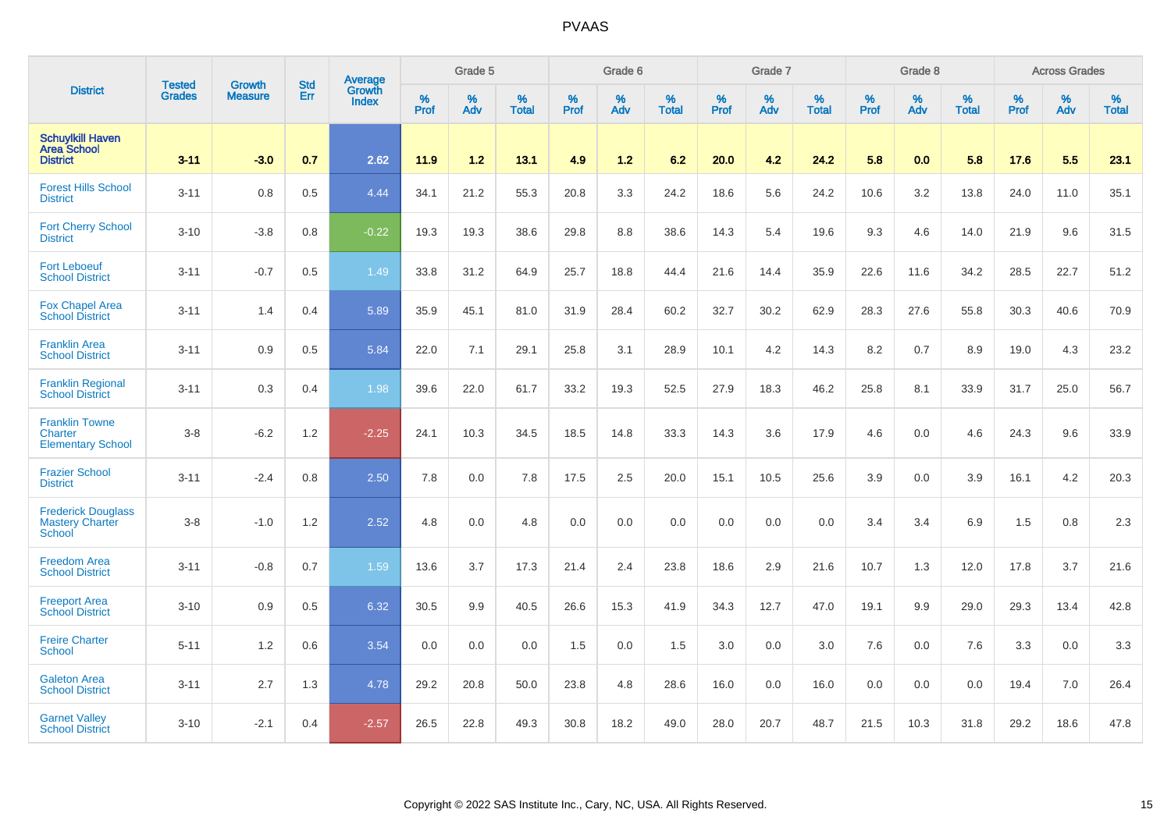|                                                                  | <b>Tested</b> | <b>Growth</b>  | <b>Std</b> | Average                       |              | Grade 5  |                   |           | Grade 6  |                   |           | Grade 7  |                   |           | Grade 8  |                   |           | <b>Across Grades</b> |                   |
|------------------------------------------------------------------|---------------|----------------|------------|-------------------------------|--------------|----------|-------------------|-----------|----------|-------------------|-----------|----------|-------------------|-----------|----------|-------------------|-----------|----------------------|-------------------|
| <b>District</b>                                                  | <b>Grades</b> | <b>Measure</b> | Err        | <b>Growth</b><br><b>Index</b> | $\%$<br>Prof | %<br>Adv | %<br><b>Total</b> | %<br>Prof | %<br>Adv | %<br><b>Total</b> | %<br>Prof | %<br>Adv | %<br><b>Total</b> | %<br>Prof | %<br>Adv | %<br><b>Total</b> | %<br>Prof | %<br>Adv             | %<br><b>Total</b> |
| <b>Schuylkill Haven</b><br><b>Area School</b><br><b>District</b> | $3 - 11$      | $-3.0$         | 0.7        | 2.62                          | 11.9         | 1.2      | 13.1              | 4.9       | $1.2$    | 6.2               | 20.0      | 4.2      | 24.2              | 5.8       | 0.0      | 5.8               | 17.6      | 5.5                  | 23.1              |
| <b>Forest Hills School</b><br><b>District</b>                    | $3 - 11$      | 0.8            | 0.5        | 4.44                          | 34.1         | 21.2     | 55.3              | 20.8      | 3.3      | 24.2              | 18.6      | 5.6      | 24.2              | 10.6      | 3.2      | 13.8              | 24.0      | 11.0                 | 35.1              |
| <b>Fort Cherry School</b><br><b>District</b>                     | $3 - 10$      | $-3.8$         | 0.8        | $-0.22$                       | 19.3         | 19.3     | 38.6              | 29.8      | 8.8      | 38.6              | 14.3      | 5.4      | 19.6              | 9.3       | 4.6      | 14.0              | 21.9      | 9.6                  | 31.5              |
| <b>Fort Leboeuf</b><br><b>School District</b>                    | $3 - 11$      | $-0.7$         | 0.5        | 1.49                          | 33.8         | 31.2     | 64.9              | 25.7      | 18.8     | 44.4              | 21.6      | 14.4     | 35.9              | 22.6      | 11.6     | 34.2              | 28.5      | 22.7                 | 51.2              |
| <b>Fox Chapel Area</b><br><b>School District</b>                 | $3 - 11$      | 1.4            | 0.4        | 5.89                          | 35.9         | 45.1     | 81.0              | 31.9      | 28.4     | 60.2              | 32.7      | 30.2     | 62.9              | 28.3      | 27.6     | 55.8              | 30.3      | 40.6                 | 70.9              |
| <b>Franklin Area</b><br><b>School District</b>                   | $3 - 11$      | 0.9            | 0.5        | 5.84                          | 22.0         | 7.1      | 29.1              | 25.8      | 3.1      | 28.9              | 10.1      | 4.2      | 14.3              | 8.2       | 0.7      | 8.9               | 19.0      | 4.3                  | 23.2              |
| <b>Franklin Regional</b><br><b>School District</b>               | $3 - 11$      | 0.3            | 0.4        | 1.98                          | 39.6         | 22.0     | 61.7              | 33.2      | 19.3     | 52.5              | 27.9      | 18.3     | 46.2              | 25.8      | 8.1      | 33.9              | 31.7      | 25.0                 | 56.7              |
| <b>Franklin Towne</b><br>Charter<br><b>Elementary School</b>     | $3-8$         | $-6.2$         | 1.2        | $-2.25$                       | 24.1         | 10.3     | 34.5              | 18.5      | 14.8     | 33.3              | 14.3      | 3.6      | 17.9              | 4.6       | 0.0      | 4.6               | 24.3      | 9.6                  | 33.9              |
| <b>Frazier School</b><br><b>District</b>                         | $3 - 11$      | $-2.4$         | 0.8        | 2.50                          | 7.8          | 0.0      | 7.8               | 17.5      | 2.5      | 20.0              | 15.1      | 10.5     | 25.6              | 3.9       | 0.0      | 3.9               | 16.1      | 4.2                  | 20.3              |
| <b>Frederick Douglass</b><br><b>Mastery Charter</b><br>School    | $3-8$         | $-1.0$         | 1.2        | 2.52                          | 4.8          | 0.0      | 4.8               | 0.0       | 0.0      | 0.0               | 0.0       | 0.0      | 0.0               | 3.4       | 3.4      | 6.9               | 1.5       | 0.8                  | 2.3               |
| <b>Freedom Area</b><br><b>School District</b>                    | $3 - 11$      | $-0.8$         | 0.7        | 1.59                          | 13.6         | 3.7      | 17.3              | 21.4      | 2.4      | 23.8              | 18.6      | 2.9      | 21.6              | 10.7      | 1.3      | 12.0              | 17.8      | 3.7                  | 21.6              |
| <b>Freeport Area</b><br><b>School District</b>                   | $3 - 10$      | 0.9            | 0.5        | 6.32                          | 30.5         | 9.9      | 40.5              | 26.6      | 15.3     | 41.9              | 34.3      | 12.7     | 47.0              | 19.1      | 9.9      | 29.0              | 29.3      | 13.4                 | 42.8              |
| <b>Freire Charter</b><br>School                                  | $5 - 11$      | 1.2            | 0.6        | 3.54                          | 0.0          | 0.0      | 0.0               | 1.5       | 0.0      | 1.5               | 3.0       | 0.0      | 3.0               | 7.6       | 0.0      | 7.6               | 3.3       | 0.0                  | 3.3               |
| <b>Galeton Area</b><br><b>School District</b>                    | $3 - 11$      | 2.7            | 1.3        | 4.78                          | 29.2         | 20.8     | 50.0              | 23.8      | 4.8      | 28.6              | 16.0      | 0.0      | 16.0              | 0.0       | 0.0      | 0.0               | 19.4      | 7.0                  | 26.4              |
| <b>Garnet Valley</b><br><b>School District</b>                   | $3 - 10$      | $-2.1$         | 0.4        | $-2.57$                       | 26.5         | 22.8     | 49.3              | 30.8      | 18.2     | 49.0              | 28.0      | 20.7     | 48.7              | 21.5      | 10.3     | 31.8              | 29.2      | 18.6                 | 47.8              |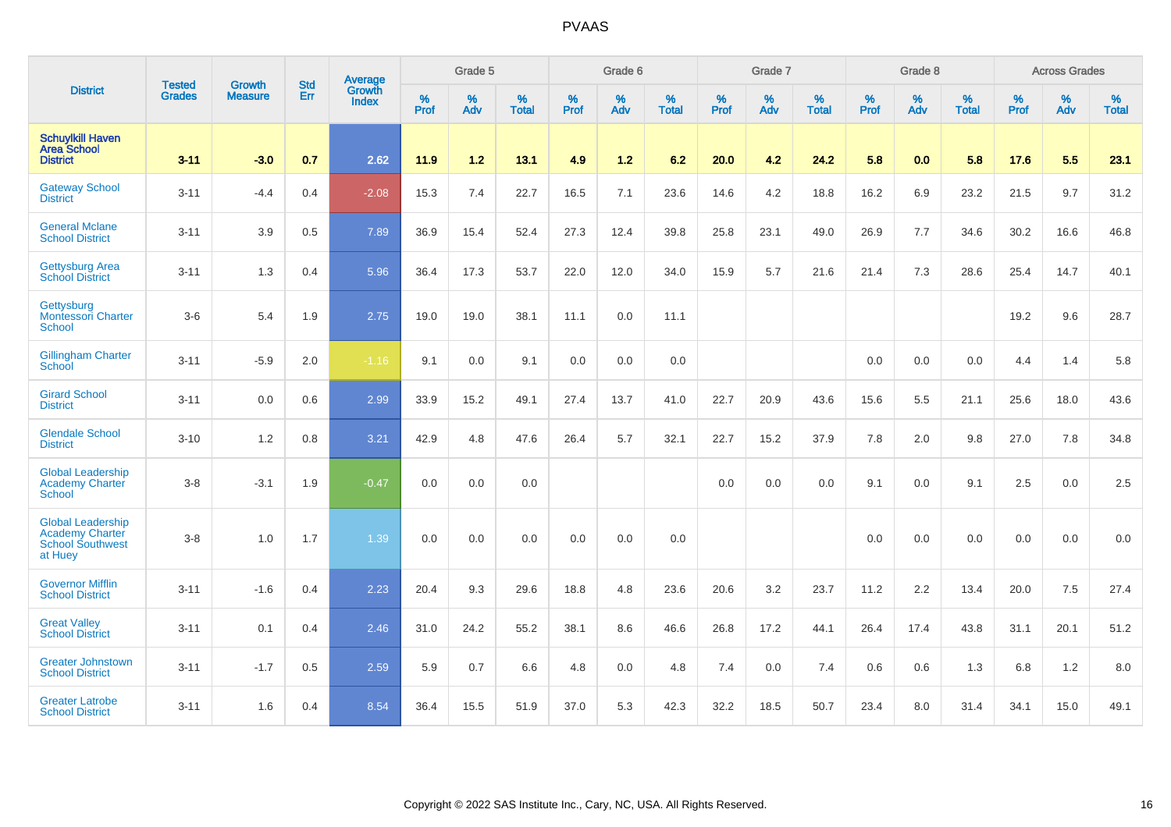|                                                                                          | <b>Tested</b> | <b>Growth</b>  | <b>Std</b> | Average                |              | Grade 5     |                      |              | Grade 6  |                   |              | Grade 7     |                      |              | Grade 8     |                      |                     | <b>Across Grades</b> |                   |
|------------------------------------------------------------------------------------------|---------------|----------------|------------|------------------------|--------------|-------------|----------------------|--------------|----------|-------------------|--------------|-------------|----------------------|--------------|-------------|----------------------|---------------------|----------------------|-------------------|
| <b>District</b>                                                                          | <b>Grades</b> | <b>Measure</b> | Err        | Growth<br><b>Index</b> | $\%$<br>Prof | $\%$<br>Adv | $\%$<br><b>Total</b> | $\%$<br>Prof | %<br>Adv | %<br><b>Total</b> | $\%$<br>Prof | $\%$<br>Adv | $\%$<br><b>Total</b> | $\%$<br>Prof | $\%$<br>Adv | $\%$<br><b>Total</b> | $\%$<br><b>Prof</b> | %<br>Adv             | %<br><b>Total</b> |
| <b>Schuylkill Haven</b><br><b>Area School</b><br><b>District</b>                         | $3 - 11$      | $-3.0$         | 0.7        | 2.62                   | 11.9         | 1.2         | 13.1                 | 4.9          | $1.2$    | 6.2               | 20.0         | 4.2         | 24.2                 | 5.8          | 0.0         | 5.8                  | 17.6                | 5.5                  | 23.1              |
| <b>Gateway School</b><br><b>District</b>                                                 | $3 - 11$      | $-4.4$         | 0.4        | $-2.08$                | 15.3         | 7.4         | 22.7                 | 16.5         | 7.1      | 23.6              | 14.6         | 4.2         | 18.8                 | 16.2         | 6.9         | 23.2                 | 21.5                | 9.7                  | 31.2              |
| <b>General Mclane</b><br><b>School District</b>                                          | $3 - 11$      | 3.9            | 0.5        | 7.89                   | 36.9         | 15.4        | 52.4                 | 27.3         | 12.4     | 39.8              | 25.8         | 23.1        | 49.0                 | 26.9         | 7.7         | 34.6                 | 30.2                | 16.6                 | 46.8              |
| <b>Gettysburg Area</b><br><b>School District</b>                                         | $3 - 11$      | 1.3            | 0.4        | 5.96                   | 36.4         | 17.3        | 53.7                 | 22.0         | 12.0     | 34.0              | 15.9         | 5.7         | 21.6                 | 21.4         | 7.3         | 28.6                 | 25.4                | 14.7                 | 40.1              |
| Gettysburg<br>Montessori Charter<br><b>School</b>                                        | $3-6$         | 5.4            | 1.9        | 2.75                   | 19.0         | 19.0        | 38.1                 | 11.1         | 0.0      | 11.1              |              |             |                      |              |             |                      | 19.2                | 9.6                  | 28.7              |
| <b>Gillingham Charter</b><br><b>School</b>                                               | $3 - 11$      | $-5.9$         | 2.0        | $-1.16$                | 9.1          | 0.0         | 9.1                  | 0.0          | 0.0      | 0.0               |              |             |                      | 0.0          | 0.0         | 0.0                  | 4.4                 | 1.4                  | 5.8               |
| <b>Girard School</b><br><b>District</b>                                                  | $3 - 11$      | 0.0            | 0.6        | 2.99                   | 33.9         | 15.2        | 49.1                 | 27.4         | 13.7     | 41.0              | 22.7         | 20.9        | 43.6                 | 15.6         | 5.5         | 21.1                 | 25.6                | 18.0                 | 43.6              |
| <b>Glendale School</b><br><b>District</b>                                                | $3 - 10$      | 1.2            | 0.8        | 3.21                   | 42.9         | 4.8         | 47.6                 | 26.4         | 5.7      | 32.1              | 22.7         | 15.2        | 37.9                 | 7.8          | 2.0         | 9.8                  | 27.0                | 7.8                  | 34.8              |
| <b>Global Leadership</b><br><b>Academy Charter</b><br><b>School</b>                      | $3-8$         | $-3.1$         | 1.9        | $-0.47$                | 0.0          | 0.0         | 0.0                  |              |          |                   | 0.0          | 0.0         | 0.0                  | 9.1          | 0.0         | 9.1                  | 2.5                 | 0.0                  | 2.5               |
| <b>Global Leadership</b><br><b>Academy Charter</b><br><b>School Southwest</b><br>at Huey | $3-8$         | 1.0            | 1.7        | 1.39                   | 0.0          | 0.0         | 0.0                  | 0.0          | 0.0      | 0.0               |              |             |                      | 0.0          | 0.0         | 0.0                  | 0.0                 | 0.0                  | 0.0               |
| <b>Governor Mifflin</b><br><b>School District</b>                                        | $3 - 11$      | $-1.6$         | 0.4        | 2.23                   | 20.4         | 9.3         | 29.6                 | 18.8         | 4.8      | 23.6              | 20.6         | 3.2         | 23.7                 | 11.2         | 2.2         | 13.4                 | 20.0                | 7.5                  | 27.4              |
| <b>Great Valley</b><br><b>School District</b>                                            | $3 - 11$      | 0.1            | 0.4        | 2.46                   | 31.0         | 24.2        | 55.2                 | 38.1         | 8.6      | 46.6              | 26.8         | 17.2        | 44.1                 | 26.4         | 17.4        | 43.8                 | 31.1                | 20.1                 | 51.2              |
| <b>Greater Johnstown</b><br><b>School District</b>                                       | $3 - 11$      | $-1.7$         | 0.5        | 2.59                   | 5.9          | 0.7         | 6.6                  | 4.8          | 0.0      | 4.8               | 7.4          | 0.0         | 7.4                  | 0.6          | 0.6         | 1.3                  | 6.8                 | 1.2                  | 8.0               |
| <b>Greater Latrobe</b><br><b>School District</b>                                         | $3 - 11$      | 1.6            | 0.4        | 8.54                   | 36.4         | 15.5        | 51.9                 | 37.0         | 5.3      | 42.3              | 32.2         | 18.5        | 50.7                 | 23.4         | 8.0         | 31.4                 | 34.1                | 15.0                 | 49.1              |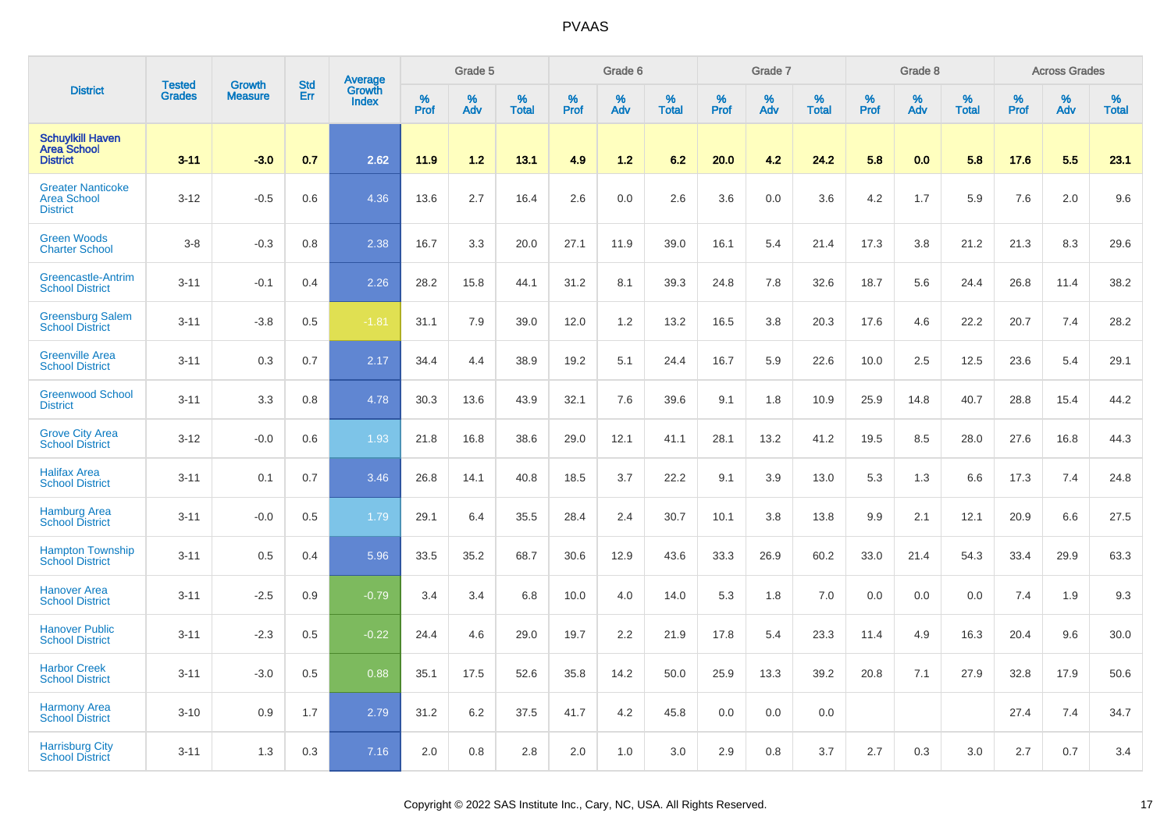|                                                                   | <b>Tested</b> | <b>Growth</b>  | <b>Std</b> |                                   |           | Grade 5  |                   |           | Grade 6  |                   |           | Grade 7  |                   |           | Grade 8  |                   |           | <b>Across Grades</b> |                   |
|-------------------------------------------------------------------|---------------|----------------|------------|-----------------------------------|-----------|----------|-------------------|-----------|----------|-------------------|-----------|----------|-------------------|-----------|----------|-------------------|-----------|----------------------|-------------------|
| <b>District</b>                                                   | <b>Grades</b> | <b>Measure</b> | Err        | Average<br>Growth<br><b>Index</b> | %<br>Prof | %<br>Adv | %<br><b>Total</b> | %<br>Prof | %<br>Adv | %<br><b>Total</b> | %<br>Prof | %<br>Adv | %<br><b>Total</b> | %<br>Prof | %<br>Adv | %<br><b>Total</b> | %<br>Prof | %<br>Adv             | %<br><b>Total</b> |
| <b>Schuylkill Haven</b><br><b>Area School</b><br><b>District</b>  | $3 - 11$      | $-3.0$         | 0.7        | 2.62                              | 11.9      | 1.2      | 13.1              | 4.9       | $1.2$    | 6.2               | 20.0      | 4.2      | 24.2              | 5.8       | 0.0      | 5.8               | 17.6      | 5.5                  | 23.1              |
| <b>Greater Nanticoke</b><br><b>Area School</b><br><b>District</b> | $3 - 12$      | $-0.5$         | 0.6        | 4.36                              | 13.6      | 2.7      | 16.4              | 2.6       | 0.0      | 2.6               | 3.6       | 0.0      | 3.6               | 4.2       | 1.7      | 5.9               | 7.6       | 2.0                  | 9.6               |
| <b>Green Woods</b><br><b>Charter School</b>                       | $3-8$         | $-0.3$         | 0.8        | 2.38                              | 16.7      | 3.3      | 20.0              | 27.1      | 11.9     | 39.0              | 16.1      | 5.4      | 21.4              | 17.3      | 3.8      | 21.2              | 21.3      | 8.3                  | 29.6              |
| Greencastle-Antrim<br><b>School District</b>                      | $3 - 11$      | $-0.1$         | 0.4        | 2.26                              | 28.2      | 15.8     | 44.1              | 31.2      | 8.1      | 39.3              | 24.8      | 7.8      | 32.6              | 18.7      | 5.6      | 24.4              | 26.8      | 11.4                 | 38.2              |
| <b>Greensburg Salem</b><br><b>School District</b>                 | $3 - 11$      | $-3.8$         | 0.5        | $-1.81$                           | 31.1      | 7.9      | 39.0              | 12.0      | 1.2      | 13.2              | 16.5      | 3.8      | 20.3              | 17.6      | 4.6      | 22.2              | 20.7      | 7.4                  | 28.2              |
| <b>Greenville Area</b><br><b>School District</b>                  | $3 - 11$      | 0.3            | 0.7        | 2.17                              | 34.4      | 4.4      | 38.9              | 19.2      | 5.1      | 24.4              | 16.7      | 5.9      | 22.6              | 10.0      | 2.5      | 12.5              | 23.6      | 5.4                  | 29.1              |
| <b>Greenwood School</b><br><b>District</b>                        | $3 - 11$      | 3.3            | 0.8        | 4.78                              | 30.3      | 13.6     | 43.9              | 32.1      | 7.6      | 39.6              | 9.1       | 1.8      | 10.9              | 25.9      | 14.8     | 40.7              | 28.8      | 15.4                 | 44.2              |
| <b>Grove City Area</b><br><b>School District</b>                  | $3 - 12$      | $-0.0$         | 0.6        | 1.93                              | 21.8      | 16.8     | 38.6              | 29.0      | 12.1     | 41.1              | 28.1      | 13.2     | 41.2              | 19.5      | 8.5      | 28.0              | 27.6      | 16.8                 | 44.3              |
| <b>Halifax Area</b><br><b>School District</b>                     | $3 - 11$      | 0.1            | 0.7        | 3.46                              | 26.8      | 14.1     | 40.8              | 18.5      | 3.7      | 22.2              | 9.1       | 3.9      | 13.0              | 5.3       | 1.3      | 6.6               | 17.3      | 7.4                  | 24.8              |
| <b>Hamburg Area</b><br><b>School District</b>                     | $3 - 11$      | $-0.0$         | 0.5        | 1.79                              | 29.1      | 6.4      | 35.5              | 28.4      | 2.4      | 30.7              | 10.1      | 3.8      | 13.8              | 9.9       | 2.1      | 12.1              | 20.9      | 6.6                  | 27.5              |
| <b>Hampton Township</b><br><b>School District</b>                 | $3 - 11$      | 0.5            | 0.4        | 5.96                              | 33.5      | 35.2     | 68.7              | 30.6      | 12.9     | 43.6              | 33.3      | 26.9     | 60.2              | 33.0      | 21.4     | 54.3              | 33.4      | 29.9                 | 63.3              |
| <b>Hanover Area</b><br><b>School District</b>                     | $3 - 11$      | $-2.5$         | 0.9        | $-0.79$                           | 3.4       | 3.4      | 6.8               | 10.0      | 4.0      | 14.0              | 5.3       | 1.8      | 7.0               | 0.0       | 0.0      | 0.0               | 7.4       | 1.9                  | 9.3               |
| <b>Hanover Public</b><br><b>School District</b>                   | $3 - 11$      | $-2.3$         | 0.5        | $-0.22$                           | 24.4      | 4.6      | 29.0              | 19.7      | 2.2      | 21.9              | 17.8      | 5.4      | 23.3              | 11.4      | 4.9      | 16.3              | 20.4      | 9.6                  | 30.0              |
| <b>Harbor Creek</b><br><b>School District</b>                     | $3 - 11$      | $-3.0$         | 0.5        | 0.88                              | 35.1      | 17.5     | 52.6              | 35.8      | 14.2     | 50.0              | 25.9      | 13.3     | 39.2              | 20.8      | 7.1      | 27.9              | 32.8      | 17.9                 | 50.6              |
| <b>Harmony Area</b><br><b>School District</b>                     | $3 - 10$      | 0.9            | 1.7        | 2.79                              | 31.2      | 6.2      | 37.5              | 41.7      | 4.2      | 45.8              | 0.0       | 0.0      | 0.0               |           |          |                   | 27.4      | 7.4                  | 34.7              |
| <b>Harrisburg City</b><br><b>School District</b>                  | $3 - 11$      | 1.3            | 0.3        | 7.16                              | 2.0       | 0.8      | 2.8               | 2.0       | 1.0      | 3.0               | 2.9       | 0.8      | 3.7               | 2.7       | 0.3      | 3.0               | 2.7       | 0.7                  | 3.4               |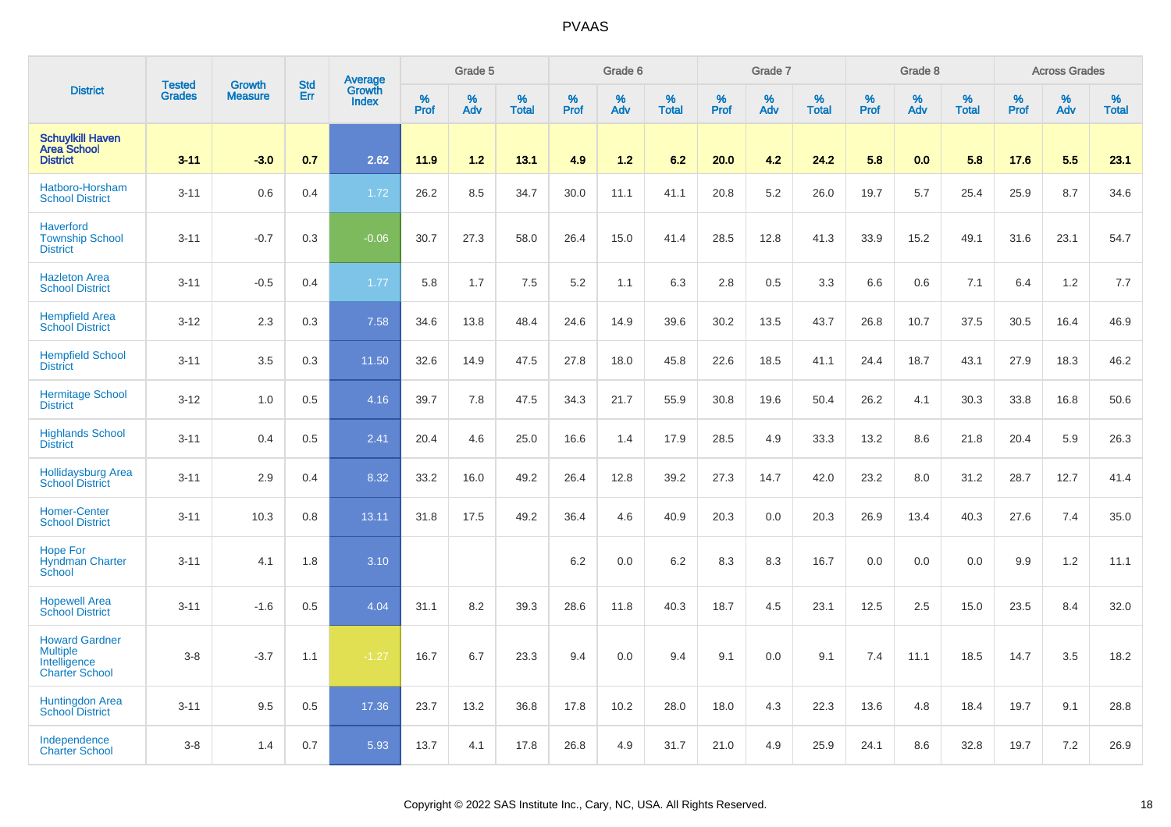|                                                                                   | <b>Tested</b> | <b>Growth</b>  | <b>Std</b> | Average                |              | Grade 5  |                   |           | Grade 6  |                   |                  | Grade 7  |                   |           | Grade 8  |                   |           | <b>Across Grades</b> |                   |
|-----------------------------------------------------------------------------------|---------------|----------------|------------|------------------------|--------------|----------|-------------------|-----------|----------|-------------------|------------------|----------|-------------------|-----------|----------|-------------------|-----------|----------------------|-------------------|
| <b>District</b>                                                                   | <b>Grades</b> | <b>Measure</b> | Err        | Growth<br><b>Index</b> | $\%$<br>Prof | %<br>Adv | %<br><b>Total</b> | %<br>Prof | %<br>Adv | %<br><b>Total</b> | %<br><b>Prof</b> | %<br>Adv | %<br><b>Total</b> | %<br>Prof | %<br>Adv | %<br><b>Total</b> | %<br>Prof | %<br>Adv             | %<br><b>Total</b> |
| <b>Schuylkill Haven</b><br><b>Area School</b><br><b>District</b>                  | $3 - 11$      | $-3.0$         | 0.7        | 2.62                   | 11.9         | 1.2      | 13.1              | 4.9       | 1.2      | 6.2               | 20.0             | 4.2      | 24.2              | 5.8       | 0.0      | 5.8               | 17.6      | 5.5                  | 23.1              |
| Hatboro-Horsham<br><b>School District</b>                                         | $3 - 11$      | 0.6            | 0.4        | 1.72                   | 26.2         | 8.5      | 34.7              | 30.0      | 11.1     | 41.1              | 20.8             | 5.2      | 26.0              | 19.7      | 5.7      | 25.4              | 25.9      | 8.7                  | 34.6              |
| <b>Haverford</b><br><b>Township School</b><br><b>District</b>                     | $3 - 11$      | $-0.7$         | 0.3        | $-0.06$                | 30.7         | 27.3     | 58.0              | 26.4      | 15.0     | 41.4              | 28.5             | 12.8     | 41.3              | 33.9      | 15.2     | 49.1              | 31.6      | 23.1                 | 54.7              |
| <b>Hazleton Area</b><br><b>School District</b>                                    | $3 - 11$      | $-0.5$         | 0.4        | 1.77                   | 5.8          | 1.7      | 7.5               | 5.2       | 1.1      | 6.3               | 2.8              | 0.5      | 3.3               | 6.6       | 0.6      | 7.1               | 6.4       | 1.2                  | 7.7               |
| <b>Hempfield Area</b><br><b>School District</b>                                   | $3 - 12$      | 2.3            | 0.3        | 7.58                   | 34.6         | 13.8     | 48.4              | 24.6      | 14.9     | 39.6              | 30.2             | 13.5     | 43.7              | 26.8      | 10.7     | 37.5              | 30.5      | 16.4                 | 46.9              |
| <b>Hempfield School</b><br><b>District</b>                                        | $3 - 11$      | 3.5            | 0.3        | 11.50                  | 32.6         | 14.9     | 47.5              | 27.8      | 18.0     | 45.8              | 22.6             | 18.5     | 41.1              | 24.4      | 18.7     | 43.1              | 27.9      | 18.3                 | 46.2              |
| <b>Hermitage School</b><br><b>District</b>                                        | $3 - 12$      | 1.0            | 0.5        | 4.16                   | 39.7         | 7.8      | 47.5              | 34.3      | 21.7     | 55.9              | 30.8             | 19.6     | 50.4              | 26.2      | 4.1      | 30.3              | 33.8      | 16.8                 | 50.6              |
| <b>Highlands School</b><br><b>District</b>                                        | $3 - 11$      | 0.4            | 0.5        | 2.41                   | 20.4         | 4.6      | 25.0              | 16.6      | 1.4      | 17.9              | 28.5             | 4.9      | 33.3              | 13.2      | 8.6      | 21.8              | 20.4      | 5.9                  | 26.3              |
| <b>Hollidaysburg Area</b><br><b>School District</b>                               | $3 - 11$      | 2.9            | 0.4        | 8.32                   | 33.2         | 16.0     | 49.2              | 26.4      | 12.8     | 39.2              | 27.3             | 14.7     | 42.0              | 23.2      | 8.0      | 31.2              | 28.7      | 12.7                 | 41.4              |
| <b>Homer-Center</b><br><b>School District</b>                                     | $3 - 11$      | 10.3           | 0.8        | 13.11                  | 31.8         | 17.5     | 49.2              | 36.4      | 4.6      | 40.9              | 20.3             | 0.0      | 20.3              | 26.9      | 13.4     | 40.3              | 27.6      | 7.4                  | 35.0              |
| <b>Hope For</b><br><b>Hyndman Charter</b><br>School                               | $3 - 11$      | 4.1            | 1.8        | 3.10                   |              |          |                   | 6.2       | 0.0      | 6.2               | 8.3              | 8.3      | 16.7              | 0.0       | 0.0      | 0.0               | 9.9       | 1.2                  | 11.1              |
| <b>Hopewell Area</b><br><b>School District</b>                                    | $3 - 11$      | $-1.6$         | 0.5        | 4.04                   | 31.1         | 8.2      | 39.3              | 28.6      | 11.8     | 40.3              | 18.7             | 4.5      | 23.1              | 12.5      | 2.5      | 15.0              | 23.5      | 8.4                  | 32.0              |
| <b>Howard Gardner</b><br><b>Multiple</b><br>Intelligence<br><b>Charter School</b> | $3 - 8$       | $-3.7$         | 1.1        | $-1.27$                | 16.7         | 6.7      | 23.3              | 9.4       | 0.0      | 9.4               | 9.1              | 0.0      | 9.1               | 7.4       | 11.1     | 18.5              | 14.7      | 3.5                  | 18.2              |
| <b>Huntingdon Area</b><br><b>School District</b>                                  | $3 - 11$      | 9.5            | 0.5        | 17.36                  | 23.7         | 13.2     | 36.8              | 17.8      | 10.2     | 28.0              | 18.0             | 4.3      | 22.3              | 13.6      | 4.8      | 18.4              | 19.7      | 9.1                  | 28.8              |
| Independence<br><b>Charter School</b>                                             | $3 - 8$       | 1.4            | 0.7        | 5.93                   | 13.7         | 4.1      | 17.8              | 26.8      | 4.9      | 31.7              | 21.0             | 4.9      | 25.9              | 24.1      | 8.6      | 32.8              | 19.7      | 7.2                  | 26.9              |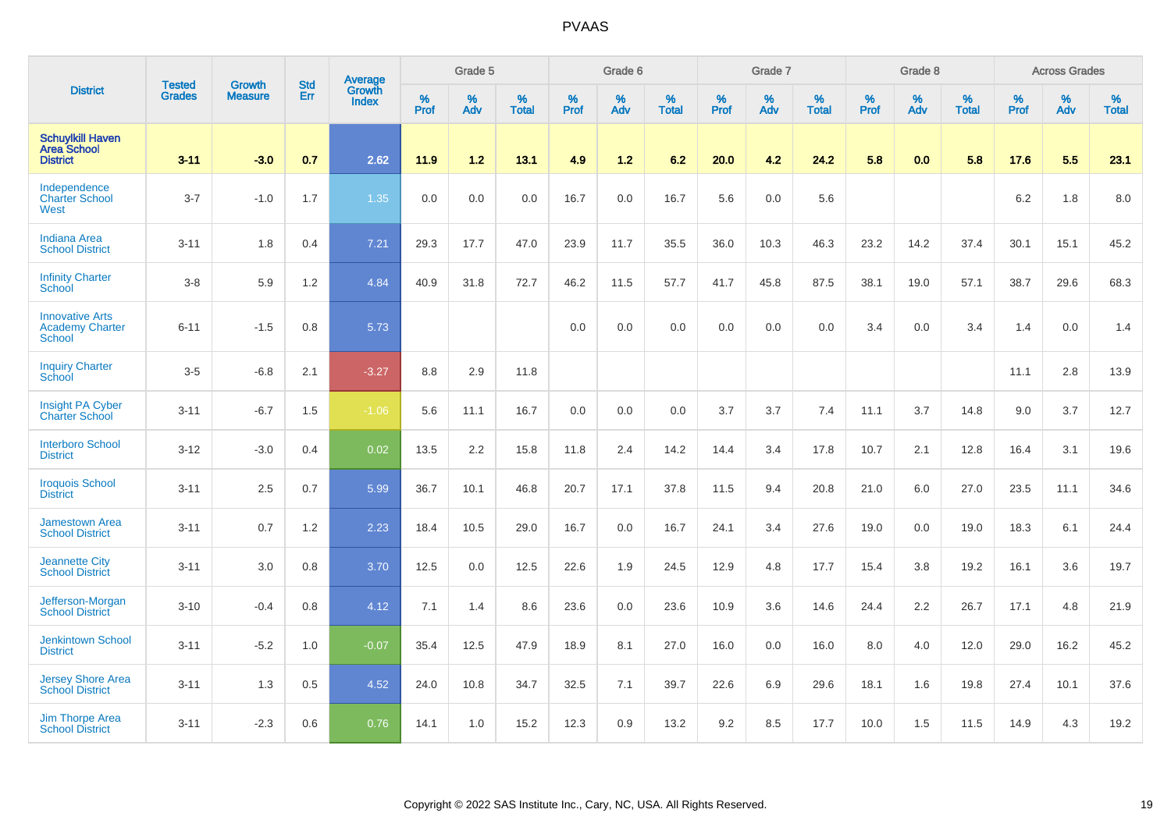|                                                                   |                                |                                 | <b>Std</b> | Average         |              | Grade 5  |                   |           | Grade 6  |                   |           | Grade 7  |                   |           | Grade 8  |                   |           | <b>Across Grades</b> |                   |
|-------------------------------------------------------------------|--------------------------------|---------------------------------|------------|-----------------|--------------|----------|-------------------|-----------|----------|-------------------|-----------|----------|-------------------|-----------|----------|-------------------|-----------|----------------------|-------------------|
| <b>District</b>                                                   | <b>Tested</b><br><b>Grades</b> | <b>Growth</b><br><b>Measure</b> | Err        | Growth<br>Index | $\%$<br>Prof | %<br>Adv | %<br><b>Total</b> | %<br>Prof | %<br>Adv | %<br><b>Total</b> | %<br>Prof | %<br>Adv | %<br><b>Total</b> | %<br>Prof | %<br>Adv | %<br><b>Total</b> | %<br>Prof | %<br>Adv             | %<br><b>Total</b> |
| <b>Schuylkill Haven</b><br><b>Area School</b><br><b>District</b>  | $3 - 11$                       | $-3.0$                          | 0.7        | 2.62            | 11.9         | 1.2      | 13.1              | 4.9       | $1.2$    | 6.2               | 20.0      | 4.2      | 24.2              | 5.8       | 0.0      | 5.8               | 17.6      | 5.5                  | 23.1              |
| Independence<br><b>Charter School</b><br>West                     | $3 - 7$                        | $-1.0$                          | 1.7        | 1.35            | 0.0          | 0.0      | 0.0               | 16.7      | 0.0      | 16.7              | 5.6       | 0.0      | 5.6               |           |          |                   | 6.2       | 1.8                  | 8.0               |
| <b>Indiana Area</b><br><b>School District</b>                     | $3 - 11$                       | 1.8                             | 0.4        | 7.21            | 29.3         | 17.7     | 47.0              | 23.9      | 11.7     | 35.5              | 36.0      | 10.3     | 46.3              | 23.2      | 14.2     | 37.4              | 30.1      | 15.1                 | 45.2              |
| <b>Infinity Charter</b><br>School                                 | $3-8$                          | 5.9                             | 1.2        | 4.84            | 40.9         | 31.8     | 72.7              | 46.2      | 11.5     | 57.7              | 41.7      | 45.8     | 87.5              | 38.1      | 19.0     | 57.1              | 38.7      | 29.6                 | 68.3              |
| <b>Innovative Arts</b><br><b>Academy Charter</b><br><b>School</b> | $6 - 11$                       | $-1.5$                          | 0.8        | 5.73            |              |          |                   | 0.0       | 0.0      | 0.0               | 0.0       | 0.0      | 0.0               | 3.4       | 0.0      | 3.4               | 1.4       | 0.0                  | 1.4               |
| <b>Inquiry Charter</b><br>School                                  | $3-5$                          | $-6.8$                          | 2.1        | $-3.27$         | 8.8          | 2.9      | 11.8              |           |          |                   |           |          |                   |           |          |                   | 11.1      | 2.8                  | 13.9              |
| Insight PA Cyber<br><b>Charter School</b>                         | $3 - 11$                       | $-6.7$                          | 1.5        | $-1.06$         | 5.6          | 11.1     | 16.7              | 0.0       | 0.0      | 0.0               | 3.7       | 3.7      | 7.4               | 11.1      | 3.7      | 14.8              | 9.0       | 3.7                  | 12.7              |
| <b>Interboro School</b><br><b>District</b>                        | $3 - 12$                       | $-3.0$                          | 0.4        | 0.02            | 13.5         | 2.2      | 15.8              | 11.8      | 2.4      | 14.2              | 14.4      | 3.4      | 17.8              | 10.7      | 2.1      | 12.8              | 16.4      | 3.1                  | 19.6              |
| <b>Iroquois School</b><br><b>District</b>                         | $3 - 11$                       | 2.5                             | 0.7        | 5.99            | 36.7         | 10.1     | 46.8              | 20.7      | 17.1     | 37.8              | 11.5      | 9.4      | 20.8              | 21.0      | 6.0      | 27.0              | 23.5      | 11.1                 | 34.6              |
| <b>Jamestown Area</b><br><b>School District</b>                   | $3 - 11$                       | 0.7                             | 1.2        | 2.23            | 18.4         | 10.5     | 29.0              | 16.7      | 0.0      | 16.7              | 24.1      | 3.4      | 27.6              | 19.0      | 0.0      | 19.0              | 18.3      | 6.1                  | 24.4              |
| <b>Jeannette City</b><br><b>School District</b>                   | $3 - 11$                       | 3.0                             | 0.8        | 3.70            | 12.5         | 0.0      | 12.5              | 22.6      | 1.9      | 24.5              | 12.9      | 4.8      | 17.7              | 15.4      | 3.8      | 19.2              | 16.1      | 3.6                  | 19.7              |
| Jefferson-Morgan<br><b>School District</b>                        | $3 - 10$                       | $-0.4$                          | 0.8        | 4.12            | 7.1          | 1.4      | 8.6               | 23.6      | 0.0      | 23.6              | 10.9      | 3.6      | 14.6              | 24.4      | 2.2      | 26.7              | 17.1      | 4.8                  | 21.9              |
| <b>Jenkintown School</b><br><b>District</b>                       | $3 - 11$                       | $-5.2$                          | 1.0        | $-0.07$         | 35.4         | 12.5     | 47.9              | 18.9      | 8.1      | 27.0              | 16.0      | 0.0      | 16.0              | 8.0       | 4.0      | 12.0              | 29.0      | 16.2                 | 45.2              |
| Jersey Shore Area<br><b>School District</b>                       | $3 - 11$                       | 1.3                             | 0.5        | 4.52            | 24.0         | 10.8     | 34.7              | 32.5      | 7.1      | 39.7              | 22.6      | 6.9      | 29.6              | 18.1      | 1.6      | 19.8              | 27.4      | 10.1                 | 37.6              |
| <b>Jim Thorpe Area</b><br><b>School District</b>                  | $3 - 11$                       | $-2.3$                          | 0.6        | 0.76            | 14.1         | 1.0      | 15.2              | 12.3      | 0.9      | 13.2              | 9.2       | 8.5      | 17.7              | 10.0      | 1.5      | 11.5              | 14.9      | 4.3                  | 19.2              |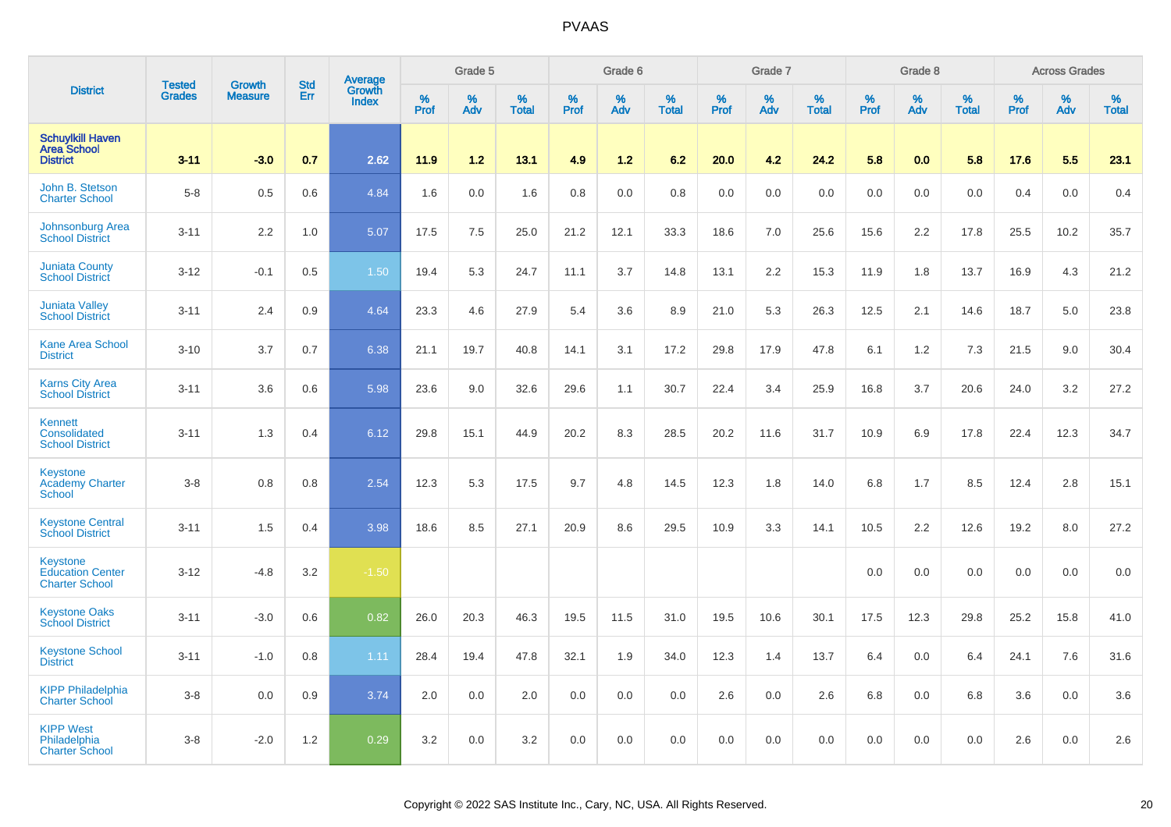|                                                                  |                                |                                 | <b>Std</b> | Average                |                  | Grade 5  |                   |           | Grade 6  |                   |           | Grade 7  |                   |                  | Grade 8  |                   |                  | <b>Across Grades</b> |                   |
|------------------------------------------------------------------|--------------------------------|---------------------------------|------------|------------------------|------------------|----------|-------------------|-----------|----------|-------------------|-----------|----------|-------------------|------------------|----------|-------------------|------------------|----------------------|-------------------|
| <b>District</b>                                                  | <b>Tested</b><br><b>Grades</b> | <b>Growth</b><br><b>Measure</b> | Err        | Growth<br><b>Index</b> | %<br><b>Prof</b> | %<br>Adv | %<br><b>Total</b> | %<br>Prof | %<br>Adv | %<br><b>Total</b> | %<br>Prof | %<br>Adv | %<br><b>Total</b> | %<br><b>Prof</b> | %<br>Adv | %<br><b>Total</b> | %<br><b>Prof</b> | %<br>Adv             | %<br><b>Total</b> |
| <b>Schuylkill Haven</b><br><b>Area School</b><br><b>District</b> | $3 - 11$                       | $-3.0$                          | 0.7        | 2.62                   | 11.9             | 1.2      | 13.1              | 4.9       | $1.2$    | 6.2               | 20.0      | 4.2      | 24.2              | 5.8              | 0.0      | 5.8               | 17.6             | 5.5                  | 23.1              |
| John B. Stetson<br><b>Charter School</b>                         | $5-8$                          | 0.5                             | 0.6        | 4.84                   | 1.6              | 0.0      | 1.6               | 0.8       | 0.0      | 0.8               | 0.0       | 0.0      | 0.0               | 0.0              | 0.0      | 0.0               | 0.4              | 0.0                  | 0.4               |
| Johnsonburg Area<br><b>School District</b>                       | $3 - 11$                       | 2.2                             | 1.0        | 5.07                   | 17.5             | 7.5      | 25.0              | 21.2      | 12.1     | 33.3              | 18.6      | 7.0      | 25.6              | 15.6             | 2.2      | 17.8              | 25.5             | 10.2                 | 35.7              |
| <b>Juniata County</b><br><b>School District</b>                  | $3-12$                         | $-0.1$                          | 0.5        | 1.50                   | 19.4             | 5.3      | 24.7              | 11.1      | 3.7      | 14.8              | 13.1      | 2.2      | 15.3              | 11.9             | 1.8      | 13.7              | 16.9             | 4.3                  | 21.2              |
| <b>Juniata Valley</b><br><b>School District</b>                  | $3 - 11$                       | 2.4                             | 0.9        | 4.64                   | 23.3             | 4.6      | 27.9              | 5.4       | 3.6      | 8.9               | 21.0      | 5.3      | 26.3              | 12.5             | 2.1      | 14.6              | 18.7             | 5.0                  | 23.8              |
| <b>Kane Area School</b><br><b>District</b>                       | $3 - 10$                       | 3.7                             | 0.7        | 6.38                   | 21.1             | 19.7     | 40.8              | 14.1      | 3.1      | 17.2              | 29.8      | 17.9     | 47.8              | 6.1              | 1.2      | 7.3               | 21.5             | 9.0                  | 30.4              |
| <b>Karns City Area</b><br><b>School District</b>                 | $3 - 11$                       | 3.6                             | 0.6        | 5.98                   | 23.6             | 9.0      | 32.6              | 29.6      | 1.1      | 30.7              | 22.4      | 3.4      | 25.9              | 16.8             | 3.7      | 20.6              | 24.0             | 3.2                  | 27.2              |
| Kennett<br>Consolidated<br><b>School District</b>                | $3 - 11$                       | 1.3                             | 0.4        | 6.12                   | 29.8             | 15.1     | 44.9              | 20.2      | 8.3      | 28.5              | 20.2      | 11.6     | 31.7              | 10.9             | 6.9      | 17.8              | 22.4             | 12.3                 | 34.7              |
| Keystone<br><b>Academy Charter</b><br><b>School</b>              | $3-8$                          | 0.8                             | 0.8        | 2.54                   | 12.3             | 5.3      | 17.5              | 9.7       | 4.8      | 14.5              | 12.3      | 1.8      | 14.0              | 6.8              | 1.7      | 8.5               | 12.4             | 2.8                  | 15.1              |
| <b>Keystone Central</b><br><b>School District</b>                | $3 - 11$                       | 1.5                             | 0.4        | 3.98                   | 18.6             | 8.5      | 27.1              | 20.9      | 8.6      | 29.5              | 10.9      | 3.3      | 14.1              | 10.5             | 2.2      | 12.6              | 19.2             | 8.0                  | 27.2              |
| Keystone<br><b>Education Center</b><br><b>Charter School</b>     | $3 - 12$                       | $-4.8$                          | 3.2        | $-1.50$                |                  |          |                   |           |          |                   |           |          |                   | 0.0              | 0.0      | 0.0               | 0.0              | 0.0                  | 0.0               |
| <b>Keystone Oaks</b><br><b>School District</b>                   | $3 - 11$                       | $-3.0$                          | 0.6        | 0.82                   | 26.0             | 20.3     | 46.3              | 19.5      | 11.5     | 31.0              | 19.5      | 10.6     | 30.1              | 17.5             | 12.3     | 29.8              | 25.2             | 15.8                 | 41.0              |
| <b>Keystone School</b><br><b>District</b>                        | $3 - 11$                       | $-1.0$                          | 0.8        | 1.11                   | 28.4             | 19.4     | 47.8              | 32.1      | 1.9      | 34.0              | 12.3      | 1.4      | 13.7              | 6.4              | 0.0      | 6.4               | 24.1             | 7.6                  | 31.6              |
| <b>KIPP Philadelphia</b><br><b>Charter School</b>                | $3-8$                          | 0.0                             | 0.9        | 3.74                   | 2.0              | 0.0      | 2.0               | 0.0       | 0.0      | 0.0               | 2.6       | 0.0      | 2.6               | 6.8              | 0.0      | 6.8               | 3.6              | 0.0                  | 3.6               |
| <b>KIPP West</b><br>Philadelphia<br><b>Charter School</b>        | $3 - 8$                        | $-2.0$                          | 1.2        | 0.29                   | 3.2              | 0.0      | 3.2               | 0.0       | 0.0      | 0.0               | 0.0       | 0.0      | 0.0               | 0.0              | 0.0      | 0.0               | 2.6              | 0.0                  | 2.6               |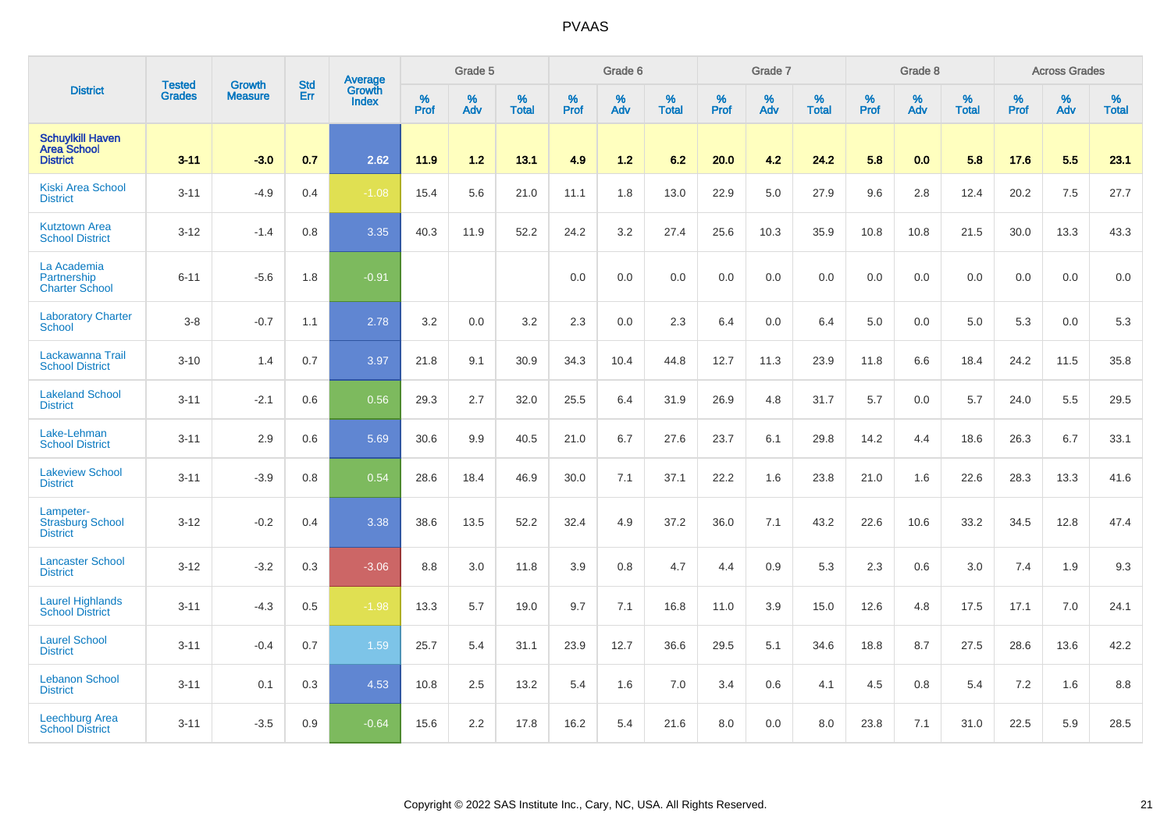|                                                                  | <b>Tested</b> | <b>Growth</b>  | <b>Std</b> | Average                       |              | Grade 5  |                   |           | Grade 6  |                   |           | Grade 7  |                   |           | Grade 8  |                   |           | <b>Across Grades</b> |                   |
|------------------------------------------------------------------|---------------|----------------|------------|-------------------------------|--------------|----------|-------------------|-----------|----------|-------------------|-----------|----------|-------------------|-----------|----------|-------------------|-----------|----------------------|-------------------|
| <b>District</b>                                                  | <b>Grades</b> | <b>Measure</b> | Err        | <b>Growth</b><br><b>Index</b> | $\%$<br>Prof | %<br>Adv | %<br><b>Total</b> | %<br>Prof | %<br>Adv | %<br><b>Total</b> | %<br>Prof | %<br>Adv | %<br><b>Total</b> | %<br>Prof | %<br>Adv | %<br><b>Total</b> | %<br>Prof | %<br>Adv             | %<br><b>Total</b> |
| <b>Schuylkill Haven</b><br><b>Area School</b><br><b>District</b> | $3 - 11$      | $-3.0$         | 0.7        | 2.62                          | 11.9         | 1.2      | 13.1              | 4.9       | 1.2      | 6.2               | 20.0      | 4.2      | 24.2              | 5.8       | 0.0      | 5.8               | 17.6      | 5.5                  | 23.1              |
| <b>Kiski Area School</b><br><b>District</b>                      | $3 - 11$      | $-4.9$         | 0.4        | $-1.08$                       | 15.4         | 5.6      | 21.0              | 11.1      | 1.8      | 13.0              | 22.9      | 5.0      | 27.9              | 9.6       | 2.8      | 12.4              | 20.2      | 7.5                  | 27.7              |
| <b>Kutztown Area</b><br><b>School District</b>                   | $3 - 12$      | $-1.4$         | 0.8        | 3.35                          | 40.3         | 11.9     | 52.2              | 24.2      | 3.2      | 27.4              | 25.6      | 10.3     | 35.9              | 10.8      | 10.8     | 21.5              | 30.0      | 13.3                 | 43.3              |
| La Academia<br>Partnership<br><b>Charter School</b>              | $6 - 11$      | $-5.6$         | 1.8        | $-0.91$                       |              |          |                   | 0.0       | 0.0      | 0.0               | 0.0       | 0.0      | 0.0               | 0.0       | 0.0      | 0.0               | 0.0       | 0.0                  | $0.0\,$           |
| <b>Laboratory Charter</b><br><b>School</b>                       | $3-8$         | $-0.7$         | 1.1        | 2.78                          | 3.2          | 0.0      | 3.2               | 2.3       | 0.0      | 2.3               | 6.4       | 0.0      | 6.4               | 5.0       | 0.0      | 5.0               | 5.3       | 0.0                  | 5.3               |
| Lackawanna Trail<br><b>School District</b>                       | $3 - 10$      | 1.4            | 0.7        | 3.97                          | 21.8         | 9.1      | 30.9              | 34.3      | 10.4     | 44.8              | 12.7      | 11.3     | 23.9              | 11.8      | 6.6      | 18.4              | 24.2      | 11.5                 | 35.8              |
| <b>Lakeland School</b><br><b>District</b>                        | $3 - 11$      | $-2.1$         | 0.6        | 0.56                          | 29.3         | 2.7      | 32.0              | 25.5      | 6.4      | 31.9              | 26.9      | 4.8      | 31.7              | 5.7       | 0.0      | 5.7               | 24.0      | 5.5                  | 29.5              |
| Lake-Lehman<br><b>School District</b>                            | $3 - 11$      | 2.9            | 0.6        | 5.69                          | 30.6         | 9.9      | 40.5              | 21.0      | 6.7      | 27.6              | 23.7      | 6.1      | 29.8              | 14.2      | 4.4      | 18.6              | 26.3      | 6.7                  | 33.1              |
| <b>Lakeview School</b><br><b>District</b>                        | $3 - 11$      | $-3.9$         | 0.8        | 0.54                          | 28.6         | 18.4     | 46.9              | 30.0      | 7.1      | 37.1              | 22.2      | 1.6      | 23.8              | 21.0      | 1.6      | 22.6              | 28.3      | 13.3                 | 41.6              |
| Lampeter-<br><b>Strasburg School</b><br><b>District</b>          | $3 - 12$      | $-0.2$         | 0.4        | 3.38                          | 38.6         | 13.5     | 52.2              | 32.4      | 4.9      | 37.2              | 36.0      | 7.1      | 43.2              | 22.6      | 10.6     | 33.2              | 34.5      | 12.8                 | 47.4              |
| <b>Lancaster School</b><br><b>District</b>                       | $3 - 12$      | $-3.2$         | 0.3        | $-3.06$                       | 8.8          | 3.0      | 11.8              | 3.9       | 0.8      | 4.7               | 4.4       | 0.9      | 5.3               | 2.3       | 0.6      | 3.0               | 7.4       | 1.9                  | 9.3               |
| <b>Laurel Highlands</b><br><b>School District</b>                | $3 - 11$      | $-4.3$         | 0.5        | $-1.98$                       | 13.3         | 5.7      | 19.0              | 9.7       | 7.1      | 16.8              | 11.0      | 3.9      | 15.0              | 12.6      | 4.8      | 17.5              | 17.1      | 7.0                  | 24.1              |
| <b>Laurel School</b><br><b>District</b>                          | $3 - 11$      | $-0.4$         | 0.7        | 1.59                          | 25.7         | 5.4      | 31.1              | 23.9      | 12.7     | 36.6              | 29.5      | 5.1      | 34.6              | 18.8      | 8.7      | 27.5              | 28.6      | 13.6                 | 42.2              |
| <b>Lebanon School</b><br><b>District</b>                         | $3 - 11$      | 0.1            | 0.3        | 4.53                          | 10.8         | 2.5      | 13.2              | 5.4       | 1.6      | 7.0               | 3.4       | 0.6      | 4.1               | 4.5       | 0.8      | 5.4               | 7.2       | 1.6                  | 8.8               |
| Leechburg Area<br><b>School District</b>                         | $3 - 11$      | $-3.5$         | 0.9        | $-0.64$                       | 15.6         | 2.2      | 17.8              | 16.2      | 5.4      | 21.6              | 8.0       | 0.0      | 8.0               | 23.8      | 7.1      | 31.0              | 22.5      | 5.9                  | 28.5              |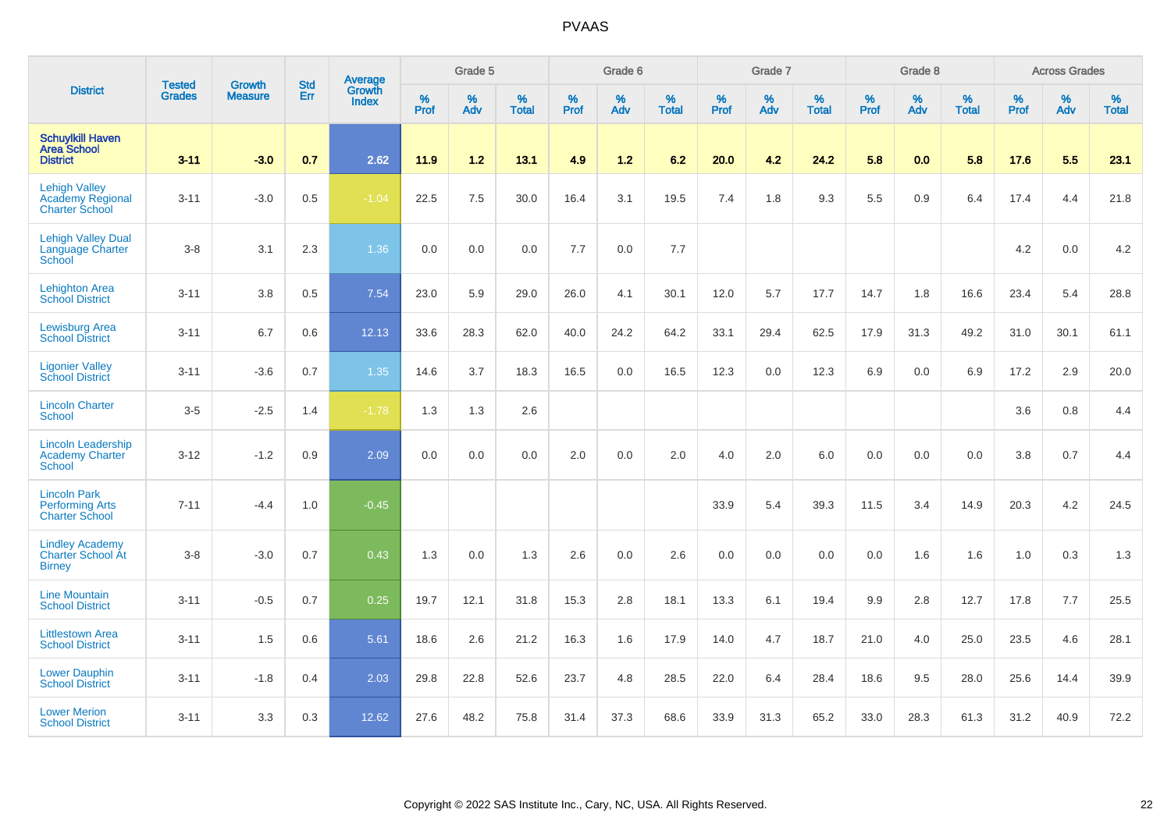|                                                                          |                                |                                 | <b>Std</b> | Average                |           | Grade 5  |                   |           | Grade 6  |                   |           | Grade 7  |                   |           | Grade 8  |                   |           | <b>Across Grades</b> |                   |
|--------------------------------------------------------------------------|--------------------------------|---------------------------------|------------|------------------------|-----------|----------|-------------------|-----------|----------|-------------------|-----------|----------|-------------------|-----------|----------|-------------------|-----------|----------------------|-------------------|
| <b>District</b>                                                          | <b>Tested</b><br><b>Grades</b> | <b>Growth</b><br><b>Measure</b> | Err        | Growth<br><b>Index</b> | %<br>Prof | %<br>Adv | %<br><b>Total</b> | %<br>Prof | %<br>Adv | %<br><b>Total</b> | %<br>Prof | %<br>Adv | %<br><b>Total</b> | %<br>Prof | %<br>Adv | %<br><b>Total</b> | %<br>Prof | %<br>Adv             | %<br><b>Total</b> |
| <b>Schuylkill Haven</b><br><b>Area School</b><br><b>District</b>         | $3 - 11$                       | $-3.0$                          | 0.7        | 2.62                   | 11.9      | 1.2      | 13.1              | 4.9       | $1.2$    | 6.2               | 20.0      | 4.2      | 24.2              | 5.8       | 0.0      | 5.8               | 17.6      | 5.5                  | 23.1              |
| <b>Lehigh Valley</b><br><b>Academy Regional</b><br><b>Charter School</b> | $3 - 11$                       | $-3.0$                          | 0.5        | $-1.04$                | 22.5      | 7.5      | 30.0              | 16.4      | 3.1      | 19.5              | 7.4       | 1.8      | 9.3               | 5.5       | 0.9      | 6.4               | 17.4      | 4.4                  | 21.8              |
| <b>Lehigh Valley Dual</b><br>Language Charter<br>School                  | $3-8$                          | 3.1                             | 2.3        | 1.36                   | 0.0       | 0.0      | 0.0               | 7.7       | 0.0      | 7.7               |           |          |                   |           |          |                   | 4.2       | 0.0                  | 4.2               |
| <b>Lehighton Area</b><br><b>School District</b>                          | $3 - 11$                       | 3.8                             | 0.5        | 7.54                   | 23.0      | 5.9      | 29.0              | 26.0      | 4.1      | 30.1              | 12.0      | 5.7      | 17.7              | 14.7      | 1.8      | 16.6              | 23.4      | 5.4                  | 28.8              |
| <b>Lewisburg Area</b><br><b>School District</b>                          | $3 - 11$                       | 6.7                             | 0.6        | 12.13                  | 33.6      | 28.3     | 62.0              | 40.0      | 24.2     | 64.2              | 33.1      | 29.4     | 62.5              | 17.9      | 31.3     | 49.2              | 31.0      | 30.1                 | 61.1              |
| <b>Ligonier Valley</b><br><b>School District</b>                         | $3 - 11$                       | $-3.6$                          | 0.7        | 1.35                   | 14.6      | 3.7      | 18.3              | 16.5      | 0.0      | 16.5              | 12.3      | 0.0      | 12.3              | 6.9       | 0.0      | 6.9               | 17.2      | 2.9                  | 20.0              |
| <b>Lincoln Charter</b><br><b>School</b>                                  | $3-5$                          | $-2.5$                          | 1.4        | $-1.78$                | 1.3       | 1.3      | 2.6               |           |          |                   |           |          |                   |           |          |                   | 3.6       | 0.8                  | 4.4               |
| <b>Lincoln Leadership</b><br><b>Academy Charter</b><br><b>School</b>     | $3 - 12$                       | $-1.2$                          | 0.9        | 2.09                   | 0.0       | 0.0      | 0.0               | 2.0       | 0.0      | 2.0               | 4.0       | 2.0      | 6.0               | 0.0       | 0.0      | 0.0               | 3.8       | 0.7                  | 4.4               |
| <b>Lincoln Park</b><br><b>Performing Arts</b><br><b>Charter School</b>   | $7 - 11$                       | $-4.4$                          | 1.0        | $-0.45$                |           |          |                   |           |          |                   | 33.9      | 5.4      | 39.3              | 11.5      | 3.4      | 14.9              | 20.3      | 4.2                  | 24.5              |
| <b>Lindley Academy</b><br>Charter School At<br><b>Birney</b>             | $3-8$                          | $-3.0$                          | 0.7        | 0.43                   | 1.3       | 0.0      | 1.3               | 2.6       | 0.0      | 2.6               | 0.0       | 0.0      | 0.0               | 0.0       | 1.6      | 1.6               | 1.0       | 0.3                  | 1.3               |
| <b>Line Mountain</b><br><b>School District</b>                           | $3 - 11$                       | $-0.5$                          | 0.7        | 0.25                   | 19.7      | 12.1     | 31.8              | 15.3      | 2.8      | 18.1              | 13.3      | 6.1      | 19.4              | 9.9       | 2.8      | 12.7              | 17.8      | 7.7                  | 25.5              |
| <b>Littlestown Area</b><br><b>School District</b>                        | $3 - 11$                       | 1.5                             | 0.6        | 5.61                   | 18.6      | 2.6      | 21.2              | 16.3      | 1.6      | 17.9              | 14.0      | 4.7      | 18.7              | 21.0      | 4.0      | 25.0              | 23.5      | 4.6                  | 28.1              |
| <b>Lower Dauphin</b><br><b>School District</b>                           | $3 - 11$                       | $-1.8$                          | 0.4        | 2.03                   | 29.8      | 22.8     | 52.6              | 23.7      | 4.8      | 28.5              | 22.0      | 6.4      | 28.4              | 18.6      | 9.5      | 28.0              | 25.6      | 14.4                 | 39.9              |
| <b>Lower Merion</b><br><b>School District</b>                            | $3 - 11$                       | 3.3                             | 0.3        | 12.62                  | 27.6      | 48.2     | 75.8              | 31.4      | 37.3     | 68.6              | 33.9      | 31.3     | 65.2              | 33.0      | 28.3     | 61.3              | 31.2      | 40.9                 | 72.2              |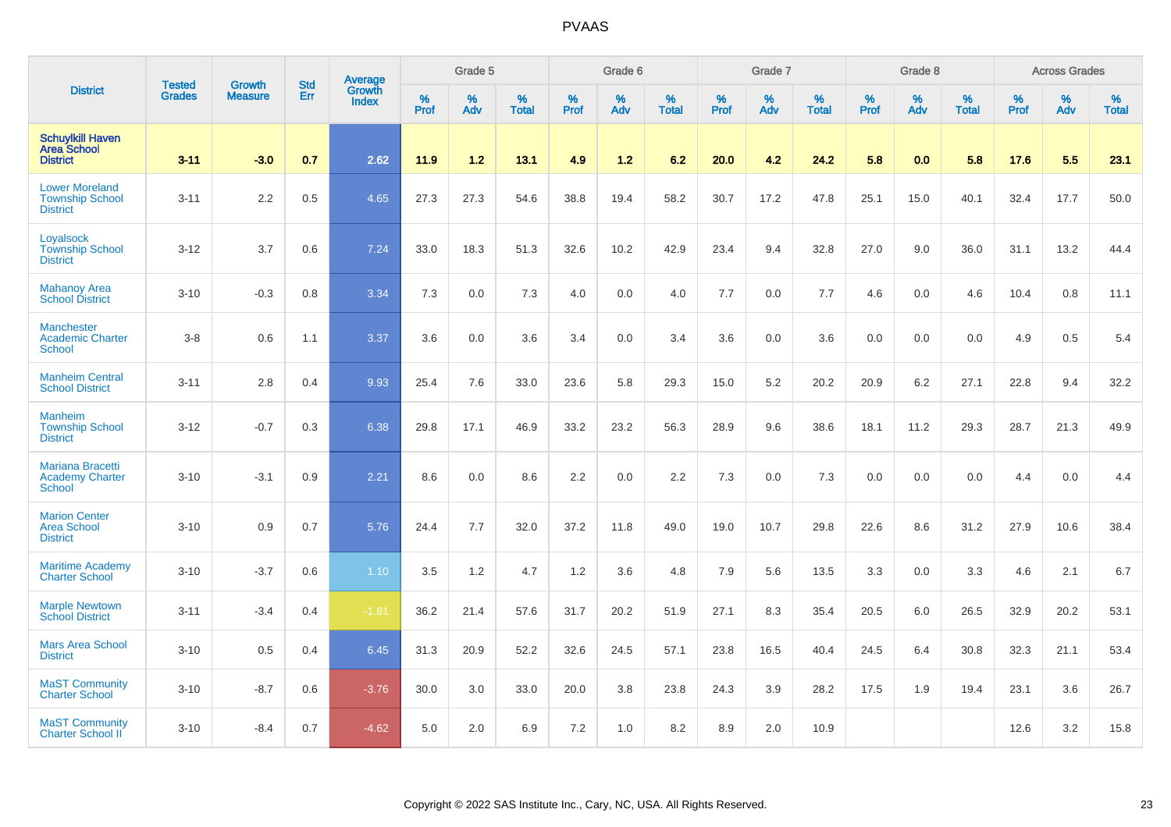|                                                                    |                                |                                 | <b>Std</b> | Average         |           | Grade 5  |                      |           | Grade 6  |                   |           | Grade 7  |                   |           | Grade 8  |                   |                  | <b>Across Grades</b> |                   |
|--------------------------------------------------------------------|--------------------------------|---------------------------------|------------|-----------------|-----------|----------|----------------------|-----------|----------|-------------------|-----------|----------|-------------------|-----------|----------|-------------------|------------------|----------------------|-------------------|
| <b>District</b>                                                    | <b>Tested</b><br><b>Grades</b> | <b>Growth</b><br><b>Measure</b> | Err        | Growth<br>Index | %<br>Prof | %<br>Adv | $\%$<br><b>Total</b> | %<br>Prof | %<br>Adv | %<br><b>Total</b> | %<br>Prof | %<br>Adv | %<br><b>Total</b> | %<br>Prof | %<br>Adv | %<br><b>Total</b> | %<br><b>Prof</b> | %<br>Adv             | %<br><b>Total</b> |
| <b>Schuylkill Haven</b><br><b>Area School</b><br><b>District</b>   | $3 - 11$                       | $-3.0$                          | 0.7        | 2.62            | 11.9      | 1.2      | 13.1                 | 4.9       | 1.2      | 6.2               | 20.0      | 4.2      | 24.2              | 5.8       | 0.0      | 5.8               | 17.6             | 5.5                  | 23.1              |
| <b>Lower Moreland</b><br><b>Township School</b><br><b>District</b> | $3 - 11$                       | 2.2                             | 0.5        | 4.65            | 27.3      | 27.3     | 54.6                 | 38.8      | 19.4     | 58.2              | 30.7      | 17.2     | 47.8              | 25.1      | 15.0     | 40.1              | 32.4             | 17.7                 | 50.0              |
| Loyalsock<br><b>Township School</b><br><b>District</b>             | $3 - 12$                       | 3.7                             | 0.6        | 7.24            | 33.0      | 18.3     | 51.3                 | 32.6      | 10.2     | 42.9              | 23.4      | 9.4      | 32.8              | 27.0      | 9.0      | 36.0              | 31.1             | 13.2                 | 44.4              |
| <b>Mahanoy Area</b><br><b>School District</b>                      | $3 - 10$                       | $-0.3$                          | 0.8        | 3.34            | 7.3       | 0.0      | 7.3                  | 4.0       | 0.0      | 4.0               | 7.7       | 0.0      | 7.7               | 4.6       | 0.0      | 4.6               | 10.4             | 0.8                  | 11.1              |
| <b>Manchester</b><br><b>Academic Charter</b><br><b>School</b>      | $3-8$                          | 0.6                             | 1.1        | 3.37            | 3.6       | 0.0      | 3.6                  | 3.4       | 0.0      | 3.4               | 3.6       | 0.0      | 3.6               | 0.0       | 0.0      | 0.0               | 4.9              | 0.5                  | 5.4               |
| <b>Manheim Central</b><br><b>School District</b>                   | $3 - 11$                       | 2.8                             | 0.4        | 9.93            | 25.4      | 7.6      | 33.0                 | 23.6      | 5.8      | 29.3              | 15.0      | 5.2      | 20.2              | 20.9      | 6.2      | 27.1              | 22.8             | 9.4                  | 32.2              |
| <b>Manheim</b><br><b>Township School</b><br><b>District</b>        | $3 - 12$                       | $-0.7$                          | 0.3        | 6.38            | 29.8      | 17.1     | 46.9                 | 33.2      | 23.2     | 56.3              | 28.9      | 9.6      | 38.6              | 18.1      | 11.2     | 29.3              | 28.7             | 21.3                 | 49.9              |
| Mariana Bracetti<br><b>Academy Charter</b><br><b>School</b>        | $3 - 10$                       | $-3.1$                          | 0.9        | 2.21            | 8.6       | 0.0      | 8.6                  | 2.2       | 0.0      | 2.2               | 7.3       | 0.0      | 7.3               | 0.0       | 0.0      | 0.0               | 4.4              | 0.0                  | 4.4               |
| <b>Marion Center</b><br><b>Area School</b><br><b>District</b>      | $3 - 10$                       | 0.9                             | 0.7        | 5.76            | 24.4      | 7.7      | 32.0                 | 37.2      | 11.8     | 49.0              | 19.0      | 10.7     | 29.8              | 22.6      | 8.6      | 31.2              | 27.9             | 10.6                 | 38.4              |
| <b>Maritime Academy</b><br><b>Charter School</b>                   | $3 - 10$                       | $-3.7$                          | 0.6        | 1.10            | 3.5       | 1.2      | 4.7                  | 1.2       | 3.6      | 4.8               | 7.9       | 5.6      | 13.5              | 3.3       | 0.0      | 3.3               | 4.6              | 2.1                  | 6.7               |
| <b>Marple Newtown</b><br><b>School District</b>                    | $3 - 11$                       | $-3.4$                          | 0.4        | $-1.81$         | 36.2      | 21.4     | 57.6                 | 31.7      | 20.2     | 51.9              | 27.1      | 8.3      | 35.4              | 20.5      | 6.0      | 26.5              | 32.9             | 20.2                 | 53.1              |
| <b>Mars Area School</b><br><b>District</b>                         | $3 - 10$                       | 0.5                             | 0.4        | 6.45            | 31.3      | 20.9     | 52.2                 | 32.6      | 24.5     | 57.1              | 23.8      | 16.5     | 40.4              | 24.5      | 6.4      | 30.8              | 32.3             | 21.1                 | 53.4              |
| <b>MaST Community</b><br><b>Charter School</b>                     | $3 - 10$                       | $-8.7$                          | 0.6        | $-3.76$         | 30.0      | 3.0      | 33.0                 | 20.0      | 3.8      | 23.8              | 24.3      | 3.9      | 28.2              | 17.5      | 1.9      | 19.4              | 23.1             | 3.6                  | 26.7              |
| <b>MaST Community</b><br><b>Charter School II</b>                  | $3 - 10$                       | $-8.4$                          | 0.7        | $-4.62$         | 5.0       | 2.0      | 6.9                  | 7.2       | 1.0      | 8.2               | 8.9       | 2.0      | 10.9              |           |          |                   | 12.6             | 3.2                  | 15.8              |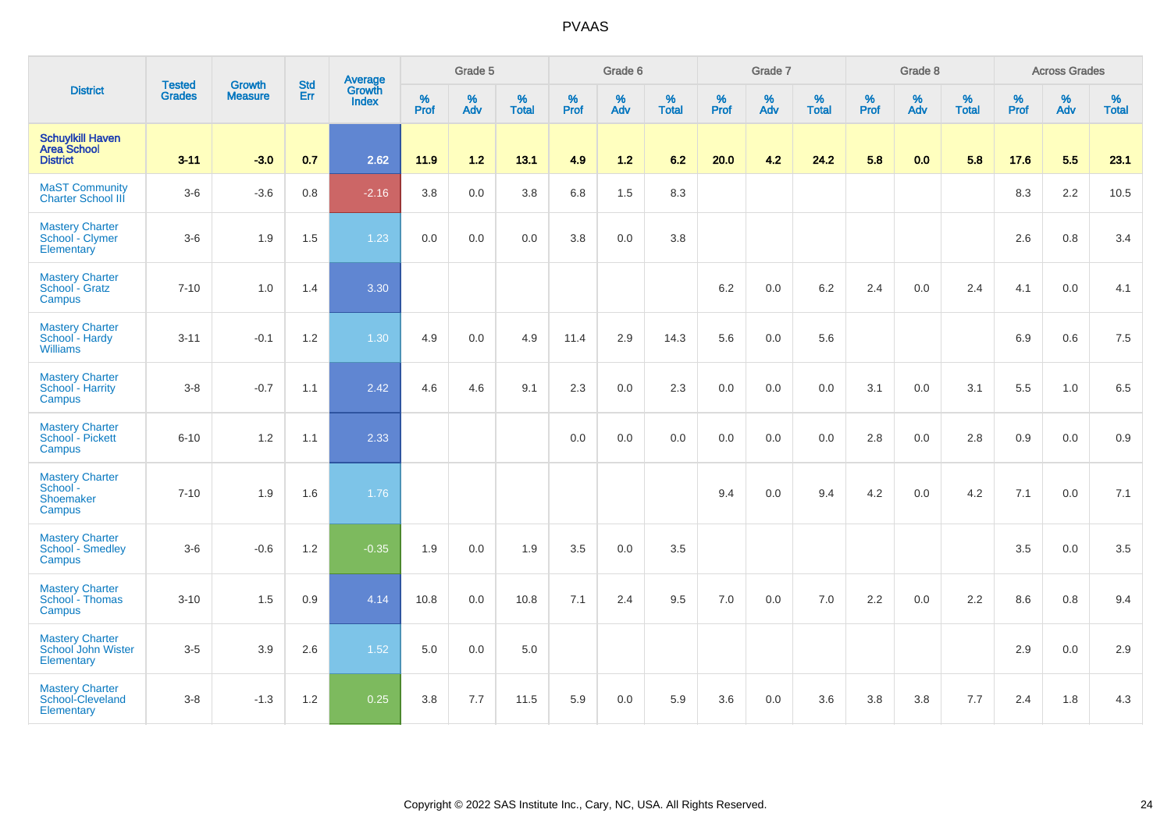|                                                                  |                                |                                 | <b>Std</b> | Average                |                     | Grade 5  |                   |              | Grade 6  |                   |              | Grade 7  |                   |              | Grade 8  |                   |           | <b>Across Grades</b> |                   |
|------------------------------------------------------------------|--------------------------------|---------------------------------|------------|------------------------|---------------------|----------|-------------------|--------------|----------|-------------------|--------------|----------|-------------------|--------------|----------|-------------------|-----------|----------------------|-------------------|
| <b>District</b>                                                  | <b>Tested</b><br><b>Grades</b> | <b>Growth</b><br><b>Measure</b> | Err        | Growth<br><b>Index</b> | $\%$<br><b>Prof</b> | %<br>Adv | %<br><b>Total</b> | $\%$<br>Prof | %<br>Adv | %<br><b>Total</b> | $\%$<br>Prof | %<br>Adv | %<br><b>Total</b> | $\%$<br>Prof | %<br>Adv | %<br><b>Total</b> | %<br>Prof | %<br>Adv             | %<br><b>Total</b> |
| <b>Schuylkill Haven</b><br><b>Area School</b><br><b>District</b> | $3 - 11$                       | $-3.0$                          | 0.7        | 2.62                   | 11.9                | 1.2      | 13.1              | 4.9          | $1.2$    | 6.2               | 20.0         | 4.2      | 24.2              | 5.8          | 0.0      | 5.8               | 17.6      | 5.5                  | 23.1              |
| <b>MaST Community</b><br><b>Charter School III</b>               | $3-6$                          | $-3.6$                          | $0.8\,$    | $-2.16$                | 3.8                 | $0.0\,$  | $3.8\,$           | $6.8\,$      | 1.5      | 8.3               |              |          |                   |              |          |                   | 8.3       | 2.2                  | 10.5              |
| <b>Mastery Charter</b><br>School - Clymer<br>Elementary          | $3-6$                          | 1.9                             | 1.5        | 1.23                   | 0.0                 | 0.0      | 0.0               | $3.8\,$      | 0.0      | 3.8               |              |          |                   |              |          |                   | 2.6       | 0.8                  | 3.4               |
| <b>Mastery Charter</b><br>School - Gratz<br>Campus               | $7 - 10$                       | 1.0                             | 1.4        | 3.30                   |                     |          |                   |              |          |                   | 6.2          | 0.0      | 6.2               | 2.4          | 0.0      | 2.4               | 4.1       | $0.0\,$              | 4.1               |
| <b>Mastery Charter</b><br>School - Hardy<br><b>Williams</b>      | $3 - 11$                       | $-0.1$                          | 1.2        | 1.30                   | 4.9                 | 0.0      | 4.9               | 11.4         | 2.9      | 14.3              | 5.6          | 0.0      | 5.6               |              |          |                   | 6.9       | 0.6                  | 7.5               |
| <b>Mastery Charter</b><br>School - Harrity<br>Campus             | $3-8$                          | $-0.7$                          | 1.1        | 2.42                   | 4.6                 | 4.6      | 9.1               | 2.3          | 0.0      | 2.3               | 0.0          | 0.0      | 0.0               | 3.1          | 0.0      | 3.1               | 5.5       | $1.0$                | 6.5               |
| <b>Mastery Charter</b><br>School - Pickett<br>Campus             | $6 - 10$                       | 1.2                             | 1.1        | 2.33                   |                     |          |                   | 0.0          | 0.0      | 0.0               | 0.0          | 0.0      | 0.0               | 2.8          | 0.0      | 2.8               | 0.9       | 0.0                  | 0.9               |
| <b>Mastery Charter</b><br>School -<br>Shoemaker<br>Campus        | $7 - 10$                       | 1.9                             | 1.6        | 1.76                   |                     |          |                   |              |          |                   | 9.4          | 0.0      | 9.4               | 4.2          | 0.0      | 4.2               | 7.1       | 0.0                  | 7.1               |
| <b>Mastery Charter</b><br>School - Smedley<br>Campus             | $3-6$                          | $-0.6$                          | 1.2        | $-0.35$                | 1.9                 | 0.0      | 1.9               | 3.5          | 0.0      | 3.5               |              |          |                   |              |          |                   | 3.5       | 0.0                  | 3.5               |
| <b>Mastery Charter</b><br>School - Thomas<br>Campus              | $3 - 10$                       | 1.5                             | 0.9        | 4.14                   | 10.8                | 0.0      | 10.8              | 7.1          | 2.4      | 9.5               | 7.0          | 0.0      | 7.0               | 2.2          | 0.0      | 2.2               | 8.6       | 0.8                  | 9.4               |
| <b>Mastery Charter</b><br>School John Wister<br>Elementary       | $3-5$                          | 3.9                             | 2.6        | 1.52                   | 5.0                 | 0.0      | 5.0               |              |          |                   |              |          |                   |              |          |                   | 2.9       | 0.0                  | 2.9               |
| <b>Mastery Charter</b><br>School-Cleveland<br>Elementary         | $3-8$                          | $-1.3$                          | 1.2        | 0.25                   | 3.8                 | 7.7      | 11.5              | 5.9          | 0.0      | 5.9               | 3.6          | 0.0      | 3.6               | 3.8          | 3.8      | 7.7               | 2.4       | 1.8                  | 4.3               |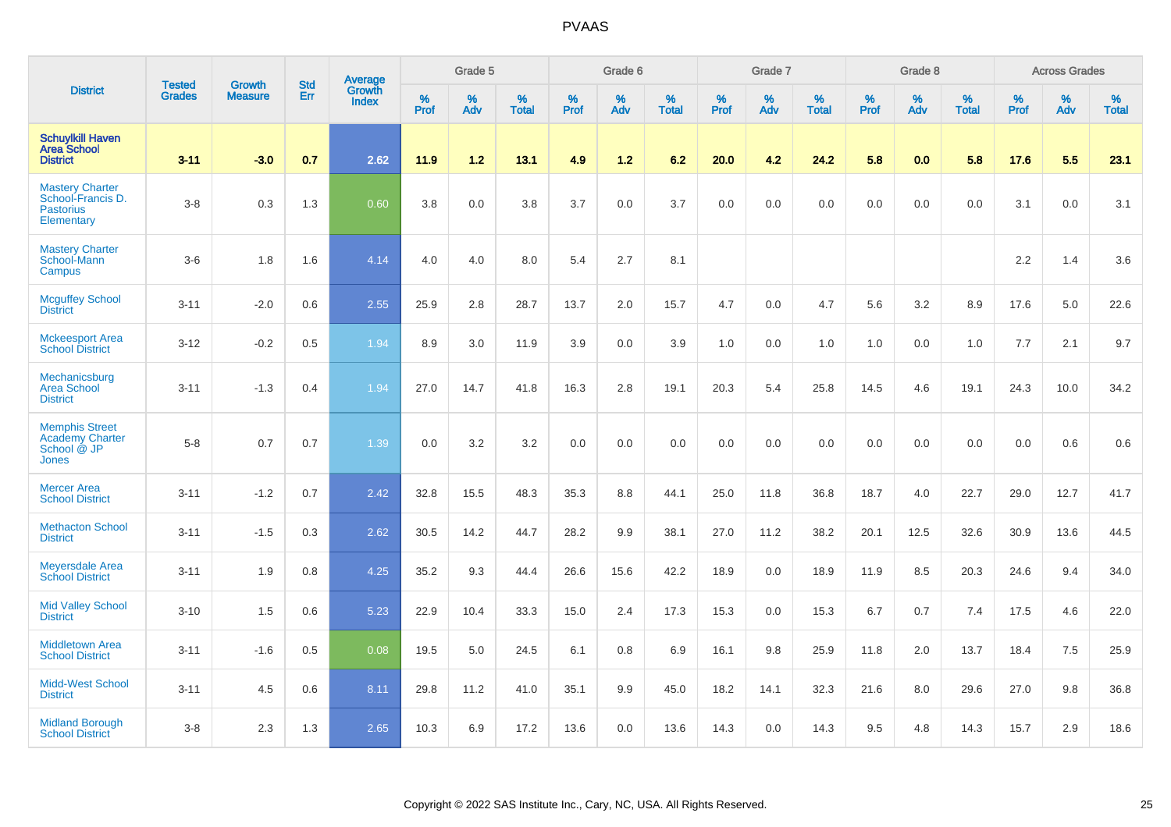|                                                                               | <b>Tested</b> | <b>Growth</b>  | <b>Std</b> |                                   |              | Grade 5  |                      |           | Grade 6  |                      |              | Grade 7  |                   |              | Grade 8  |                   |              | <b>Across Grades</b> |                      |
|-------------------------------------------------------------------------------|---------------|----------------|------------|-----------------------------------|--------------|----------|----------------------|-----------|----------|----------------------|--------------|----------|-------------------|--------------|----------|-------------------|--------------|----------------------|----------------------|
| <b>District</b>                                                               | <b>Grades</b> | <b>Measure</b> | Err        | Average<br>Growth<br><b>Index</b> | $\%$<br>Prof | %<br>Adv | $\%$<br><b>Total</b> | %<br>Prof | %<br>Adv | $\%$<br><b>Total</b> | $\%$<br>Prof | %<br>Adv | %<br><b>Total</b> | $\%$<br>Prof | %<br>Adv | %<br><b>Total</b> | $\%$<br>Prof | $\%$<br>Adv          | $\%$<br><b>Total</b> |
| <b>Schuylkill Haven</b><br><b>Area School</b><br><b>District</b>              | $3 - 11$      | $-3.0$         | 0.7        | 2.62                              | 11.9         | 1.2      | 13.1                 | 4.9       | 1.2      | 6.2                  | 20.0         | 4.2      | 24.2              | 5.8          | 0.0      | 5.8               | 17.6         | 5.5                  | 23.1                 |
| <b>Mastery Charter</b><br>School-Francis D.<br><b>Pastorius</b><br>Elementary | $3-8$         | 0.3            | 1.3        | 0.60                              | 3.8          | 0.0      | 3.8                  | 3.7       | 0.0      | 3.7                  | 0.0          | 0.0      | 0.0               | 0.0          | 0.0      | 0.0               | 3.1          | 0.0                  | 3.1                  |
| <b>Mastery Charter</b><br>School-Mann<br>Campus                               | $3-6$         | 1.8            | 1.6        | 4.14                              | 4.0          | 4.0      | 8.0                  | 5.4       | 2.7      | 8.1                  |              |          |                   |              |          |                   | 2.2          | 1.4                  | 3.6                  |
| <b>Mcguffey School</b><br><b>District</b>                                     | $3 - 11$      | $-2.0$         | 0.6        | 2.55                              | 25.9         | 2.8      | 28.7                 | 13.7      | 2.0      | 15.7                 | 4.7          | 0.0      | 4.7               | 5.6          | 3.2      | 8.9               | 17.6         | 5.0                  | 22.6                 |
| <b>Mckeesport Area</b><br><b>School District</b>                              | $3 - 12$      | $-0.2$         | 0.5        | 1.94                              | 8.9          | 3.0      | 11.9                 | 3.9       | 0.0      | 3.9                  | 1.0          | 0.0      | 1.0               | 1.0          | 0.0      | 1.0               | 7.7          | 2.1                  | 9.7                  |
| Mechanicsburg<br><b>Area School</b><br><b>District</b>                        | $3 - 11$      | $-1.3$         | 0.4        | 1.94                              | 27.0         | 14.7     | 41.8                 | 16.3      | 2.8      | 19.1                 | 20.3         | 5.4      | 25.8              | 14.5         | 4.6      | 19.1              | 24.3         | 10.0                 | 34.2                 |
| <b>Memphis Street</b><br><b>Academy Charter</b><br>School @ JP<br>Jones       | $5-8$         | 0.7            | 0.7        | 1.39                              | 0.0          | 3.2      | 3.2                  | 0.0       | 0.0      | 0.0                  | 0.0          | 0.0      | 0.0               | 0.0          | 0.0      | 0.0               | 0.0          | 0.6                  | 0.6                  |
| <b>Mercer Area</b><br><b>School District</b>                                  | $3 - 11$      | $-1.2$         | 0.7        | 2.42                              | 32.8         | 15.5     | 48.3                 | 35.3      | 8.8      | 44.1                 | 25.0         | 11.8     | 36.8              | 18.7         | 4.0      | 22.7              | 29.0         | 12.7                 | 41.7                 |
| <b>Methacton School</b><br><b>District</b>                                    | $3 - 11$      | $-1.5$         | 0.3        | 2.62                              | 30.5         | 14.2     | 44.7                 | 28.2      | 9.9      | 38.1                 | 27.0         | 11.2     | 38.2              | 20.1         | 12.5     | 32.6              | 30.9         | 13.6                 | 44.5                 |
| <b>Meyersdale Area</b><br><b>School District</b>                              | $3 - 11$      | 1.9            | 0.8        | 4.25                              | 35.2         | 9.3      | 44.4                 | 26.6      | 15.6     | 42.2                 | 18.9         | 0.0      | 18.9              | 11.9         | 8.5      | 20.3              | 24.6         | 9.4                  | 34.0                 |
| <b>Mid Valley School</b><br><b>District</b>                                   | $3 - 10$      | 1.5            | 0.6        | 5.23                              | 22.9         | 10.4     | 33.3                 | 15.0      | 2.4      | 17.3                 | 15.3         | 0.0      | 15.3              | 6.7          | 0.7      | 7.4               | 17.5         | 4.6                  | 22.0                 |
| <b>Middletown Area</b><br><b>School District</b>                              | $3 - 11$      | $-1.6$         | 0.5        | 0.08                              | 19.5         | 5.0      | 24.5                 | 6.1       | 0.8      | 6.9                  | 16.1         | 9.8      | 25.9              | 11.8         | 2.0      | 13.7              | 18.4         | 7.5                  | 25.9                 |
| <b>Midd-West School</b><br><b>District</b>                                    | $3 - 11$      | 4.5            | 0.6        | 8.11                              | 29.8         | 11.2     | 41.0                 | 35.1      | 9.9      | 45.0                 | 18.2         | 14.1     | 32.3              | 21.6         | 8.0      | 29.6              | 27.0         | 9.8                  | 36.8                 |
| <b>Midland Borough</b><br><b>School District</b>                              | $3-8$         | 2.3            | 1.3        | 2.65                              | 10.3         | 6.9      | 17.2                 | 13.6      | 0.0      | 13.6                 | 14.3         | 0.0      | 14.3              | 9.5          | 4.8      | 14.3              | 15.7         | 2.9                  | 18.6                 |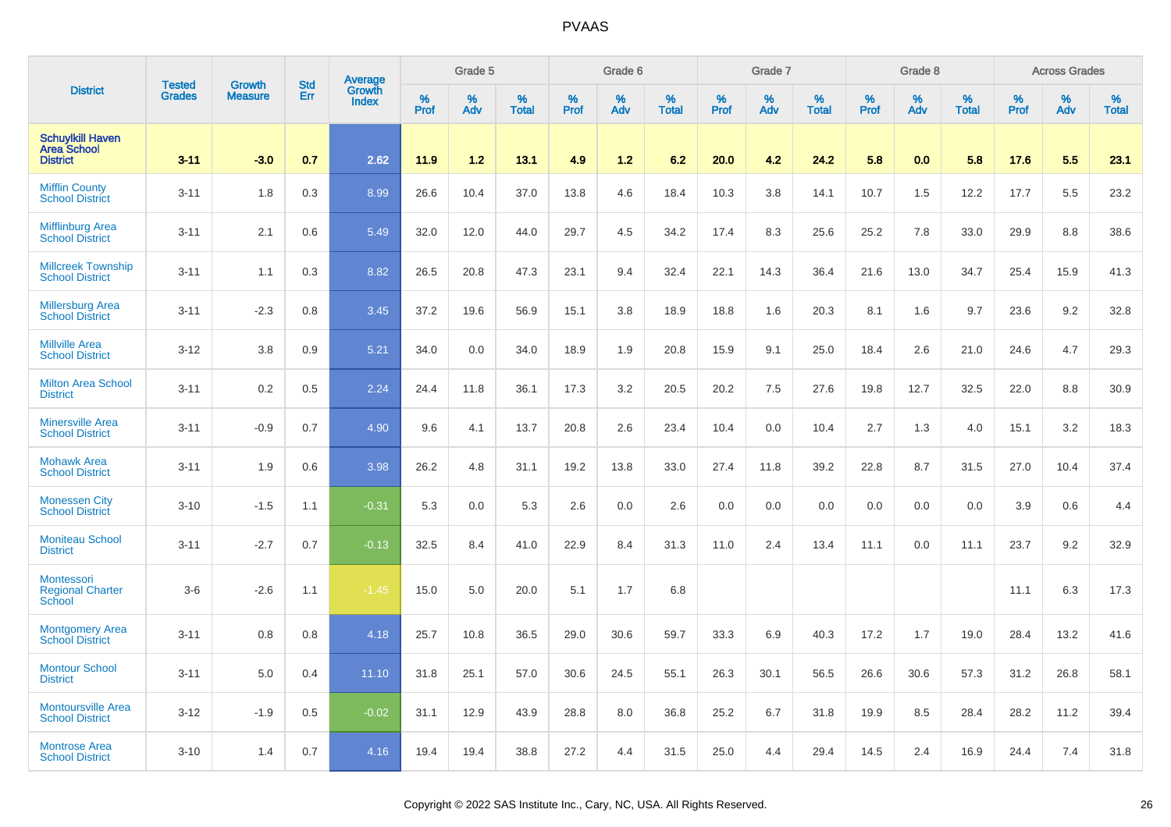|                                                                  |                                |                                 | <b>Std</b> |                                   |                     | Grade 5  |                   |              | Grade 6  |                   |              | Grade 7  |                   |           | Grade 8  |                   |                  | <b>Across Grades</b> |                   |
|------------------------------------------------------------------|--------------------------------|---------------------------------|------------|-----------------------------------|---------------------|----------|-------------------|--------------|----------|-------------------|--------------|----------|-------------------|-----------|----------|-------------------|------------------|----------------------|-------------------|
| <b>District</b>                                                  | <b>Tested</b><br><b>Grades</b> | <b>Growth</b><br><b>Measure</b> | Err        | Average<br>Growth<br><b>Index</b> | $\%$<br><b>Prof</b> | %<br>Adv | %<br><b>Total</b> | $\%$<br>Prof | %<br>Adv | %<br><b>Total</b> | $\%$<br>Prof | %<br>Adv | %<br><b>Total</b> | %<br>Prof | %<br>Adv | %<br><b>Total</b> | %<br><b>Prof</b> | %<br>Adv             | %<br><b>Total</b> |
| <b>Schuylkill Haven</b><br><b>Area School</b><br><b>District</b> | $3 - 11$                       | $-3.0$                          | 0.7        | 2.62                              | 11.9                | 1.2      | 13.1              | 4.9          | 1.2      | 6.2               | 20.0         | 4.2      | 24.2              | 5.8       | 0.0      | 5.8               | 17.6             | 5.5                  | 23.1              |
| <b>Mifflin County</b><br><b>School District</b>                  | $3 - 11$                       | 1.8                             | 0.3        | 8.99                              | 26.6                | 10.4     | 37.0              | 13.8         | 4.6      | 18.4              | 10.3         | 3.8      | 14.1              | 10.7      | 1.5      | 12.2              | 17.7             | 5.5                  | 23.2              |
| <b>Mifflinburg Area</b><br><b>School District</b>                | $3 - 11$                       | 2.1                             | 0.6        | 5.49                              | 32.0                | 12.0     | 44.0              | 29.7         | 4.5      | 34.2              | 17.4         | 8.3      | 25.6              | 25.2      | 7.8      | 33.0              | 29.9             | 8.8                  | 38.6              |
| <b>Millcreek Township</b><br><b>School District</b>              | $3 - 11$                       | 1.1                             | 0.3        | 8.82                              | 26.5                | 20.8     | 47.3              | 23.1         | 9.4      | 32.4              | 22.1         | 14.3     | 36.4              | 21.6      | 13.0     | 34.7              | 25.4             | 15.9                 | 41.3              |
| <b>Millersburg Area</b><br><b>School District</b>                | $3 - 11$                       | $-2.3$                          | 0.8        | 3.45                              | 37.2                | 19.6     | 56.9              | 15.1         | 3.8      | 18.9              | 18.8         | 1.6      | 20.3              | 8.1       | 1.6      | 9.7               | 23.6             | 9.2                  | 32.8              |
| <b>Millville Area</b><br><b>School District</b>                  | $3-12$                         | 3.8                             | 0.9        | 5.21                              | 34.0                | 0.0      | 34.0              | 18.9         | 1.9      | 20.8              | 15.9         | 9.1      | 25.0              | 18.4      | 2.6      | 21.0              | 24.6             | 4.7                  | 29.3              |
| <b>Milton Area School</b><br><b>District</b>                     | $3 - 11$                       | 0.2                             | 0.5        | 2.24                              | 24.4                | 11.8     | 36.1              | 17.3         | 3.2      | 20.5              | 20.2         | 7.5      | 27.6              | 19.8      | 12.7     | 32.5              | 22.0             | 8.8                  | 30.9              |
| <b>Minersville Area</b><br><b>School District</b>                | $3 - 11$                       | $-0.9$                          | 0.7        | 4.90                              | 9.6                 | 4.1      | 13.7              | 20.8         | 2.6      | 23.4              | 10.4         | 0.0      | 10.4              | 2.7       | 1.3      | 4.0               | 15.1             | 3.2                  | 18.3              |
| <b>Mohawk Area</b><br><b>School District</b>                     | $3 - 11$                       | 1.9                             | 0.6        | 3.98                              | 26.2                | 4.8      | 31.1              | 19.2         | 13.8     | 33.0              | 27.4         | 11.8     | 39.2              | 22.8      | 8.7      | 31.5              | 27.0             | 10.4                 | 37.4              |
| <b>Monessen City</b><br><b>School District</b>                   | $3 - 10$                       | $-1.5$                          | 1.1        | $-0.31$                           | 5.3                 | 0.0      | 5.3               | 2.6          | 0.0      | 2.6               | 0.0          | 0.0      | 0.0               | 0.0       | 0.0      | 0.0               | 3.9              | 0.6                  | 4.4               |
| <b>Moniteau School</b><br><b>District</b>                        | $3 - 11$                       | $-2.7$                          | 0.7        | $-0.13$                           | 32.5                | 8.4      | 41.0              | 22.9         | 8.4      | 31.3              | 11.0         | 2.4      | 13.4              | 11.1      | 0.0      | 11.1              | 23.7             | 9.2                  | 32.9              |
| Montessori<br><b>Regional Charter</b><br><b>School</b>           | $3-6$                          | $-2.6$                          | 1.1        | $-1.45$                           | 15.0                | 5.0      | 20.0              | 5.1          | 1.7      | 6.8               |              |          |                   |           |          |                   | 11.1             | 6.3                  | 17.3              |
| <b>Montgomery Area</b><br><b>School District</b>                 | $3 - 11$                       | 0.8                             | 0.8        | 4.18                              | 25.7                | 10.8     | 36.5              | 29.0         | 30.6     | 59.7              | 33.3         | 6.9      | 40.3              | 17.2      | 1.7      | 19.0              | 28.4             | 13.2                 | 41.6              |
| <b>Montour School</b><br><b>District</b>                         | $3 - 11$                       | 5.0                             | 0.4        | 11.10                             | 31.8                | 25.1     | 57.0              | 30.6         | 24.5     | 55.1              | 26.3         | 30.1     | 56.5              | 26.6      | 30.6     | 57.3              | 31.2             | 26.8                 | 58.1              |
| <b>Montoursville Area</b><br><b>School District</b>              | $3 - 12$                       | $-1.9$                          | 0.5        | $-0.02$                           | 31.1                | 12.9     | 43.9              | 28.8         | 8.0      | 36.8              | 25.2         | 6.7      | 31.8              | 19.9      | 8.5      | 28.4              | 28.2             | 11.2                 | 39.4              |
| <b>Montrose Area</b><br><b>School District</b>                   | $3 - 10$                       | 1.4                             | 0.7        | 4.16                              | 19.4                | 19.4     | 38.8              | 27.2         | 4.4      | 31.5              | 25.0         | 4.4      | 29.4              | 14.5      | 2.4      | 16.9              | 24.4             | 7.4                  | 31.8              |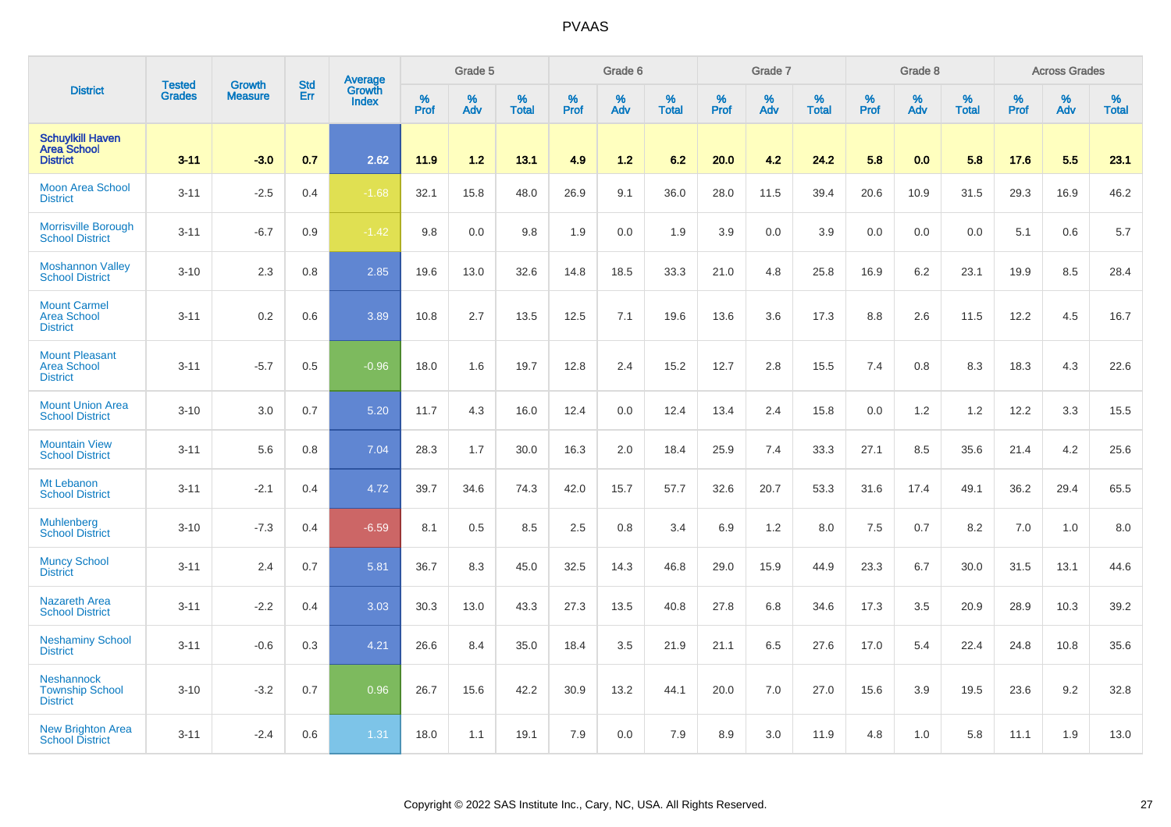|                                                                  |                                | <b>Growth</b>  | <b>Std</b> | Average                |           | Grade 5  |                   |           | Grade 6  |                   |           | Grade 7  |                   |           | Grade 8  |                   |           | <b>Across Grades</b> |                   |
|------------------------------------------------------------------|--------------------------------|----------------|------------|------------------------|-----------|----------|-------------------|-----------|----------|-------------------|-----------|----------|-------------------|-----------|----------|-------------------|-----------|----------------------|-------------------|
| <b>District</b>                                                  | <b>Tested</b><br><b>Grades</b> | <b>Measure</b> | Err        | Growth<br><b>Index</b> | %<br>Prof | %<br>Adv | %<br><b>Total</b> | %<br>Prof | %<br>Adv | %<br><b>Total</b> | %<br>Prof | %<br>Adv | %<br><b>Total</b> | %<br>Prof | %<br>Adv | %<br><b>Total</b> | %<br>Prof | %<br>Adv             | %<br><b>Total</b> |
| <b>Schuylkill Haven</b><br><b>Area School</b><br><b>District</b> | $3 - 11$                       | $-3.0$         | 0.7        | 2.62                   | 11.9      | 1.2      | 13.1              | 4.9       | 1.2      | 6.2               | 20.0      | 4.2      | 24.2              | 5.8       | 0.0      | 5.8               | 17.6      | 5.5                  | 23.1              |
| <b>Moon Area School</b><br><b>District</b>                       | $3 - 11$                       | $-2.5$         | 0.4        | $-1.68$                | 32.1      | 15.8     | 48.0              | 26.9      | 9.1      | 36.0              | 28.0      | 11.5     | 39.4              | 20.6      | 10.9     | 31.5              | 29.3      | 16.9                 | 46.2              |
| <b>Morrisville Borough</b><br><b>School District</b>             | $3 - 11$                       | $-6.7$         | 0.9        | $-1.42$                | 9.8       | 0.0      | 9.8               | 1.9       | 0.0      | 1.9               | 3.9       | 0.0      | 3.9               | 0.0       | 0.0      | 0.0               | 5.1       | 0.6                  | 5.7               |
| <b>Moshannon Valley</b><br><b>School District</b>                | $3 - 10$                       | 2.3            | 0.8        | 2.85                   | 19.6      | 13.0     | 32.6              | 14.8      | 18.5     | 33.3              | 21.0      | 4.8      | 25.8              | 16.9      | 6.2      | 23.1              | 19.9      | 8.5                  | 28.4              |
| <b>Mount Carmel</b><br><b>Area School</b><br><b>District</b>     | $3 - 11$                       | 0.2            | 0.6        | 3.89                   | 10.8      | 2.7      | 13.5              | 12.5      | 7.1      | 19.6              | 13.6      | 3.6      | 17.3              | 8.8       | 2.6      | 11.5              | 12.2      | 4.5                  | 16.7              |
| <b>Mount Pleasant</b><br><b>Area School</b><br><b>District</b>   | $3 - 11$                       | $-5.7$         | 0.5        | $-0.96$                | 18.0      | 1.6      | 19.7              | 12.8      | 2.4      | 15.2              | 12.7      | 2.8      | 15.5              | 7.4       | 0.8      | 8.3               | 18.3      | 4.3                  | 22.6              |
| <b>Mount Union Area</b><br><b>School District</b>                | $3 - 10$                       | 3.0            | 0.7        | 5.20                   | 11.7      | 4.3      | 16.0              | 12.4      | 0.0      | 12.4              | 13.4      | 2.4      | 15.8              | 0.0       | 1.2      | 1.2               | 12.2      | 3.3                  | 15.5              |
| <b>Mountain View</b><br><b>School District</b>                   | $3 - 11$                       | 5.6            | 0.8        | 7.04                   | 28.3      | 1.7      | 30.0              | 16.3      | 2.0      | 18.4              | 25.9      | 7.4      | 33.3              | 27.1      | 8.5      | 35.6              | 21.4      | 4.2                  | 25.6              |
| Mt Lebanon<br><b>School District</b>                             | $3 - 11$                       | $-2.1$         | 0.4        | 4.72                   | 39.7      | 34.6     | 74.3              | 42.0      | 15.7     | 57.7              | 32.6      | 20.7     | 53.3              | 31.6      | 17.4     | 49.1              | 36.2      | 29.4                 | 65.5              |
| <b>Muhlenberg</b><br><b>School District</b>                      | $3 - 10$                       | $-7.3$         | 0.4        | $-6.59$                | 8.1       | 0.5      | 8.5               | 2.5       | 0.8      | 3.4               | 6.9       | 1.2      | 8.0               | 7.5       | 0.7      | 8.2               | 7.0       | 1.0                  | 8.0               |
| <b>Muncy School</b><br><b>District</b>                           | $3 - 11$                       | 2.4            | 0.7        | 5.81                   | 36.7      | 8.3      | 45.0              | 32.5      | 14.3     | 46.8              | 29.0      | 15.9     | 44.9              | 23.3      | 6.7      | 30.0              | 31.5      | 13.1                 | 44.6              |
| <b>Nazareth Area</b><br><b>School District</b>                   | $3 - 11$                       | $-2.2$         | 0.4        | 3.03                   | 30.3      | 13.0     | 43.3              | 27.3      | 13.5     | 40.8              | 27.8      | 6.8      | 34.6              | 17.3      | 3.5      | 20.9              | 28.9      | 10.3                 | 39.2              |
| <b>Neshaminy School</b><br><b>District</b>                       | $3 - 11$                       | $-0.6$         | 0.3        | 4.21                   | 26.6      | 8.4      | 35.0              | 18.4      | 3.5      | 21.9              | 21.1      | 6.5      | 27.6              | 17.0      | 5.4      | 22.4              | 24.8      | 10.8                 | 35.6              |
| <b>Neshannock</b><br><b>Township School</b><br><b>District</b>   | $3 - 10$                       | $-3.2$         | 0.7        | 0.96                   | 26.7      | 15.6     | 42.2              | 30.9      | 13.2     | 44.1              | 20.0      | 7.0      | 27.0              | 15.6      | 3.9      | 19.5              | 23.6      | 9.2                  | 32.8              |
| <b>New Brighton Area</b><br><b>School District</b>               | $3 - 11$                       | $-2.4$         | 0.6        | 1.31                   | 18.0      | 1.1      | 19.1              | 7.9       | 0.0      | 7.9               | 8.9       | 3.0      | 11.9              | 4.8       | 1.0      | 5.8               | 11.1      | 1.9                  | 13.0              |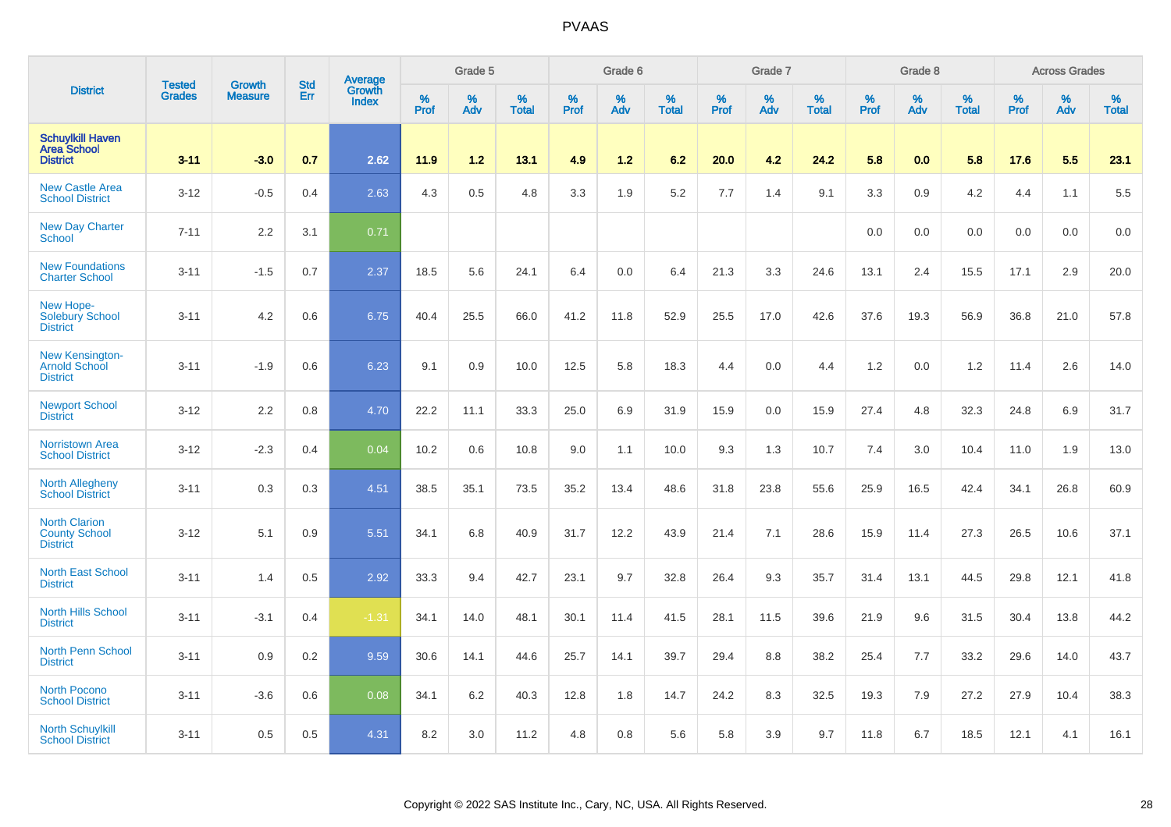|                                                                  |                                | <b>Growth</b>  | <b>Std</b> | Average                |              | Grade 5  |                   |           | Grade 6  |                   |           | Grade 7  |                   |           | Grade 8  |                   |           | <b>Across Grades</b> |                   |
|------------------------------------------------------------------|--------------------------------|----------------|------------|------------------------|--------------|----------|-------------------|-----------|----------|-------------------|-----------|----------|-------------------|-----------|----------|-------------------|-----------|----------------------|-------------------|
| <b>District</b>                                                  | <b>Tested</b><br><b>Grades</b> | <b>Measure</b> | Err        | Growth<br><b>Index</b> | $\%$<br>Prof | %<br>Adv | %<br><b>Total</b> | %<br>Prof | %<br>Adv | %<br><b>Total</b> | %<br>Prof | %<br>Adv | %<br><b>Total</b> | %<br>Prof | %<br>Adv | %<br><b>Total</b> | %<br>Prof | %<br>Adv             | %<br><b>Total</b> |
| <b>Schuylkill Haven</b><br><b>Area School</b><br><b>District</b> | $3 - 11$                       | $-3.0$         | 0.7        | 2.62                   | 11.9         | 1.2      | 13.1              | 4.9       | 1.2      | 6.2               | 20.0      | 4.2      | 24.2              | 5.8       | 0.0      | 5.8               | 17.6      | 5.5                  | 23.1              |
| <b>New Castle Area</b><br><b>School District</b>                 | $3 - 12$                       | $-0.5$         | 0.4        | 2.63                   | 4.3          | $0.5\,$  | 4.8               | 3.3       | 1.9      | 5.2               | 7.7       | 1.4      | 9.1               | 3.3       | 0.9      | 4.2               | 4.4       | 1.1                  | 5.5               |
| <b>New Day Charter</b><br><b>School</b>                          | $7 - 11$                       | 2.2            | 3.1        | 0.71                   |              |          |                   |           |          |                   |           |          |                   | 0.0       | 0.0      | 0.0               | 0.0       | 0.0                  | 0.0               |
| <b>New Foundations</b><br><b>Charter School</b>                  | $3 - 11$                       | $-1.5$         | 0.7        | 2.37                   | 18.5         | 5.6      | 24.1              | 6.4       | 0.0      | 6.4               | 21.3      | 3.3      | 24.6              | 13.1      | 2.4      | 15.5              | 17.1      | 2.9                  | 20.0              |
| New Hope-<br><b>Solebury School</b><br><b>District</b>           | $3 - 11$                       | 4.2            | 0.6        | 6.75                   | 40.4         | 25.5     | 66.0              | 41.2      | 11.8     | 52.9              | 25.5      | 17.0     | 42.6              | 37.6      | 19.3     | 56.9              | 36.8      | 21.0                 | 57.8              |
| <b>New Kensington-</b><br>Arnold School<br><b>District</b>       | $3 - 11$                       | $-1.9$         | 0.6        | 6.23                   | 9.1          | 0.9      | 10.0              | 12.5      | 5.8      | 18.3              | 4.4       | 0.0      | 4.4               | 1.2       | 0.0      | 1.2               | 11.4      | 2.6                  | 14.0              |
| <b>Newport School</b><br><b>District</b>                         | $3 - 12$                       | 2.2            | 0.8        | 4.70                   | 22.2         | 11.1     | 33.3              | 25.0      | 6.9      | 31.9              | 15.9      | 0.0      | 15.9              | 27.4      | 4.8      | 32.3              | 24.8      | 6.9                  | 31.7              |
| <b>Norristown Area</b><br><b>School District</b>                 | $3 - 12$                       | $-2.3$         | 0.4        | 0.04                   | 10.2         | 0.6      | 10.8              | 9.0       | 1.1      | 10.0              | 9.3       | 1.3      | 10.7              | 7.4       | 3.0      | 10.4              | 11.0      | 1.9                  | 13.0              |
| <b>North Allegheny</b><br><b>School District</b>                 | $3 - 11$                       | 0.3            | 0.3        | 4.51                   | 38.5         | 35.1     | 73.5              | 35.2      | 13.4     | 48.6              | 31.8      | 23.8     | 55.6              | 25.9      | 16.5     | 42.4              | 34.1      | 26.8                 | 60.9              |
| <b>North Clarion</b><br><b>County School</b><br><b>District</b>  | $3 - 12$                       | 5.1            | 0.9        | 5.51                   | 34.1         | 6.8      | 40.9              | 31.7      | 12.2     | 43.9              | 21.4      | 7.1      | 28.6              | 15.9      | 11.4     | 27.3              | 26.5      | 10.6                 | 37.1              |
| <b>North East School</b><br><b>District</b>                      | $3 - 11$                       | 1.4            | 0.5        | 2.92                   | 33.3         | 9.4      | 42.7              | 23.1      | 9.7      | 32.8              | 26.4      | 9.3      | 35.7              | 31.4      | 13.1     | 44.5              | 29.8      | 12.1                 | 41.8              |
| <b>North Hills School</b><br><b>District</b>                     | $3 - 11$                       | $-3.1$         | 0.4        | $-1.31$                | 34.1         | 14.0     | 48.1              | 30.1      | 11.4     | 41.5              | 28.1      | 11.5     | 39.6              | 21.9      | 9.6      | 31.5              | 30.4      | 13.8                 | 44.2              |
| North Penn School<br><b>District</b>                             | $3 - 11$                       | 0.9            | 0.2        | 9.59                   | 30.6         | 14.1     | 44.6              | 25.7      | 14.1     | 39.7              | 29.4      | 8.8      | 38.2              | 25.4      | 7.7      | 33.2              | 29.6      | 14.0                 | 43.7              |
| North Pocono<br><b>School District</b>                           | $3 - 11$                       | $-3.6$         | 0.6        | 0.08                   | 34.1         | 6.2      | 40.3              | 12.8      | 1.8      | 14.7              | 24.2      | 8.3      | 32.5              | 19.3      | 7.9      | 27.2              | 27.9      | 10.4                 | 38.3              |
| <b>North Schuylkill</b><br><b>School District</b>                | $3 - 11$                       | 0.5            | 0.5        | 4.31                   | 8.2          | 3.0      | 11.2              | 4.8       | 0.8      | 5.6               | 5.8       | 3.9      | 9.7               | 11.8      | 6.7      | 18.5              | 12.1      | 4.1                  | 16.1              |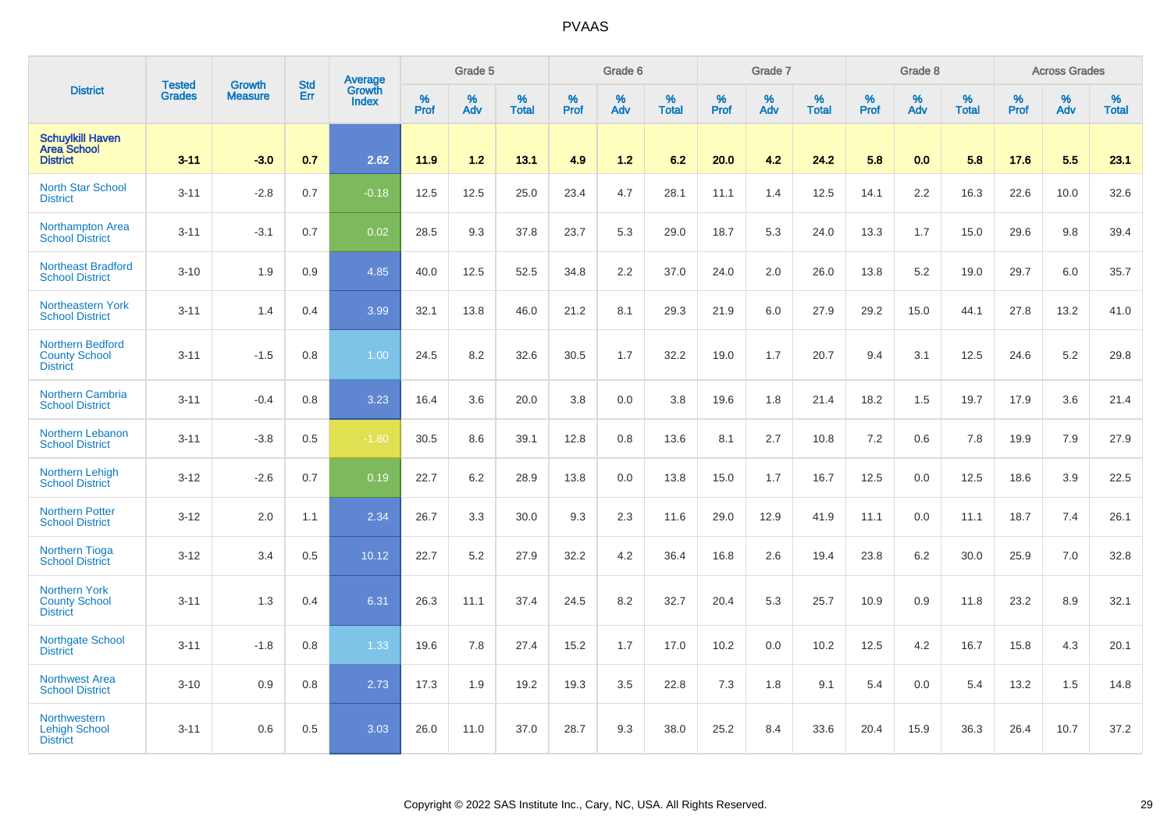|                                                                    |                                |                                 |                   | <b>Average</b>         |           | Grade 5  |                   |           | Grade 6  |                   |           | Grade 7  |                   |           | Grade 8  |                   |                  | <b>Across Grades</b> |                   |
|--------------------------------------------------------------------|--------------------------------|---------------------------------|-------------------|------------------------|-----------|----------|-------------------|-----------|----------|-------------------|-----------|----------|-------------------|-----------|----------|-------------------|------------------|----------------------|-------------------|
| <b>District</b>                                                    | <b>Tested</b><br><b>Grades</b> | <b>Growth</b><br><b>Measure</b> | <b>Std</b><br>Err | Growth<br><b>Index</b> | %<br>Prof | %<br>Adv | %<br><b>Total</b> | %<br>Prof | %<br>Adv | %<br><b>Total</b> | %<br>Prof | %<br>Adv | %<br><b>Total</b> | %<br>Prof | %<br>Adv | %<br><b>Total</b> | %<br><b>Prof</b> | %<br>Adv             | %<br><b>Total</b> |
| <b>Schuylkill Haven</b><br><b>Area School</b><br><b>District</b>   | $3 - 11$                       | $-3.0$                          | 0.7               | 2.62                   | 11.9      | 1.2      | 13.1              | 4.9       | 1.2      | 6.2               | 20.0      | 4.2      | 24.2              | 5.8       | 0.0      | 5.8               | 17.6             | 5.5                  | 23.1              |
| <b>North Star School</b><br><b>District</b>                        | $3 - 11$                       | $-2.8$                          | 0.7               | $-0.18$                | 12.5      | 12.5     | 25.0              | 23.4      | 4.7      | 28.1              | 11.1      | 1.4      | 12.5              | 14.1      | 2.2      | 16.3              | 22.6             | 10.0                 | 32.6              |
| <b>Northampton Area</b><br><b>School District</b>                  | $3 - 11$                       | $-3.1$                          | 0.7               | 0.02                   | 28.5      | 9.3      | 37.8              | 23.7      | 5.3      | 29.0              | 18.7      | 5.3      | 24.0              | 13.3      | 1.7      | 15.0              | 29.6             | 9.8                  | 39.4              |
| Northeast Bradford<br><b>School District</b>                       | $3 - 10$                       | 1.9                             | 0.9               | 4.85                   | 40.0      | 12.5     | 52.5              | 34.8      | 2.2      | 37.0              | 24.0      | 2.0      | 26.0              | 13.8      | 5.2      | 19.0              | 29.7             | 6.0                  | 35.7              |
| <b>Northeastern York</b><br><b>School District</b>                 | $3 - 11$                       | 1.4                             | 0.4               | 3.99                   | 32.1      | 13.8     | 46.0              | 21.2      | 8.1      | 29.3              | 21.9      | 6.0      | 27.9              | 29.2      | 15.0     | 44.1              | 27.8             | 13.2                 | 41.0              |
| <b>Northern Bedford</b><br><b>County School</b><br><b>District</b> | $3 - 11$                       | $-1.5$                          | 0.8               | 1.00                   | 24.5      | 8.2      | 32.6              | 30.5      | 1.7      | 32.2              | 19.0      | 1.7      | 20.7              | 9.4       | 3.1      | 12.5              | 24.6             | 5.2                  | 29.8              |
| <b>Northern Cambria</b><br><b>School District</b>                  | $3 - 11$                       | $-0.4$                          | 0.8               | 3.23                   | 16.4      | 3.6      | 20.0              | 3.8       | 0.0      | 3.8               | 19.6      | 1.8      | 21.4              | 18.2      | 1.5      | 19.7              | 17.9             | 3.6                  | 21.4              |
| <b>Northern Lebanon</b><br><b>School District</b>                  | $3 - 11$                       | $-3.8$                          | 0.5               | $-1.80$                | 30.5      | 8.6      | 39.1              | 12.8      | 0.8      | 13.6              | 8.1       | 2.7      | 10.8              | 7.2       | 0.6      | 7.8               | 19.9             | 7.9                  | 27.9              |
| Northern Lehigh<br><b>School District</b>                          | $3 - 12$                       | $-2.6$                          | 0.7               | 0.19                   | 22.7      | 6.2      | 28.9              | 13.8      | 0.0      | 13.8              | 15.0      | 1.7      | 16.7              | 12.5      | 0.0      | 12.5              | 18.6             | 3.9                  | 22.5              |
| <b>Northern Potter</b><br><b>School District</b>                   | $3 - 12$                       | 2.0                             | 1.1               | 2.34                   | 26.7      | 3.3      | 30.0              | 9.3       | 2.3      | 11.6              | 29.0      | 12.9     | 41.9              | 11.1      | 0.0      | 11.1              | 18.7             | 7.4                  | 26.1              |
| <b>Northern Tioga</b><br><b>School District</b>                    | $3 - 12$                       | 3.4                             | 0.5               | 10.12                  | 22.7      | 5.2      | 27.9              | 32.2      | 4.2      | 36.4              | 16.8      | 2.6      | 19.4              | 23.8      | 6.2      | 30.0              | 25.9             | 7.0                  | 32.8              |
| <b>Northern York</b><br><b>County School</b><br><b>District</b>    | $3 - 11$                       | 1.3                             | 0.4               | 6.31                   | 26.3      | 11.1     | 37.4              | 24.5      | 8.2      | 32.7              | 20.4      | 5.3      | 25.7              | 10.9      | 0.9      | 11.8              | 23.2             | 8.9                  | 32.1              |
| <b>Northgate School</b><br><b>District</b>                         | $3 - 11$                       | $-1.8$                          | 0.8               | 1.33                   | 19.6      | 7.8      | 27.4              | 15.2      | 1.7      | 17.0              | 10.2      | 0.0      | 10.2              | 12.5      | 4.2      | 16.7              | 15.8             | 4.3                  | 20.1              |
| <b>Northwest Area</b><br><b>School District</b>                    | $3 - 10$                       | 0.9                             | 0.8               | 2.73                   | 17.3      | 1.9      | 19.2              | 19.3      | 3.5      | 22.8              | 7.3       | 1.8      | 9.1               | 5.4       | 0.0      | 5.4               | 13.2             | 1.5                  | 14.8              |
| <b>Northwestern</b><br><b>Lehigh School</b><br><b>District</b>     | $3 - 11$                       | 0.6                             | 0.5               | 3.03                   | 26.0      | 11.0     | 37.0              | 28.7      | 9.3      | 38.0              | 25.2      | 8.4      | 33.6              | 20.4      | 15.9     | 36.3              | 26.4             | 10.7                 | 37.2              |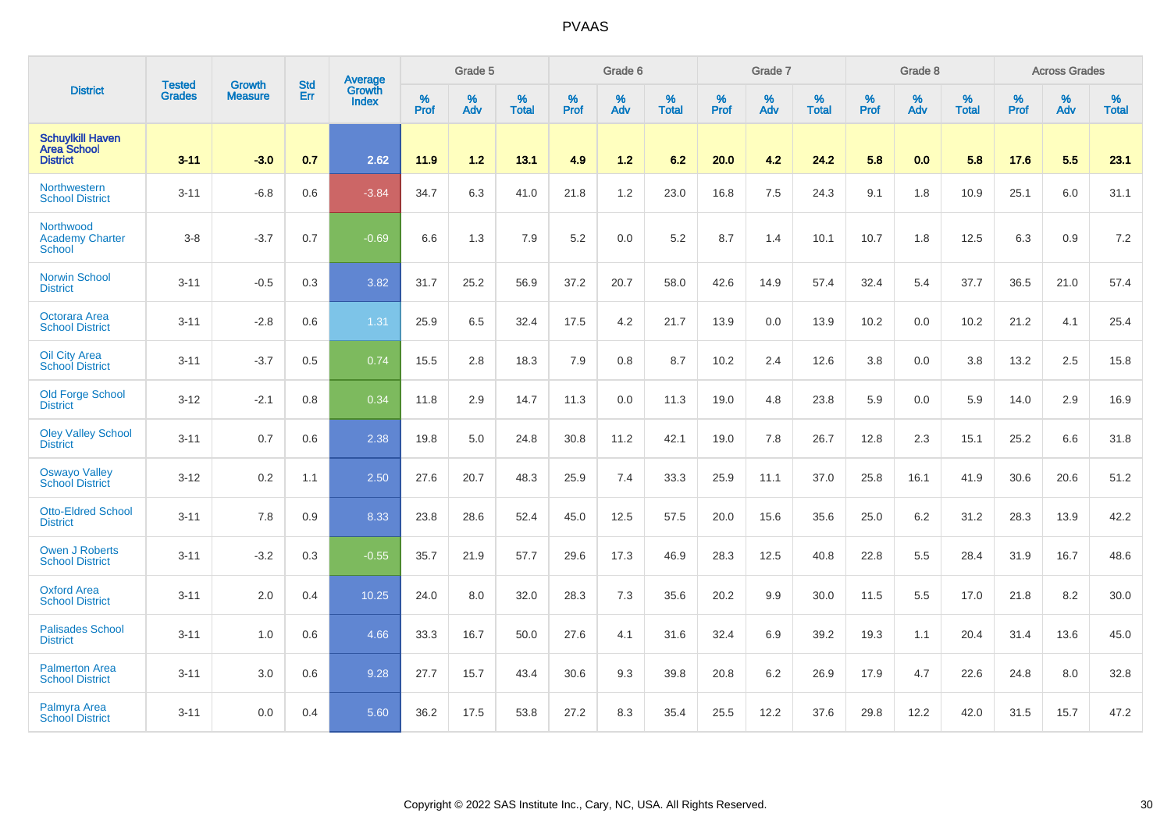|                                                           | <b>Tested</b> | <b>Growth</b>  | <b>Std</b> | <b>Average</b>         |                  | Grade 5  |                   |           | Grade 6  |                   |           | Grade 7  |                   |           | Grade 8  |                   |                  | <b>Across Grades</b> |                   |
|-----------------------------------------------------------|---------------|----------------|------------|------------------------|------------------|----------|-------------------|-----------|----------|-------------------|-----------|----------|-------------------|-----------|----------|-------------------|------------------|----------------------|-------------------|
| <b>District</b>                                           | <b>Grades</b> | <b>Measure</b> | <b>Err</b> | Growth<br><b>Index</b> | %<br><b>Prof</b> | %<br>Adv | %<br><b>Total</b> | %<br>Prof | %<br>Adv | %<br><b>Total</b> | %<br>Prof | %<br>Adv | %<br><b>Total</b> | %<br>Prof | %<br>Adv | %<br><b>Total</b> | %<br><b>Prof</b> | %<br>Adv             | %<br><b>Total</b> |
| <b>Schuylkill Haven</b><br>Area School<br><b>District</b> | $3 - 11$      | $-3.0$         | 0.7        | 2.62                   | 11.9             | 1.2      | 13.1              | 4.9       | 1.2      | 6.2               | 20.0      | 4.2      | 24.2              | 5.8       | 0.0      | 5.8               | 17.6             | 5.5                  | 23.1              |
| Northwestern<br><b>School District</b>                    | $3 - 11$      | $-6.8$         | 0.6        | $-3.84$                | 34.7             | 6.3      | 41.0              | 21.8      | 1.2      | 23.0              | 16.8      | 7.5      | 24.3              | 9.1       | 1.8      | 10.9              | 25.1             | 6.0                  | 31.1              |
| Northwood<br><b>Academy Charter</b><br><b>School</b>      | $3-8$         | $-3.7$         | 0.7        | $-0.69$                | 6.6              | 1.3      | 7.9               | 5.2       | 0.0      | 5.2               | 8.7       | 1.4      | 10.1              | 10.7      | 1.8      | 12.5              | 6.3              | 0.9                  | 7.2               |
| <b>Norwin School</b><br><b>District</b>                   | $3 - 11$      | $-0.5$         | 0.3        | 3.82                   | 31.7             | 25.2     | 56.9              | 37.2      | 20.7     | 58.0              | 42.6      | 14.9     | 57.4              | 32.4      | 5.4      | 37.7              | 36.5             | 21.0                 | 57.4              |
| Octorara Area<br><b>School District</b>                   | $3 - 11$      | $-2.8$         | 0.6        | 1.31                   | 25.9             | 6.5      | 32.4              | 17.5      | 4.2      | 21.7              | 13.9      | 0.0      | 13.9              | 10.2      | 0.0      | 10.2              | 21.2             | 4.1                  | 25.4              |
| <b>Oil City Area</b><br><b>School District</b>            | $3 - 11$      | $-3.7$         | $0.5\,$    | 0.74                   | 15.5             | 2.8      | 18.3              | 7.9       | 0.8      | 8.7               | 10.2      | 2.4      | 12.6              | $3.8\,$   | 0.0      | 3.8               | 13.2             | 2.5                  | 15.8              |
| <b>Old Forge School</b><br><b>District</b>                | $3 - 12$      | $-2.1$         | 0.8        | 0.34                   | 11.8             | 2.9      | 14.7              | 11.3      | 0.0      | 11.3              | 19.0      | 4.8      | 23.8              | 5.9       | 0.0      | 5.9               | 14.0             | 2.9                  | 16.9              |
| <b>Oley Valley School</b><br><b>District</b>              | $3 - 11$      | 0.7            | 0.6        | 2.38                   | 19.8             | 5.0      | 24.8              | 30.8      | 11.2     | 42.1              | 19.0      | 7.8      | 26.7              | 12.8      | 2.3      | 15.1              | 25.2             | 6.6                  | 31.8              |
| <b>Oswayo Valley</b><br><b>School District</b>            | $3 - 12$      | 0.2            | 1.1        | 2.50                   | 27.6             | 20.7     | 48.3              | 25.9      | 7.4      | 33.3              | 25.9      | 11.1     | 37.0              | 25.8      | 16.1     | 41.9              | 30.6             | 20.6                 | 51.2              |
| <b>Otto-Eldred School</b><br><b>District</b>              | $3 - 11$      | 7.8            | 0.9        | 8.33                   | 23.8             | 28.6     | 52.4              | 45.0      | 12.5     | 57.5              | 20.0      | 15.6     | 35.6              | 25.0      | 6.2      | 31.2              | 28.3             | 13.9                 | 42.2              |
| <b>Owen J Roberts</b><br><b>School District</b>           | $3 - 11$      | $-3.2$         | 0.3        | $-0.55$                | 35.7             | 21.9     | 57.7              | 29.6      | 17.3     | 46.9              | 28.3      | 12.5     | 40.8              | 22.8      | 5.5      | 28.4              | 31.9             | 16.7                 | 48.6              |
| <b>Oxford Area</b><br><b>School District</b>              | $3 - 11$      | 2.0            | 0.4        | 10.25                  | 24.0             | 8.0      | 32.0              | 28.3      | 7.3      | 35.6              | 20.2      | 9.9      | 30.0              | 11.5      | 5.5      | 17.0              | 21.8             | 8.2                  | 30.0              |
| <b>Palisades School</b><br><b>District</b>                | $3 - 11$      | 1.0            | 0.6        | 4.66                   | 33.3             | 16.7     | 50.0              | 27.6      | 4.1      | 31.6              | 32.4      | 6.9      | 39.2              | 19.3      | 1.1      | 20.4              | 31.4             | 13.6                 | 45.0              |
| <b>Palmerton Area</b><br><b>School District</b>           | $3 - 11$      | 3.0            | 0.6        | 9.28                   | 27.7             | 15.7     | 43.4              | 30.6      | 9.3      | 39.8              | 20.8      | $6.2\,$  | 26.9              | 17.9      | 4.7      | 22.6              | 24.8             | 8.0                  | 32.8              |
| Palmyra Area<br><b>School District</b>                    | $3 - 11$      | 0.0            | 0.4        | 5.60                   | 36.2             | 17.5     | 53.8              | 27.2      | 8.3      | 35.4              | 25.5      | 12.2     | 37.6              | 29.8      | 12.2     | 42.0              | 31.5             | 15.7                 | 47.2              |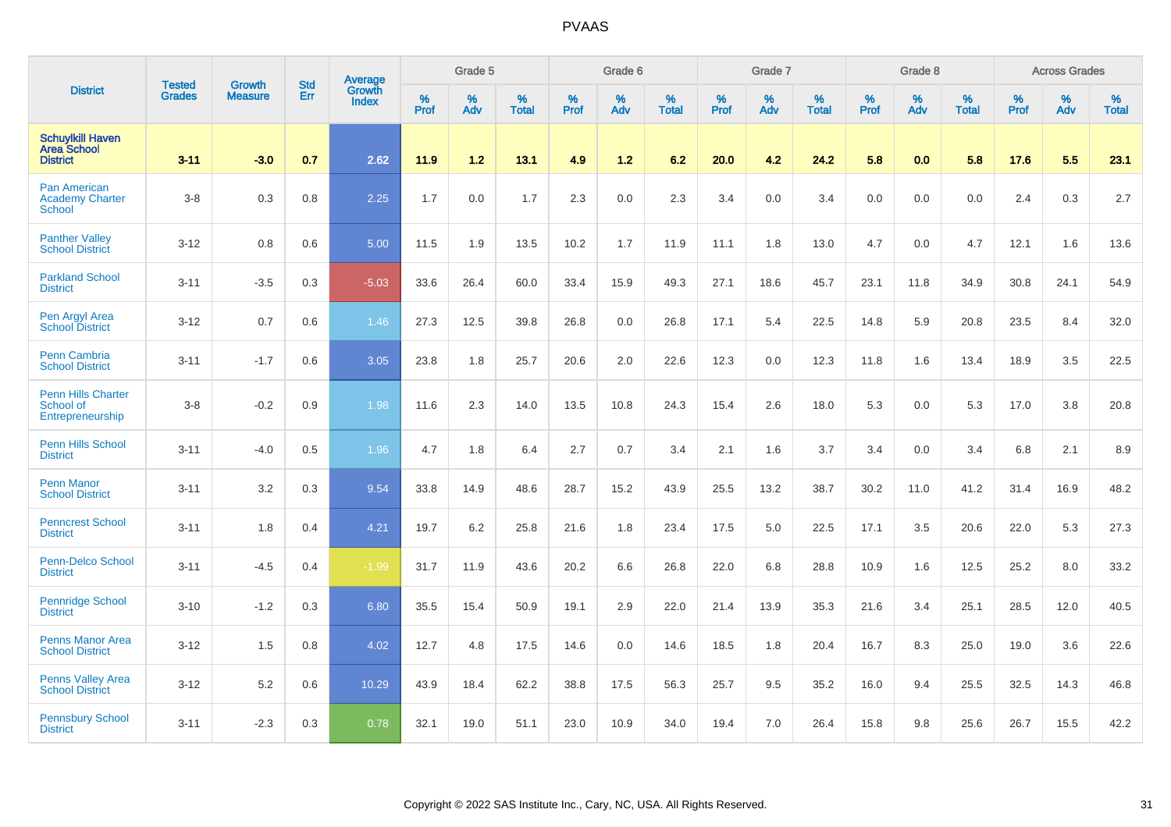|                                                                  |                                |                                 | <b>Std</b> | Average                       |              | Grade 5  |                   |           | Grade 6  |                   |           | Grade 7  |                   |           | Grade 8  |                   |           | <b>Across Grades</b> |                   |
|------------------------------------------------------------------|--------------------------------|---------------------------------|------------|-------------------------------|--------------|----------|-------------------|-----------|----------|-------------------|-----------|----------|-------------------|-----------|----------|-------------------|-----------|----------------------|-------------------|
| <b>District</b>                                                  | <b>Tested</b><br><b>Grades</b> | <b>Growth</b><br><b>Measure</b> | Err        | <b>Growth</b><br><b>Index</b> | $\%$<br>Prof | %<br>Adv | %<br><b>Total</b> | %<br>Prof | %<br>Adv | %<br><b>Total</b> | %<br>Prof | %<br>Adv | %<br><b>Total</b> | %<br>Prof | %<br>Adv | %<br><b>Total</b> | %<br>Prof | %<br>Adv             | %<br><b>Total</b> |
| <b>Schuylkill Haven</b><br><b>Area School</b><br><b>District</b> | $3 - 11$                       | $-3.0$                          | 0.7        | 2.62                          | 11.9         | 1.2      | 13.1              | 4.9       | $1.2$    | 6.2               | 20.0      | 4.2      | 24.2              | 5.8       | 0.0      | 5.8               | 17.6      | 5.5                  | 23.1              |
| <b>Pan American</b><br><b>Academy Charter</b><br><b>School</b>   | $3 - 8$                        | 0.3                             | 0.8        | 2.25                          | 1.7          | 0.0      | 1.7               | 2.3       | 0.0      | 2.3               | 3.4       | 0.0      | 3.4               | 0.0       | 0.0      | 0.0               | 2.4       | 0.3                  | 2.7               |
| <b>Panther Valley</b><br><b>School District</b>                  | $3 - 12$                       | 0.8                             | 0.6        | 5.00                          | 11.5         | 1.9      | 13.5              | 10.2      | 1.7      | 11.9              | 11.1      | 1.8      | 13.0              | 4.7       | 0.0      | 4.7               | 12.1      | 1.6                  | 13.6              |
| <b>Parkland School</b><br><b>District</b>                        | $3 - 11$                       | $-3.5$                          | 0.3        | $-5.03$                       | 33.6         | 26.4     | 60.0              | 33.4      | 15.9     | 49.3              | 27.1      | 18.6     | 45.7              | 23.1      | 11.8     | 34.9              | 30.8      | 24.1                 | 54.9              |
| Pen Argyl Area<br><b>School District</b>                         | $3 - 12$                       | 0.7                             | 0.6        | 1.46                          | 27.3         | 12.5     | 39.8              | 26.8      | 0.0      | 26.8              | 17.1      | 5.4      | 22.5              | 14.8      | 5.9      | 20.8              | 23.5      | 8.4                  | 32.0              |
| <b>Penn Cambria</b><br><b>School District</b>                    | $3 - 11$                       | $-1.7$                          | 0.6        | 3.05                          | 23.8         | 1.8      | 25.7              | 20.6      | 2.0      | 22.6              | 12.3      | 0.0      | 12.3              | 11.8      | 1.6      | 13.4              | 18.9      | 3.5                  | 22.5              |
| <b>Penn Hills Charter</b><br>School of<br>Entrepreneurship       | $3 - 8$                        | $-0.2$                          | 0.9        | 1.98                          | 11.6         | 2.3      | 14.0              | 13.5      | 10.8     | 24.3              | 15.4      | 2.6      | 18.0              | 5.3       | 0.0      | 5.3               | 17.0      | 3.8                  | 20.8              |
| <b>Penn Hills School</b><br><b>District</b>                      | $3 - 11$                       | $-4.0$                          | 0.5        | 1.96                          | 4.7          | 1.8      | 6.4               | 2.7       | 0.7      | 3.4               | 2.1       | 1.6      | 3.7               | 3.4       | 0.0      | 3.4               | 6.8       | 2.1                  | 8.9               |
| <b>Penn Manor</b><br><b>School District</b>                      | $3 - 11$                       | 3.2                             | 0.3        | 9.54                          | 33.8         | 14.9     | 48.6              | 28.7      | 15.2     | 43.9              | 25.5      | 13.2     | 38.7              | 30.2      | 11.0     | 41.2              | 31.4      | 16.9                 | 48.2              |
| <b>Penncrest School</b><br><b>District</b>                       | $3 - 11$                       | 1.8                             | 0.4        | 4.21                          | 19.7         | 6.2      | 25.8              | 21.6      | 1.8      | 23.4              | 17.5      | 5.0      | 22.5              | 17.1      | 3.5      | 20.6              | 22.0      | 5.3                  | 27.3              |
| Penn-Delco School<br><b>District</b>                             | $3 - 11$                       | $-4.5$                          | 0.4        | $-1.99$                       | 31.7         | 11.9     | 43.6              | 20.2      | 6.6      | 26.8              | 22.0      | 6.8      | 28.8              | 10.9      | 1.6      | 12.5              | 25.2      | 8.0                  | 33.2              |
| <b>Pennridge School</b><br><b>District</b>                       | $3 - 10$                       | $-1.2$                          | 0.3        | 6.80                          | 35.5         | 15.4     | 50.9              | 19.1      | 2.9      | 22.0              | 21.4      | 13.9     | 35.3              | 21.6      | 3.4      | 25.1              | 28.5      | 12.0                 | 40.5              |
| <b>Penns Manor Area</b><br><b>School District</b>                | $3 - 12$                       | 1.5                             | 0.8        | 4.02                          | 12.7         | 4.8      | 17.5              | 14.6      | 0.0      | 14.6              | 18.5      | 1.8      | 20.4              | 16.7      | 8.3      | 25.0              | 19.0      | 3.6                  | 22.6              |
| <b>Penns Valley Area</b><br><b>School District</b>               | $3 - 12$                       | 5.2                             | 0.6        | 10.29                         | 43.9         | 18.4     | 62.2              | 38.8      | 17.5     | 56.3              | 25.7      | 9.5      | 35.2              | 16.0      | 9.4      | 25.5              | 32.5      | 14.3                 | 46.8              |
| <b>Pennsbury School</b><br><b>District</b>                       | $3 - 11$                       | $-2.3$                          | 0.3        | 0.78                          | 32.1         | 19.0     | 51.1              | 23.0      | 10.9     | 34.0              | 19.4      | 7.0      | 26.4              | 15.8      | 9.8      | 25.6              | 26.7      | 15.5                 | 42.2              |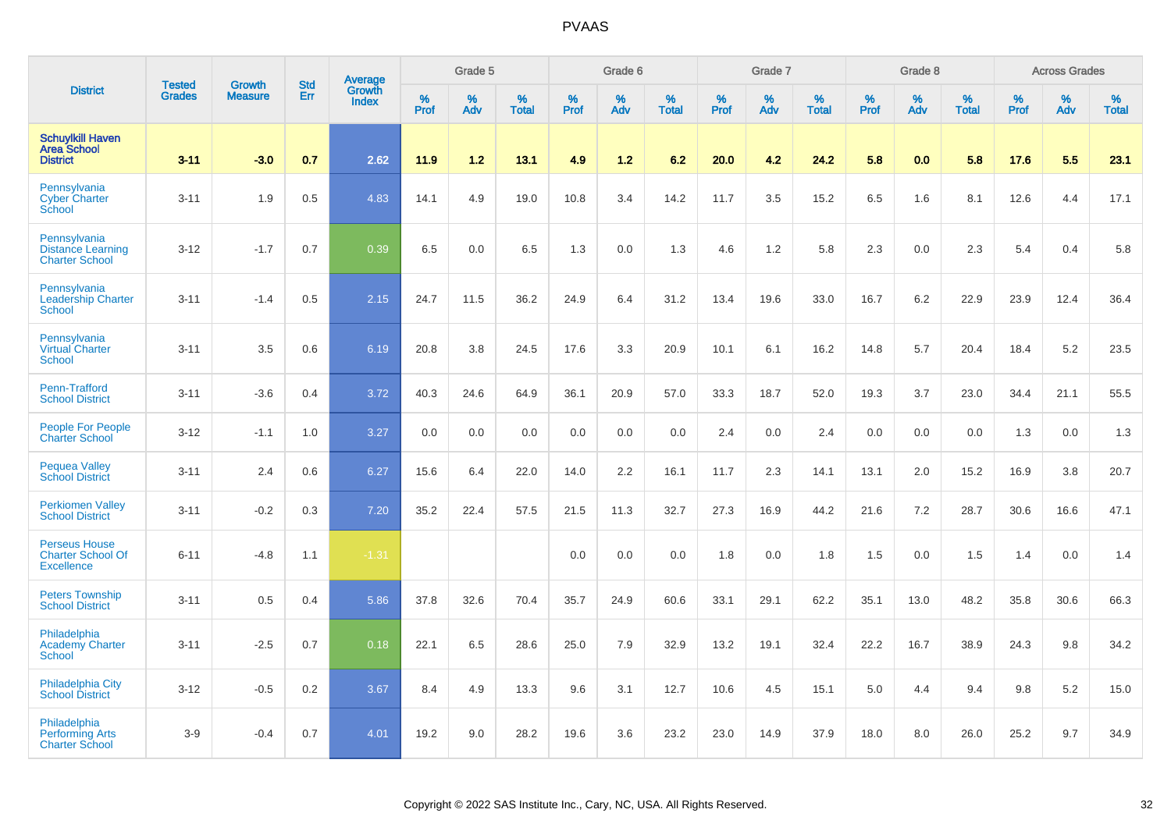|                                                                       | <b>Tested</b> | <b>Growth</b>  | <b>Std</b> |                                   |              | Grade 5  |                   |              | Grade 6  |                   |              | Grade 7  |                   |              | Grade 8  |                   |           | <b>Across Grades</b> |                   |
|-----------------------------------------------------------------------|---------------|----------------|------------|-----------------------------------|--------------|----------|-------------------|--------------|----------|-------------------|--------------|----------|-------------------|--------------|----------|-------------------|-----------|----------------------|-------------------|
| <b>District</b>                                                       | <b>Grades</b> | <b>Measure</b> | Err        | Average<br>Growth<br><b>Index</b> | $\%$<br>Prof | %<br>Adv | %<br><b>Total</b> | $\%$<br>Prof | %<br>Adv | %<br><b>Total</b> | $\%$<br>Prof | %<br>Adv | %<br><b>Total</b> | $\%$<br>Prof | %<br>Adv | %<br><b>Total</b> | %<br>Prof | %<br>Adv             | %<br><b>Total</b> |
| <b>Schuylkill Haven</b><br><b>Area School</b><br><b>District</b>      | $3 - 11$      | $-3.0$         | 0.7        | 2.62                              | 11.9         | 1.2      | 13.1              | 4.9          | $1.2$    | 6.2               | 20.0         | 4.2      | 24.2              | 5.8          | 0.0      | 5.8               | 17.6      | 5.5                  | 23.1              |
| Pennsylvania<br><b>Cyber Charter</b><br>School                        | $3 - 11$      | 1.9            | 0.5        | 4.83                              | 14.1         | 4.9      | 19.0              | 10.8         | 3.4      | 14.2              | 11.7         | 3.5      | 15.2              | 6.5          | 1.6      | 8.1               | 12.6      | 4.4                  | 17.1              |
| Pennsylvania<br><b>Distance Learning</b><br><b>Charter School</b>     | $3 - 12$      | $-1.7$         | 0.7        | 0.39                              | 6.5          | 0.0      | 6.5               | 1.3          | 0.0      | 1.3               | 4.6          | 1.2      | 5.8               | 2.3          | 0.0      | 2.3               | 5.4       | 0.4                  | 5.8               |
| Pennsylvania<br><b>Leadership Charter</b><br><b>School</b>            | $3 - 11$      | $-1.4$         | 0.5        | 2.15                              | 24.7         | 11.5     | 36.2              | 24.9         | 6.4      | 31.2              | 13.4         | 19.6     | 33.0              | 16.7         | 6.2      | 22.9              | 23.9      | 12.4                 | 36.4              |
| Pennsylvania<br><b>Virtual Charter</b><br><b>School</b>               | $3 - 11$      | 3.5            | 0.6        | 6.19                              | 20.8         | 3.8      | 24.5              | 17.6         | 3.3      | 20.9              | 10.1         | 6.1      | 16.2              | 14.8         | 5.7      | 20.4              | 18.4      | 5.2                  | 23.5              |
| Penn-Trafford<br><b>School District</b>                               | $3 - 11$      | $-3.6$         | 0.4        | 3.72                              | 40.3         | 24.6     | 64.9              | 36.1         | 20.9     | 57.0              | 33.3         | 18.7     | 52.0              | 19.3         | 3.7      | 23.0              | 34.4      | 21.1                 | 55.5              |
| People For People<br><b>Charter School</b>                            | $3 - 12$      | $-1.1$         | 1.0        | 3.27                              | 0.0          | 0.0      | 0.0               | 0.0          | 0.0      | 0.0               | 2.4          | 0.0      | 2.4               | 0.0          | 0.0      | 0.0               | 1.3       | 0.0                  | 1.3               |
| <b>Pequea Valley</b><br><b>School District</b>                        | $3 - 11$      | 2.4            | 0.6        | 6.27                              | 15.6         | 6.4      | 22.0              | 14.0         | 2.2      | 16.1              | 11.7         | 2.3      | 14.1              | 13.1         | 2.0      | 15.2              | 16.9      | 3.8                  | 20.7              |
| <b>Perkiomen Valley</b><br><b>School District</b>                     | $3 - 11$      | $-0.2$         | 0.3        | 7.20                              | 35.2         | 22.4     | 57.5              | 21.5         | 11.3     | 32.7              | 27.3         | 16.9     | 44.2              | 21.6         | 7.2      | 28.7              | 30.6      | 16.6                 | 47.1              |
| <b>Perseus House</b><br><b>Charter School Of</b><br><b>Excellence</b> | $6 - 11$      | $-4.8$         | 1.1        | $-1.31$                           |              |          |                   | 0.0          | 0.0      | 0.0               | 1.8          | 0.0      | 1.8               | 1.5          | 0.0      | 1.5               | 1.4       | 0.0                  | 1.4               |
| <b>Peters Township</b><br><b>School District</b>                      | $3 - 11$      | 0.5            | 0.4        | 5.86                              | 37.8         | 32.6     | 70.4              | 35.7         | 24.9     | 60.6              | 33.1         | 29.1     | 62.2              | 35.1         | 13.0     | 48.2              | 35.8      | 30.6                 | 66.3              |
| Philadelphia<br><b>Academy Charter</b><br><b>School</b>               | $3 - 11$      | $-2.5$         | 0.7        | 0.18                              | 22.1         | 6.5      | 28.6              | 25.0         | 7.9      | 32.9              | 13.2         | 19.1     | 32.4              | 22.2         | 16.7     | 38.9              | 24.3      | 9.8                  | 34.2              |
| <b>Philadelphia City</b><br><b>School District</b>                    | $3 - 12$      | $-0.5$         | 0.2        | 3.67                              | 8.4          | 4.9      | 13.3              | 9.6          | 3.1      | 12.7              | 10.6         | 4.5      | 15.1              | 5.0          | 4.4      | 9.4               | 9.8       | 5.2                  | 15.0              |
| Philadelphia<br><b>Performing Arts</b><br><b>Charter School</b>       | $3-9$         | $-0.4$         | 0.7        | 4.01                              | 19.2         | 9.0      | 28.2              | 19.6         | 3.6      | 23.2              | 23.0         | 14.9     | 37.9              | 18.0         | 8.0      | 26.0              | 25.2      | 9.7                  | 34.9              |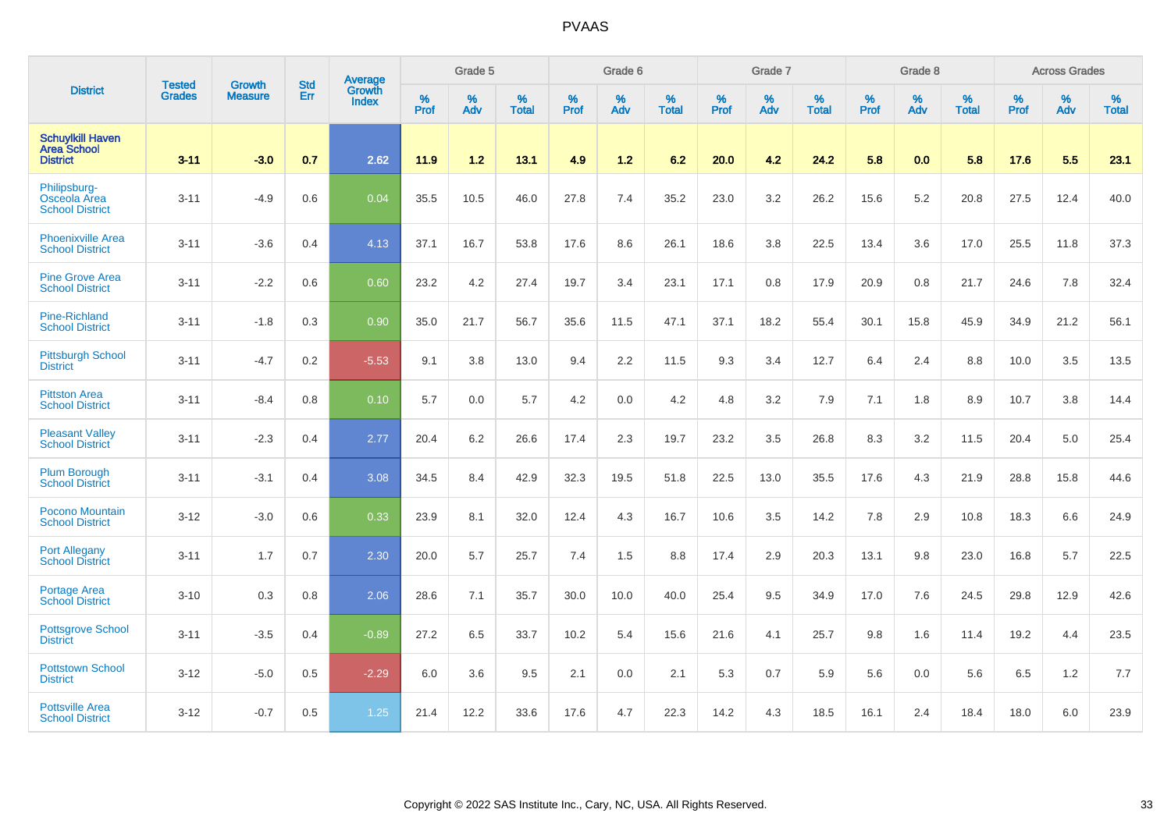|                                                                  |                                |                                 | <b>Std</b> | Average                |           | Grade 5  |                   |           | Grade 6  |                   |           | Grade 7  |                   |           | Grade 8  |                   |           | <b>Across Grades</b> |                   |
|------------------------------------------------------------------|--------------------------------|---------------------------------|------------|------------------------|-----------|----------|-------------------|-----------|----------|-------------------|-----------|----------|-------------------|-----------|----------|-------------------|-----------|----------------------|-------------------|
| <b>District</b>                                                  | <b>Tested</b><br><b>Grades</b> | <b>Growth</b><br><b>Measure</b> | Err        | Growth<br><b>Index</b> | %<br>Prof | %<br>Adv | %<br><b>Total</b> | %<br>Prof | %<br>Adv | %<br><b>Total</b> | %<br>Prof | %<br>Adv | %<br><b>Total</b> | %<br>Prof | %<br>Adv | %<br><b>Total</b> | %<br>Prof | %<br>Adv             | %<br><b>Total</b> |
| <b>Schuylkill Haven</b><br><b>Area School</b><br><b>District</b> | $3 - 11$                       | $-3.0$                          | 0.7        | 2.62                   | 11.9      | 1.2      | 13.1              | 4.9       | 1.2      | 6.2               | 20.0      | 4.2      | 24.2              | 5.8       | 0.0      | 5.8               | 17.6      | 5.5                  | 23.1              |
| Philipsburg-<br>Osceola Area<br><b>School District</b>           | $3 - 11$                       | $-4.9$                          | 0.6        | 0.04                   | 35.5      | 10.5     | 46.0              | 27.8      | 7.4      | 35.2              | 23.0      | 3.2      | 26.2              | 15.6      | 5.2      | 20.8              | 27.5      | 12.4                 | 40.0              |
| <b>Phoenixville Area</b><br><b>School District</b>               | $3 - 11$                       | $-3.6$                          | 0.4        | 4.13                   | 37.1      | 16.7     | 53.8              | 17.6      | 8.6      | 26.1              | 18.6      | 3.8      | 22.5              | 13.4      | 3.6      | 17.0              | 25.5      | 11.8                 | 37.3              |
| <b>Pine Grove Area</b><br><b>School District</b>                 | $3 - 11$                       | $-2.2$                          | 0.6        | 0.60                   | 23.2      | 4.2      | 27.4              | 19.7      | 3.4      | 23.1              | 17.1      | 0.8      | 17.9              | 20.9      | 0.8      | 21.7              | 24.6      | 7.8                  | 32.4              |
| Pine-Richland<br><b>School District</b>                          | $3 - 11$                       | $-1.8$                          | 0.3        | 0.90                   | 35.0      | 21.7     | 56.7              | 35.6      | 11.5     | 47.1              | 37.1      | 18.2     | 55.4              | 30.1      | 15.8     | 45.9              | 34.9      | 21.2                 | 56.1              |
| <b>Pittsburgh School</b><br><b>District</b>                      | $3 - 11$                       | $-4.7$                          | 0.2        | $-5.53$                | 9.1       | 3.8      | 13.0              | 9.4       | 2.2      | 11.5              | 9.3       | 3.4      | 12.7              | 6.4       | 2.4      | 8.8               | 10.0      | 3.5                  | 13.5              |
| <b>Pittston Area</b><br><b>School District</b>                   | $3 - 11$                       | $-8.4$                          | 0.8        | 0.10                   | 5.7       | 0.0      | 5.7               | 4.2       | 0.0      | 4.2               | 4.8       | 3.2      | 7.9               | 7.1       | 1.8      | 8.9               | 10.7      | 3.8                  | 14.4              |
| <b>Pleasant Valley</b><br><b>School District</b>                 | $3 - 11$                       | $-2.3$                          | 0.4        | 2.77                   | 20.4      | 6.2      | 26.6              | 17.4      | 2.3      | 19.7              | 23.2      | 3.5      | 26.8              | 8.3       | 3.2      | 11.5              | 20.4      | 5.0                  | 25.4              |
| <b>Plum Borough</b><br><b>School District</b>                    | $3 - 11$                       | $-3.1$                          | 0.4        | 3.08                   | 34.5      | 8.4      | 42.9              | 32.3      | 19.5     | 51.8              | 22.5      | 13.0     | 35.5              | 17.6      | 4.3      | 21.9              | 28.8      | 15.8                 | 44.6              |
| Pocono Mountain<br><b>School District</b>                        | $3 - 12$                       | $-3.0$                          | 0.6        | 0.33                   | 23.9      | 8.1      | 32.0              | 12.4      | 4.3      | 16.7              | 10.6      | 3.5      | 14.2              | 7.8       | 2.9      | 10.8              | 18.3      | 6.6                  | 24.9              |
| <b>Port Allegany</b><br><b>School District</b>                   | $3 - 11$                       | 1.7                             | 0.7        | 2.30                   | 20.0      | 5.7      | 25.7              | 7.4       | 1.5      | 8.8               | 17.4      | 2.9      | 20.3              | 13.1      | 9.8      | 23.0              | 16.8      | 5.7                  | 22.5              |
| Portage Area<br><b>School District</b>                           | $3 - 10$                       | 0.3                             | 0.8        | 2.06                   | 28.6      | 7.1      | 35.7              | 30.0      | 10.0     | 40.0              | 25.4      | 9.5      | 34.9              | 17.0      | 7.6      | 24.5              | 29.8      | 12.9                 | 42.6              |
| <b>Pottsgrove School</b><br><b>District</b>                      | $3 - 11$                       | $-3.5$                          | 0.4        | $-0.89$                | 27.2      | 6.5      | 33.7              | 10.2      | 5.4      | 15.6              | 21.6      | 4.1      | 25.7              | 9.8       | 1.6      | 11.4              | 19.2      | 4.4                  | 23.5              |
| <b>Pottstown School</b><br><b>District</b>                       | $3 - 12$                       | $-5.0$                          | 0.5        | $-2.29$                | 6.0       | 3.6      | 9.5               | 2.1       | 0.0      | 2.1               | 5.3       | 0.7      | 5.9               | 5.6       | 0.0      | 5.6               | 6.5       | 1.2                  | 7.7               |
| <b>Pottsville Area</b><br><b>School District</b>                 | $3 - 12$                       | $-0.7$                          | 0.5        | 1.25                   | 21.4      | 12.2     | 33.6              | 17.6      | 4.7      | 22.3              | 14.2      | 4.3      | 18.5              | 16.1      | 2.4      | 18.4              | 18.0      | 6.0                  | 23.9              |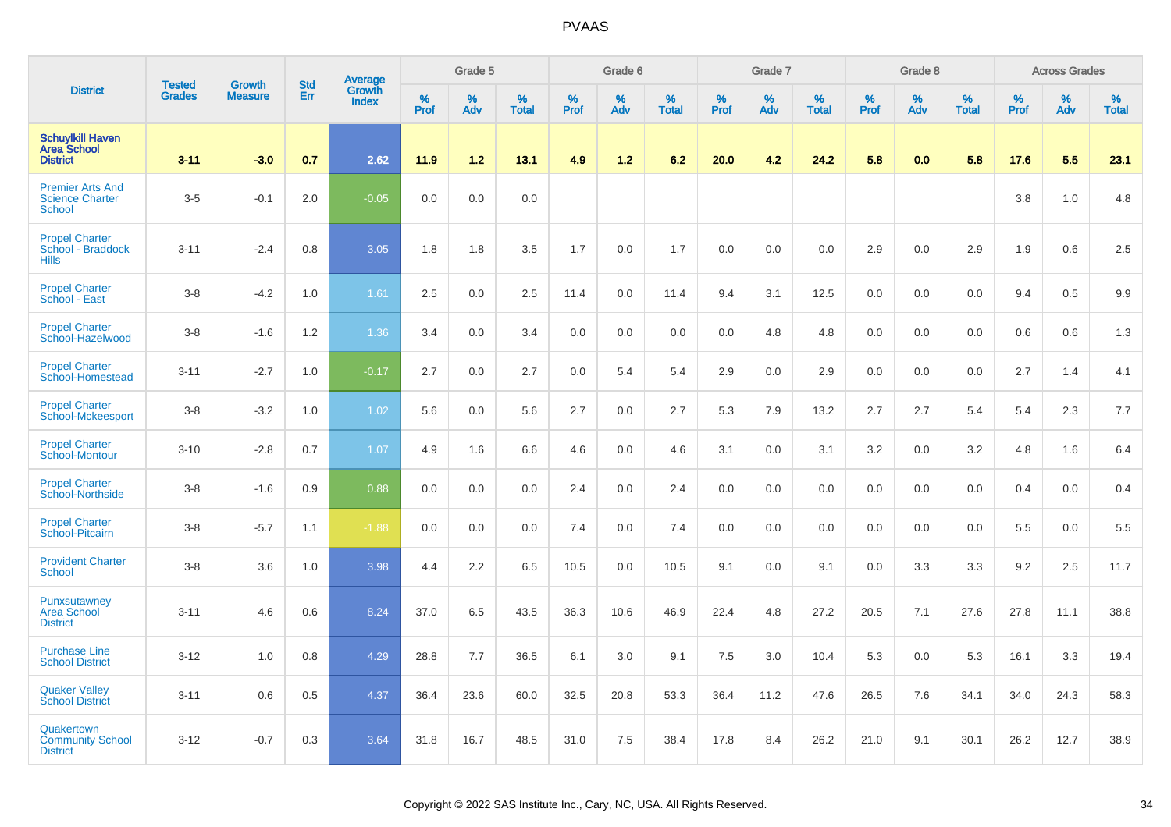|                                                                    |                                |                                 | <b>Std</b> | Average                |           | Grade 5  |                   |           | Grade 6  |                   |           | Grade 7  |                   |           | Grade 8  |                   |           | <b>Across Grades</b> |                   |
|--------------------------------------------------------------------|--------------------------------|---------------------------------|------------|------------------------|-----------|----------|-------------------|-----------|----------|-------------------|-----------|----------|-------------------|-----------|----------|-------------------|-----------|----------------------|-------------------|
| <b>District</b>                                                    | <b>Tested</b><br><b>Grades</b> | <b>Growth</b><br><b>Measure</b> | Err        | Growth<br><b>Index</b> | %<br>Prof | %<br>Adv | %<br><b>Total</b> | %<br>Prof | %<br>Adv | %<br><b>Total</b> | %<br>Prof | %<br>Adv | %<br><b>Total</b> | %<br>Prof | %<br>Adv | %<br><b>Total</b> | %<br>Prof | %<br>Adv             | %<br><b>Total</b> |
| <b>Schuylkill Haven</b><br><b>Area School</b><br><b>District</b>   | $3 - 11$                       | $-3.0$                          | 0.7        | 2.62                   | 11.9      | 1.2      | 13.1              | 4.9       | $1.2$    | 6.2               | 20.0      | 4.2      | 24.2              | 5.8       | 0.0      | 5.8               | 17.6      | 5.5                  | 23.1              |
| <b>Premier Arts And</b><br><b>Science Charter</b><br><b>School</b> | $3-5$                          | $-0.1$                          | 2.0        | $-0.05$                | 0.0       | 0.0      | 0.0               |           |          |                   |           |          |                   |           |          |                   | 3.8       | 1.0                  | 4.8               |
| <b>Propel Charter</b><br>School - Braddock<br><b>Hills</b>         | $3 - 11$                       | $-2.4$                          | 0.8        | 3.05                   | 1.8       | 1.8      | 3.5               | 1.7       | 0.0      | 1.7               | 0.0       | 0.0      | 0.0               | 2.9       | 0.0      | 2.9               | 1.9       | 0.6                  | 2.5               |
| <b>Propel Charter</b><br>School - East                             | $3 - 8$                        | $-4.2$                          | 1.0        | 1.61                   | 2.5       | 0.0      | 2.5               | 11.4      | 0.0      | 11.4              | 9.4       | 3.1      | 12.5              | 0.0       | 0.0      | 0.0               | 9.4       | 0.5                  | 9.9               |
| <b>Propel Charter</b><br>School-Hazelwood                          | $3-8$                          | $-1.6$                          | 1.2        | 1.36                   | 3.4       | 0.0      | 3.4               | 0.0       | 0.0      | 0.0               | 0.0       | 4.8      | 4.8               | 0.0       | 0.0      | 0.0               | 0.6       | 0.6                  | 1.3               |
| <b>Propel Charter</b><br>School-Homestead                          | $3 - 11$                       | $-2.7$                          | 1.0        | $-0.17$                | 2.7       | 0.0      | 2.7               | $0.0\,$   | 5.4      | 5.4               | 2.9       | 0.0      | 2.9               | 0.0       | 0.0      | 0.0               | 2.7       | 1.4                  | 4.1               |
| <b>Propel Charter</b><br>School-Mckeesport                         | $3-8$                          | $-3.2$                          | 1.0        | 1.02                   | 5.6       | 0.0      | 5.6               | 2.7       | 0.0      | 2.7               | 5.3       | 7.9      | 13.2              | 2.7       | 2.7      | 5.4               | 5.4       | 2.3                  | 7.7               |
| <b>Propel Charter</b><br>School-Montour                            | $3 - 10$                       | $-2.8$                          | 0.7        | 1.07                   | 4.9       | 1.6      | 6.6               | 4.6       | 0.0      | 4.6               | 3.1       | 0.0      | 3.1               | 3.2       | 0.0      | 3.2               | 4.8       | 1.6                  | 6.4               |
| <b>Propel Charter</b><br>School-Northside                          | $3-8$                          | $-1.6$                          | 0.9        | 0.88                   | 0.0       | 0.0      | 0.0               | 2.4       | 0.0      | 2.4               | 0.0       | 0.0      | 0.0               | 0.0       | 0.0      | 0.0               | 0.4       | 0.0                  | 0.4               |
| <b>Propel Charter</b><br>School-Pitcairn                           | $3 - 8$                        | $-5.7$                          | 1.1        | $-1.88$                | 0.0       | 0.0      | 0.0               | 7.4       | 0.0      | 7.4               | 0.0       | 0.0      | 0.0               | 0.0       | 0.0      | 0.0               | 5.5       | 0.0                  | 5.5               |
| <b>Provident Charter</b><br>School                                 | $3 - 8$                        | 3.6                             | 1.0        | 3.98                   | 4.4       | 2.2      | 6.5               | 10.5      | 0.0      | 10.5              | 9.1       | 0.0      | 9.1               | 0.0       | 3.3      | 3.3               | 9.2       | 2.5                  | 11.7              |
| Punxsutawney<br><b>Area School</b><br><b>District</b>              | $3 - 11$                       | 4.6                             | 0.6        | 8.24                   | 37.0      | 6.5      | 43.5              | 36.3      | 10.6     | 46.9              | 22.4      | 4.8      | 27.2              | 20.5      | 7.1      | 27.6              | 27.8      | 11.1                 | 38.8              |
| <b>Purchase Line</b><br><b>School District</b>                     | $3 - 12$                       | 1.0                             | 0.8        | 4.29                   | 28.8      | 7.7      | 36.5              | 6.1       | 3.0      | 9.1               | 7.5       | 3.0      | 10.4              | 5.3       | 0.0      | 5.3               | 16.1      | 3.3                  | 19.4              |
| <b>Quaker Valley</b><br><b>School District</b>                     | $3 - 11$                       | 0.6                             | 0.5        | 4.37                   | 36.4      | 23.6     | 60.0              | 32.5      | 20.8     | 53.3              | 36.4      | 11.2     | 47.6              | 26.5      | 7.6      | 34.1              | 34.0      | 24.3                 | 58.3              |
| Quakertown<br><b>Community School</b><br><b>District</b>           | $3 - 12$                       | $-0.7$                          | 0.3        | 3.64                   | 31.8      | 16.7     | 48.5              | 31.0      | 7.5      | 38.4              | 17.8      | 8.4      | 26.2              | 21.0      | 9.1      | 30.1              | 26.2      | 12.7                 | 38.9              |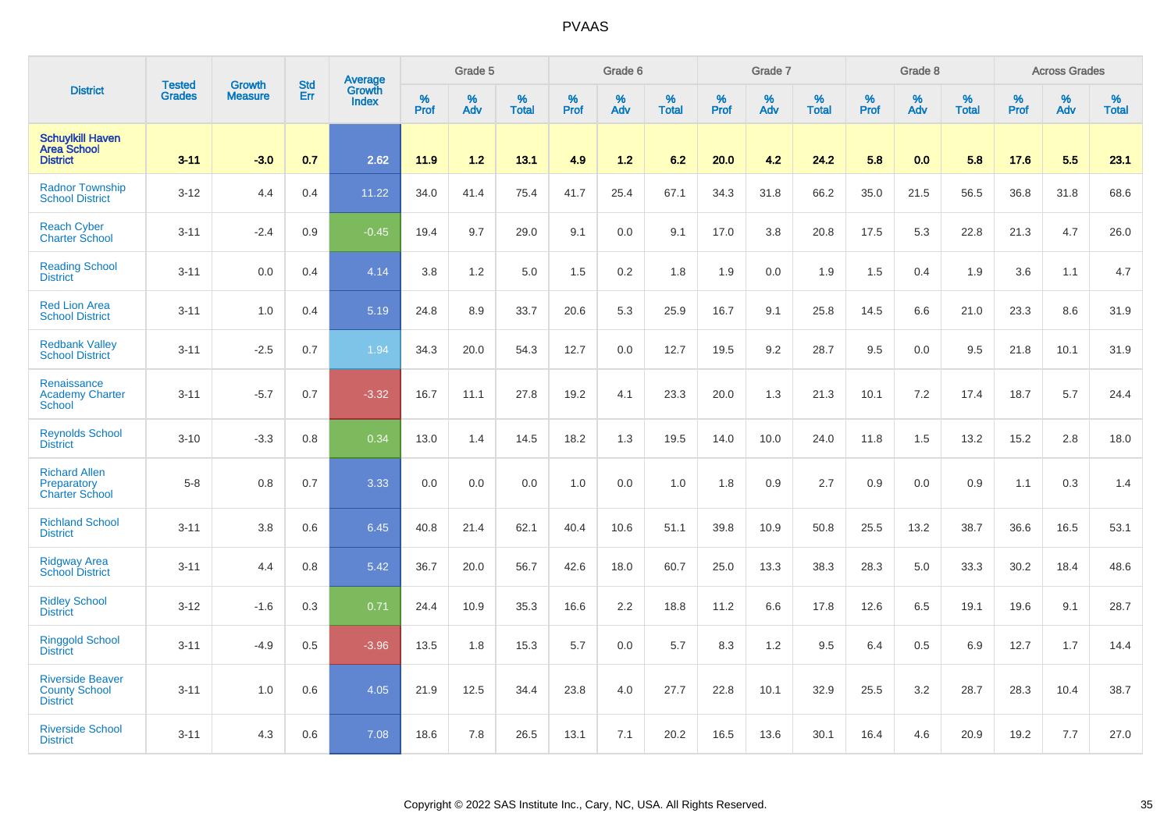|                                                                    |                                | <b>Growth</b>  | <b>Std</b> | Average                |              | Grade 5  |                   |           | Grade 6  |                   |           | Grade 7  |                   |           | Grade 8  |                   |           | <b>Across Grades</b> |                   |
|--------------------------------------------------------------------|--------------------------------|----------------|------------|------------------------|--------------|----------|-------------------|-----------|----------|-------------------|-----------|----------|-------------------|-----------|----------|-------------------|-----------|----------------------|-------------------|
| <b>District</b>                                                    | <b>Tested</b><br><b>Grades</b> | <b>Measure</b> | Err        | Growth<br><b>Index</b> | $\%$<br>Prof | %<br>Adv | %<br><b>Total</b> | %<br>Prof | %<br>Adv | %<br><b>Total</b> | %<br>Prof | %<br>Adv | %<br><b>Total</b> | %<br>Prof | %<br>Adv | %<br><b>Total</b> | %<br>Prof | %<br>Adv             | %<br><b>Total</b> |
| <b>Schuylkill Haven</b><br><b>Area School</b><br><b>District</b>   | $3 - 11$                       | $-3.0$         | 0.7        | 2.62                   | 11.9         | 1.2      | 13.1              | 4.9       | 1.2      | 6.2               | 20.0      | 4.2      | 24.2              | 5.8       | 0.0      | 5.8               | 17.6      | 5.5                  | 23.1              |
| <b>Radnor Township</b><br><b>School District</b>                   | $3 - 12$                       | 4.4            | 0.4        | 11.22                  | 34.0         | 41.4     | 75.4              | 41.7      | 25.4     | 67.1              | 34.3      | 31.8     | 66.2              | 35.0      | 21.5     | 56.5              | 36.8      | 31.8                 | 68.6              |
| <b>Reach Cyber</b><br><b>Charter School</b>                        | $3 - 11$                       | $-2.4$         | 0.9        | $-0.45$                | 19.4         | 9.7      | 29.0              | 9.1       | 0.0      | 9.1               | 17.0      | 3.8      | 20.8              | 17.5      | 5.3      | 22.8              | 21.3      | 4.7                  | 26.0              |
| <b>Reading School</b><br><b>District</b>                           | $3 - 11$                       | 0.0            | 0.4        | 4.14                   | 3.8          | 1.2      | 5.0               | 1.5       | 0.2      | 1.8               | 1.9       | 0.0      | 1.9               | 1.5       | 0.4      | 1.9               | 3.6       | 1.1                  | 4.7               |
| <b>Red Lion Area</b><br><b>School District</b>                     | $3 - 11$                       | 1.0            | 0.4        | 5.19                   | 24.8         | 8.9      | 33.7              | 20.6      | 5.3      | 25.9              | 16.7      | 9.1      | 25.8              | 14.5      | 6.6      | 21.0              | 23.3      | 8.6                  | 31.9              |
| <b>Redbank Valley</b><br><b>School District</b>                    | $3 - 11$                       | $-2.5$         | 0.7        | 1.94                   | 34.3         | 20.0     | 54.3              | 12.7      | 0.0      | 12.7              | 19.5      | 9.2      | 28.7              | 9.5       | 0.0      | 9.5               | 21.8      | 10.1                 | 31.9              |
| Renaissance<br><b>Academy Charter</b><br><b>School</b>             | $3 - 11$                       | $-5.7$         | 0.7        | $-3.32$                | 16.7         | 11.1     | 27.8              | 19.2      | 4.1      | 23.3              | 20.0      | 1.3      | 21.3              | 10.1      | 7.2      | 17.4              | 18.7      | 5.7                  | 24.4              |
| <b>Reynolds School</b><br><b>District</b>                          | $3 - 10$                       | $-3.3$         | 0.8        | 0.34                   | 13.0         | 1.4      | 14.5              | 18.2      | 1.3      | 19.5              | 14.0      | 10.0     | 24.0              | 11.8      | 1.5      | 13.2              | 15.2      | 2.8                  | 18.0              |
| <b>Richard Allen</b><br>Preparatory<br><b>Charter School</b>       | $5-8$                          | 0.8            | 0.7        | 3.33                   | 0.0          | 0.0      | 0.0               | 1.0       | 0.0      | 1.0               | 1.8       | 0.9      | 2.7               | 0.9       | 0.0      | 0.9               | 1.1       | 0.3                  | 1.4               |
| <b>Richland School</b><br><b>District</b>                          | $3 - 11$                       | 3.8            | 0.6        | 6.45                   | 40.8         | 21.4     | 62.1              | 40.4      | 10.6     | 51.1              | 39.8      | 10.9     | 50.8              | 25.5      | 13.2     | 38.7              | 36.6      | 16.5                 | 53.1              |
| <b>Ridgway Area</b><br><b>School District</b>                      | $3 - 11$                       | 4.4            | 0.8        | 5.42                   | 36.7         | 20.0     | 56.7              | 42.6      | 18.0     | 60.7              | 25.0      | 13.3     | 38.3              | 28.3      | 5.0      | 33.3              | 30.2      | 18.4                 | 48.6              |
| <b>Ridley School</b><br><b>District</b>                            | $3 - 12$                       | $-1.6$         | 0.3        | 0.71                   | 24.4         | 10.9     | 35.3              | 16.6      | 2.2      | 18.8              | 11.2      | 6.6      | 17.8              | 12.6      | 6.5      | 19.1              | 19.6      | 9.1                  | 28.7              |
| <b>Ringgold School</b><br><b>District</b>                          | $3 - 11$                       | $-4.9$         | 0.5        | $-3.96$                | 13.5         | 1.8      | 15.3              | 5.7       | 0.0      | 5.7               | 8.3       | 1.2      | 9.5               | 6.4       | 0.5      | 6.9               | 12.7      | 1.7                  | 14.4              |
| <b>Riverside Beaver</b><br><b>County School</b><br><b>District</b> | $3 - 11$                       | 1.0            | 0.6        | 4.05                   | 21.9         | 12.5     | 34.4              | 23.8      | 4.0      | 27.7              | 22.8      | 10.1     | 32.9              | 25.5      | 3.2      | 28.7              | 28.3      | 10.4                 | 38.7              |
| <b>Riverside School</b><br><b>District</b>                         | $3 - 11$                       | 4.3            | 0.6        | 7.08                   | 18.6         | 7.8      | 26.5              | 13.1      | 7.1      | 20.2              | 16.5      | 13.6     | 30.1              | 16.4      | 4.6      | 20.9              | 19.2      | 7.7                  | 27.0              |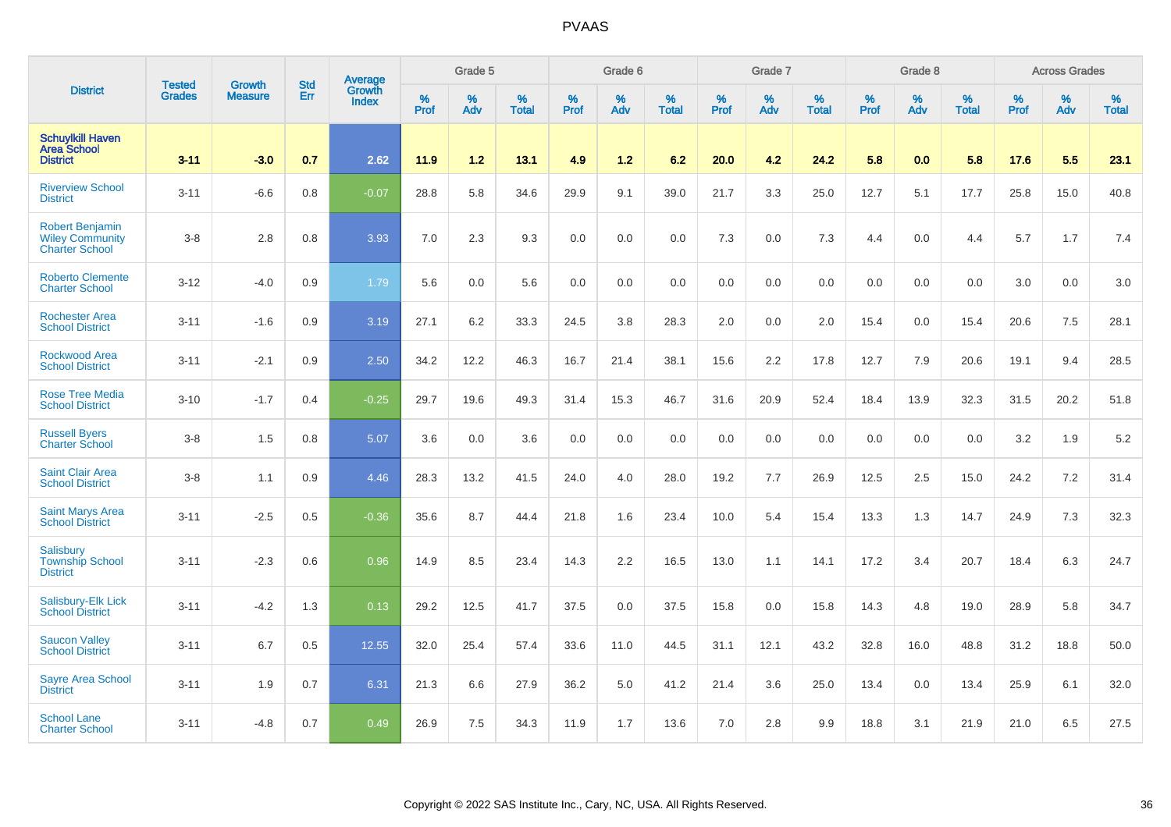|                                                                           |                                |                                 | <b>Std</b> | Average                       |              | Grade 5  |                   |           | Grade 6  |                   |           | Grade 7  |                   |           | Grade 8  |                   |           | <b>Across Grades</b> |                   |
|---------------------------------------------------------------------------|--------------------------------|---------------------------------|------------|-------------------------------|--------------|----------|-------------------|-----------|----------|-------------------|-----------|----------|-------------------|-----------|----------|-------------------|-----------|----------------------|-------------------|
| <b>District</b>                                                           | <b>Tested</b><br><b>Grades</b> | <b>Growth</b><br><b>Measure</b> | Err        | <b>Growth</b><br><b>Index</b> | $\%$<br>Prof | %<br>Adv | %<br><b>Total</b> | %<br>Prof | %<br>Adv | %<br><b>Total</b> | %<br>Prof | %<br>Adv | %<br><b>Total</b> | %<br>Prof | %<br>Adv | %<br><b>Total</b> | %<br>Prof | %<br>Adv             | %<br><b>Total</b> |
| <b>Schuylkill Haven</b><br><b>Area School</b><br><b>District</b>          | $3 - 11$                       | $-3.0$                          | 0.7        | 2.62                          | 11.9         | 1.2      | 13.1              | 4.9       | $1.2$    | 6.2               | 20.0      | 4.2      | 24.2              | 5.8       | 0.0      | 5.8               | 17.6      | 5.5                  | 23.1              |
| <b>Riverview School</b><br><b>District</b>                                | $3 - 11$                       | $-6.6$                          | 0.8        | $-0.07$                       | 28.8         | 5.8      | 34.6              | 29.9      | 9.1      | 39.0              | 21.7      | 3.3      | 25.0              | 12.7      | 5.1      | 17.7              | 25.8      | 15.0                 | 40.8              |
| <b>Robert Benjamin</b><br><b>Wiley Community</b><br><b>Charter School</b> | $3-8$                          | 2.8                             | 0.8        | 3.93                          | 7.0          | 2.3      | 9.3               | 0.0       | 0.0      | 0.0               | 7.3       | 0.0      | 7.3               | 4.4       | 0.0      | 4.4               | 5.7       | 1.7                  | 7.4               |
| <b>Roberto Clemente</b><br><b>Charter School</b>                          | $3 - 12$                       | $-4.0$                          | 0.9        | 1.79                          | 5.6          | 0.0      | 5.6               | 0.0       | 0.0      | 0.0               | 0.0       | 0.0      | 0.0               | 0.0       | 0.0      | 0.0               | 3.0       | 0.0                  | 3.0               |
| <b>Rochester Area</b><br><b>School District</b>                           | $3 - 11$                       | $-1.6$                          | 0.9        | 3.19                          | 27.1         | 6.2      | 33.3              | 24.5      | 3.8      | 28.3              | 2.0       | 0.0      | 2.0               | 15.4      | 0.0      | 15.4              | 20.6      | 7.5                  | 28.1              |
| <b>Rockwood Area</b><br><b>School District</b>                            | $3 - 11$                       | $-2.1$                          | 0.9        | 2.50                          | 34.2         | 12.2     | 46.3              | 16.7      | 21.4     | 38.1              | 15.6      | 2.2      | 17.8              | 12.7      | 7.9      | 20.6              | 19.1      | 9.4                  | 28.5              |
| <b>Rose Tree Media</b><br><b>School District</b>                          | $3 - 10$                       | $-1.7$                          | 0.4        | $-0.25$                       | 29.7         | 19.6     | 49.3              | 31.4      | 15.3     | 46.7              | 31.6      | 20.9     | 52.4              | 18.4      | 13.9     | 32.3              | 31.5      | 20.2                 | 51.8              |
| <b>Russell Byers</b><br><b>Charter School</b>                             | $3 - 8$                        | 1.5                             | 0.8        | 5.07                          | 3.6          | 0.0      | 3.6               | 0.0       | 0.0      | 0.0               | 0.0       | 0.0      | 0.0               | 0.0       | 0.0      | 0.0               | 3.2       | 1.9                  | 5.2               |
| <b>Saint Clair Area</b><br><b>School District</b>                         | $3 - 8$                        | 1.1                             | 0.9        | 4.46                          | 28.3         | 13.2     | 41.5              | 24.0      | 4.0      | 28.0              | 19.2      | 7.7      | 26.9              | 12.5      | 2.5      | 15.0              | 24.2      | 7.2                  | 31.4              |
| <b>Saint Marys Area</b><br><b>School District</b>                         | $3 - 11$                       | $-2.5$                          | 0.5        | $-0.36$                       | 35.6         | 8.7      | 44.4              | 21.8      | 1.6      | 23.4              | 10.0      | 5.4      | 15.4              | 13.3      | 1.3      | 14.7              | 24.9      | 7.3                  | 32.3              |
| Salisbury<br><b>Township School</b><br><b>District</b>                    | $3 - 11$                       | $-2.3$                          | 0.6        | 0.96                          | 14.9         | 8.5      | 23.4              | 14.3      | 2.2      | 16.5              | 13.0      | 1.1      | 14.1              | 17.2      | 3.4      | 20.7              | 18.4      | 6.3                  | 24.7              |
| Salisbury-Elk Lick<br><b>School District</b>                              | $3 - 11$                       | $-4.2$                          | 1.3        | 0.13                          | 29.2         | 12.5     | 41.7              | 37.5      | 0.0      | 37.5              | 15.8      | 0.0      | 15.8              | 14.3      | 4.8      | 19.0              | 28.9      | 5.8                  | 34.7              |
| <b>Saucon Valley</b><br><b>School District</b>                            | $3 - 11$                       | 6.7                             | 0.5        | 12.55                         | 32.0         | 25.4     | 57.4              | 33.6      | 11.0     | 44.5              | 31.1      | 12.1     | 43.2              | 32.8      | 16.0     | 48.8              | 31.2      | 18.8                 | 50.0              |
| <b>Sayre Area School</b><br><b>District</b>                               | $3 - 11$                       | 1.9                             | 0.7        | 6.31                          | 21.3         | 6.6      | 27.9              | 36.2      | 5.0      | 41.2              | 21.4      | 3.6      | 25.0              | 13.4      | 0.0      | 13.4              | 25.9      | 6.1                  | 32.0              |
| <b>School Lane</b><br><b>Charter School</b>                               | $3 - 11$                       | $-4.8$                          | 0.7        | 0.49                          | 26.9         | 7.5      | 34.3              | 11.9      | 1.7      | 13.6              | 7.0       | 2.8      | 9.9               | 18.8      | 3.1      | 21.9              | 21.0      | 6.5                  | 27.5              |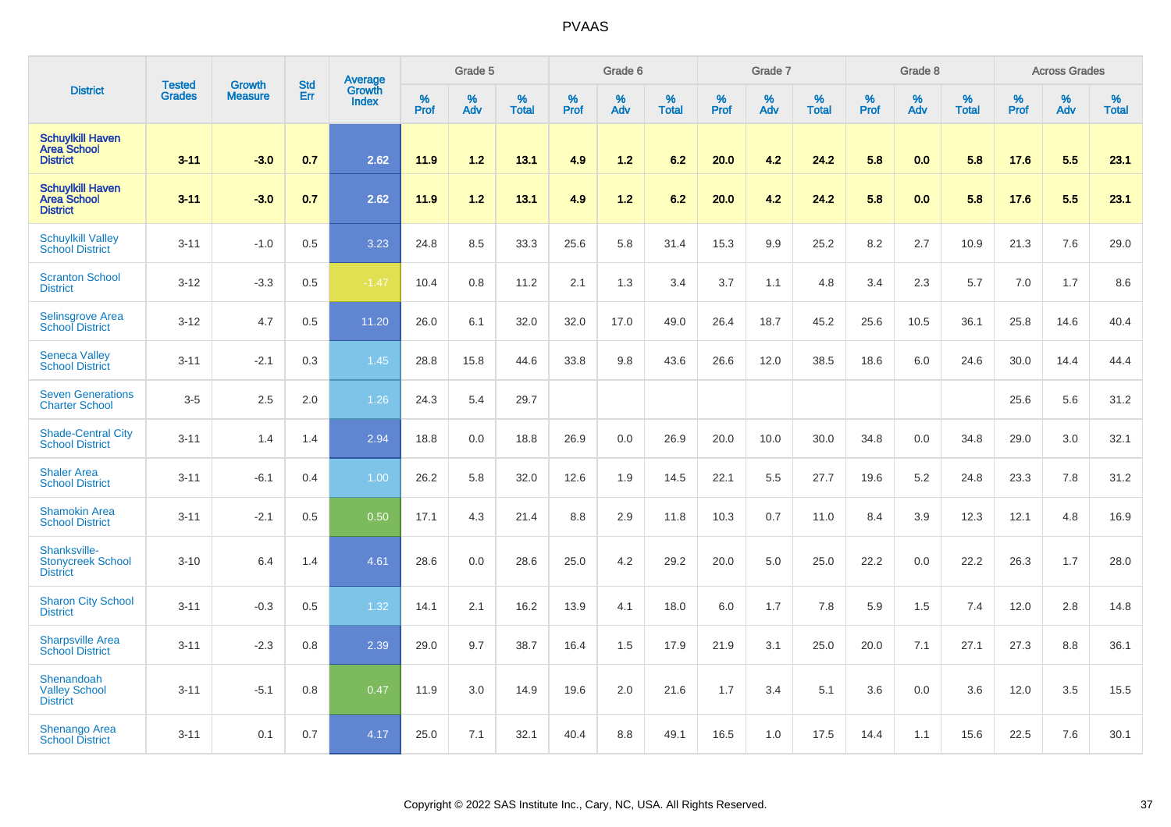|                                                                  |                                | <b>Growth</b>  | <b>Std</b> | Average                |              | Grade 5  |                   |           | Grade 6  |                   |           | Grade 7  |                   |           | Grade 8  |                   |           | <b>Across Grades</b> |                   |
|------------------------------------------------------------------|--------------------------------|----------------|------------|------------------------|--------------|----------|-------------------|-----------|----------|-------------------|-----------|----------|-------------------|-----------|----------|-------------------|-----------|----------------------|-------------------|
| <b>District</b>                                                  | <b>Tested</b><br><b>Grades</b> | <b>Measure</b> | Err        | Growth<br><b>Index</b> | $\%$<br>Prof | %<br>Adv | %<br><b>Total</b> | %<br>Prof | %<br>Adv | %<br><b>Total</b> | %<br>Prof | %<br>Adv | %<br><b>Total</b> | %<br>Prof | %<br>Adv | %<br><b>Total</b> | %<br>Prof | %<br>Adv             | %<br><b>Total</b> |
| <b>Schuylkill Haven</b><br><b>Area School</b><br><b>District</b> | $3 - 11$                       | $-3.0$         | 0.7        | 2.62                   | 11.9         | 1.2      | 13.1              | 4.9       | 1.2      | 6.2               | 20.0      | 4.2      | 24.2              | 5.8       | 0.0      | 5.8               | 17.6      | 5.5                  | 23.1              |
| <b>Schuylkill Haven</b><br><b>Area School</b><br><b>District</b> | $3 - 11$                       | $-3.0$         | 0.7        | 2.62                   | 11.9         | 1.2      | 13.1              | 4.9       | $1.2$    | 6.2               | 20.0      | 4.2      | 24.2              | 5.8       | 0.0      | 5.8               | 17.6      | 5.5                  | 23.1              |
| <b>Schuylkill Valley</b><br><b>School District</b>               | $3 - 11$                       | $-1.0$         | 0.5        | 3.23                   | 24.8         | 8.5      | 33.3              | 25.6      | 5.8      | 31.4              | 15.3      | 9.9      | 25.2              | 8.2       | 2.7      | 10.9              | 21.3      | 7.6                  | 29.0              |
| <b>Scranton School</b><br><b>District</b>                        | $3 - 12$                       | $-3.3$         | 0.5        | $-1.47$                | 10.4         | 0.8      | 11.2              | 2.1       | 1.3      | 3.4               | 3.7       | 1.1      | 4.8               | 3.4       | 2.3      | 5.7               | 7.0       | 1.7                  | 8.6               |
| <b>Selinsgrove Area</b><br><b>School District</b>                | $3 - 12$                       | 4.7            | 0.5        | 11.20                  | 26.0         | 6.1      | 32.0              | 32.0      | 17.0     | 49.0              | 26.4      | 18.7     | 45.2              | 25.6      | 10.5     | 36.1              | 25.8      | 14.6                 | 40.4              |
| <b>Seneca Valley</b><br><b>School District</b>                   | $3 - 11$                       | $-2.1$         | 0.3        | 1.45                   | 28.8         | 15.8     | 44.6              | 33.8      | 9.8      | 43.6              | 26.6      | 12.0     | 38.5              | 18.6      | 6.0      | 24.6              | 30.0      | 14.4                 | 44.4              |
| <b>Seven Generations</b><br><b>Charter School</b>                | $3-5$                          | 2.5            | 2.0        | 1.26                   | 24.3         | 5.4      | 29.7              |           |          |                   |           |          |                   |           |          |                   | 25.6      | 5.6                  | 31.2              |
| <b>Shade-Central City</b><br><b>School District</b>              | $3 - 11$                       | 1.4            | 1.4        | 2.94                   | 18.8         | 0.0      | 18.8              | 26.9      | 0.0      | 26.9              | 20.0      | 10.0     | 30.0              | 34.8      | 0.0      | 34.8              | 29.0      | 3.0                  | 32.1              |
| <b>Shaler Area</b><br><b>School District</b>                     | $3 - 11$                       | $-6.1$         | 0.4        | 1.00                   | 26.2         | 5.8      | 32.0              | 12.6      | 1.9      | 14.5              | 22.1      | 5.5      | 27.7              | 19.6      | 5.2      | 24.8              | 23.3      | 7.8                  | 31.2              |
| <b>Shamokin Area</b><br><b>School District</b>                   | $3 - 11$                       | $-2.1$         | 0.5        | 0.50                   | 17.1         | 4.3      | 21.4              | 8.8       | 2.9      | 11.8              | 10.3      | 0.7      | 11.0              | 8.4       | 3.9      | 12.3              | 12.1      | 4.8                  | 16.9              |
| Shanksville-<br><b>Stonycreek School</b><br><b>District</b>      | $3 - 10$                       | 6.4            | 1.4        | 4.61                   | 28.6         | 0.0      | 28.6              | 25.0      | 4.2      | 29.2              | 20.0      | 5.0      | 25.0              | 22.2      | 0.0      | 22.2              | 26.3      | 1.7                  | 28.0              |
| <b>Sharon City School</b><br><b>District</b>                     | $3 - 11$                       | $-0.3$         | 0.5        | 1.32                   | 14.1         | 2.1      | 16.2              | 13.9      | 4.1      | 18.0              | 6.0       | 1.7      | 7.8               | 5.9       | 1.5      | 7.4               | 12.0      | 2.8                  | 14.8              |
| <b>Sharpsville Area</b><br><b>School District</b>                | $3 - 11$                       | $-2.3$         | 0.8        | 2.39                   | 29.0         | 9.7      | 38.7              | 16.4      | 1.5      | 17.9              | 21.9      | 3.1      | 25.0              | 20.0      | 7.1      | 27.1              | 27.3      | 8.8                  | 36.1              |
| Shenandoah<br><b>Valley School</b><br><b>District</b>            | $3 - 11$                       | $-5.1$         | 0.8        | 0.47                   | 11.9         | 3.0      | 14.9              | 19.6      | 2.0      | 21.6              | 1.7       | 3.4      | 5.1               | 3.6       | 0.0      | 3.6               | 12.0      | 3.5                  | 15.5              |
| Shenango Area<br><b>School District</b>                          | $3 - 11$                       | 0.1            | 0.7        | 4.17                   | 25.0         | 7.1      | 32.1              | 40.4      | 8.8      | 49.1              | 16.5      | 1.0      | 17.5              | 14.4      | 1.1      | 15.6              | 22.5      | 7.6                  | 30.1              |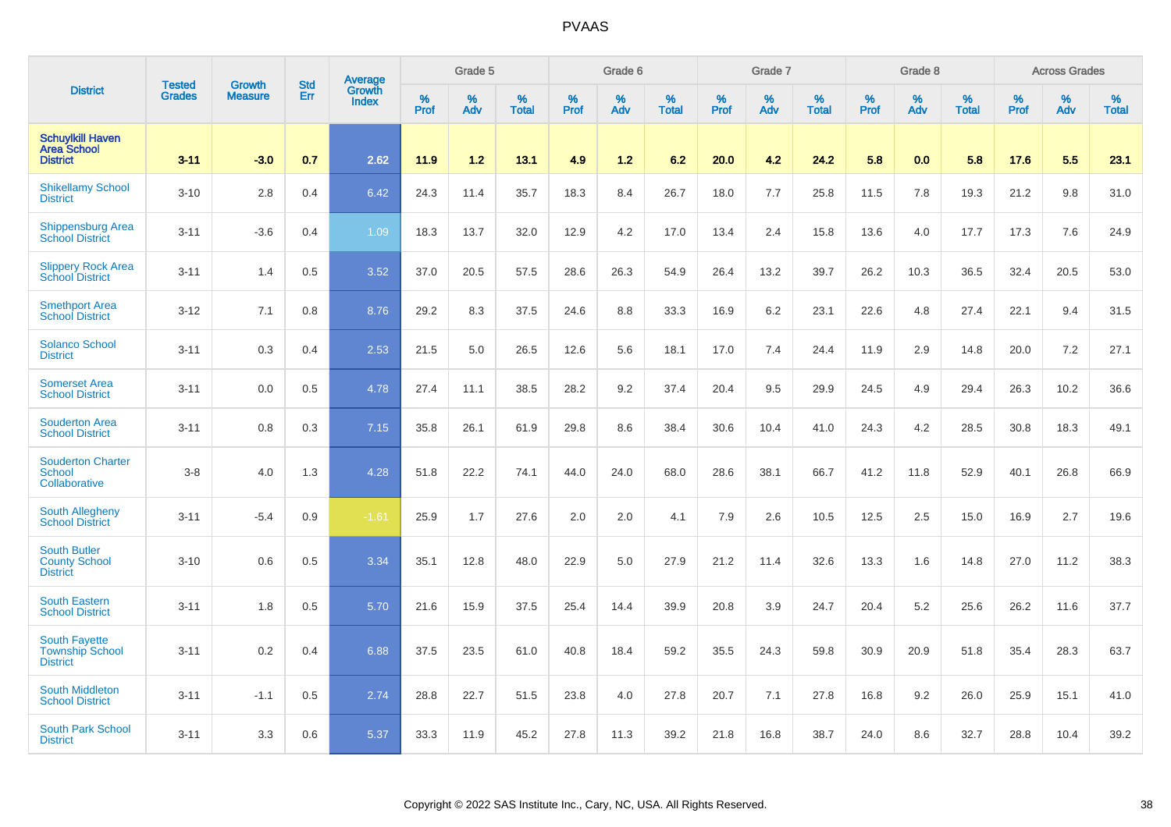|                                                                   |                                |                                 | <b>Std</b> | Average                |              | Grade 5  |                   |           | Grade 6  |                   |           | Grade 7  |                   |           | Grade 8  |                   |           | <b>Across Grades</b> |                   |
|-------------------------------------------------------------------|--------------------------------|---------------------------------|------------|------------------------|--------------|----------|-------------------|-----------|----------|-------------------|-----------|----------|-------------------|-----------|----------|-------------------|-----------|----------------------|-------------------|
| <b>District</b>                                                   | <b>Tested</b><br><b>Grades</b> | <b>Growth</b><br><b>Measure</b> | Err        | Growth<br><b>Index</b> | $\%$<br>Prof | %<br>Adv | %<br><b>Total</b> | %<br>Prof | %<br>Adv | %<br><b>Total</b> | %<br>Prof | %<br>Adv | %<br><b>Total</b> | %<br>Prof | %<br>Adv | %<br><b>Total</b> | %<br>Prof | %<br>Adv             | %<br><b>Total</b> |
| <b>Schuylkill Haven</b><br><b>Area School</b><br><b>District</b>  | $3 - 11$                       | $-3.0$                          | 0.7        | 2.62                   | 11.9         | 1.2      | 13.1              | 4.9       | 1.2      | 6.2               | 20.0      | 4.2      | 24.2              | 5.8       | 0.0      | 5.8               | 17.6      | 5.5                  | 23.1              |
| <b>Shikellamy School</b><br><b>District</b>                       | $3 - 10$                       | 2.8                             | 0.4        | 6.42                   | 24.3         | 11.4     | 35.7              | 18.3      | 8.4      | 26.7              | 18.0      | 7.7      | 25.8              | 11.5      | 7.8      | 19.3              | 21.2      | 9.8                  | 31.0              |
| <b>Shippensburg Area</b><br><b>School District</b>                | $3 - 11$                       | $-3.6$                          | 0.4        | 1.09                   | 18.3         | 13.7     | 32.0              | 12.9      | 4.2      | 17.0              | 13.4      | 2.4      | 15.8              | 13.6      | 4.0      | 17.7              | 17.3      | 7.6                  | 24.9              |
| <b>Slippery Rock Area</b><br><b>School District</b>               | $3 - 11$                       | 1.4                             | 0.5        | 3.52                   | 37.0         | 20.5     | 57.5              | 28.6      | 26.3     | 54.9              | 26.4      | 13.2     | 39.7              | 26.2      | 10.3     | 36.5              | 32.4      | 20.5                 | 53.0              |
| <b>Smethport Area</b><br><b>School District</b>                   | $3 - 12$                       | 7.1                             | 0.8        | 8.76                   | 29.2         | 8.3      | 37.5              | 24.6      | 8.8      | 33.3              | 16.9      | 6.2      | 23.1              | 22.6      | 4.8      | 27.4              | 22.1      | 9.4                  | 31.5              |
| <b>Solanco School</b><br><b>District</b>                          | $3 - 11$                       | 0.3                             | 0.4        | 2.53                   | 21.5         | 5.0      | 26.5              | 12.6      | 5.6      | 18.1              | 17.0      | 7.4      | 24.4              | 11.9      | 2.9      | 14.8              | 20.0      | 7.2                  | 27.1              |
| <b>Somerset Area</b><br><b>School District</b>                    | $3 - 11$                       | 0.0                             | 0.5        | 4.78                   | 27.4         | 11.1     | 38.5              | 28.2      | 9.2      | 37.4              | 20.4      | 9.5      | 29.9              | 24.5      | 4.9      | 29.4              | 26.3      | 10.2                 | 36.6              |
| <b>Souderton Area</b><br><b>School District</b>                   | $3 - 11$                       | 0.8                             | 0.3        | 7.15                   | 35.8         | 26.1     | 61.9              | 29.8      | 8.6      | 38.4              | 30.6      | 10.4     | 41.0              | 24.3      | 4.2      | 28.5              | 30.8      | 18.3                 | 49.1              |
| <b>Souderton Charter</b><br><b>School</b><br>Collaborative        | $3-8$                          | 4.0                             | 1.3        | 4.28                   | 51.8         | 22.2     | 74.1              | 44.0      | 24.0     | 68.0              | 28.6      | 38.1     | 66.7              | 41.2      | 11.8     | 52.9              | 40.1      | 26.8                 | 66.9              |
| South Allegheny<br><b>School District</b>                         | $3 - 11$                       | $-5.4$                          | 0.9        | $-1.61$                | 25.9         | 1.7      | 27.6              | 2.0       | 2.0      | 4.1               | 7.9       | 2.6      | 10.5              | 12.5      | 2.5      | 15.0              | 16.9      | 2.7                  | 19.6              |
| <b>South Butler</b><br><b>County School</b><br><b>District</b>    | $3 - 10$                       | 0.6                             | 0.5        | 3.34                   | 35.1         | 12.8     | 48.0              | 22.9      | 5.0      | 27.9              | 21.2      | 11.4     | 32.6              | 13.3      | 1.6      | 14.8              | 27.0      | 11.2                 | 38.3              |
| <b>South Eastern</b><br><b>School District</b>                    | $3 - 11$                       | 1.8                             | 0.5        | 5.70                   | 21.6         | 15.9     | 37.5              | 25.4      | 14.4     | 39.9              | 20.8      | 3.9      | 24.7              | 20.4      | 5.2      | 25.6              | 26.2      | 11.6                 | 37.7              |
| <b>South Fayette</b><br><b>Township School</b><br><b>District</b> | $3 - 11$                       | 0.2                             | 0.4        | 6.88                   | 37.5         | 23.5     | 61.0              | 40.8      | 18.4     | 59.2              | 35.5      | 24.3     | 59.8              | 30.9      | 20.9     | 51.8              | 35.4      | 28.3                 | 63.7              |
| <b>South Middleton</b><br><b>School District</b>                  | $3 - 11$                       | $-1.1$                          | 0.5        | 2.74                   | 28.8         | 22.7     | 51.5              | 23.8      | 4.0      | 27.8              | 20.7      | 7.1      | 27.8              | 16.8      | 9.2      | 26.0              | 25.9      | 15.1                 | 41.0              |
| South Park School<br><b>District</b>                              | $3 - 11$                       | 3.3                             | 0.6        | 5.37                   | 33.3         | 11.9     | 45.2              | 27.8      | 11.3     | 39.2              | 21.8      | 16.8     | 38.7              | 24.0      | 8.6      | 32.7              | 28.8      | 10.4                 | 39.2              |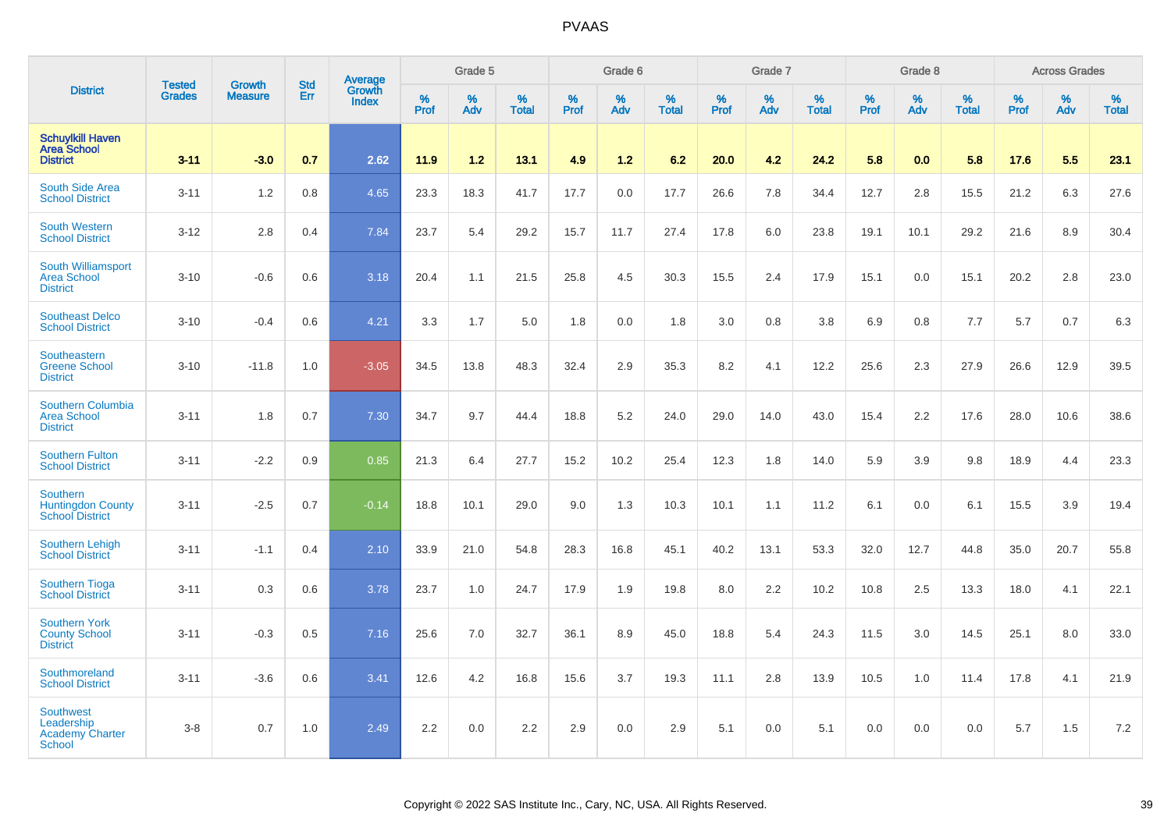|                                                                           |                         |                                 |                   | Average                |              | Grade 5  |                      |              | Grade 6  |                   |              | Grade 7  |                   |              | Grade 8     |                      |              | <b>Across Grades</b> |                   |
|---------------------------------------------------------------------------|-------------------------|---------------------------------|-------------------|------------------------|--------------|----------|----------------------|--------------|----------|-------------------|--------------|----------|-------------------|--------------|-------------|----------------------|--------------|----------------------|-------------------|
| <b>District</b>                                                           | <b>Tested</b><br>Grades | <b>Growth</b><br><b>Measure</b> | <b>Std</b><br>Err | Growth<br><b>Index</b> | $\%$<br>Prof | %<br>Adv | $\%$<br><b>Total</b> | $\%$<br>Prof | %<br>Adv | %<br><b>Total</b> | $\%$<br>Prof | %<br>Adv | %<br><b>Total</b> | $\%$<br>Prof | $\%$<br>Adv | $\%$<br><b>Total</b> | $\%$<br>Prof | %<br>Adv             | %<br><b>Total</b> |
| <b>Schuylkill Haven</b><br><b>Area School</b><br><b>District</b>          | $3 - 11$                | $-3.0$                          | 0.7               | 2.62                   | 11.9         | 1.2      | 13.1                 | 4.9          | $1.2$    | 6.2               | 20.0         | 4.2      | 24.2              | 5.8          | 0.0         | 5.8                  | 17.6         | 5.5                  | 23.1              |
| South Side Area<br><b>School District</b>                                 | $3 - 11$                | 1.2                             | 0.8               | 4.65                   | 23.3         | 18.3     | 41.7                 | 17.7         | 0.0      | 17.7              | 26.6         | 7.8      | 34.4              | 12.7         | 2.8         | 15.5                 | 21.2         | 6.3                  | 27.6              |
| <b>South Western</b><br><b>School District</b>                            | $3 - 12$                | 2.8                             | 0.4               | 7.84                   | 23.7         | 5.4      | 29.2                 | 15.7         | 11.7     | 27.4              | 17.8         | 6.0      | 23.8              | 19.1         | 10.1        | 29.2                 | 21.6         | 8.9                  | 30.4              |
| South Williamsport<br><b>Area School</b><br><b>District</b>               | $3 - 10$                | $-0.6$                          | 0.6               | 3.18                   | 20.4         | 1.1      | 21.5                 | 25.8         | 4.5      | 30.3              | 15.5         | 2.4      | 17.9              | 15.1         | 0.0         | 15.1                 | 20.2         | 2.8                  | 23.0              |
| <b>Southeast Delco</b><br><b>School District</b>                          | $3 - 10$                | $-0.4$                          | 0.6               | 4.21                   | 3.3          | 1.7      | 5.0                  | 1.8          | 0.0      | 1.8               | 3.0          | 0.8      | 3.8               | 6.9          | 0.8         | 7.7                  | 5.7          | 0.7                  | 6.3               |
| Southeastern<br><b>Greene School</b><br><b>District</b>                   | $3 - 10$                | $-11.8$                         | 1.0               | $-3.05$                | 34.5         | 13.8     | 48.3                 | 32.4         | 2.9      | 35.3              | 8.2          | 4.1      | 12.2              | 25.6         | 2.3         | 27.9                 | 26.6         | 12.9                 | 39.5              |
| Southern Columbia<br><b>Area School</b><br><b>District</b>                | $3 - 11$                | 1.8                             | 0.7               | 7.30                   | 34.7         | 9.7      | 44.4                 | 18.8         | 5.2      | 24.0              | 29.0         | 14.0     | 43.0              | 15.4         | 2.2         | 17.6                 | 28.0         | 10.6                 | 38.6              |
| <b>Southern Fulton</b><br><b>School District</b>                          | $3 - 11$                | $-2.2$                          | 0.9               | 0.85                   | 21.3         | 6.4      | 27.7                 | 15.2         | 10.2     | 25.4              | 12.3         | 1.8      | 14.0              | 5.9          | 3.9         | 9.8                  | 18.9         | 4.4                  | 23.3              |
| Southern<br><b>Huntingdon County</b><br><b>School District</b>            | $3 - 11$                | $-2.5$                          | 0.7               | $-0.14$                | 18.8         | 10.1     | 29.0                 | 9.0          | 1.3      | 10.3              | 10.1         | 1.1      | 11.2              | 6.1          | 0.0         | 6.1                  | 15.5         | 3.9                  | 19.4              |
| <b>Southern Lehigh</b><br><b>School District</b>                          | $3 - 11$                | $-1.1$                          | 0.4               | 2.10                   | 33.9         | 21.0     | 54.8                 | 28.3         | 16.8     | 45.1              | 40.2         | 13.1     | 53.3              | 32.0         | 12.7        | 44.8                 | 35.0         | 20.7                 | 55.8              |
| <b>Southern Tioga</b><br><b>School District</b>                           | $3 - 11$                | 0.3                             | 0.6               | 3.78                   | 23.7         | 1.0      | 24.7                 | 17.9         | 1.9      | 19.8              | 8.0          | 2.2      | 10.2              | 10.8         | 2.5         | 13.3                 | 18.0         | 4.1                  | 22.1              |
| <b>Southern York</b><br><b>County School</b><br><b>District</b>           | $3 - 11$                | $-0.3$                          | 0.5               | 7.16                   | 25.6         | 7.0      | 32.7                 | 36.1         | 8.9      | 45.0              | 18.8         | 5.4      | 24.3              | 11.5         | 3.0         | 14.5                 | 25.1         | 8.0                  | 33.0              |
| Southmoreland<br><b>School District</b>                                   | $3 - 11$                | $-3.6$                          | 0.6               | 3.41                   | 12.6         | 4.2      | 16.8                 | 15.6         | 3.7      | 19.3              | 11.1         | 2.8      | 13.9              | 10.5         | 1.0         | 11.4                 | 17.8         | 4.1                  | 21.9              |
| <b>Southwest</b><br>Leadership<br><b>Academy Charter</b><br><b>School</b> | $3 - 8$                 | 0.7                             | 1.0               | 2.49                   | 2.2          | 0.0      | 2.2                  | 2.9          | 0.0      | 2.9               | 5.1          | 0.0      | 5.1               | 0.0          | 0.0         | 0.0                  | 5.7          | 1.5                  | 7.2               |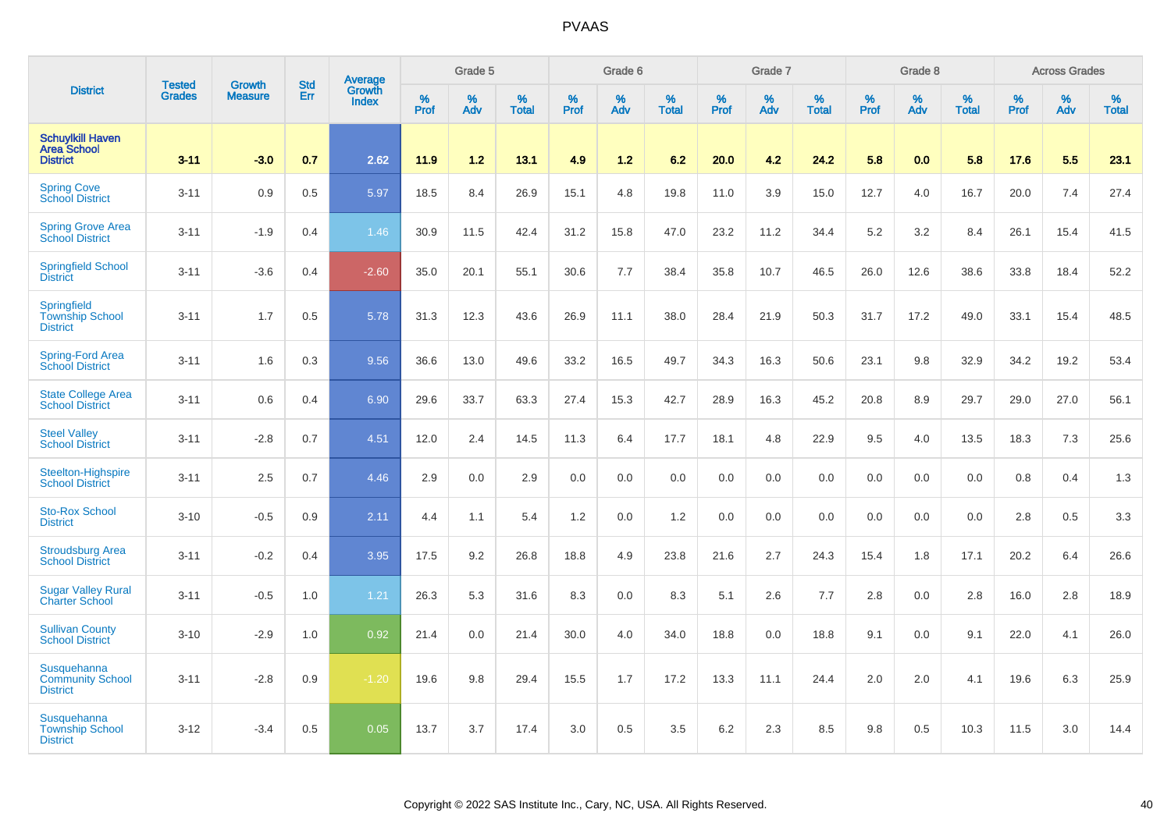|                                                                  |                                |                                 | <b>Std</b> | Average                |                     | Grade 5  |                   |                  | Grade 6  |                   |                  | Grade 7  |                   |           | Grade 8  |                   |           | <b>Across Grades</b> |                   |
|------------------------------------------------------------------|--------------------------------|---------------------------------|------------|------------------------|---------------------|----------|-------------------|------------------|----------|-------------------|------------------|----------|-------------------|-----------|----------|-------------------|-----------|----------------------|-------------------|
| <b>District</b>                                                  | <b>Tested</b><br><b>Grades</b> | <b>Growth</b><br><b>Measure</b> | Err        | Growth<br><b>Index</b> | $\%$<br><b>Prof</b> | %<br>Adv | %<br><b>Total</b> | %<br><b>Prof</b> | %<br>Adv | %<br><b>Total</b> | %<br><b>Prof</b> | %<br>Adv | %<br><b>Total</b> | %<br>Prof | %<br>Adv | %<br><b>Total</b> | %<br>Prof | %<br>Adv             | %<br><b>Total</b> |
| <b>Schuylkill Haven</b><br><b>Area School</b><br><b>District</b> | $3 - 11$                       | $-3.0$                          | 0.7        | 2.62                   | 11.9                | 1.2      | 13.1              | 4.9              | $1.2$    | 6.2               | 20.0             | 4.2      | 24.2              | 5.8       | 0.0      | 5.8               | 17.6      | 5.5                  | 23.1              |
| <b>Spring Cove</b><br>School District                            | $3 - 11$                       | 0.9                             | 0.5        | 5.97                   | 18.5                | 8.4      | 26.9              | 15.1             | 4.8      | 19.8              | 11.0             | 3.9      | 15.0              | 12.7      | 4.0      | 16.7              | 20.0      | 7.4                  | 27.4              |
| <b>Spring Grove Area</b><br><b>School District</b>               | $3 - 11$                       | $-1.9$                          | 0.4        | 1.46                   | 30.9                | 11.5     | 42.4              | 31.2             | 15.8     | 47.0              | 23.2             | 11.2     | 34.4              | $5.2\,$   | 3.2      | 8.4               | 26.1      | 15.4                 | 41.5              |
| <b>Springfield School</b><br><b>District</b>                     | $3 - 11$                       | $-3.6$                          | 0.4        | $-2.60$                | 35.0                | 20.1     | 55.1              | 30.6             | 7.7      | 38.4              | 35.8             | 10.7     | 46.5              | 26.0      | 12.6     | 38.6              | 33.8      | 18.4                 | 52.2              |
| Springfield<br><b>Township School</b><br><b>District</b>         | $3 - 11$                       | 1.7                             | 0.5        | 5.78                   | 31.3                | 12.3     | 43.6              | 26.9             | 11.1     | 38.0              | 28.4             | 21.9     | 50.3              | 31.7      | 17.2     | 49.0              | 33.1      | 15.4                 | 48.5              |
| Spring-Ford Area<br><b>School District</b>                       | $3 - 11$                       | 1.6                             | 0.3        | 9.56                   | 36.6                | 13.0     | 49.6              | 33.2             | 16.5     | 49.7              | 34.3             | 16.3     | 50.6              | 23.1      | 9.8      | 32.9              | 34.2      | 19.2                 | 53.4              |
| <b>State College Area</b><br><b>School District</b>              | $3 - 11$                       | 0.6                             | 0.4        | 6.90                   | 29.6                | 33.7     | 63.3              | 27.4             | 15.3     | 42.7              | 28.9             | 16.3     | 45.2              | 20.8      | 8.9      | 29.7              | 29.0      | 27.0                 | 56.1              |
| <b>Steel Valley</b><br><b>School District</b>                    | $3 - 11$                       | $-2.8$                          | 0.7        | 4.51                   | 12.0                | 2.4      | 14.5              | 11.3             | 6.4      | 17.7              | 18.1             | 4.8      | 22.9              | 9.5       | 4.0      | 13.5              | 18.3      | 7.3                  | 25.6              |
| Steelton-Highspire<br><b>School District</b>                     | $3 - 11$                       | 2.5                             | 0.7        | 4.46                   | 2.9                 | 0.0      | 2.9               | 0.0              | 0.0      | 0.0               | 0.0              | 0.0      | 0.0               | 0.0       | 0.0      | 0.0               | 0.8       | 0.4                  | 1.3               |
| <b>Sto-Rox School</b><br><b>District</b>                         | $3 - 10$                       | $-0.5$                          | 0.9        | 2.11                   | 4.4                 | 1.1      | 5.4               | 1.2              | 0.0      | 1.2               | 0.0              | 0.0      | 0.0               | 0.0       | 0.0      | 0.0               | 2.8       | 0.5                  | 3.3               |
| <b>Stroudsburg Area</b><br><b>School District</b>                | $3 - 11$                       | $-0.2$                          | 0.4        | 3.95                   | 17.5                | 9.2      | 26.8              | 18.8             | 4.9      | 23.8              | 21.6             | 2.7      | 24.3              | 15.4      | 1.8      | 17.1              | 20.2      | 6.4                  | 26.6              |
| <b>Sugar Valley Rural</b><br><b>Charter School</b>               | $3 - 11$                       | $-0.5$                          | 1.0        | 1.21                   | 26.3                | 5.3      | 31.6              | 8.3              | 0.0      | 8.3               | 5.1              | 2.6      | 7.7               | 2.8       | 0.0      | 2.8               | 16.0      | 2.8                  | 18.9              |
| <b>Sullivan County</b><br><b>School District</b>                 | $3 - 10$                       | $-2.9$                          | 1.0        | 0.92                   | 21.4                | 0.0      | 21.4              | 30.0             | 4.0      | 34.0              | 18.8             | 0.0      | 18.8              | 9.1       | 0.0      | 9.1               | 22.0      | 4.1                  | 26.0              |
| Susquehanna<br><b>Community School</b><br><b>District</b>        | $3 - 11$                       | $-2.8$                          | 0.9        | $-1.20$                | 19.6                | 9.8      | 29.4              | 15.5             | 1.7      | 17.2              | 13.3             | 11.1     | 24.4              | 2.0       | 2.0      | 4.1               | 19.6      | 6.3                  | 25.9              |
| Susquehanna<br><b>Township School</b><br><b>District</b>         | $3 - 12$                       | $-3.4$                          | 0.5        | 0.05                   | 13.7                | 3.7      | 17.4              | 3.0              | 0.5      | 3.5               | 6.2              | 2.3      | 8.5               | 9.8       | 0.5      | 10.3              | 11.5      | 3.0                  | 14.4              |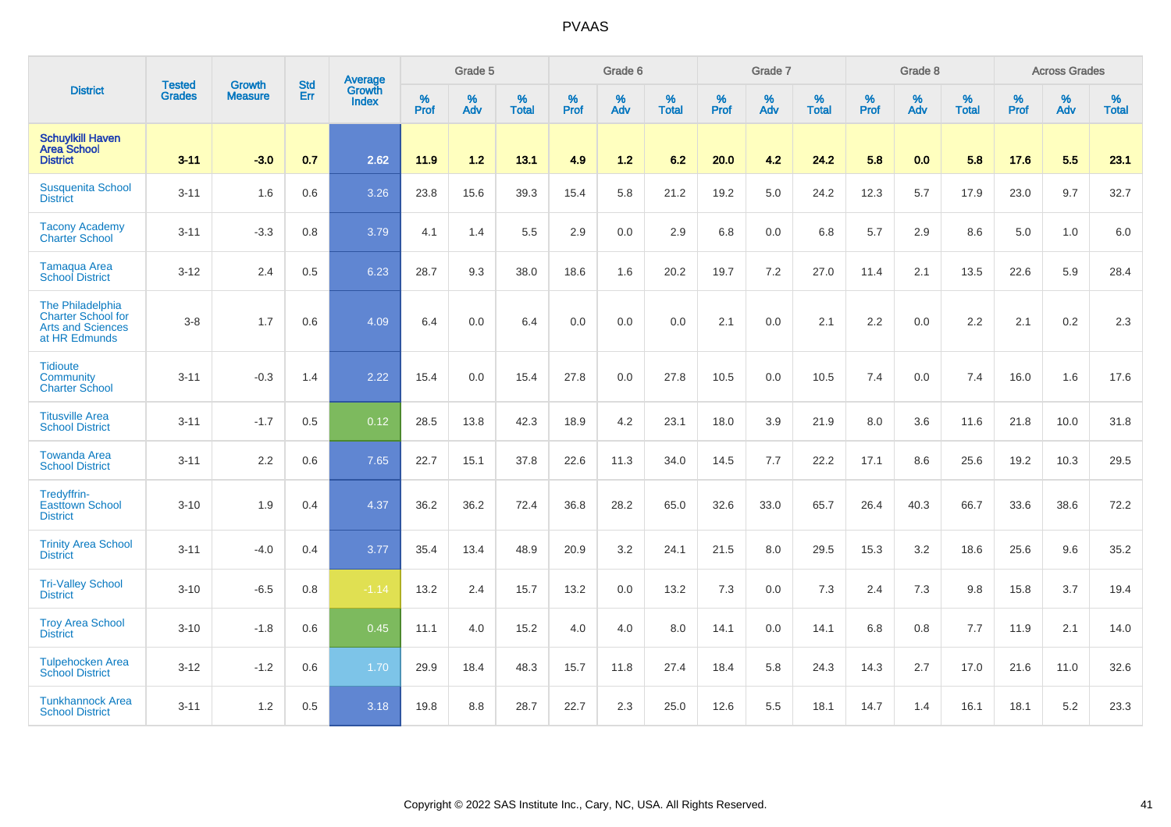|                                                                                            |                                |                                 | <b>Std</b> | Average                |                     | Grade 5  |                   |                     | Grade 6  |                   |                     | Grade 7     |                   |                     | Grade 8     |                   |                     | <b>Across Grades</b> |                   |
|--------------------------------------------------------------------------------------------|--------------------------------|---------------------------------|------------|------------------------|---------------------|----------|-------------------|---------------------|----------|-------------------|---------------------|-------------|-------------------|---------------------|-------------|-------------------|---------------------|----------------------|-------------------|
| <b>District</b>                                                                            | <b>Tested</b><br><b>Grades</b> | <b>Growth</b><br><b>Measure</b> | Err        | Growth<br><b>Index</b> | $\%$<br><b>Prof</b> | %<br>Adv | %<br><b>Total</b> | $\%$<br><b>Prof</b> | %<br>Adv | %<br><b>Total</b> | $\%$<br><b>Prof</b> | $\%$<br>Adv | %<br><b>Total</b> | $\%$<br><b>Prof</b> | $\%$<br>Adv | %<br><b>Total</b> | $\%$<br><b>Prof</b> | $\%$<br>Adv          | %<br><b>Total</b> |
| <b>Schuylkill Haven</b><br><b>Area School</b><br><b>District</b>                           | $3 - 11$                       | $-3.0$                          | 0.7        | 2.62                   | 11.9                | $1.2$    | 13.1              | 4.9                 | $1.2$    | 6.2               | 20.0                | 4.2         | 24.2              | 5.8                 | 0.0         | 5.8               | 17.6                | 5.5                  | 23.1              |
| <b>Susquenita School</b><br><b>District</b>                                                | $3 - 11$                       | 1.6                             | 0.6        | 3.26                   | 23.8                | 15.6     | 39.3              | 15.4                | 5.8      | 21.2              | 19.2                | 5.0         | 24.2              | 12.3                | 5.7         | 17.9              | 23.0                | 9.7                  | 32.7              |
| <b>Tacony Academy</b><br><b>Charter School</b>                                             | $3 - 11$                       | $-3.3$                          | 0.8        | 3.79                   | 4.1                 | 1.4      | 5.5               | 2.9                 | 0.0      | 2.9               | 6.8                 | 0.0         | 6.8               | 5.7                 | 2.9         | 8.6               | 5.0                 | 1.0                  | 6.0               |
| <b>Tamaqua Area</b><br><b>School District</b>                                              | $3 - 12$                       | 2.4                             | 0.5        | 6.23                   | 28.7                | 9.3      | 38.0              | 18.6                | 1.6      | 20.2              | 19.7                | 7.2         | 27.0              | 11.4                | 2.1         | 13.5              | 22.6                | 5.9                  | 28.4              |
| The Philadelphia<br><b>Charter School for</b><br><b>Arts and Sciences</b><br>at HR Edmunds | $3 - 8$                        | 1.7                             | 0.6        | 4.09                   | 6.4                 | 0.0      | 6.4               | 0.0                 | 0.0      | 0.0               | 2.1                 | 0.0         | 2.1               | 2.2                 | 0.0         | 2.2               | 2.1                 | 0.2                  | 2.3               |
| <b>Tidioute</b><br>Community<br><b>Charter School</b>                                      | $3 - 11$                       | $-0.3$                          | 1.4        | 2.22                   | 15.4                | 0.0      | 15.4              | 27.8                | 0.0      | 27.8              | 10.5                | 0.0         | 10.5              | 7.4                 | 0.0         | 7.4               | 16.0                | 1.6                  | 17.6              |
| <b>Titusville Area</b><br><b>School District</b>                                           | $3 - 11$                       | $-1.7$                          | 0.5        | 0.12                   | 28.5                | 13.8     | 42.3              | 18.9                | 4.2      | 23.1              | 18.0                | 3.9         | 21.9              | 8.0                 | 3.6         | 11.6              | 21.8                | 10.0                 | 31.8              |
| <b>Towanda Area</b><br><b>School District</b>                                              | $3 - 11$                       | 2.2                             | 0.6        | 7.65                   | 22.7                | 15.1     | 37.8              | 22.6                | 11.3     | 34.0              | 14.5                | 7.7         | 22.2              | 17.1                | 8.6         | 25.6              | 19.2                | 10.3                 | 29.5              |
| Tredyffrin-<br><b>Easttown School</b><br><b>District</b>                                   | $3 - 10$                       | 1.9                             | 0.4        | 4.37                   | 36.2                | 36.2     | 72.4              | 36.8                | 28.2     | 65.0              | 32.6                | 33.0        | 65.7              | 26.4                | 40.3        | 66.7              | 33.6                | 38.6                 | 72.2              |
| <b>Trinity Area School</b><br><b>District</b>                                              | $3 - 11$                       | $-4.0$                          | 0.4        | 3.77                   | 35.4                | 13.4     | 48.9              | 20.9                | 3.2      | 24.1              | 21.5                | 8.0         | 29.5              | 15.3                | 3.2         | 18.6              | 25.6                | 9.6                  | 35.2              |
| <b>Tri-Valley School</b><br><b>District</b>                                                | $3 - 10$                       | $-6.5$                          | 0.8        | $-1.14$                | 13.2                | 2.4      | 15.7              | 13.2                | 0.0      | 13.2              | 7.3                 | 0.0         | 7.3               | 2.4                 | 7.3         | 9.8               | 15.8                | 3.7                  | 19.4              |
| <b>Troy Area School</b><br><b>District</b>                                                 | $3 - 10$                       | $-1.8$                          | 0.6        | 0.45                   | 11.1                | 4.0      | 15.2              | 4.0                 | 4.0      | 8.0               | 14.1                | 0.0         | 14.1              | 6.8                 | 0.8         | 7.7               | 11.9                | 2.1                  | 14.0              |
| <b>Tulpehocken Area</b><br><b>School District</b>                                          | $3 - 12$                       | $-1.2$                          | 0.6        | 1.70                   | 29.9                | 18.4     | 48.3              | 15.7                | 11.8     | 27.4              | 18.4                | 5.8         | 24.3              | 14.3                | 2.7         | 17.0              | 21.6                | 11.0                 | 32.6              |
| <b>Tunkhannock Area</b><br><b>School District</b>                                          | $3 - 11$                       | 1.2                             | 0.5        | 3.18                   | 19.8                | 8.8      | 28.7              | 22.7                | 2.3      | 25.0              | 12.6                | 5.5         | 18.1              | 14.7                | 1.4         | 16.1              | 18.1                | 5.2                  | 23.3              |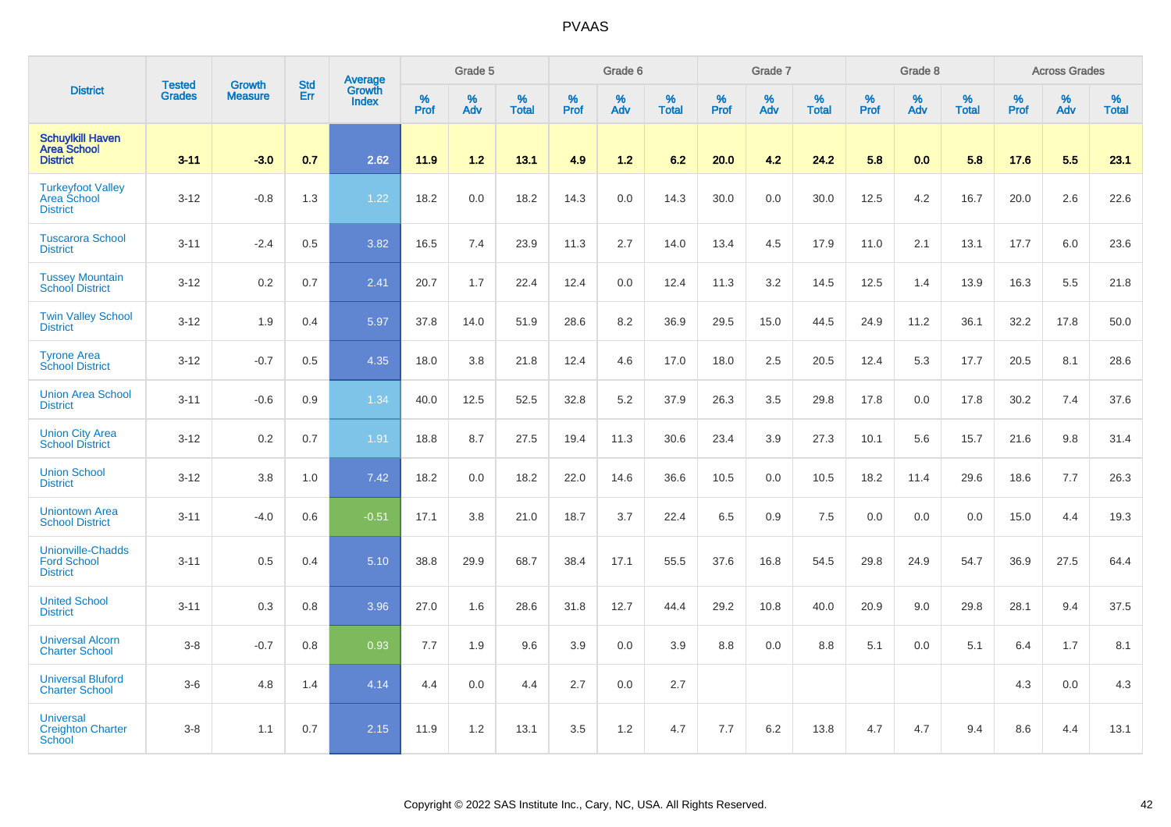|                                                                   |                                |                                 |                   | Average                |           | Grade 5  |                   |           | Grade 6  |                   |           | Grade 7  |                   |           | Grade 8  |                   |           | <b>Across Grades</b> |                   |
|-------------------------------------------------------------------|--------------------------------|---------------------------------|-------------------|------------------------|-----------|----------|-------------------|-----------|----------|-------------------|-----------|----------|-------------------|-----------|----------|-------------------|-----------|----------------------|-------------------|
| <b>District</b>                                                   | <b>Tested</b><br><b>Grades</b> | <b>Growth</b><br><b>Measure</b> | <b>Std</b><br>Err | Growth<br><b>Index</b> | %<br>Prof | %<br>Adv | %<br><b>Total</b> | %<br>Prof | %<br>Adv | %<br><b>Total</b> | %<br>Prof | %<br>Adv | %<br><b>Total</b> | %<br>Prof | %<br>Adv | %<br><b>Total</b> | %<br>Prof | %<br>Adv             | %<br><b>Total</b> |
| <b>Schuylkill Haven</b><br><b>Area School</b><br><b>District</b>  | $3 - 11$                       | $-3.0$                          | 0.7               | 2.62                   | 11.9      | 1.2      | 13.1              | 4.9       | 1.2      | 6.2               | 20.0      | 4.2      | 24.2              | 5.8       | 0.0      | 5.8               | 17.6      | 5.5                  | 23.1              |
| <b>Turkeyfoot Valley</b><br>Area School<br><b>District</b>        | $3 - 12$                       | $-0.8$                          | 1.3               | 1.22                   | 18.2      | 0.0      | 18.2              | 14.3      | 0.0      | 14.3              | 30.0      | 0.0      | 30.0              | 12.5      | 4.2      | 16.7              | 20.0      | 2.6                  | 22.6              |
| <b>Tuscarora School</b><br><b>District</b>                        | $3 - 11$                       | $-2.4$                          | 0.5               | 3.82                   | 16.5      | 7.4      | 23.9              | 11.3      | 2.7      | 14.0              | 13.4      | 4.5      | 17.9              | 11.0      | 2.1      | 13.1              | 17.7      | 6.0                  | 23.6              |
| <b>Tussey Mountain</b><br><b>School District</b>                  | $3 - 12$                       | 0.2                             | 0.7               | 2.41                   | 20.7      | 1.7      | 22.4              | 12.4      | 0.0      | 12.4              | 11.3      | 3.2      | 14.5              | 12.5      | 1.4      | 13.9              | 16.3      | 5.5                  | 21.8              |
| <b>Twin Valley School</b><br><b>District</b>                      | $3 - 12$                       | 1.9                             | 0.4               | 5.97                   | 37.8      | 14.0     | 51.9              | 28.6      | 8.2      | 36.9              | 29.5      | 15.0     | 44.5              | 24.9      | 11.2     | 36.1              | 32.2      | 17.8                 | 50.0              |
| <b>Tyrone Area</b><br><b>School District</b>                      | $3 - 12$                       | $-0.7$                          | 0.5               | 4.35                   | 18.0      | 3.8      | 21.8              | 12.4      | 4.6      | 17.0              | 18.0      | 2.5      | 20.5              | 12.4      | 5.3      | 17.7              | 20.5      | 8.1                  | 28.6              |
| <b>Union Area School</b><br><b>District</b>                       | $3 - 11$                       | $-0.6$                          | 0.9               | 1.34                   | 40.0      | 12.5     | 52.5              | 32.8      | 5.2      | 37.9              | 26.3      | 3.5      | 29.8              | 17.8      | 0.0      | 17.8              | 30.2      | 7.4                  | 37.6              |
| <b>Union City Area</b><br><b>School District</b>                  | $3 - 12$                       | 0.2                             | 0.7               | 1.91                   | 18.8      | 8.7      | 27.5              | 19.4      | 11.3     | 30.6              | 23.4      | 3.9      | 27.3              | 10.1      | 5.6      | 15.7              | 21.6      | 9.8                  | 31.4              |
| <b>Union School</b><br><b>District</b>                            | $3 - 12$                       | 3.8                             | 1.0               | 7.42                   | 18.2      | 0.0      | 18.2              | 22.0      | 14.6     | 36.6              | 10.5      | 0.0      | 10.5              | 18.2      | 11.4     | 29.6              | 18.6      | 7.7                  | 26.3              |
| <b>Uniontown Area</b><br><b>School District</b>                   | $3 - 11$                       | $-4.0$                          | 0.6               | $-0.51$                | 17.1      | 3.8      | 21.0              | 18.7      | 3.7      | 22.4              | 6.5       | 0.9      | 7.5               | 0.0       | 0.0      | 0.0               | 15.0      | 4.4                  | 19.3              |
| <b>Unionville-Chadds</b><br><b>Ford School</b><br><b>District</b> | $3 - 11$                       | 0.5                             | 0.4               | 5.10                   | 38.8      | 29.9     | 68.7              | 38.4      | 17.1     | 55.5              | 37.6      | 16.8     | 54.5              | 29.8      | 24.9     | 54.7              | 36.9      | 27.5                 | 64.4              |
| <b>United School</b><br><b>District</b>                           | $3 - 11$                       | 0.3                             | 0.8               | 3.96                   | 27.0      | 1.6      | 28.6              | 31.8      | 12.7     | 44.4              | 29.2      | 10.8     | 40.0              | 20.9      | 9.0      | 29.8              | 28.1      | 9.4                  | 37.5              |
| <b>Universal Alcorn</b><br><b>Charter School</b>                  | $3-8$                          | $-0.7$                          | 0.8               | 0.93                   | 7.7       | 1.9      | 9.6               | 3.9       | 0.0      | 3.9               | 8.8       | 0.0      | 8.8               | 5.1       | 0.0      | 5.1               | 6.4       | 1.7                  | 8.1               |
| <b>Universal Bluford</b><br><b>Charter School</b>                 | $3-6$                          | 4.8                             | 1.4               | 4.14                   | 4.4       | 0.0      | 4.4               | 2.7       | 0.0      | 2.7               |           |          |                   |           |          |                   | 4.3       | 0.0                  | 4.3               |
| <b>Universal</b><br><b>Creighton Charter</b><br><b>School</b>     | $3-8$                          | 1.1                             | 0.7               | 2.15                   | 11.9      | 1.2      | 13.1              | 3.5       | 1.2      | 4.7               | 7.7       | 6.2      | 13.8              | 4.7       | 4.7      | 9.4               | 8.6       | 4.4                  | 13.1              |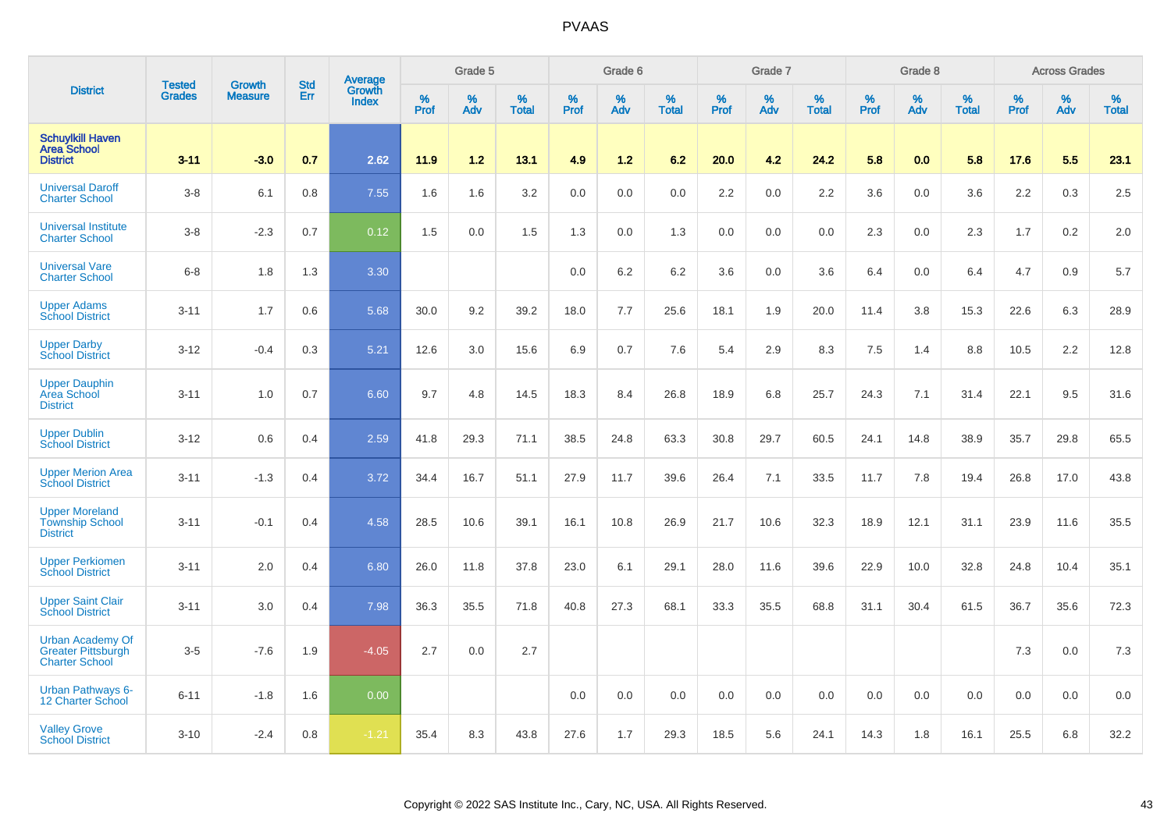|                                                                               |                                |                                 | <b>Std</b> | Average                |              | Grade 5  |                   |           | Grade 6  |                   |           | Grade 7  |                   |           | Grade 8  |                   |           | <b>Across Grades</b> |                   |
|-------------------------------------------------------------------------------|--------------------------------|---------------------------------|------------|------------------------|--------------|----------|-------------------|-----------|----------|-------------------|-----------|----------|-------------------|-----------|----------|-------------------|-----------|----------------------|-------------------|
| <b>District</b>                                                               | <b>Tested</b><br><b>Grades</b> | <b>Growth</b><br><b>Measure</b> | Err        | Growth<br><b>Index</b> | $\%$<br>Prof | %<br>Adv | %<br><b>Total</b> | %<br>Prof | %<br>Adv | %<br><b>Total</b> | %<br>Prof | %<br>Adv | %<br><b>Total</b> | %<br>Prof | %<br>Adv | %<br><b>Total</b> | %<br>Prof | %<br>Adv             | %<br><b>Total</b> |
| <b>Schuylkill Haven</b><br><b>Area School</b><br><b>District</b>              | $3 - 11$                       | $-3.0$                          | 0.7        | 2.62                   | 11.9         | 1.2      | 13.1              | 4.9       | 1.2      | 6.2               | 20.0      | 4.2      | 24.2              | 5.8       | 0.0      | 5.8               | 17.6      | 5.5                  | 23.1              |
| <b>Universal Daroff</b><br><b>Charter School</b>                              | $3-8$                          | 6.1                             | 0.8        | 7.55                   | 1.6          | 1.6      | 3.2               | 0.0       | 0.0      | 0.0               | 2.2       | 0.0      | 2.2               | 3.6       | 0.0      | 3.6               | 2.2       | 0.3                  | 2.5               |
| <b>Universal Institute</b><br><b>Charter School</b>                           | $3 - 8$                        | $-2.3$                          | 0.7        | 0.12                   | 1.5          | 0.0      | 1.5               | 1.3       | 0.0      | 1.3               | 0.0       | 0.0      | 0.0               | 2.3       | 0.0      | 2.3               | 1.7       | 0.2                  | 2.0               |
| <b>Universal Vare</b><br><b>Charter School</b>                                | $6 - 8$                        | 1.8                             | 1.3        | 3.30                   |              |          |                   | 0.0       | 6.2      | 6.2               | 3.6       | 0.0      | 3.6               | 6.4       | 0.0      | 6.4               | 4.7       | 0.9                  | 5.7               |
| <b>Upper Adams</b><br><b>School District</b>                                  | $3 - 11$                       | 1.7                             | 0.6        | 5.68                   | 30.0         | 9.2      | 39.2              | 18.0      | 7.7      | 25.6              | 18.1      | 1.9      | 20.0              | 11.4      | 3.8      | 15.3              | 22.6      | 6.3                  | 28.9              |
| <b>Upper Darby</b><br><b>School District</b>                                  | $3 - 12$                       | $-0.4$                          | 0.3        | 5.21                   | 12.6         | 3.0      | 15.6              | 6.9       | 0.7      | 7.6               | 5.4       | 2.9      | 8.3               | 7.5       | 1.4      | 8.8               | 10.5      | 2.2                  | 12.8              |
| <b>Upper Dauphin</b><br>Area School<br><b>District</b>                        | $3 - 11$                       | 1.0                             | 0.7        | 6.60                   | 9.7          | 4.8      | 14.5              | 18.3      | 8.4      | 26.8              | 18.9      | 6.8      | 25.7              | 24.3      | 7.1      | 31.4              | 22.1      | 9.5                  | 31.6              |
| <b>Upper Dublin</b><br><b>School District</b>                                 | $3 - 12$                       | 0.6                             | 0.4        | 2.59                   | 41.8         | 29.3     | 71.1              | 38.5      | 24.8     | 63.3              | 30.8      | 29.7     | 60.5              | 24.1      | 14.8     | 38.9              | 35.7      | 29.8                 | 65.5              |
| <b>Upper Merion Area</b><br><b>School District</b>                            | $3 - 11$                       | $-1.3$                          | 0.4        | 3.72                   | 34.4         | 16.7     | 51.1              | 27.9      | 11.7     | 39.6              | 26.4      | 7.1      | 33.5              | 11.7      | 7.8      | 19.4              | 26.8      | 17.0                 | 43.8              |
| <b>Upper Moreland</b><br><b>Township School</b><br><b>District</b>            | $3 - 11$                       | $-0.1$                          | 0.4        | 4.58                   | 28.5         | 10.6     | 39.1              | 16.1      | 10.8     | 26.9              | 21.7      | 10.6     | 32.3              | 18.9      | 12.1     | 31.1              | 23.9      | 11.6                 | 35.5              |
| <b>Upper Perkiomen</b><br><b>School District</b>                              | $3 - 11$                       | 2.0                             | 0.4        | 6.80                   | 26.0         | 11.8     | 37.8              | 23.0      | 6.1      | 29.1              | 28.0      | 11.6     | 39.6              | 22.9      | 10.0     | 32.8              | 24.8      | 10.4                 | 35.1              |
| <b>Upper Saint Clair</b><br><b>School District</b>                            | $3 - 11$                       | 3.0                             | 0.4        | 7.98                   | 36.3         | 35.5     | 71.8              | 40.8      | 27.3     | 68.1              | 33.3      | 35.5     | 68.8              | 31.1      | 30.4     | 61.5              | 36.7      | 35.6                 | 72.3              |
| <b>Urban Academy Of</b><br><b>Greater Pittsburgh</b><br><b>Charter School</b> | $3-5$                          | $-7.6$                          | 1.9        | $-4.05$                | 2.7          | 0.0      | 2.7               |           |          |                   |           |          |                   |           |          |                   | 7.3       | 0.0                  | 7.3               |
| <b>Urban Pathways 6-</b><br>12 Charter School                                 | $6 - 11$                       | $-1.8$                          | 1.6        | 0.00                   |              |          |                   | 0.0       | 0.0      | 0.0               | 0.0       | 0.0      | 0.0               | 0.0       | 0.0      | 0.0               | 0.0       | 0.0                  | 0.0               |
| <b>Valley Grove</b><br><b>School District</b>                                 | $3 - 10$                       | $-2.4$                          | 0.8        | $-1.21$                | 35.4         | 8.3      | 43.8              | 27.6      | 1.7      | 29.3              | 18.5      | 5.6      | 24.1              | 14.3      | 1.8      | 16.1              | 25.5      | 6.8                  | 32.2              |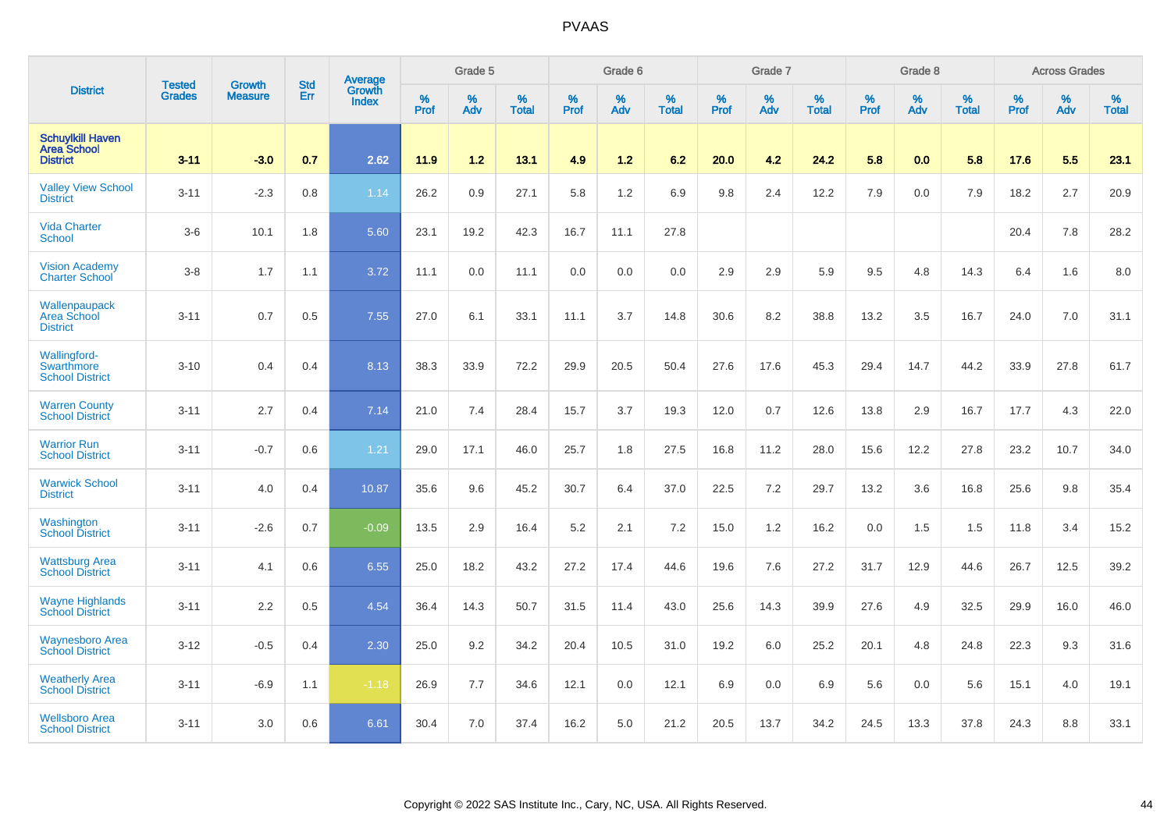|                                                                  | <b>Tested</b> | <b>Growth</b>  | <b>Std</b> | Average                       |           | Grade 5  |                   |           | Grade 6  |                   |           | Grade 7  |                   |           | Grade 8  |                   |           | <b>Across Grades</b> |                   |
|------------------------------------------------------------------|---------------|----------------|------------|-------------------------------|-----------|----------|-------------------|-----------|----------|-------------------|-----------|----------|-------------------|-----------|----------|-------------------|-----------|----------------------|-------------------|
| <b>District</b>                                                  | <b>Grades</b> | <b>Measure</b> | <b>Err</b> | <b>Growth</b><br><b>Index</b> | %<br>Prof | %<br>Adv | %<br><b>Total</b> | %<br>Prof | %<br>Adv | %<br><b>Total</b> | %<br>Prof | %<br>Adv | %<br><b>Total</b> | %<br>Prof | %<br>Adv | %<br><b>Total</b> | %<br>Prof | %<br>Adv             | %<br><b>Total</b> |
| <b>Schuylkill Haven</b><br><b>Area School</b><br><b>District</b> | $3 - 11$      | $-3.0$         | 0.7        | 2.62                          | 11.9      | $1.2$    | 13.1              | 4.9       | $1.2$    | 6.2               | 20.0      | 4.2      | 24.2              | 5.8       | 0.0      | 5.8               | 17.6      | 5.5                  | 23.1              |
| <b>Valley View School</b><br><b>District</b>                     | $3 - 11$      | $-2.3$         | 0.8        | 1.14                          | 26.2      | 0.9      | 27.1              | 5.8       | 1.2      | 6.9               | 9.8       | 2.4      | 12.2              | 7.9       | 0.0      | 7.9               | 18.2      | 2.7                  | 20.9              |
| <b>Vida Charter</b><br><b>School</b>                             | $3-6$         | 10.1           | 1.8        | 5.60                          | 23.1      | 19.2     | 42.3              | 16.7      | 11.1     | 27.8              |           |          |                   |           |          |                   | 20.4      | 7.8                  | 28.2              |
| <b>Vision Academy</b><br><b>Charter School</b>                   | $3-8$         | 1.7            | 1.1        | 3.72                          | 11.1      | 0.0      | 11.1              | 0.0       | 0.0      | 0.0               | 2.9       | 2.9      | 5.9               | 9.5       | 4.8      | 14.3              | 6.4       | 1.6                  | 8.0               |
| Wallenpaupack<br>Area School<br><b>District</b>                  | $3 - 11$      | 0.7            | 0.5        | 7.55                          | 27.0      | 6.1      | 33.1              | 11.1      | 3.7      | 14.8              | 30.6      | 8.2      | 38.8              | 13.2      | 3.5      | 16.7              | 24.0      | 7.0                  | 31.1              |
| Wallingford-<br>Swarthmore<br><b>School District</b>             | $3 - 10$      | 0.4            | 0.4        | 8.13                          | 38.3      | 33.9     | 72.2              | 29.9      | 20.5     | 50.4              | 27.6      | 17.6     | 45.3              | 29.4      | 14.7     | 44.2              | 33.9      | 27.8                 | 61.7              |
| <b>Warren County</b><br><b>School District</b>                   | $3 - 11$      | 2.7            | 0.4        | 7.14                          | 21.0      | 7.4      | 28.4              | 15.7      | 3.7      | 19.3              | 12.0      | 0.7      | 12.6              | 13.8      | 2.9      | 16.7              | 17.7      | 4.3                  | 22.0              |
| <b>Warrior Run</b><br><b>School District</b>                     | $3 - 11$      | $-0.7$         | 0.6        | 1.21                          | 29.0      | 17.1     | 46.0              | 25.7      | 1.8      | 27.5              | 16.8      | 11.2     | 28.0              | 15.6      | 12.2     | 27.8              | 23.2      | 10.7                 | 34.0              |
| <b>Warwick School</b><br><b>District</b>                         | $3 - 11$      | 4.0            | 0.4        | 10.87                         | 35.6      | 9.6      | 45.2              | 30.7      | 6.4      | 37.0              | 22.5      | 7.2      | 29.7              | 13.2      | 3.6      | 16.8              | 25.6      | 9.8                  | 35.4              |
| Washington<br><b>School District</b>                             | $3 - 11$      | $-2.6$         | 0.7        | $-0.09$                       | 13.5      | 2.9      | 16.4              | 5.2       | 2.1      | 7.2               | 15.0      | 1.2      | 16.2              | 0.0       | 1.5      | 1.5               | 11.8      | 3.4                  | 15.2              |
| <b>Wattsburg Area</b><br><b>School District</b>                  | $3 - 11$      | 4.1            | 0.6        | 6.55                          | 25.0      | 18.2     | 43.2              | 27.2      | 17.4     | 44.6              | 19.6      | 7.6      | 27.2              | 31.7      | 12.9     | 44.6              | 26.7      | 12.5                 | 39.2              |
| <b>Wayne Highlands</b><br><b>School District</b>                 | $3 - 11$      | 2.2            | 0.5        | 4.54                          | 36.4      | 14.3     | 50.7              | 31.5      | 11.4     | 43.0              | 25.6      | 14.3     | 39.9              | 27.6      | 4.9      | 32.5              | 29.9      | 16.0                 | 46.0              |
| <b>Waynesboro Area</b><br><b>School District</b>                 | $3 - 12$      | $-0.5$         | 0.4        | 2.30                          | 25.0      | 9.2      | 34.2              | 20.4      | 10.5     | 31.0              | 19.2      | 6.0      | 25.2              | 20.1      | 4.8      | 24.8              | 22.3      | 9.3                  | 31.6              |
| <b>Weatherly Area</b><br><b>School District</b>                  | $3 - 11$      | $-6.9$         | 1.1        | $-1.18$                       | 26.9      | 7.7      | 34.6              | 12.1      | 0.0      | 12.1              | 6.9       | 0.0      | 6.9               | 5.6       | 0.0      | 5.6               | 15.1      | 4.0                  | 19.1              |
| <b>Wellsboro Area</b><br><b>School District</b>                  | $3 - 11$      | 3.0            | 0.6        | 6.61                          | 30.4      | 7.0      | 37.4              | 16.2      | 5.0      | 21.2              | 20.5      | 13.7     | 34.2              | 24.5      | 13.3     | 37.8              | 24.3      | 8.8                  | 33.1              |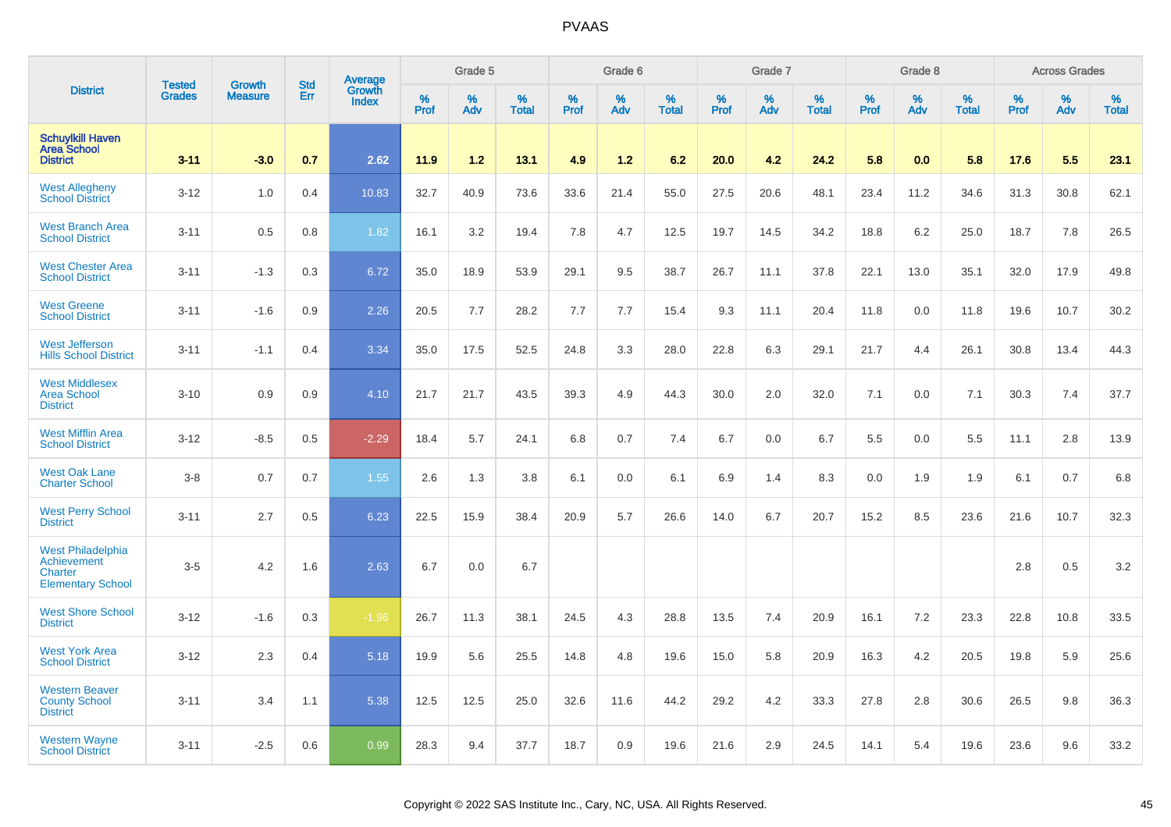|                                                                         |                                | <b>Growth</b>  | <b>Std</b> | <b>Average</b><br>Growth |              | Grade 5  |                   |           | Grade 6  |                   |           | Grade 7  |                   |           | Grade 8  |                   |           | <b>Across Grades</b> |                   |
|-------------------------------------------------------------------------|--------------------------------|----------------|------------|--------------------------|--------------|----------|-------------------|-----------|----------|-------------------|-----------|----------|-------------------|-----------|----------|-------------------|-----------|----------------------|-------------------|
| <b>District</b>                                                         | <b>Tested</b><br><b>Grades</b> | <b>Measure</b> | Err        | <b>Index</b>             | $\%$<br>Prof | %<br>Adv | %<br><b>Total</b> | %<br>Prof | %<br>Adv | %<br><b>Total</b> | %<br>Prof | %<br>Adv | %<br><b>Total</b> | %<br>Prof | %<br>Adv | %<br><b>Total</b> | %<br>Prof | %<br>Adv             | %<br><b>Total</b> |
| <b>Schuylkill Haven</b><br><b>Area School</b><br><b>District</b>        | $3 - 11$                       | $-3.0$         | 0.7        | 2.62                     | 11.9         | 1.2      | 13.1              | 4.9       | 1.2      | 6.2               | 20.0      | 4.2      | 24.2              | 5.8       | 0.0      | 5.8               | 17.6      | 5.5                  | 23.1              |
| <b>West Allegheny</b><br><b>School District</b>                         | $3 - 12$                       | 1.0            | 0.4        | 10.83                    | 32.7         | 40.9     | 73.6              | 33.6      | 21.4     | 55.0              | 27.5      | 20.6     | 48.1              | 23.4      | 11.2     | 34.6              | 31.3      | 30.8                 | 62.1              |
| <b>West Branch Area</b><br><b>School District</b>                       | $3 - 11$                       | 0.5            | 0.8        | 1.82                     | 16.1         | 3.2      | 19.4              | 7.8       | 4.7      | 12.5              | 19.7      | 14.5     | 34.2              | 18.8      | 6.2      | 25.0              | 18.7      | 7.8                  | 26.5              |
| <b>West Chester Area</b><br><b>School District</b>                      | $3 - 11$                       | $-1.3$         | 0.3        | 6.72                     | 35.0         | 18.9     | 53.9              | 29.1      | 9.5      | 38.7              | 26.7      | 11.1     | 37.8              | 22.1      | 13.0     | 35.1              | 32.0      | 17.9                 | 49.8              |
| <b>West Greene</b><br><b>School District</b>                            | $3 - 11$                       | $-1.6$         | 0.9        | 2.26                     | 20.5         | 7.7      | 28.2              | 7.7       | 7.7      | 15.4              | 9.3       | 11.1     | 20.4              | 11.8      | 0.0      | 11.8              | 19.6      | 10.7                 | 30.2              |
| <b>West Jefferson</b><br><b>Hills School District</b>                   | $3 - 11$                       | $-1.1$         | 0.4        | 3.34                     | 35.0         | 17.5     | 52.5              | 24.8      | 3.3      | 28.0              | 22.8      | 6.3      | 29.1              | 21.7      | 4.4      | 26.1              | 30.8      | 13.4                 | 44.3              |
| <b>West Middlesex</b><br><b>Area School</b><br><b>District</b>          | $3 - 10$                       | 0.9            | 0.9        | 4.10                     | 21.7         | 21.7     | 43.5              | 39.3      | 4.9      | 44.3              | 30.0      | 2.0      | 32.0              | 7.1       | 0.0      | 7.1               | 30.3      | 7.4                  | 37.7              |
| <b>West Mifflin Area</b><br><b>School District</b>                      | $3-12$                         | $-8.5$         | 0.5        | $-2.29$                  | 18.4         | 5.7      | 24.1              | 6.8       | 0.7      | 7.4               | 6.7       | 0.0      | 6.7               | 5.5       | 0.0      | 5.5               | 11.1      | 2.8                  | 13.9              |
| <b>West Oak Lane</b><br><b>Charter School</b>                           | $3-8$                          | 0.7            | 0.7        | 1.55                     | 2.6          | 1.3      | 3.8               | 6.1       | 0.0      | 6.1               | 6.9       | 1.4      | 8.3               | 0.0       | 1.9      | 1.9               | 6.1       | 0.7                  | 6.8               |
| <b>West Perry School</b><br><b>District</b>                             | $3 - 11$                       | 2.7            | 0.5        | 6.23                     | 22.5         | 15.9     | 38.4              | 20.9      | 5.7      | 26.6              | 14.0      | 6.7      | 20.7              | 15.2      | 8.5      | 23.6              | 21.6      | 10.7                 | 32.3              |
| West Philadelphia<br>Achievement<br>Charter<br><b>Elementary School</b> | $3-5$                          | 4.2            | 1.6        | 2.63                     | 6.7          | 0.0      | 6.7               |           |          |                   |           |          |                   |           |          |                   | 2.8       | 0.5                  | 3.2               |
| <b>West Shore School</b><br><b>District</b>                             | $3 - 12$                       | $-1.6$         | 0.3        | $-1.96$                  | 26.7         | 11.3     | 38.1              | 24.5      | 4.3      | 28.8              | 13.5      | 7.4      | 20.9              | 16.1      | 7.2      | 23.3              | 22.8      | 10.8                 | 33.5              |
| <b>West York Area</b><br><b>School District</b>                         | $3-12$                         | 2.3            | 0.4        | 5.18                     | 19.9         | 5.6      | 25.5              | 14.8      | 4.8      | 19.6              | 15.0      | 5.8      | 20.9              | 16.3      | 4.2      | 20.5              | 19.8      | 5.9                  | 25.6              |
| <b>Western Beaver</b><br><b>County School</b><br><b>District</b>        | $3 - 11$                       | 3.4            | 1.1        | 5.38                     | 12.5         | 12.5     | 25.0              | 32.6      | 11.6     | 44.2              | 29.2      | 4.2      | 33.3              | 27.8      | 2.8      | 30.6              | 26.5      | 9.8                  | 36.3              |
| <b>Western Wayne</b><br><b>School District</b>                          | $3 - 11$                       | $-2.5$         | 0.6        | 0.99                     | 28.3         | 9.4      | 37.7              | 18.7      | 0.9      | 19.6              | 21.6      | 2.9      | 24.5              | 14.1      | 5.4      | 19.6              | 23.6      | 9.6                  | 33.2              |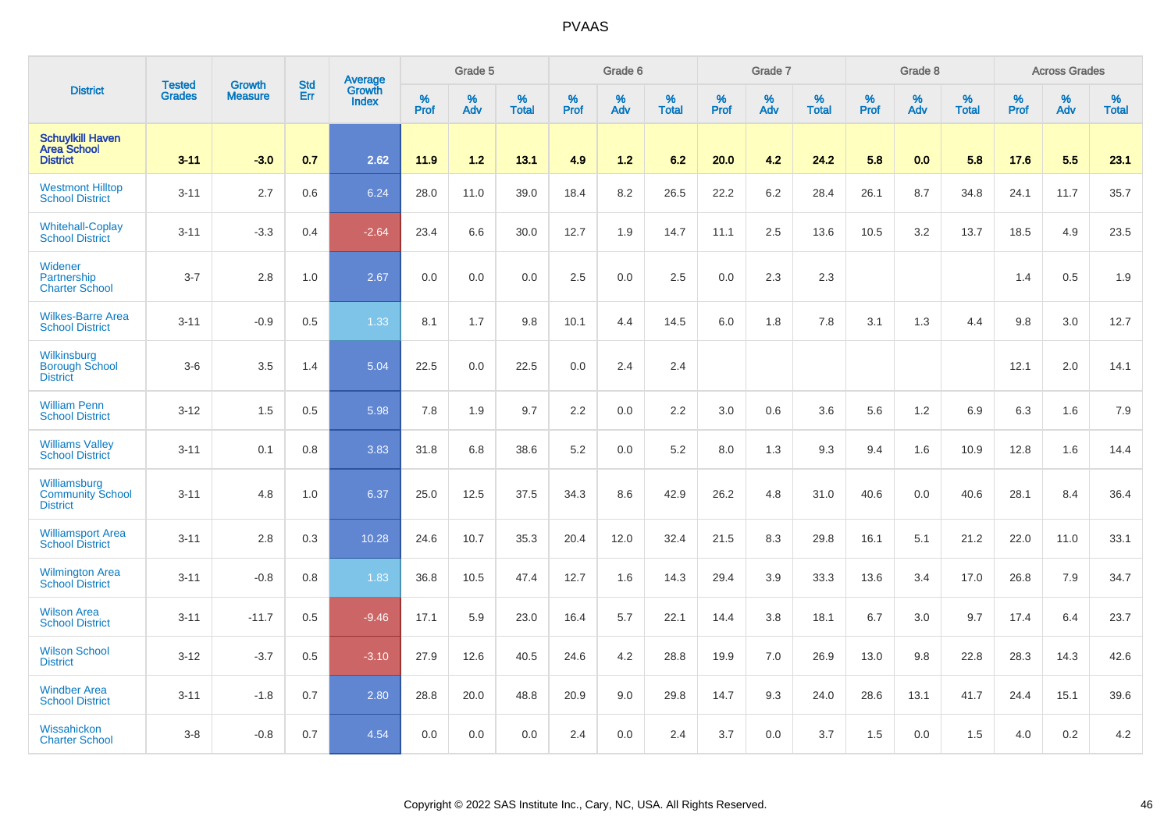|                                                                  |                                | <b>Growth</b>  | <b>Std</b> | Average                |              | Grade 5  |                   |           | Grade 6  |                   |           | Grade 7  |                   |           | Grade 8  |                   |           | <b>Across Grades</b> |                   |
|------------------------------------------------------------------|--------------------------------|----------------|------------|------------------------|--------------|----------|-------------------|-----------|----------|-------------------|-----------|----------|-------------------|-----------|----------|-------------------|-----------|----------------------|-------------------|
| <b>District</b>                                                  | <b>Tested</b><br><b>Grades</b> | <b>Measure</b> | Err        | Growth<br><b>Index</b> | $\%$<br>Prof | %<br>Adv | %<br><b>Total</b> | %<br>Prof | %<br>Adv | %<br><b>Total</b> | %<br>Prof | %<br>Adv | %<br><b>Total</b> | %<br>Prof | %<br>Adv | %<br><b>Total</b> | %<br>Prof | %<br>Adv             | %<br><b>Total</b> |
| <b>Schuylkill Haven</b><br><b>Area School</b><br><b>District</b> | $3 - 11$                       | $-3.0$         | 0.7        | 2.62                   | 11.9         | 1.2      | 13.1              | 4.9       | 1.2      | 6.2               | 20.0      | 4.2      | 24.2              | 5.8       | 0.0      | 5.8               | 17.6      | 5.5                  | 23.1              |
| <b>Westmont Hilltop</b><br><b>School District</b>                | $3 - 11$                       | 2.7            | 0.6        | 6.24                   | 28.0         | 11.0     | 39.0              | 18.4      | 8.2      | 26.5              | 22.2      | 6.2      | 28.4              | 26.1      | 8.7      | 34.8              | 24.1      | 11.7                 | 35.7              |
| <b>Whitehall-Coplay</b><br><b>School District</b>                | $3 - 11$                       | $-3.3$         | 0.4        | $-2.64$                | 23.4         | 6.6      | 30.0              | 12.7      | 1.9      | 14.7              | 11.1      | 2.5      | 13.6              | 10.5      | 3.2      | 13.7              | 18.5      | 4.9                  | 23.5              |
| Widener<br>Partnership<br><b>Charter School</b>                  | $3 - 7$                        | 2.8            | 1.0        | 2.67                   | 0.0          | 0.0      | 0.0               | 2.5       | 0.0      | 2.5               | 0.0       | 2.3      | 2.3               |           |          |                   | 1.4       | 0.5                  | 1.9               |
| <b>Wilkes-Barre Area</b><br><b>School District</b>               | $3 - 11$                       | $-0.9$         | 0.5        | 1.33                   | 8.1          | 1.7      | 9.8               | 10.1      | 4.4      | 14.5              | 6.0       | 1.8      | 7.8               | 3.1       | 1.3      | 4.4               | 9.8       | 3.0                  | 12.7              |
| Wilkinsburg<br><b>Borough School</b><br><b>District</b>          | $3-6$                          | 3.5            | 1.4        | 5.04                   | 22.5         | 0.0      | 22.5              | 0.0       | 2.4      | 2.4               |           |          |                   |           |          |                   | 12.1      | 2.0                  | 14.1              |
| <b>William Penn</b><br><b>School District</b>                    | $3 - 12$                       | 1.5            | 0.5        | 5.98                   | 7.8          | 1.9      | 9.7               | 2.2       | 0.0      | 2.2               | 3.0       | 0.6      | 3.6               | 5.6       | 1.2      | 6.9               | 6.3       | 1.6                  | 7.9               |
| <b>Williams Valley</b><br><b>School District</b>                 | $3 - 11$                       | 0.1            | 0.8        | 3.83                   | 31.8         | 6.8      | 38.6              | 5.2       | 0.0      | 5.2               | 8.0       | 1.3      | 9.3               | 9.4       | 1.6      | 10.9              | 12.8      | 1.6                  | 14.4              |
| Williamsburg<br><b>Community School</b><br><b>District</b>       | $3 - 11$                       | 4.8            | 1.0        | 6.37                   | 25.0         | 12.5     | 37.5              | 34.3      | 8.6      | 42.9              | 26.2      | 4.8      | 31.0              | 40.6      | 0.0      | 40.6              | 28.1      | 8.4                  | 36.4              |
| <b>Williamsport Area</b><br><b>School District</b>               | $3 - 11$                       | 2.8            | 0.3        | 10.28                  | 24.6         | 10.7     | 35.3              | 20.4      | 12.0     | 32.4              | 21.5      | 8.3      | 29.8              | 16.1      | 5.1      | 21.2              | 22.0      | 11.0                 | 33.1              |
| <b>Wilmington Area</b><br><b>School District</b>                 | $3 - 11$                       | $-0.8$         | 0.8        | 1.83                   | 36.8         | 10.5     | 47.4              | 12.7      | 1.6      | 14.3              | 29.4      | 3.9      | 33.3              | 13.6      | 3.4      | 17.0              | 26.8      | 7.9                  | 34.7              |
| <b>Wilson Area</b><br><b>School District</b>                     | $3 - 11$                       | $-11.7$        | 0.5        | $-9.46$                | 17.1         | 5.9      | 23.0              | 16.4      | 5.7      | 22.1              | 14.4      | 3.8      | 18.1              | 6.7       | 3.0      | 9.7               | 17.4      | 6.4                  | 23.7              |
| <b>Wilson School</b><br><b>District</b>                          | $3 - 12$                       | $-3.7$         | 0.5        | $-3.10$                | 27.9         | 12.6     | 40.5              | 24.6      | 4.2      | 28.8              | 19.9      | 7.0      | 26.9              | 13.0      | 9.8      | 22.8              | 28.3      | 14.3                 | 42.6              |
| <b>Windber Area</b><br><b>School District</b>                    | $3 - 11$                       | $-1.8$         | 0.7        | 2.80                   | 28.8         | 20.0     | 48.8              | 20.9      | 9.0      | 29.8              | 14.7      | 9.3      | 24.0              | 28.6      | 13.1     | 41.7              | 24.4      | 15.1                 | 39.6              |
| Wissahickon<br><b>Charter School</b>                             | $3-8$                          | $-0.8$         | 0.7        | 4.54                   | 0.0          | 0.0      | 0.0               | 2.4       | 0.0      | 2.4               | 3.7       | 0.0      | 3.7               | 1.5       | 0.0      | 1.5               | 4.0       | 0.2                  | 4.2               |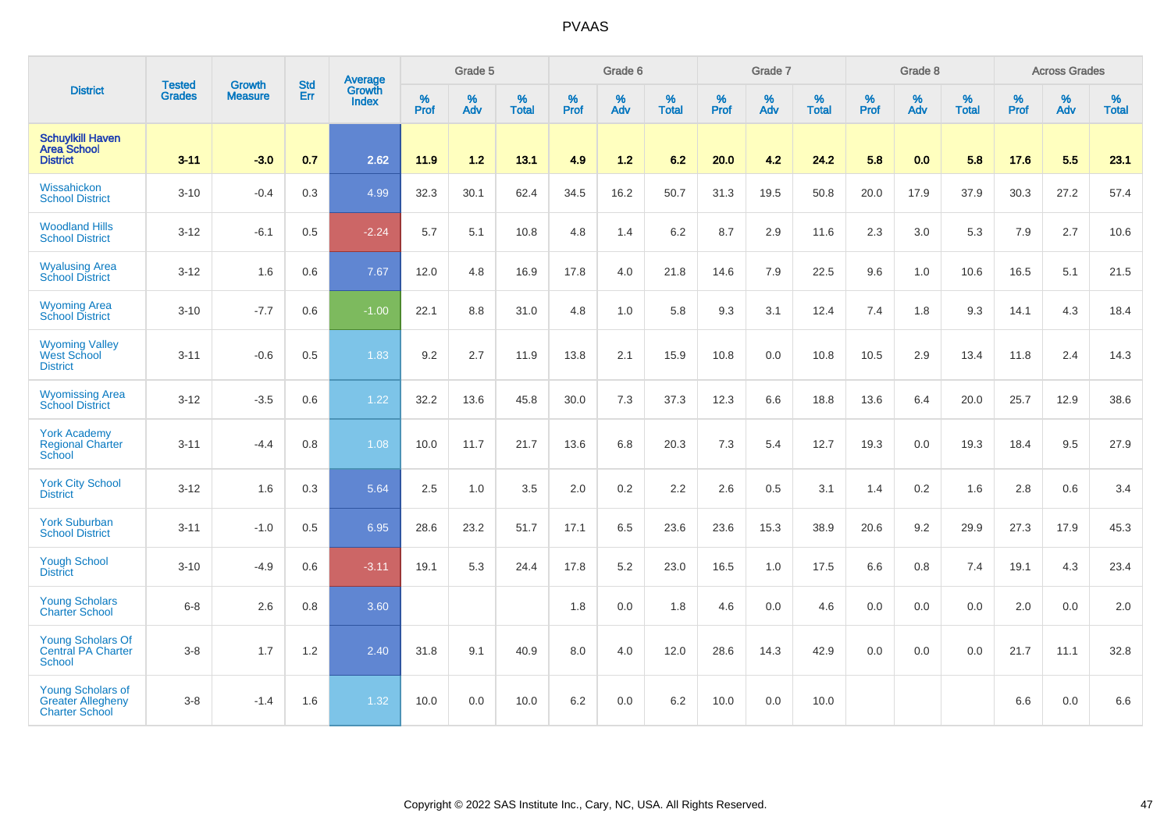|                                                                               |                                |                                 | <b>Std</b> | Average                |                     | Grade 5  |                   |                     | Grade 6  |                   |                     | Grade 7  |                   |                     | Grade 8     |                   |                     | <b>Across Grades</b> |                   |
|-------------------------------------------------------------------------------|--------------------------------|---------------------------------|------------|------------------------|---------------------|----------|-------------------|---------------------|----------|-------------------|---------------------|----------|-------------------|---------------------|-------------|-------------------|---------------------|----------------------|-------------------|
| <b>District</b>                                                               | <b>Tested</b><br><b>Grades</b> | <b>Growth</b><br><b>Measure</b> | Err        | Growth<br><b>Index</b> | $\%$<br><b>Prof</b> | %<br>Adv | %<br><b>Total</b> | $\%$<br><b>Prof</b> | %<br>Adv | %<br><b>Total</b> | $\%$<br><b>Prof</b> | %<br>Adv | %<br><b>Total</b> | $\%$<br><b>Prof</b> | $\%$<br>Adv | %<br><b>Total</b> | $\%$<br><b>Prof</b> | %<br>Adv             | %<br><b>Total</b> |
| <b>Schuylkill Haven</b><br><b>Area School</b><br><b>District</b>              | $3 - 11$                       | $-3.0$                          | 0.7        | 2.62                   | 11.9                | $1.2$    | 13.1              | 4.9                 | $1.2$    | 6.2               | 20.0                | 4.2      | 24.2              | 5.8                 | 0.0         | 5.8               | 17.6                | 5.5                  | 23.1              |
| Wissahickon<br><b>School District</b>                                         | $3 - 10$                       | $-0.4$                          | 0.3        | 4.99                   | 32.3                | 30.1     | 62.4              | 34.5                | 16.2     | 50.7              | 31.3                | 19.5     | 50.8              | 20.0                | 17.9        | 37.9              | 30.3                | 27.2                 | 57.4              |
| <b>Woodland Hills</b><br><b>School District</b>                               | $3 - 12$                       | $-6.1$                          | 0.5        | $-2.24$                | 5.7                 | 5.1      | 10.8              | 4.8                 | 1.4      | 6.2               | 8.7                 | 2.9      | 11.6              | 2.3                 | 3.0         | 5.3               | 7.9                 | 2.7                  | 10.6              |
| <b>Wyalusing Area</b><br><b>School District</b>                               | $3 - 12$                       | 1.6                             | 0.6        | 7.67                   | 12.0                | 4.8      | 16.9              | 17.8                | 4.0      | 21.8              | 14.6                | 7.9      | 22.5              | 9.6                 | 1.0         | 10.6              | 16.5                | 5.1                  | 21.5              |
| <b>Wyoming Area</b><br><b>School District</b>                                 | $3 - 10$                       | $-7.7$                          | 0.6        | $-1.00$                | 22.1                | 8.8      | 31.0              | 4.8                 | 1.0      | 5.8               | 9.3                 | 3.1      | 12.4              | 7.4                 | 1.8         | 9.3               | 14.1                | 4.3                  | 18.4              |
| <b>Wyoming Valley</b><br>West School<br><b>District</b>                       | $3 - 11$                       | $-0.6$                          | 0.5        | 1.83                   | 9.2                 | 2.7      | 11.9              | 13.8                | 2.1      | 15.9              | 10.8                | 0.0      | 10.8              | 10.5                | 2.9         | 13.4              | 11.8                | 2.4                  | 14.3              |
| <b>Wyomissing Area</b><br><b>School District</b>                              | $3 - 12$                       | $-3.5$                          | 0.6        | 1.22                   | 32.2                | 13.6     | 45.8              | 30.0                | 7.3      | 37.3              | 12.3                | 6.6      | 18.8              | 13.6                | 6.4         | 20.0              | 25.7                | 12.9                 | 38.6              |
| <b>York Academy</b><br><b>Regional Charter</b><br><b>School</b>               | $3 - 11$                       | $-4.4$                          | 0.8        | 1.08                   | 10.0                | 11.7     | 21.7              | 13.6                | 6.8      | 20.3              | 7.3                 | 5.4      | 12.7              | 19.3                | 0.0         | 19.3              | 18.4                | 9.5                  | 27.9              |
| <b>York City School</b><br><b>District</b>                                    | $3 - 12$                       | 1.6                             | 0.3        | 5.64                   | 2.5                 | 1.0      | 3.5               | 2.0                 | 0.2      | 2.2               | 2.6                 | 0.5      | 3.1               | 1.4                 | 0.2         | 1.6               | 2.8                 | 0.6                  | 3.4               |
| <b>York Suburban</b><br><b>School District</b>                                | $3 - 11$                       | $-1.0$                          | 0.5        | 6.95                   | 28.6                | 23.2     | 51.7              | 17.1                | 6.5      | 23.6              | 23.6                | 15.3     | 38.9              | 20.6                | 9.2         | 29.9              | 27.3                | 17.9                 | 45.3              |
| <b>Yough School</b><br><b>District</b>                                        | $3 - 10$                       | $-4.9$                          | 0.6        | $-3.11$                | 19.1                | 5.3      | 24.4              | 17.8                | 5.2      | 23.0              | 16.5                | 1.0      | 17.5              | 6.6                 | 0.8         | 7.4               | 19.1                | 4.3                  | 23.4              |
| <b>Young Scholars</b><br><b>Charter School</b>                                | $6-8$                          | 2.6                             | 0.8        | 3.60                   |                     |          |                   | 1.8                 | 0.0      | 1.8               | 4.6                 | 0.0      | 4.6               | 0.0                 | 0.0         | 0.0               | 2.0                 | 0.0                  | 2.0               |
| <b>Young Scholars Of</b><br><b>Central PA Charter</b><br><b>School</b>        | $3-8$                          | 1.7                             | 1.2        | 2.40                   | 31.8                | 9.1      | 40.9              | 8.0                 | 4.0      | 12.0              | 28.6                | 14.3     | 42.9              | 0.0                 | 0.0         | 0.0               | 21.7                | 11.1                 | 32.8              |
| <b>Young Scholars of</b><br><b>Greater Allegheny</b><br><b>Charter School</b> | $3 - 8$                        | $-1.4$                          | 1.6        | 1.32                   | 10.0                | 0.0      | 10.0              | 6.2                 | 0.0      | 6.2               | 10.0                | 0.0      | 10.0              |                     |             |                   | 6.6                 | 0.0                  | 6.6               |